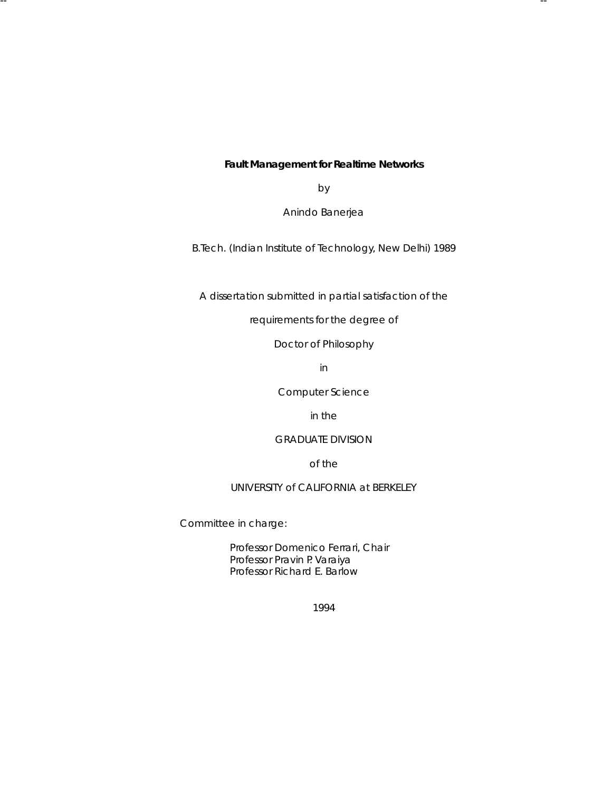**Fault Management for Realtime Networks** 

-- --

by

Anindo Banerjea

B.Tech. (Indian Institute of Technology, New Delhi) 1989

A dissertation submitted in partial satisfaction of the

requirements for the degree of

Doctor of Philosophy

in

Computer Science

in the

# GRADUATE DIVISION

of the

#### UNIVERSITY of CALIFORNIA at BERKELEY

Committee in charge:

Professor Domenico Ferrari, Chair Professor Pravin P. Varaiya Professor Richard E. Barlow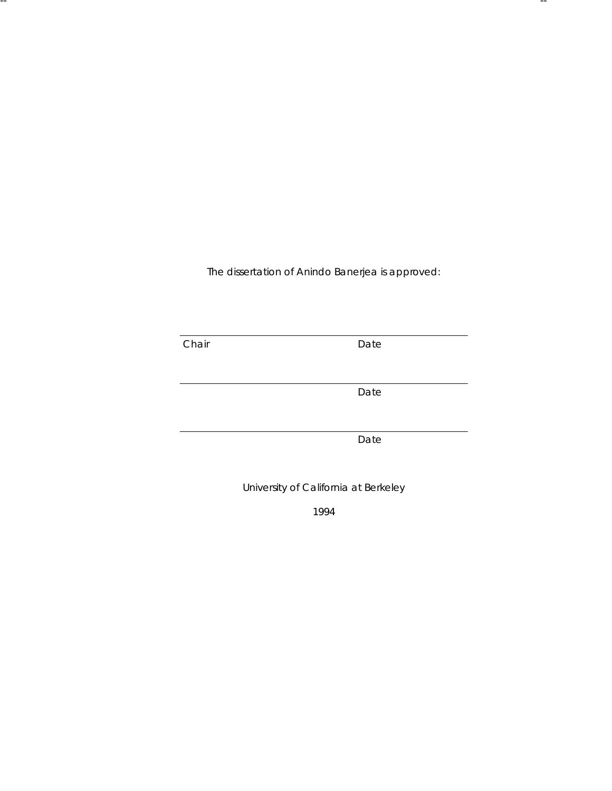The dissertation of Anindo Banerjea is approved:

-- --

**Chair** Date Date

Date

Date

University of California at Berkeley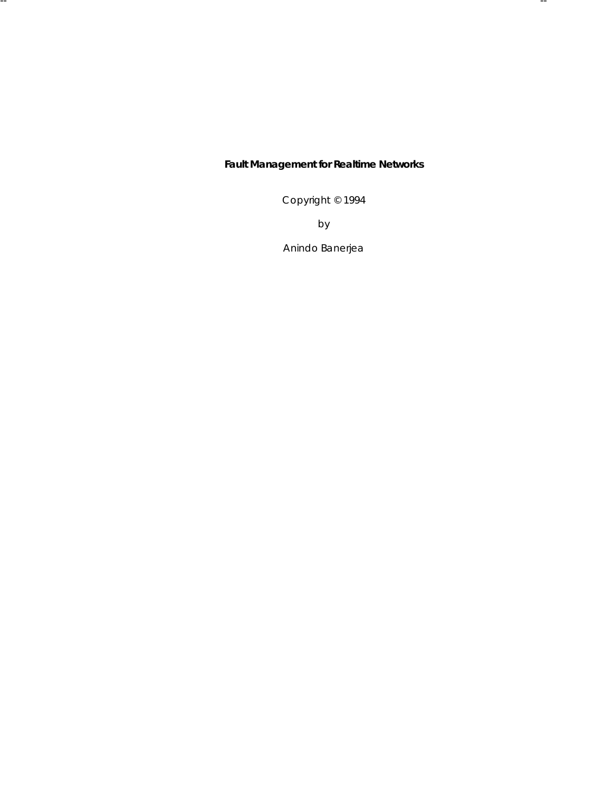# **Fault Management for Realtime Networks**

-- --

Copyright © 1994

by

Anindo Banerjea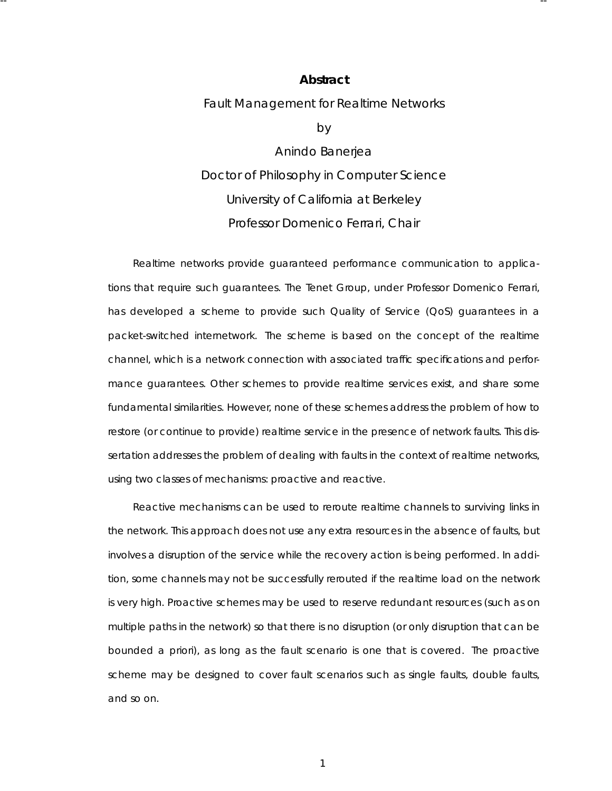#### **Abstract**

-- --

Fault Management for Realtime Networks

by

Anindo Banerjea Doctor of Philosophy in Computer Science University of California at Berkeley Professor Domenico Ferrari, Chair

Realtime networks provide guaranteed performance communication to applications that require such guarantees. The Tenet Group, under Professor Domenico Ferrari, has developed a scheme to provide such Quality of Service (QoS) guarantees in a packet-switched internetwork. The scheme is based on the concept of the *realtime channel*, which is a network connection with associated traffic specifications and performance guarantees . Other schemes to provide realtime services exist, and share some fundamental similarities . However, none of these schemes address the problem of how to restore (or continue to provide) realtime service in the presence of network faults. This dissertation addresses the problem of dealing with faults in the context of realtime networks, using two classes of mechanisms: *proactive* and *reactive*.

Reactive mechanisms can be used to reroute realtime channels to surviving links in the network. This approach does not use any extra resources in the absence of faults, but involves a disruption of the service while the recovery action is being performed. In addition, some channels may not be successfully rerouted if the realtime load on the network is very high. Proactive schemes may be used to reserve redundant resources (such as on multiple paths in the network) so that there is no disruption (or only disruption that can be bounded *a prior i*), as long as the fault scenario is one that is *covered*. The proactive scheme may be designed to cover fault scenarios such as single faults, double faults, and so on.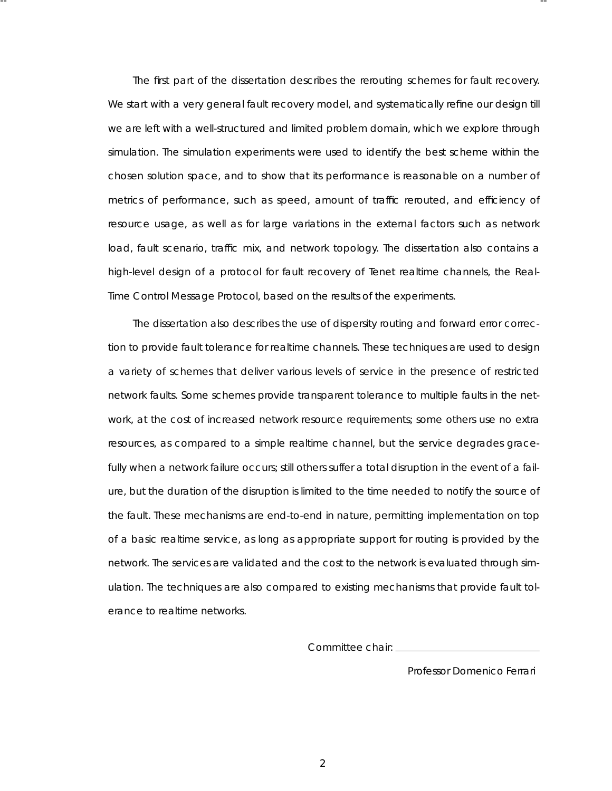The first part of the dissertation describes the rerouting schemes for fault recovery. We start with a very general fault recovery model, and systematically refine our design till we are left with a well-structured and limited problem domain, which we explore through simulation. The simulation experiments were used to identify the best scheme within the chosen solution space, and to show that its performance is reasonable on a number of metrics of performance, such as speed, amount of traffic rerouted, and efficiency of resource usage, as well as for large variations in the external factors such as network load, fault scenario, traffic mix, and network topology. The dissertation also contains a high-level design of a protocol for fault recovery of Tenet realtime channels, the Real-Time Control Message Protocol, based on the results of the experiments.

-- --

The dissertation also describes the use of dispersity routing and forward error correction to provide fault tolerance for realtime channels. These techniques are used to design a variety of schemes that deliver various levels of service in the presence of restricted network faults. Some schemes provide transparent tolerance to multiple faults in the network, at the cost of increased network resource requirements; some others use no extra resources, as compared to a simple realtime channel, but the service degrades gracefully when a network failure occurs; still others suffer a total disruption in the event of a failure, but the duration of the disruption is limited to the time needed to notify the source of the fault. These mechanisms are end-to-end in nature, permitting implementation on top of a basic realtime service, as long as appropriate support for routing is provided by the network. The services are validated and the cost to the network is evaluated through simulation. The techniques are also compared to existing mechanisms that provide fault tolerance to realtime networks.

Committee chair:

Professor Domenico Ferrari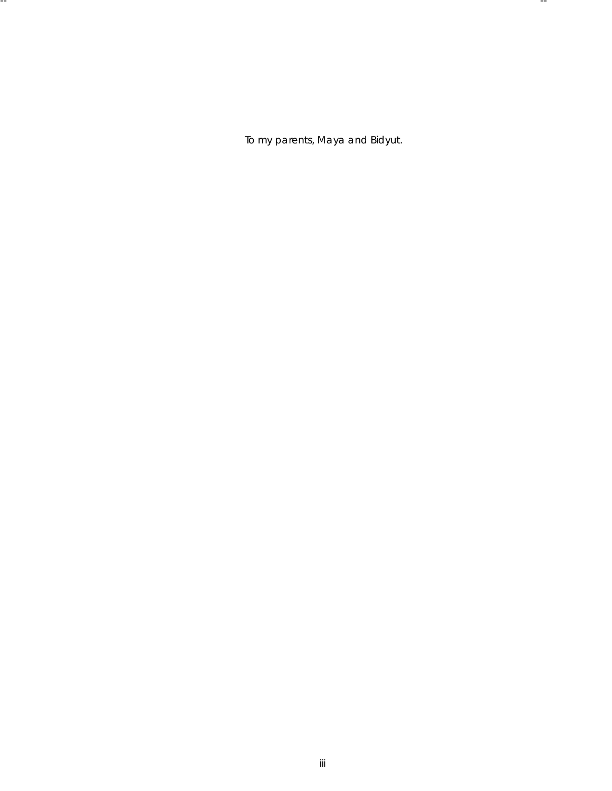*To my parents , Maya and Bidyut.*

-- --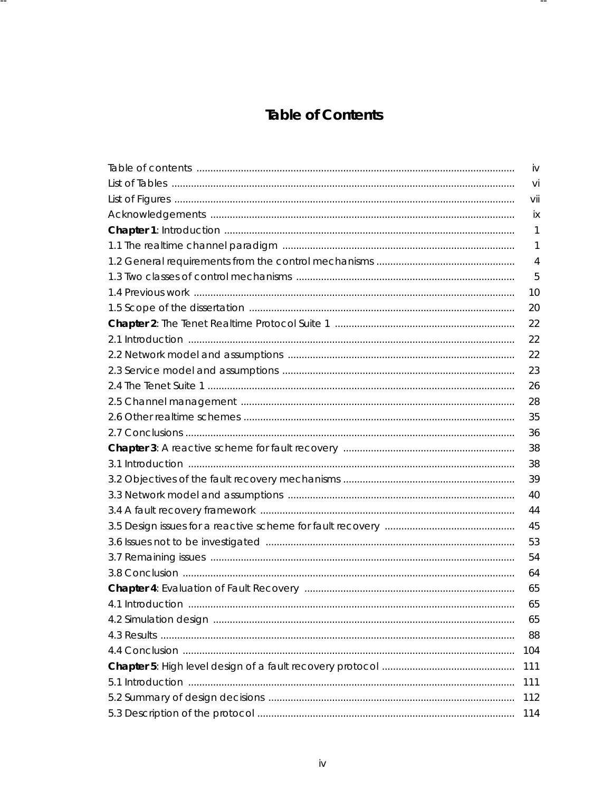# **Table of Contents**

 $- -$ 

Н.

| iv  |
|-----|
| Vİ  |
| vii |
| İХ  |
| 1   |
| 1   |
| 4   |
| 5   |
| 10  |
| 20  |
| 22  |
| 22  |
| 22  |
| 23  |
| 26  |
| 28  |
| 35  |
| 36  |
| 38  |
| 38  |
| 39  |
| 40  |
| 44  |
| 45  |
| 53  |
| 54  |
| 64  |
| 65  |
| 65  |
| 65  |
| 88  |
| 104 |
| 111 |
| 111 |
| 112 |
| 114 |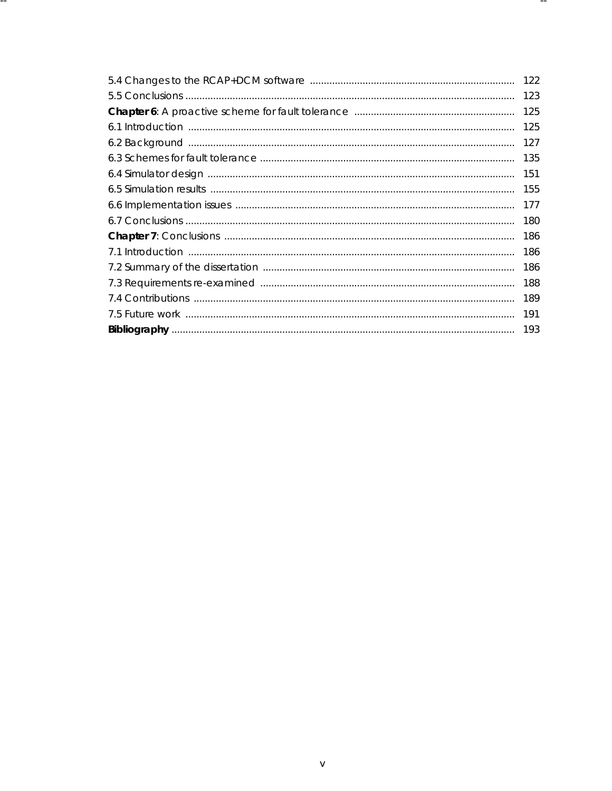|     | 122 |
|-----|-----|
|     | 123 |
|     | 125 |
|     | 125 |
|     | 127 |
| 135 |     |
|     | 151 |
|     | 155 |
|     | 177 |
|     | 180 |
|     |     |
|     | 186 |
|     | 186 |
|     | 188 |
|     | 189 |
|     | 191 |
|     | 193 |

 $- -$ 

. –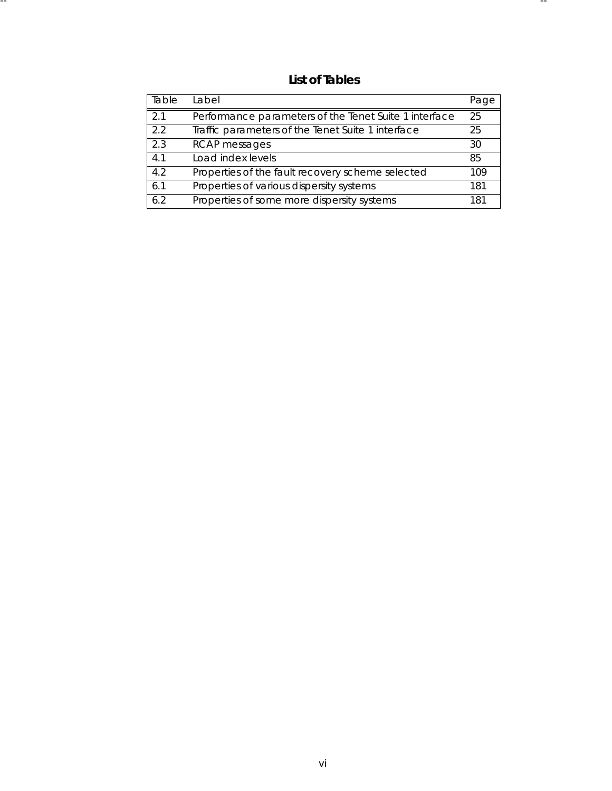**List of Tables**

| Table | l abel                                                | Page |
|-------|-------------------------------------------------------|------|
| 2.1   | Performance parameters of the Tenet Suite 1 interface | 25   |
| 2.2   | Traffic parameters of the Tenet Suite 1 interface     | 25   |
| 2.3   | <b>RCAP</b> messages                                  | 30   |
| 4.1   | Load index levels                                     | 85   |
| 4.2   | Properties of the fault recovery scheme selected      | 109  |
| 6.1   | Properties of various dispersity systems              | 181  |
| 6.2   | Properties of some more dispersity systems            | 181  |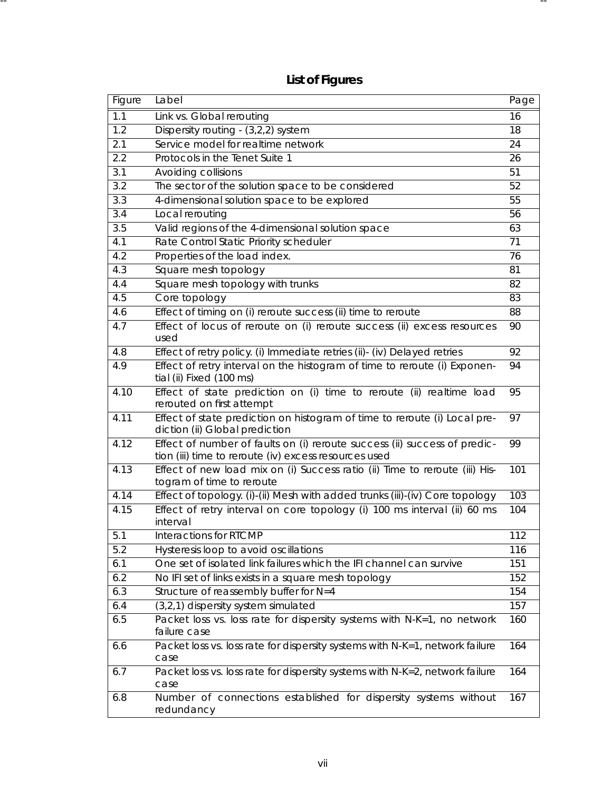| <b>List of Figures</b> |  |
|------------------------|--|
|------------------------|--|

-- --

| Figure | Label                                                                                                                              | Page |
|--------|------------------------------------------------------------------------------------------------------------------------------------|------|
| 1.1    | Link vs. Global rerouting                                                                                                          | 16   |
| 1.2    | Dispersity routing - (3,2,2) system                                                                                                | 18   |
| 2.1    | Service model for realtime network                                                                                                 | 24   |
| 2.2    | Protocols in the Tenet Suite 1                                                                                                     | 26   |
| 3.1    | Avoiding collisions                                                                                                                | 51   |
| 3.2    | The sector of the solution space to be considered                                                                                  | 52   |
| 3.3    | 4-dimensional solution space to be explored                                                                                        | 55   |
| 3.4    | Local rerouting                                                                                                                    | 56   |
| 3.5    | Valid regions of the 4-dimensional solution space                                                                                  | 63   |
| 4.1    | Rate Control Static Priority scheduler                                                                                             | 71   |
| 4.2    | Properties of the load index.                                                                                                      | 76   |
| 4.3    | Square mesh topology                                                                                                               | 81   |
| 4.4    | Square mesh topology with trunks                                                                                                   | 82   |
| 4.5    | Core topology                                                                                                                      | 83   |
| 4.6    | Effect of timing on (i) reroute success (ii) time to reroute                                                                       | 88   |
| 4.7    | Effect of locus of reroute on (i) reroute success (ii) excess resources<br>used                                                    | 90   |
| 4.8    | Effect of retry policy. (i) Immediate retries (ii)- (iv) Delayed retries                                                           | 92   |
| 4.9    | Effect of retry interval on the histogram of time to reroute (i) Exponen-<br>tial (ii) Fixed (100 ms)                              | 94   |
| 4.10   | Effect of state prediction on (i) time to reroute (ii) realtime load<br>rerouted on first attempt                                  | 95   |
| 4.11   | Effect of state prediction on histogram of time to reroute (i) Local pre-<br>diction (ii) Global prediction                        | 97   |
| 4.12   | Effect of number of faults on (i) reroute success (ii) success of predic-<br>tion (iii) time to reroute (iv) excess resources used | 99   |
| 4.13   | Effect of new load mix on (i) Success ratio (ii) Time to reroute (iii) His-<br>togram of time to reroute                           | 101  |
| 4.14   | Effect of topology. (i)-(ii) Mesh with added trunks (iii)-(iv) Core topology                                                       | 103  |
| 4.15   | Effect of retry interval on core topology (i) 100 ms interval (ii) 60 ms<br>interval                                               | 104  |
| 5.1    | Interactions for RTCMP                                                                                                             | 112  |
| 5.2    | Hysteresis loop to avoid oscillations                                                                                              | 116  |
| 6.1    | One set of isolated link failures which the IFI channel can survive                                                                | 151  |
| 6.2    | No IFI set of links exists in a square mesh topology                                                                               | 152  |
| 6.3    | Structure of reassembly buffer for N=4                                                                                             | 154  |
| 6.4    | (3,2,1) dispersity system simulated                                                                                                | 157  |
| 6.5    | Packet loss vs. loss rate for dispersity systems with N-K=1, no network<br>failure case                                            | 160  |
| 6.6    | Packet loss vs. loss rate for dispersity systems with N-K=1, network failure<br>case                                               | 164  |
| 6.7    | Packet loss vs. loss rate for dispersity systems with N-K=2, network failure<br>case                                               | 164  |
| 6.8    | Number of connections established for dispersity systems without<br>redundancy                                                     | 167  |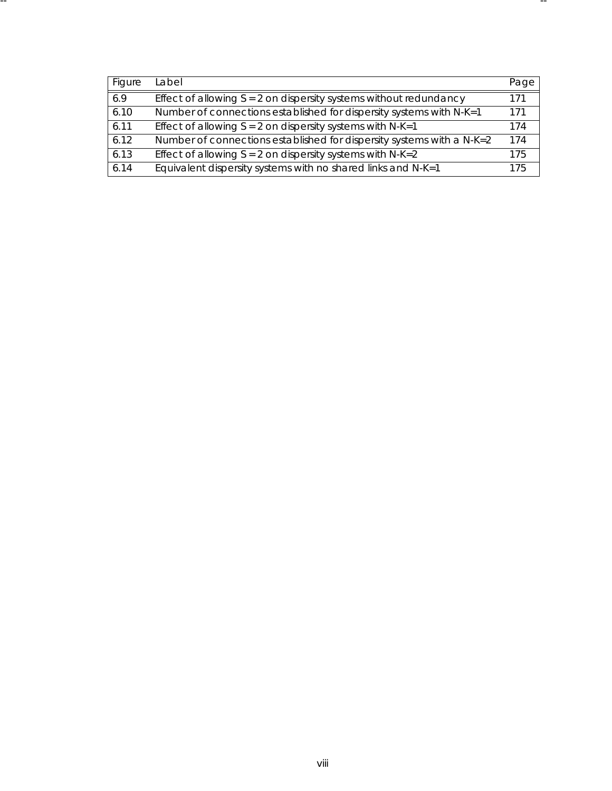| Figure | Label                                                                 | Page |
|--------|-----------------------------------------------------------------------|------|
| 6.9    | Effect of allowing $S = 2$ on dispersity systems without redundancy   | 171  |
| 6.10   | Number of connections established for dispersity systems with N-K=1   | 171  |
| 6.11   | Effect of allowing $S = 2$ on dispersity systems with N-K=1           | 174  |
| 6.12   | Number of connections established for dispersity systems with a N-K=2 | 174  |
| 6.13   | Effect of allowing $S = 2$ on dispersity systems with N-K=2           | 175  |
| 6.14   | Equivalent dispersity systems with no shared links and $N-K=1$        | 175  |

-- --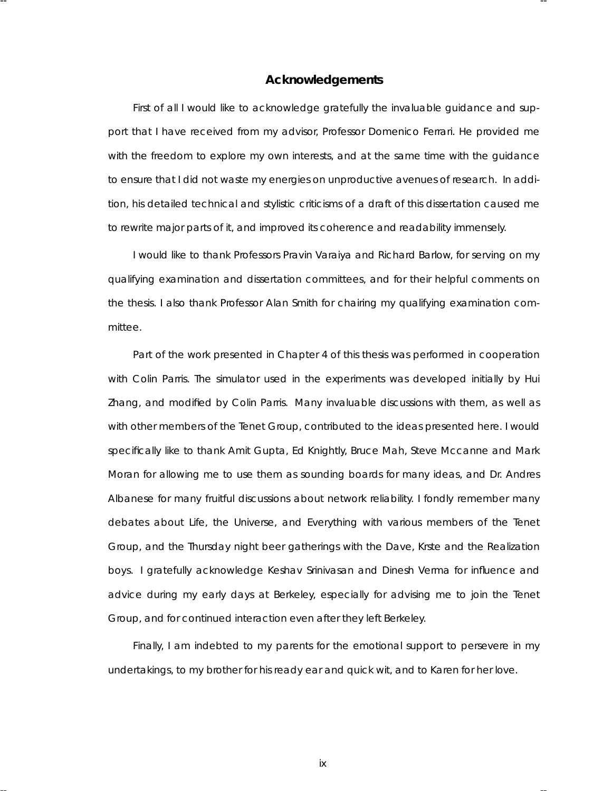#### **Acknowledgements**

-- --

First of all I would like to acknowledge gratefully the invaluable guidance and support that I have received from my advisor, Professor Domenico Ferrari. He provided me with the freedom to explore my own interests, and at the same time with the guidance to ensure that I did not waste my energies on unproductive avenues of research. In addition, his detailed technical and stylistic criticisms of a draft of this dissertation caused me to rewrite major parts of it, and improved its coherence and readability immensely.

I would like to thank Professors Pravin Varaiya and Richard Barlow, for serving on my qualifying examination and dissertation committees, and for their helpful comments on the thesis. I also thank Professor Alan Smith for chairing my qualifying examination committee.

Part of the work presented in Chapter 4 of this thesis was performed in cooperation with Colin Parris. The simulator used in the experiments was developed initially by Hui Zhang, and modified by Colin Parris. Many invaluable discussions with them, as well as with other members of the Tenet Group, contributed to the ideas presented here. I would specifically like to thank Amit Gupta, Ed Knightly, Bruce Mah, Steve Mccanne and Mark Moran for allowing me to use them as sounding boards for many ideas, and Dr. Andres Albanese for many fruitful discussions about network reliability. I fondly remember many debates about *Life, the Universe, and Everything* with various members of the Tenet Group, and the Thursday night beer gatherings with the Dave, Krste and the Realization boys. I gratefully acknowledge Keshav Srinivasan and Dinesh Verma for influence and advice during my early days at Berkeley, especially for advising me to join the Tenet Group, and for continued interaction even after they left Berkeley.

Finally, I am indebted to my parents for the emotional support to persevere in my undertakings, to my brother for his ready ear and quick wit, and to Karen for her love.

ix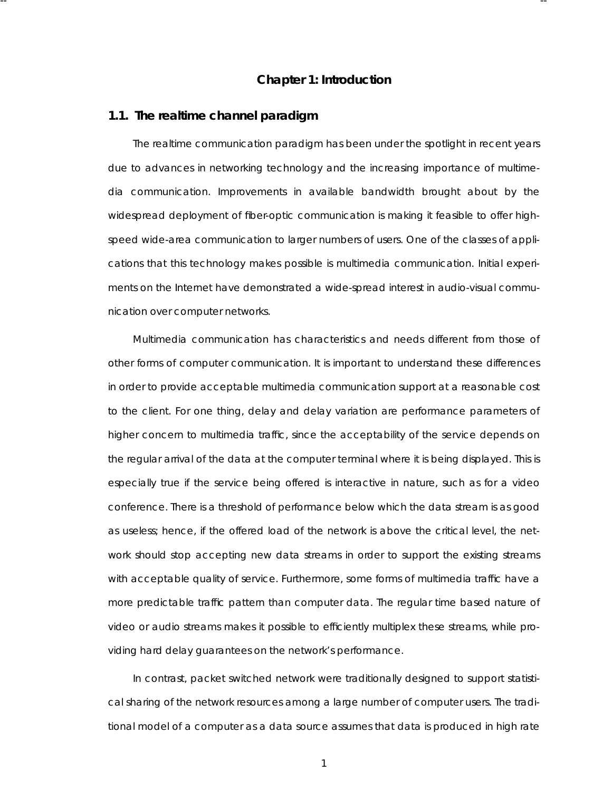# **Cha pter 1: Introduction**

-- --

#### **1.1. The realtime channel paradigm**

The realtime communication paradigm has been under the spotlight in recent years due to advances in networking technology and the increasing importance of multimedia communication. Improvements in available bandwidth brought about by the widespread deployment of fiber-optic communication is making it feasible to offer highspeed wide-area communication to larger numbers of users. One of the classes of applications that this technology makes possible is multimedia communication. Initial experiments on the Internet have demonstrated a wide-spread interest in audio-visual communication over computer networks.

Multimedia communication has characteristics and needs different from those of other forms of computer communication. It is important to understand these differences in order to provide acceptable multimedia communication support at a reasona ble cost to the client. For one thing, delay and delay variation are performance parameters of higher concern to multimedia traffic, since the acceptability of the service depends on the regular arrival of the data at the computer terminal where it is being displayed. This is especially true if the service being offered is interactive in nature, such as for a video conference. There is a threshold of performance below which the data stream is as good as useless; hence, if the offered load of the network is above the critical level, the network should stop accepting new data streams in order to support the existing streams with acceptable quality of service. Furthermore, some forms of multimedia traffic have a more predicta ble traffic pattern than computer data. The regular time based nature of video or audio streams makes it possible to efficiently multiplex these streams , while providing hard delay guarantees on the network's performance.

In contrast, packet switched network were traditionally designed to support statistical sharing of the network resources among a large number of computer users. The traditional model of a computer as a data source assumes that data is produced in high rate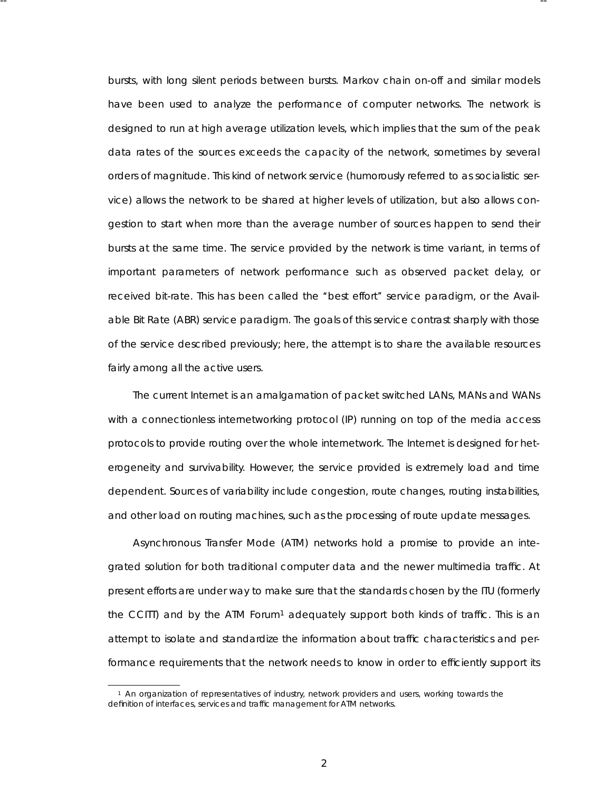bursts, with long silent periods between bursts. Markov chain on-off and similar models have been used to analyze the performance of computer networks. The network is designed to run at high average utilization levels, which implies that the sum of the peak data rates of the sources exceeds the capacity of the network, sometimes by several orders of magnitude. This kind of network service (humorously referred to as socialistic service) allows the network to be shared at higher levels of utilization, but also allows congestion to start when more than the average number of sources happen to send their bursts at the same time. The service provided by the network is time variant, in terms of important parameters of network performance such as observed packet delay, or received bit-rate. This has been called the "best effort" service paradigm, or the Available Bit Rate (ABR) service paradigm. The goals of this service contrast sharply with those of the service described previously; here, the attempt is to share the availa ble resources fairly among all the active users.

-- --

The current Internet is an amalgamation of packet switched LANs, MANs and WANs with a connectionless internetworking protocol (IP) running on top of the media access protocols to provide routing over the whole internetwork. The Internet is designed for heterogeneity and survivability. However, the service provided is extremely load and time dependent. Sources of variability include congestion, route changes, routing instabilities, and other load on routing machines, such as the processing of route update messages.

Asynchronous Transfer Mode (ATM) networks hold a promise to provide an integrated solution for both traditional computer data and the newer multimedia traffic. At present efforts are under way to make sure that the standards chosen by the ITU (formerly the CCITT) and by the ATM Forum<sup>1</sup> adequately support both kinds of traffic. This is an attempt to isolate and standardize the information about traffic characteristics and performance requirements that the network needs to know in order to efficiently support its

<sup>&</sup>lt;sup>1</sup> An organization of representatives of industry, network providers and users, working towards the definition of interfaces, services and traffic management for ATM networks.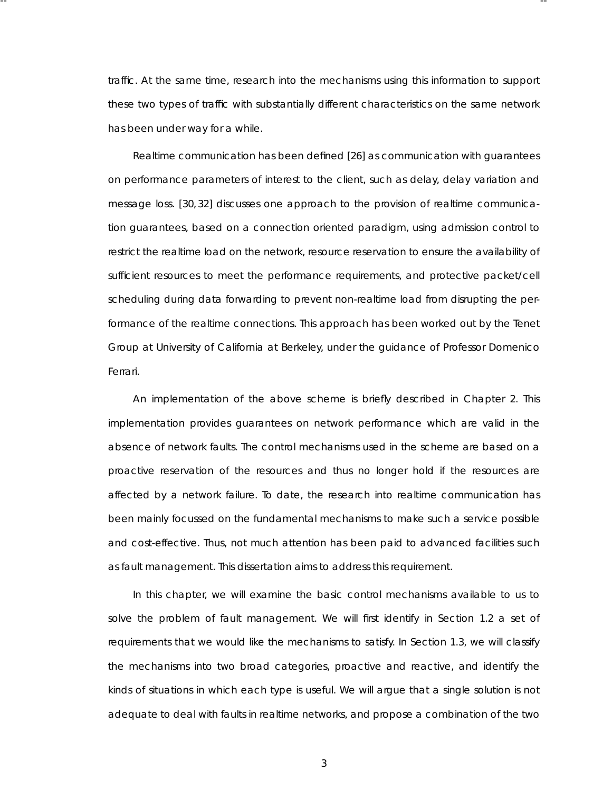traffic. At the same time, research into the mechanisms using this information to support these two types of traffic with substantially different characteristics on the same network has been under way for a while.

-- --

Realtime communication has been defined [26] as communication with guarantees on performance parameters of interest to the client, such as delay, delay variation and message loss. [30, 32] discusses one approach to the provision of realtime communication guarantees , based on a connection oriented paradigm, using admission control to restrict the realtime load on the network, resource reservation to ensure the availability of sufficient resources to meet the performance requirements, and protective packet/cell scheduling during data forwarding to prevent non-realtime load from disrupting the performance of the realtime connections. This approach has been worked out by the Tenet Group at University of California at Berkeley, under the quidance of Professor Domenico Ferrari.

An implementation of the above scheme is briefly described in Chapter 2. This implementation provides guarantees on network performance which are valid in the absence of network faults. The control mechanisms used in the scheme are based on a *proactive* reser vation of the resources and thus no longer hold if the resources are affected by a network failure. To date, the research into realtime communication has been mainly focussed on the fundamental mechanisms to make such a service possible and cost-effective. Thus, not much attention has been paid to advanced facilities such as fault management. This dissertation aims to address this requirement.

In this chapter, we will examine the basic control mechanisms available to us to solve the problem of fault management. We will first identify in Section 1.2 a set of requirements that we would like the mechanisms to satisfy. In Section 1.3, we will classify the mechanisms into two broad categories , *proactive* and *reactive*, and identify the kinds of situations in which each type is useful. We will argue that a single solution is not adequate to deal with faults in realtime networks, and propose a combination of the two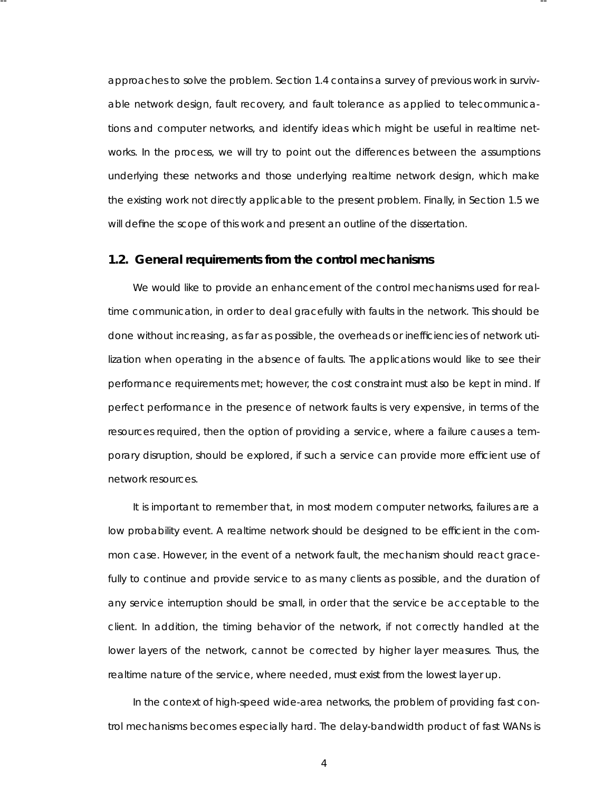approaches to solve the problem. Section 1.4 contains a survey of previous work in survivable network design, fault recovery, and fault tolerance as applied to telecommunications and computer networks, and identify ideas which might be useful in realtime networks. In the process, we will try to point out the differences between the assumptions underlying these networks and those underlying realtime network design, which make the existing work not directly applicable to the present problem. Finally, in Section 1.5 we will define the scope of this work and present an outline of the dissertation.

# **1.2. General requirements from the control mechanisms**

-- --

We would like to provide an enhancement of the control mechanisms used for realtime communication, in order to deal gracefully with faults in the network. This should be done without increasing, as far as possible, the overheads or inefficiencies of network utilization when operating in the absence of faults. The applications would like to see their performance requirements met; however, the cost constraint must also be kept in mind. If perfect performance in the presence of network faults is very expensive, in terms of the resources required, then the option of providing a service, where a failure causes a temporary disruption, should be explored, if such a service can provide more efficient use of network resources.

It is important to remember that, in most modern computer networks, failures are a low probability event. A realtime network should be designed to be efficient in the common case. However, in the event of a network fault, the mechanism should react gracefully to continue and provide service to as many clients as possible, and the duration of any service interruption should be small, in order that the service be acceptable to the client. In addition, the timing behavior of the network, if not correctly handled at the lower layers of the network, cannot be corrected by higher layer measures. Thus, the realtime nature of the service, where needed, must exist from the lowest layer up.

In the context of high-speed wide-area networks, the problem of providing fast control mechanisms becomes especially hard. The delay-bandwidth product of fast WANs is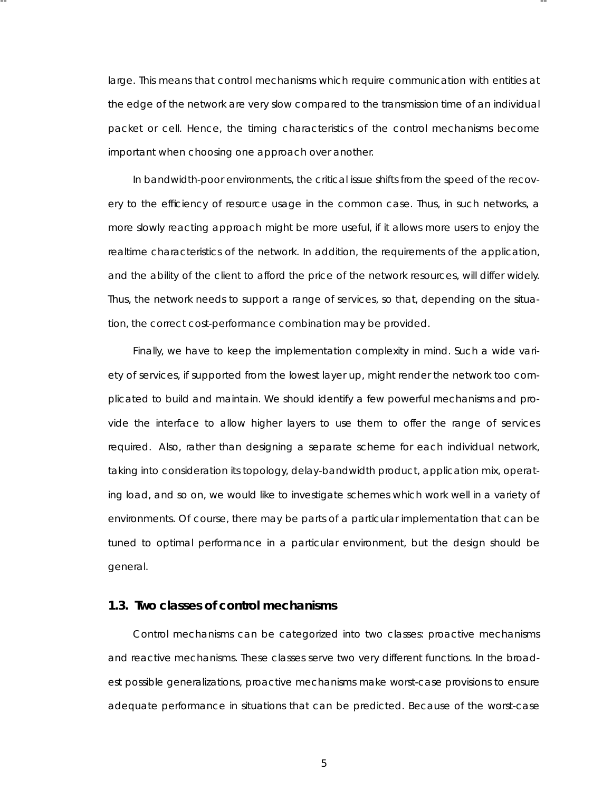large. This means that control mechanisms which require communication with entities at the edge of the network are very slow compared to the transmission time of an individual packet or cell. Hence, the timing characteristics of the control mechanisms become important when choosing one approach over another.

-- --

In bandwidth-poor environments, the critical issue shifts from the speed of the recovery to the efficiency of resource usage in the common case. Thus, in such networks, a more slowly reacting approach might be more useful, if it allows more users to enjoy the realtime characteristics of the network. In addition, the requirements of the application, and the ability of the client to afford the price of the network resources, will differ widely. Thus, the network needs to support a range of services, so that, depending on the situation, the correct cost-performance combination may be provided.

Finally, we have to keep the implementation complexity in mind. Such a wide variety of services, if supported from the lowest layer up, might render the network too complicated to build and maintain. We should identify a few powerful mechanisms and provide the interface to allow higher layers to use them to offer the range of services required. Also, rather than designing a separate scheme for each individual network, taking into consideration its topology, delay-bandwidth product, application mix, operating load, and so on, we would like to investigate schemes which work well in a variety of environments . Of course, there may be parts of a particular implementation that can be tuned to optimal performance in a particular environment, but the design should be general.

#### **1.3. Two classes of control mechanisms**

Control mechanisms can be categorized into two classes: *proactive mechanisms* and reactive mechanisms. These classes serve two very different functions. In the broadest possible generalizations, proactive mechanisms make worst-case provisions to ensure adequate performance in situations that can be predicted. Because of the worst-case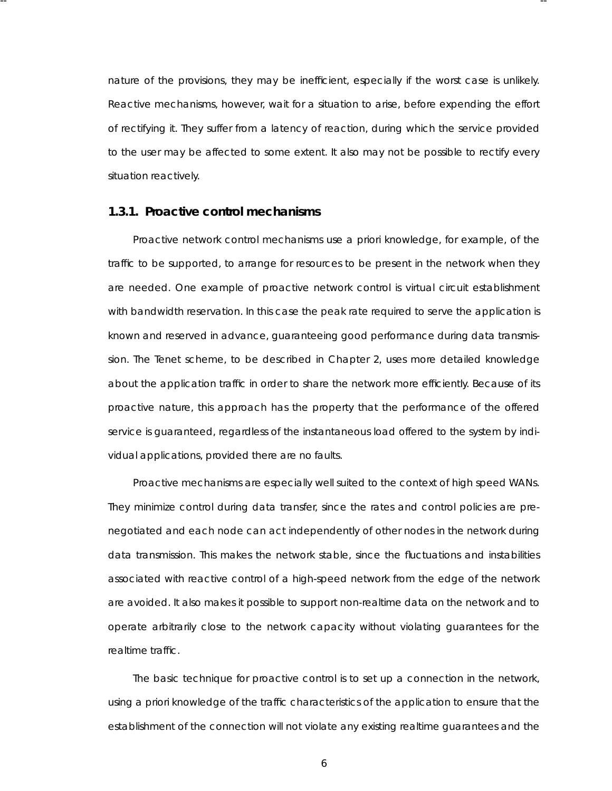nature of the provisions, they may be inefficient, especially if the worst case is unlikely. Reactive mechanisms, however, wait for a situation to arise, before expending the effort of rectifying it. They suffer from a latency of reaction, during which the service provided to the user may be affected to some extent. It also may not be possible to rectify every situation reactively.

-- --

# **1.3.1. Proactive control mechanisms**

Proactive network control mechanisms use *a priori* knowledge, for example, of the traffic to be supported, to arrange for resources to be present in the network when they are needed. One example of proactive network control is virtual circuit establishment with bandwidth reservation. In this case the peak rate required to serve the application is known and reserved in advance, guaranteeing good performance during data transmission. The Tenet scheme, to be described in Chapter 2, uses more detailed knowledge about the application traffic in order to share the network more efficiently. Because of its proactive nature, this approach has the property that the performance of the offered service is guaranteed, regardless of the instantaneous load offered to the system by individual applications, provided there are no faults.

Proactive mechanisms are especially well suited to the context of high speed WANs . They minimize control during data transfer, since the rates and control policies are prenegotiated and each node can act independently of other nodes in the network during data transmission. This makes the network stable, since the fluctuations and instabilities associated with reactive control of a high-speed network from the edge of the network are avoided. It also makes it possible to support non-realtime data on the network and to operate arbitrarily close to the network capacity without violating guarantees for the realtime traffic.

The basic technique for proactive control is to set up a connection in the network, using *a priori* knowledge of the traffic characteristics of the application to ensure that the esta blishment of the connection will not violate any existing realtime guarantees and the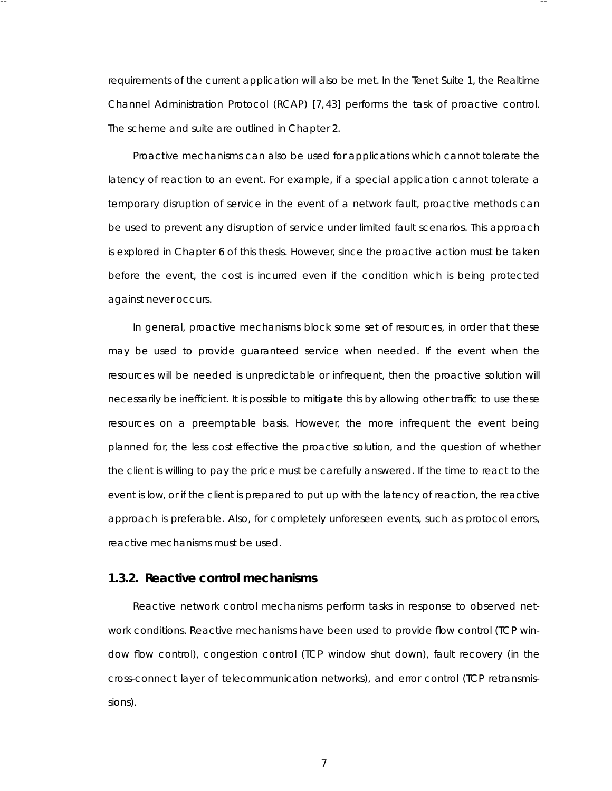requirements of the current application will also be met. In the Tenet Suite 1, the Realtime Channel Administration Protocol (RCAP) [7,43] performs the task of proactive control. The scheme and suite are outlined in Chapter 2.

-- --

Proactive mechanisms can also be used for applications which cannot tolerate the latency of reaction to an event. For example, if a special application cannot tolerate a temporary disruption of service in the event of a network fault, proactive methods can be used to prevent any disruption of service under limited fault scenarios. This approach is explored in Chapter 6 of this thesis. However, since the proactive action must be taken before the event, the cost is incurred even if the condition which is being protected against never occurs.

In general, proactive mechanisms block some set of resources , in order that these may be used to provide guaranteed service when needed. If the event when the resources will be needed is unpredicta ble or infrequent, then the proactive solution will necessarily be inefficient. It is possible to mitigate this by allowing other traffic to use these resources on a preemptable basis. However, the more infrequent the event being planned for, the less cost effective the proactive solution, and the question of whether the client is willing to pay the price must be carefully answered. If the time to react to the event is low, or if the client is prepared to put up with the latency of reaction, the reactive approach is preferable. Also, for completely unforeseen events, such as protocol errors, reactive mechanisms must be used.

# **1.3.2. Reactive control mechanisms**

Reactive network control mechanisms perform tasks in response to observed network conditions . Reactive mechanisms have been used to provide flow control (TCP window flow control), congestion control (TCP window shut down), fault recovery (in the cross-connect layer of telecommunication networks), and error control (TCP retransmissions).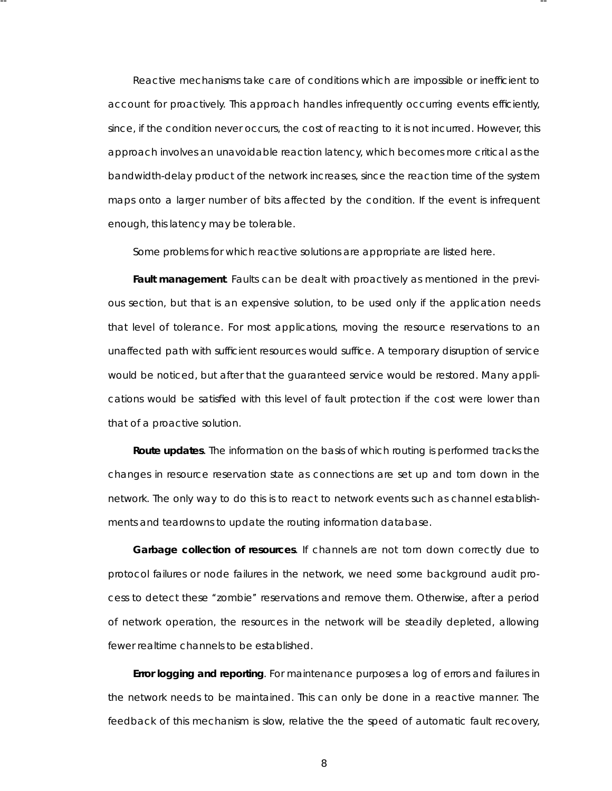Reactive mechanisms take care of conditions which are impossible or inefficient to account for proactively. This approach handles infrequently occurring events efficiently, since, if the condition never occurs, the cost of reacting to it is not incurred. However, this approach involves an unavoidable reaction latency, which becomes more critical as the bandwidth-delay product of the network increases, since the reaction time of the system maps onto a larger number of bits affected by the condition. If the event is infrequent enough, this latency may be tolerable.

-- --

Some problems for which reactive solutions are appropriate are listed here.

**Fault management**. Faults can be dealt with proactively as mentioned in the previous section, but that is an expensive solution, to be used only if the application needs that level of tolerance. For most applications, moving the resource reservations to an unaffected path with sufficient resources would suffice. A temporary disruption of service would be noticed, but after that the guaranteed service would be restored. Many applications would be satisfied with this level of fault protection if the cost were lower than that of a proactive solution.

**Route updates**. The information on the basis of which routing is performed tracks the changes in resource reservation state as connections are set up and torn down in the network. The only way to do this is to react to network events such as channel establishments and teardowns to update the routing information database.

**Garbage collection of resources**. If channels are not torn down correctly due to protocol failures or node failures in the network, we need some background audit process to detect these ''zombie'' reser vations and remove them. Otherwise, after a period of network operation, the resources in the network will be steadily depleted, allowing fewer realtime channels to be established.

**Error logging and reporting**. For maintenance purposes a log of errors and failures in the network needs to be maintained. This can only be done in a reactive manner. The feedback of this mechanism is slow, relative the the speed of automatic fault recovery,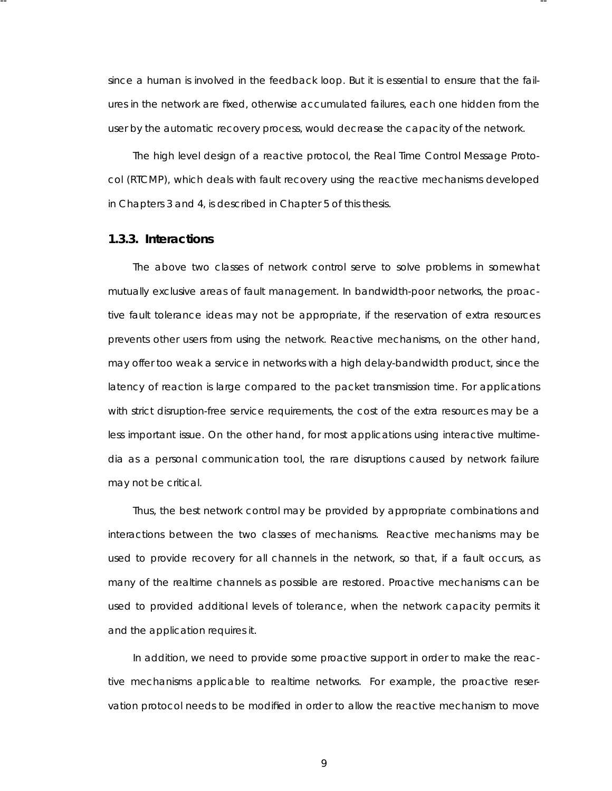since a human is involved in the feedback loop. But it is essential to ensure that the failures in the network are fixed, otherwise accumulated failures, each one hidden from the user by the automatic recovery process, would decrease the capacity of the network.

-- --

The high level design of a reactive protocol, the Real Time Control Message Protocol (RTCMP), which deals with fault recovery using the reactive mechanisms developed in Chapters 3 and 4, is described in Chapter 5 of this thesis.

#### **1.3.3. Interactions**

The above two classes of network control serve to solve problems in somewhat mutually exclusive areas of fault management. In bandwidth-poor networks, the proactive fault tolerance ideas may not be appropriate, if the reservation of extra resources prevents other users from using the network. Reactive mechanisms, on the other hand, may offer too weak a service in networks with a high delay-bandwidth product, since the latency of reaction is large compared to the packet transmission time. For applications with strict disruption-free service requirements, the cost of the extra resources may be a less important issue. On the other hand, for most applications using interactive multimedia as a personal communication tool, the rare disruptions caused by network failure may not be critical.

Thus, the best network control may be provided by appropriate combinations and interactions between the two classes of mechanisms. Reactive mechanisms may be used to provide recovery for all channels in the network, so that, if a fault occurs, as many of the realtime channels as possible are restored. Proactive mechanisms can be used to provided additional levels of tolerance, when the network capacity permits it and the application requires it.

In addition, we need to provide some proactive support in order to make the reactive mechanisms applicable to realtime networks. For example, the proactive reservation protocol needs to be modified in order to allow the reactive mechanism to move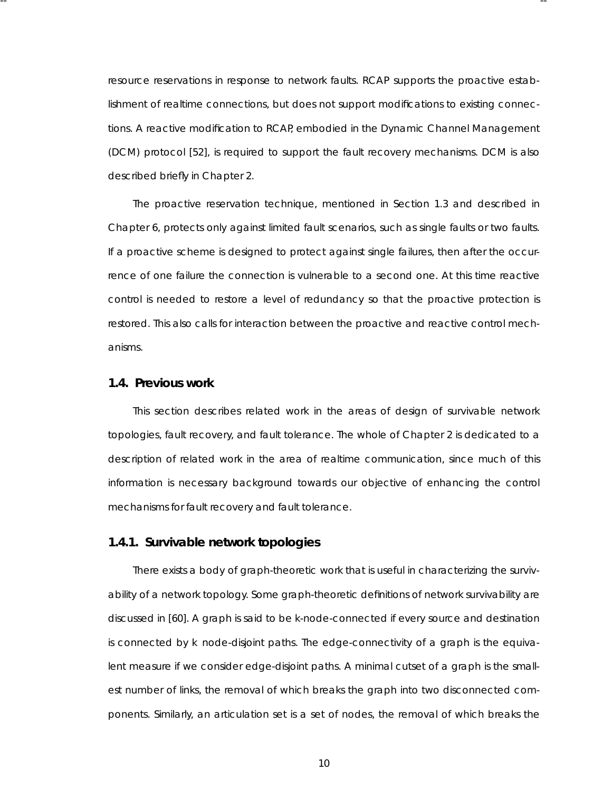resource reservations in response to network faults. RCAP supports the proactive establishment of realtime connections, but does not support modifications to existing connections . A reactive modification to RCAP, embodied in the Dynamic Channel Management (DCM) protocol [52], is required to support the fault recovery mechanisms . DCM is also described briefly in Chapter 2.

-- --

The proactive reservation technique, mentioned in Section 1.3 and described in Chapter 6, protects only against limited fault scenarios, such as single faults or two faults. If a proactive scheme is designed to protect against single failures, then after the occurrence of one failure the connection is vulnerable to a second one. At this time reactive control is needed to restore a level of redundancy so that the proactive protection is restored. This also calls for interaction between the proactive and reactive control mechanisms .

#### **1.4. Previous work**

This section describes related work in the areas of design of survivable network topologies , fault recovery, and fault tolerance. The whole of Chapter 2 is dedicated to a description of related work in the area of realtime communication, since much of this information is necessary background towards our objective of enhancing the control mechanisms for fault recovery and fault tolerance.

#### **1.4.1. Survivable network topologies**

There exists a body of graph-theoretic work that is useful in characterizing the survivability of a network topology. Some graph-theoretic definitions of network survivability are discussed in [60]. A graph is said to be *k-node-connected* if every source and destination is connected by *k* node-disjoint paths. The *edge-connectivity* of a graph is the equivalent measure if we consider edge-disjoint paths. A *minimal cutset* of a graph is the smallest number of links, the removal of which breaks the graph into two disconnected components. Similarly, an *articulation set* is a set of nodes, the removal of which breaks the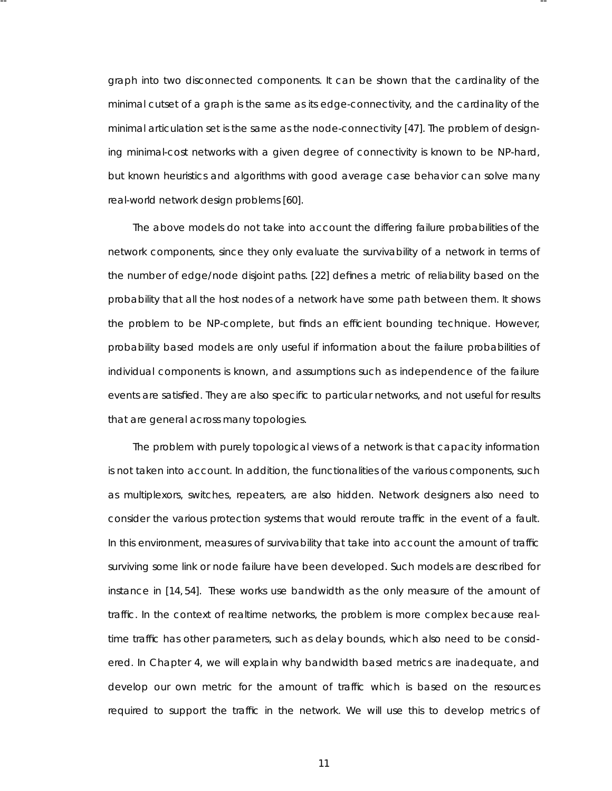graph into two disconnected components. It can be shown that the cardinality of the minimal cutset of a graph is the same as its edge-connectivity, and the cardinality of the minimal articulation set is the same as the node-connectivity [47]. The problem of designing minimal-cost networks with a given degree of connectivity is known to be NP-hard, but known heuristics and algorithms with good average case behavior can solve many real-world network design problems [60].

-- --

The above models do not take into account the differing failure probabilities of the network components, since they only evaluate the survivability of a network in terms of the number of edge/node disjoint paths. [22] defines a metric of relia bility based on the probability that all the host nodes of a network have some path between them. It shows the problem to be NP-complete, but finds an efficient bounding technique. However, probability based models are only useful if information about the failure probabilities of individual components is known, and assumptions such as independence of the failure events are satisfied. They are also specific to particular networks, and not useful for results that are general across many topologies.

The problem with purely topological views of a network is that capacity information is not taken into account. In addition, the functionalities of the various components, such as multiplexors, switches, repeaters, are also hidden. Network designers also need to consider the various protection systems that would reroute traffic in the event of a fault. In this environment, measures of survivability that take into account the amount of traffic surviving some link or node failure have been developed. Such models are described for instance in [14, 54]. These works use bandwidth as the only measure of the amount of traffic. In the context of realtime networks, the problem is more complex because realtime traffic has other parameters, such as delay bounds, which also need to be considered. In Chapter 4, we will explain why bandwidth based metrics are inadequate, and develop our own metric for the amount of traffic which is based on the resources required to support the traffic in the network. We will use this to develop metrics of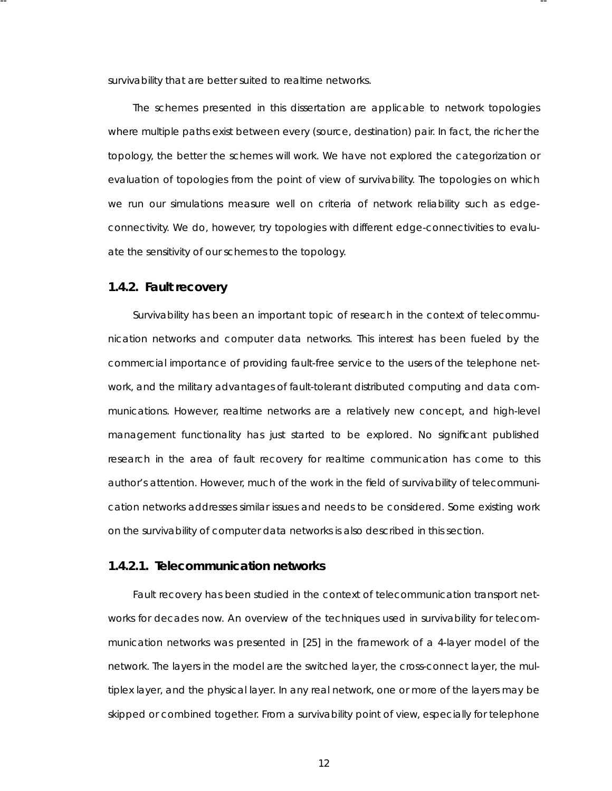survivability that are better suited to realtime networks.

-- --

The schemes presented in this dissertation are applicable to network topologies where multiple paths exist between every (source, destination) pair. In fact, the richer the topology, the better the schemes will work. We have not explored the categorization or evaluation of topologies from the point of view of survivability. The topologies on which we run our simulations measure well on criteria of network reliability such as edgeconnectivity. We do, however, try topologies with different edge-connectivities to evaluate the sensitivity of our schemes to the topology.

#### **1.4.2. Fault recovery**

Survivability has been an important topic of research in the context of telecommunication networks and computer data networks. This interest has been fueled by the commercial importance of providing fault-free service to the users of the telephone network, and the military advantages of fault-tolerant distributed computing and data communications. However, realtime networks are a relatively new concept, and high-level management functionality has just started to be explored. No significant published research in the area of fault recovery for realtime communication has come to this author's attention. However, much of the work in the field of survivability of telecommunication networks addresses similar issues and needs to be considered. Some existing work on the survivability of computer data networks is also described in this section.

#### **1.4.2.1. Telecommunication networks**

Fault recovery has been studied in the context of telecommunication transport networks for decades now. An overview of the techniques used in survivability for telecommunication networks was presented in [25] in the framework of a 4-layer model of the hetwork. The layers in the model are the *switched layer*, the *cross-connect layer*, the *multiplex layer*, and the *physical layer*. In any real network, one or more of the layers may be skipped or combined together. From a survivability point of view, especially for telephone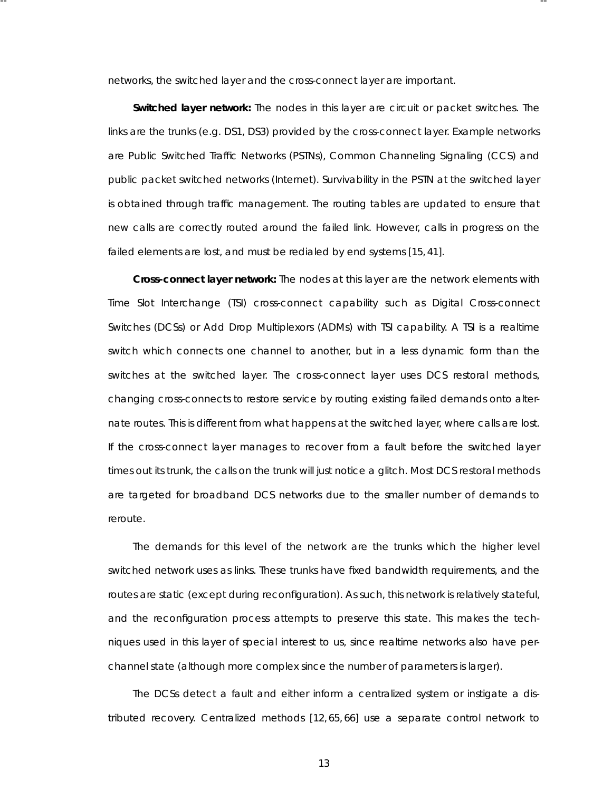networks, the switched layer and the cross-connect layer are important.

-- --

**Switched layer network:** The nodes in this layer are circuit or packet switches. The links are the trunks (e.g. DS1, DS3) provided by the cross-connect layer. Example networks are Public Switched Traffic Networks (PSTNs), Common Channeling Signaling (CCS) and public packet switched networks (Internet). Survivability in the PSTN at the switched layer is obtained through traffic management. The routing tables are updated to ensure that new calls are correctly routed around the failed link. However, calls in progress on the failed elements are lost, and must be redialed by end systems [15, 41].

**Cross-connect layer network:** The nodes at this layer are the network elements with Time Slot Interchange (TSI) cross-connect capability such as Digital Cross-connect Switches (DCSs) or Add Drop Multiplexors (ADMs) with TSI capability. A TSI is a realtime switch which connects one channel to another, but in a less dynamic form than the switches at the switched layer. The cross-connect layer uses DCS restoral methods, changing cross-connects to restore service by routing existing failed demands onto alternate routes. This is different from what happens at the switched layer, where calls are lost. If the cross-connect layer manages to recover from a fault before the switched layer times out its trunk, the calls on the trunk will just notice a glitch. Most DCS restoral methods are targeted for broadband DCS networks due to the smaller number of demands to reroute.

The demands for this level of the network are the trunks which the higher level switched network uses as links. These trunks have fixed bandwidth requirements, and the routes are static (except during reconfiguration). As such, this network is relatively stateful, and the reconfiguration process attempts to preserve this state. This makes the techniques used in this layer of special interest to us, since realtime networks also have perchannel state (although more complex since the number of parameters is larger).

The DCSs detect a fault and either inform a centralized system or instigate a distributed recovery. Centralized methods [12,65,66] use a separate control network to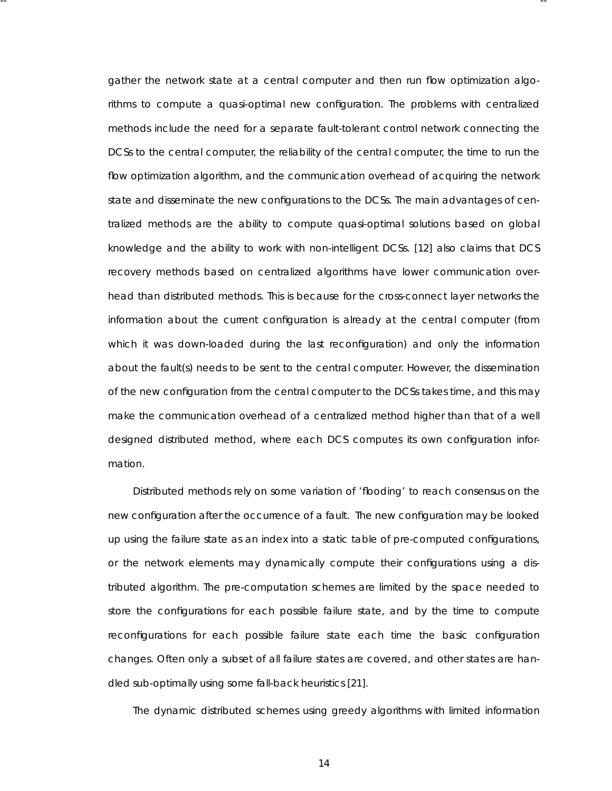gather the network state at a central computer and then run flow optimization algorithms to compute a quasi-optimal new configuration. The problems with centralized methods include the need for a separate fault-tolerant control network connecting the DCSs to the central computer, the reliability of the central computer, the time to run the flow optimization algorithm, and the communication overhead of acquiring the network state and disseminate the new configurations to the DCSs. The main advantages of centralized methods are the ability to compute quasi-optimal solutions based on global knowledge and the ability to work with non-intelligent DCSs. [12] also claims that DCS recovery methods based on centralized algorithms have lower communication overhead than distributed methods. This is because for the cross-connect layer networks the information about the current configuration is already at the central computer (from which it was down-loaded during the last reconfiguration) and only the information about the fault(s) needs to be sent to the central computer. However, the dissemination of the new configuration from the central computer to the DCSs takes time, and this may make the communication overhead of a centralized method higher than that of a well designed distributed method, where each DCS computes its own configuration information.

-- --

Distributed methods rely on some variation of 'flooding' to reach consensus on the new configuration after the occurrence of a fault. The new configuration may be looked up using the failure state as an index into a static table of pre-computed configurations , or the network elements may dynamically compute their configurations using a distributed algorithm. The pre-computation schemes are limited by the space needed to store the configurations for each possible failure state, and by the time to compute reconfigurations for each possible failure state each time the basic configuration changes. Often only a subset of all failure states are covered, and other states are handled sub-optimally using some fall-back heuristics [21].

The dynamic distributed schemes using greedy algorithms with limited information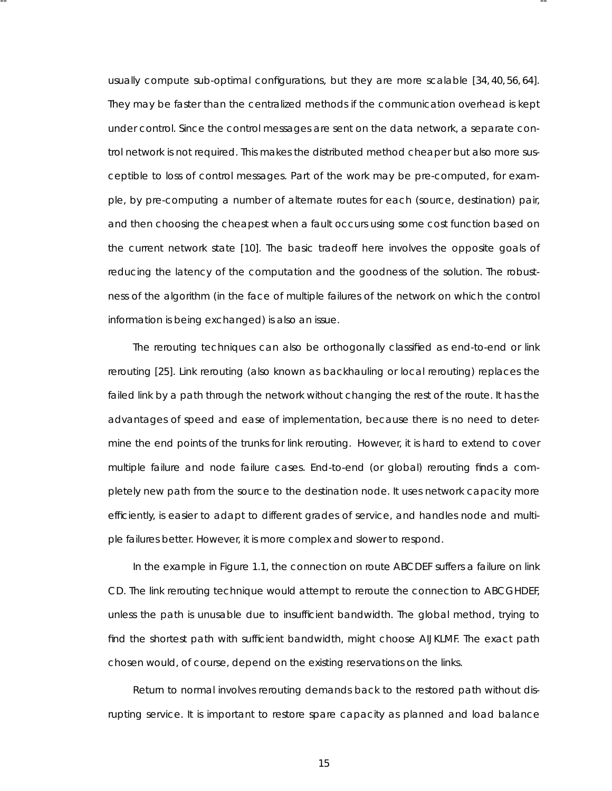usually compute sub-optimal configurations, but they are more scalable [34, 40, 56, 64]. They may be faster than the centralized methods if the communication overhead is kept under control. Since the control messages are sent on the data network, a separate control network is not required. This makes the distributed method cheaper but also more susceptible to loss of control messages. Part of the work may be pre-computed, for example, by pre-computing a number of alternate routes for each (source, destination) pair, and then choosing the cheapest when a fault occurs using some cost function based on the current network state [10]. The basic tradeoff here involves the opposite goals of reducing the latency of the computation and the goodness of the solution. The robustness of the algorithm (in the face of multiple failures of the network on which the control information is being exchanged) is also an issue.

-- --

The rerouting techniques can also be orthogonally classified as end-to-end or link rerouting [25]. Link rerouting (also known as backhauling or local rerouting) replaces the failed link by a path through the network without changing the rest of the route. It has the advantages of speed and ease of implementation, because there is no need to determine the end points of the trunks for link rerouting. However, it is hard to extend to cover multiple failure and node failure cases . End-to-end (or global) rerouting finds a completely new path from the source to the destination node. It uses network capacity more efficiently, is easier to adapt to different grades of service, and handles node and multiple failures better. However, it is more complex and slower to respond.

In the example in Figure 1.1, the connection on route ABCDEF suffers a failure on link CD. The link rerouting technique would attempt to reroute the connection to ABCGHDEF, unless the path is unusable due to insufficient bandwidth. The global method, trying to find the shortest path with sufficient bandwidth, might choose AIJKLMF. The exact path chosen would, of course, depend on the existing reser vations on the links.

Return to normal involves rerouting demands back to the restored path without disrupting service. It is important to restore spare capacity as planned and load balance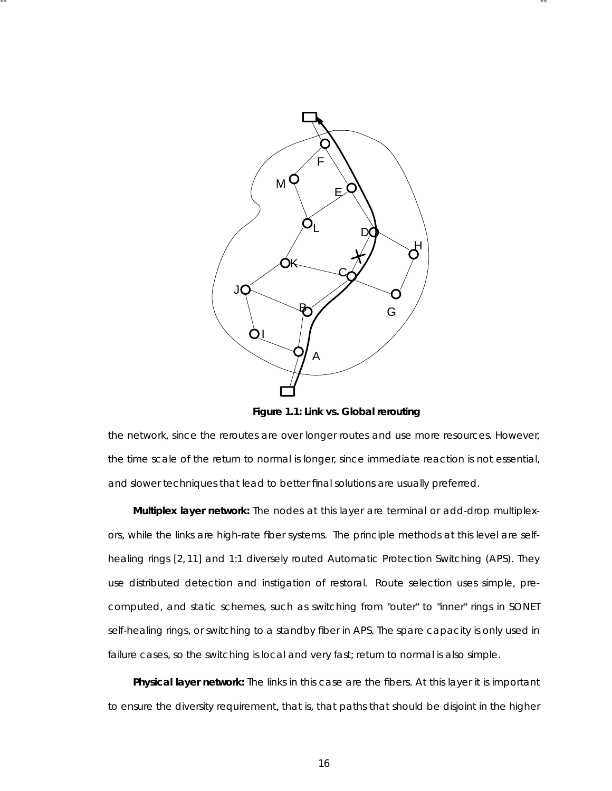

-- --

**Figure 1.1: Link vs. Global rerouting**

the network, since the reroutes are over longer routes and use more resources. However, the time scale of the return to normal is longer, since immediate reaction is not essential, and slower techniques that lead to better final solutions are usually preferred.

**Multiplex layer network:** The nodes at this layer are terminal or add-drop multiplexors, while the links are high-rate fiber systems. The principle methods at this level are selfhealing rings [2, 11] and 1:1 diversely routed Automatic Protection Switching (APS). They use distributed detection and instigation of restoral. Route selection uses simple, precomputed, and static schemes, such as switching from "outer" to "inner" rings in SONET self-healing rings, or switching to a standby fiber in APS. The spare capacity is only used in failure cases, so the switching is local and very fast; return to normal is also simple.

Physical layer network: The links in this case are the fibers. At this layer it is important to ensure the diversity requirement, that is, that paths that should be disjoint in the higher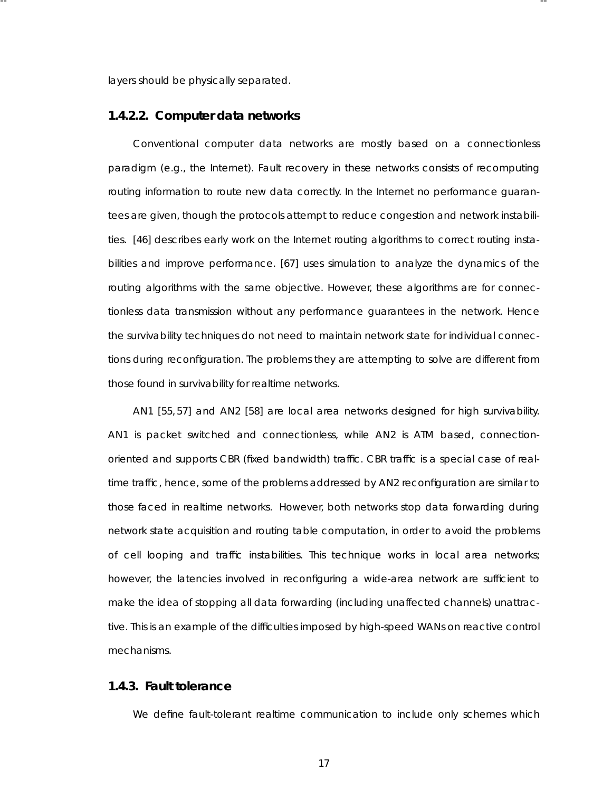layers should be physically separated.

-- --

#### **1.4.2.2. Computer data networks**

Conventional computer data networks are mostly based on a connectionless paradigm (e.g., the Internet). Fault recovery in these networks consists of recomputing routing information to route new data correctly. In the Internet no performance guarantees are given, though the protocols attempt to reduce congestion and network instabilities. [46] describes early work on the Internet routing algorithms to correct routing instabilities and improve performance. [67] uses simulation to analyze the dynamics of the routing algorithms with the same objective. However, these algorithms are for connectionless data transmission without any performance guarantees in the network. Hence the survivability techniques do not need to maintain network state for individual connections during reconfiguration. The problems they are attempting to solve are different from those found in survivability for realtime networks.

AN1 [55, 57] and AN2 [58] are local area networks designed for high survivability. AN1 is packet switched and connectionless, while AN2 is ATM based, connectionoriented and supports CBR (fixed bandwidth) traffic. CBR traffic is a special case of realtime traffic, hence, some of the problems addressed by AN2 reconfiguration are similar to those faced in realtime networks. However, both networks stop data forwarding during network state acquisition and routing table computation, in order to avoid the problems of cell looping and traffic instabilities. This technique works in local area networks; however, the latencies involved in reconfiguring a wide-area network are sufficient to make the idea of stopping all data forwarding (including unaffected channels) unattractive. This is an example of the difficulties imposed by high-speed WANs on reactive control mechanisms .

# **1.4.3. Fault tolerance**

We define fault-tolerant realtime communication to include only schemes which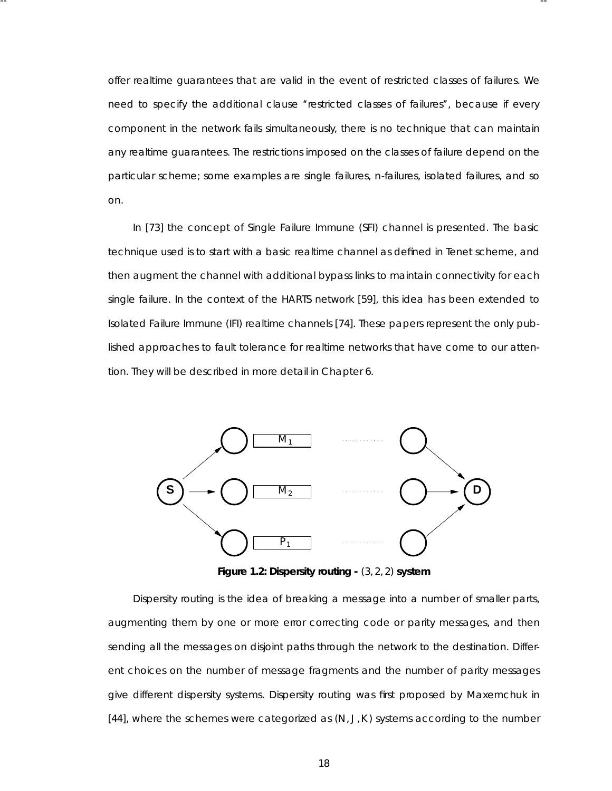offer realtime guarantees that are valid in the event of restricted classes of failures. We need to specify the additional clause "restricted classes of failures", because if every component in the network fails simultaneously, there is no technique that can maintain any realtime guarantees. The restrictions imposed on the classes of failure depend on the particular scheme; some examples are single failures, *n*-failures, isolated failures, and so on.

-- --

In [73] the concept of Single Failure Immune (SFI) channel is presented. The basic technique used is to start with a basic realtime channel as defined in Tenet scheme, and then augment the channel with additional bypass links to maintain connectivity for each single failure. In the context of the HARTS network [59], this idea has been extended to Isolated Failure Immune (IFI) realtime channels [74]. These papers represent the only published approaches to fault tolerance for realtime networks that have come to our attention. They will be described in more detail in Chapter 6.



**Figure 1.2: Dispersity routing -** (3, 2, 2) **system**

Dispersity routing is the idea of breaking a message into a number of smaller parts, augmenting them by one or more error correcting code or parity messages, and then sending all the messages on disjoint paths through the network to the destination. Different choices on the number of message fragments and the number of parity messages give different dispersity systems. Dispersity routing was first proposed by Maxemchuk in [44], where the schemes were categorized as  $(N, J, K)$  systems according to the number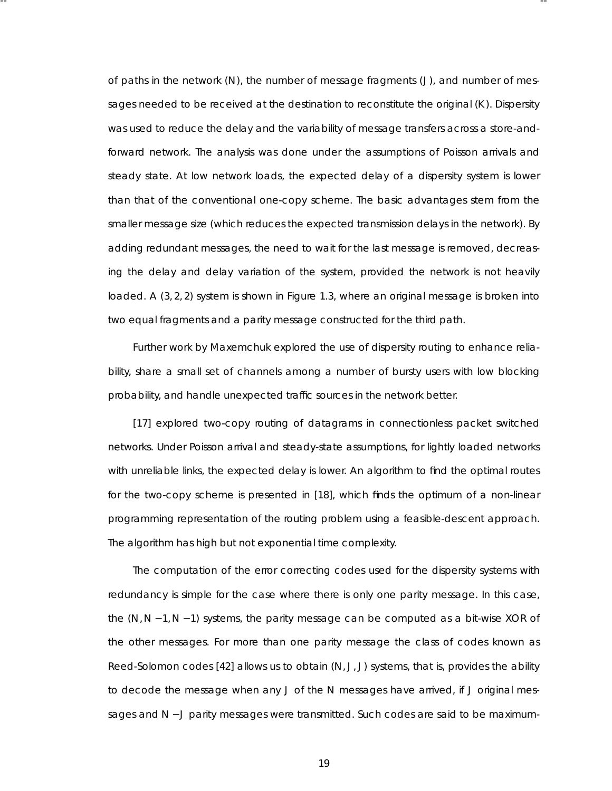of paths in the network (N), the number of message fragments (J), and number of messages needed to be received at the destination to reconstitute the original (*K* ). Dispersity was used to reduce the delay and the variability of message transfers across a store-andforward network. The analysis was done under the assumptions of Poisson arrivals and steady state. At low network loads, the expected delay of a dispersity system is lower than that of the conventional one-copy scheme. The basic advantages stem from the smaller message size (which reduces the expected transmission delays in the network). By adding redundant messages, the need to wait for the last message is removed, decreasing the delay and delay variation of the system, provided the network is not heavily loaded. A (3, 2, 2) system is shown in Figure 1.3, where an original message is broken into two equal fragments and a parity message constructed for the third path.

-- --

Further work by Maxemchuk explored the use of dispersity routing to enhance reliability, share a small set of channels among a number of bursty users with low blocking probability, and handle unexpected traffic sources in the network better.

[17] explored two-copy routing of datagrams in connectionless packet switched networks. Under Poisson arrival and steady-state assumptions, for lightly loaded networks with unreliable links, the expected delay is lower. An algorithm to find the optimal routes for the two-copy scheme is presented in [18], which finds the optimum of a non-linear programming representation of the routing problem using a feasible-descent approach. The algorithm has high but not exponential time complexity.

The computation of the error correcting codes used for the dispersity systems with redundancy is simple for the case where there is only one parity message. In this case, the (*N*,*N* − 1,*N* − 1) systems, the parity message can be computed as a bit-wise XOR of the other messages. For more than one parity message the class of codes known as Reed-Solomon codes [42] allows us to obtain (*N*, *J*, *J*) systems , that is, provides the ability to decode the message when any *J* of the *N* messages have arrived, if *J* original messages and *N* − *J* parity messages were transmitted. Such codes are said to be maximum-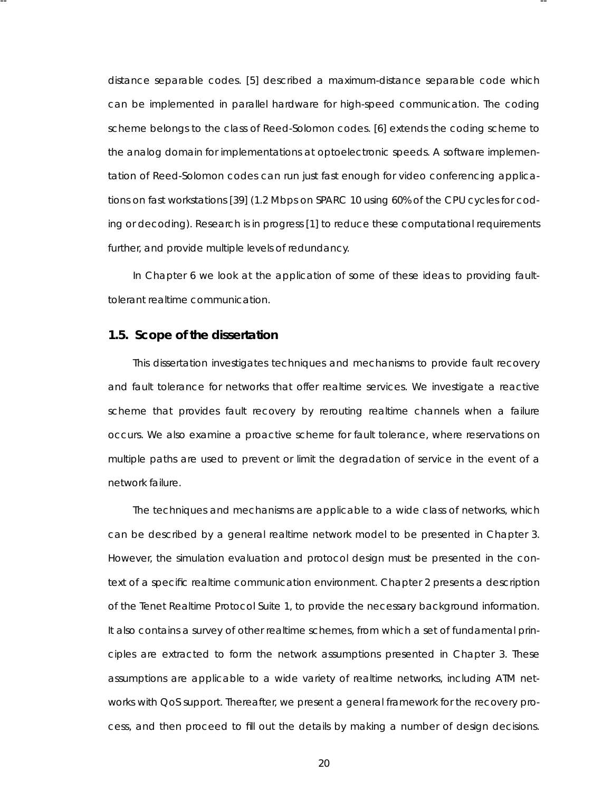distance separable codes. [5] described a maximum-distance separable code which can be implemented in parallel hardware for high-speed communication. The coding scheme belongs to the class of Reed-Solomon codes. [6] extends the coding scheme to the analog domain for implementations at optoelectronic speeds. A software implementation of Reed-Solomon codes can run just fast enough for video conferencing applications on fast workstations [39] (1.2 Mbps on SPARC 10 using 60% of the CPU cycles for coding or decoding). Research is in progress [1] to reduce these computational requirements further, and provide multiple levels of redundancy.

-- --

In Chapter 6 we look at the application of some of these ideas to providing faulttolerant realtime communication.

#### **1.5. Scope of the disserta tion**

This dissertation investigates techniques and mechanisms to provide fault recovery and fault tolerance for networks that offer realtime services. We investigate a reactive scheme that provides fault recovery by rerouting realtime channels when a failure occurs. We also examine a proactive scheme for fault tolerance, where reservations on multiple paths are used to prevent or limit the degradation of service in the event of a network failure.

The techniques and mechanisms are applicable to a wide class of networks, which can be described by a general realtime network model to be presented in Chapter 3. However, the simulation evaluation and protocol design must be presented in the context of a specific realtime communication environment. Chapter 2 presents a description of the Tenet Realtime Protocol Suite 1, to provide the necessary background infor mation. It also contains a survey of other realtime schemes, from which a set of fundamental principles are extracted to form the network assumptions presented in Chapter 3. These assumptions are applicable to a wide variety of realtime networks, including ATM networks with QoS support. Thereafter, we present a general framework for the recovery process, and then proceed to fill out the details by making a number of design decisions.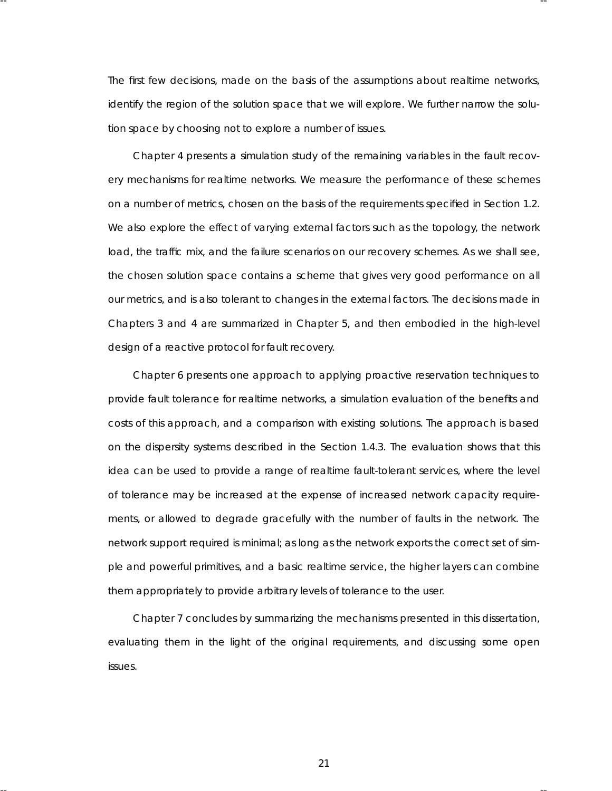The first few decisions, made on the basis of the assumptions about realtime networks, identify the region of the solution space that we will explore. We further narrow the solution space by choosing not to explore a number of issues.

-- --

Chapter 4 presents a simulation study of the remaining variables in the fault recovery mechanisms for realtime networks. We measure the performance of these schemes on a number of metrics , chosen on the basis of the requirements specified in Section 1.2. We also explore the effect of varying external factors such as the topology, the network load, the traffic mix, and the failure scenarios on our recovery schemes. As we shall see, the chosen solution space contains a scheme that gives very good performance on all our metrics, and is also tolerant to changes in the external factors. The decisions made in Chapters 3 and 4 are summarized in Chapter 5, and then embodied in the high-level design of a reactive protocol for fault recovery.

Chapter 6 presents one approach to applying proactive reservation techniques to provide fault tolerance for realtime networks, a simulation evaluation of the benefits and costs of this approach, and a comparison with existing solutions. The approach is based on the dispersity systems described in the Section 1.4.3. The evaluation shows that this idea can be used to provide a range of realtime fault-tolerant services, where the level of tolerance may be increased at the expense of increased network capacity requirements, or allowed to degrade gracefully with the number of faults in the network. The network support required is minimal; as long as the network exports the correct set of simple and powerful primitives, and a basic realtime service, the higher layers can combine them appropriately to provide arbitrary levels of tolerance to the user.

Chapter 7 concludes by summarizing the mechanisms presented in this dissertation, evaluating them in the light of the original requirements, and discussing some open issues .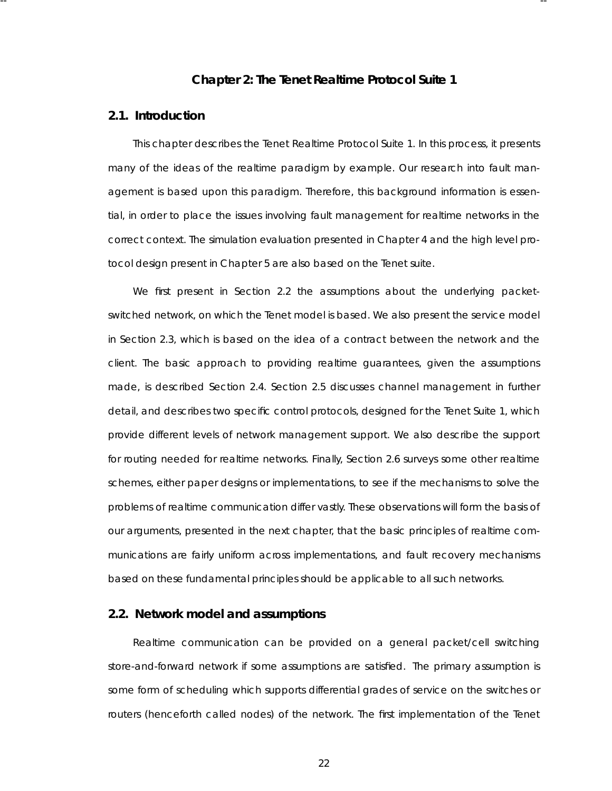# **Cha pter 2: The Tenet Realtime Protocol Suite 1**

-- --

# **2.1. Introduction**

This chapter describes the Tenet Realtime Protocol Suite 1. In this process , it presents many of the ideas of the realtime paradigm by example. Our research into fault management is based upon this paradigm. Therefore, this background information is essential, in order to place the issues involving fault management for realtime networks in the correct context. The simulation evaluation presented in Chapter 4 and the high level protocol design present in Chapter 5 are also based on the Tenet suite.

We first present in Section 2.2 the assumptions about the underlying packetswitched network, on which the Tenet model is based. We also present the service model in Section 2.3, which is based on the idea of a contract between the network and the client. The basic approach to providing realtime guarantees, given the assumptions made, is described Section 2.4. Section 2.5 discusses channel management in further detail, and describes two specific control protocols, designed for the Tenet Suite 1, which provide different levels of network management support. We also describe the support for routing needed for realtime networks. Finally, Section 2.6 surveys some other realtime schemes, either paper designs or implementations, to see if the mechanisms to solve the problems of realtime communication differ vastly. These observations will form the basis of our arguments , presented in the next chapter, that the basic principles of realtime communications are fairly uniform across implementations, and fault recovery mechanisms based on these fundamental principles should be applicable to all such networks.

# **2.2. Network model and assumptions**

Realtime communication can be provided on a general packet/cell switching store-and-forward network if some assumptions are satisfied. The primary assumption is some form of scheduling which supports differential grades of service on the switches or routers (henceforth called nodes) of the network. The first implementation of the Tenet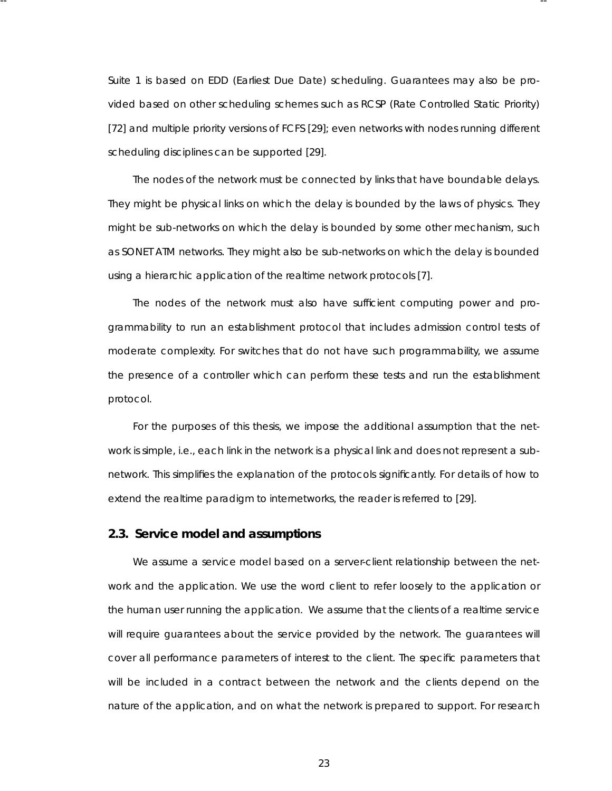Suite 1 is based on EDD (Earliest Due Date) scheduling. Guarantees may also be provided based on other scheduling schemes such as RCSP (Rate Controlled Static Priority) [72] and multiple priority versions of FCFS [29]; even networks with nodes running different scheduling disciplines can be supported [29].

-- --

The nodes of the network must be connected by links that have boundable delays. They might be physical links on which the delay is bounded by the laws of physics . They might be sub-networks on which the delay is bounded by some other mechanism, such as SONET ATM networks. They might also be sub-networks on which the delay is bounded using a hierarchic application of the realtime network protocols [7].

The nodes of the network must also have sufficient computing power and programmability to run an establishment protocol that includes admission control tests of moderate complexity. For switches that do not have such programmability, we assume the presence of a controller which can perform these tests and run the establishment protocol.

For the purposes of this thesis, we impose the additional assumption that the network is simple, i.e., each link in the network is a physical link and does not represent a subnetwork. This simplifies the explanation of the protocols significantly. For details of how to extend the realtime paradigm to internetworks, the reader is referred to [29].

#### **2.3. Service model and assumptions**

We assume a service model based on a server-client relationship between the network and the application. We use the word *client* to refer loosely to the application or the human user running the application. We assume that the clients of a realtime service will require guarantees about the service provided by the network. The guarantees will cover all performance parameters of interest to the client. The specific parameters that will be included in a contract between the network and the clients depend on the nature of the application, and on what the network is prepared to support. For research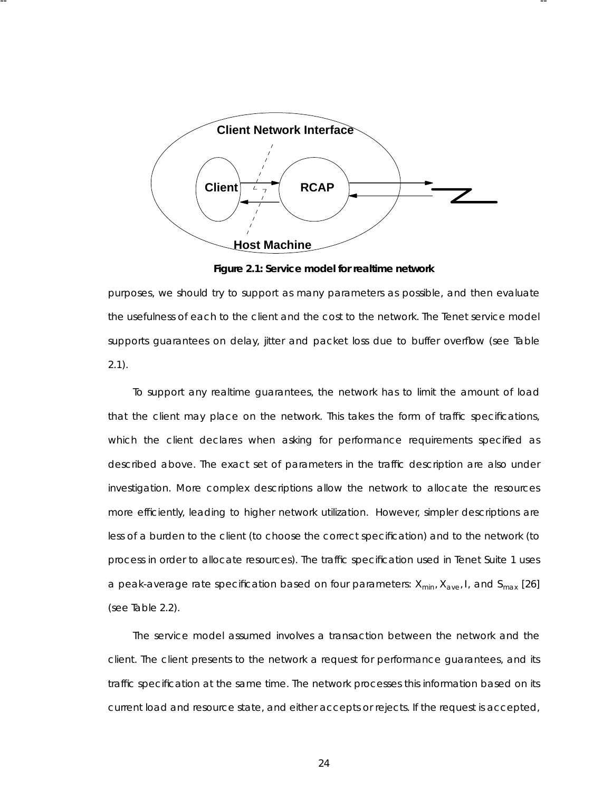

-- --

Figure 2.1: Service model for realtime network

purposes, we should try to support as many parameters as possible, and then evaluate the usefulness of each to the client and the cost to the network. The Tenet service model supports guarantees on delay, jitter and packet loss due to buffer overflow (see Table 2.1).

To support any realtime guarantees, the network has to limit the amount of load that the client may place on the network. This takes the form of traffic specifications, which the client declares when asking for performance requirements specified as described above. The exact set of parameters in the traffic description are also under investigation. More complex descriptions allow the network to allocate the resources more efficiently, leading to higher network utilization. However, simpler descriptions are less of a burden to the client (to choose the correct specification) and to the network (to process in order to allocate resources). The traffic specification used in Tenet Suite 1 uses a peak-average rate specification based on four parameter s: *Xmin*, *Xave*, *I*, and *Smax* [26] (see Table 2.2).

The service model assumed involves a transaction between the network and the client. The client presents to the network a request for performance guarantees, and its traffic specification at the same time. The network processes this information based on its current load and resource state, and either accepts or rejects . If the request is accepted,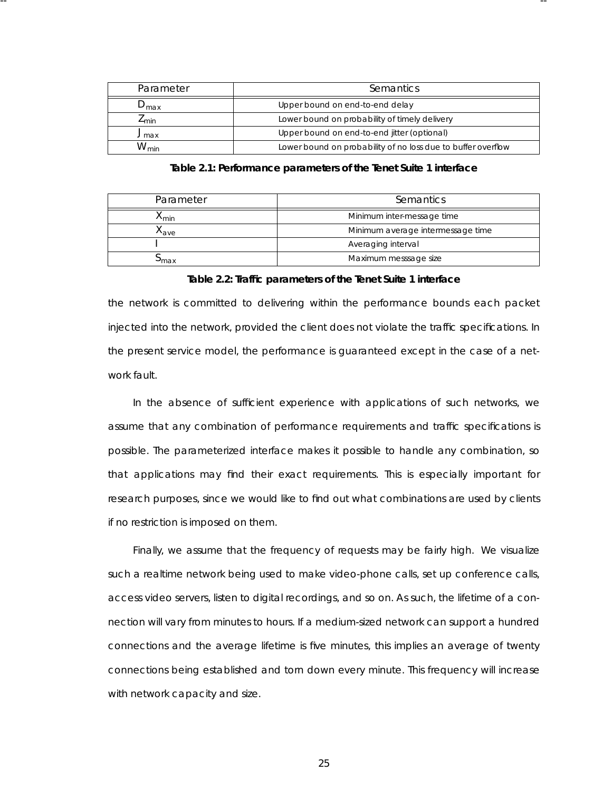| Parameter          | Semantics                                                    |  |
|--------------------|--------------------------------------------------------------|--|
| $\nu_{\text{max}}$ | Upper bound on end-to-end delay                              |  |
| $\mathcal{L}$ min  | Lower bound on probability of timely delivery                |  |
| $J$ max            | Upper bound on end-to-end jitter (optional)                  |  |
| $W_{min}$          | Lower bound on probability of no loss due to buffer overflow |  |

-- --

Table 2.1: Performance parameters of the Tenet Suite 1 interface

| Parameter        | Semantics                         |  |
|------------------|-----------------------------------|--|
| ላ <sub>min</sub> | Minimum inter-message time        |  |
| ^ <i>ave</i>     | Minimum average intermessage time |  |
|                  | Averaging interval                |  |
| max              | Maximum messsage size             |  |

**Ta ble 2.2: Traffic parameters of the Tenet Suite 1 interface**

the network is committed to delivering within the performance bounds each packet injected into the network, provided the client does not violate the traffic specifications. In the present service model, the performance is guaranteed except in the case of a network fault.

In the absence of sufficient experience with applications of such networks, we assume that any combination of performance requirements and traffic specifications is possible. The parameterized interface makes it possible to handle any combination, so that applications may find their exact requirements . This is especially important for research purposes , since we would like to find out what combinations are used by clients if no restriction is imposed on them.

Finally, we assume that the frequency of requests may be fairly high. We visualize such a realtime network being used to make video-phone calls, set up conference calls, access video servers, listen to digital recordings, and so on. As such, the lifetime of a connection will vary from minutes to hours. If a medium-sized network can support a hundred connections and the average lifetime is five minutes, this implies an average of twenty connections being established and torn down every minute. This frequency will increase with network capacity and size.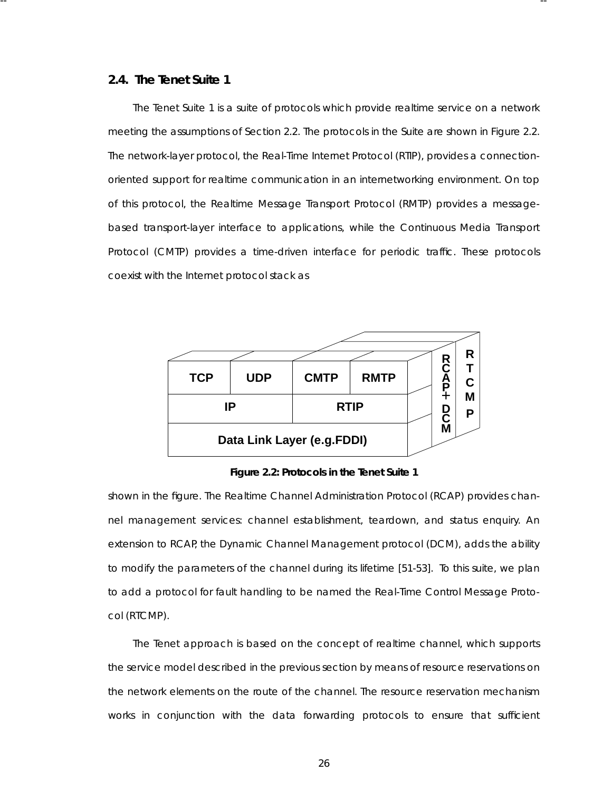### **2.4. The Tenet Suite 1**

The Tenet Suite 1 is a suite of protocols which provide realtime service on a network meeting the assumptions of Section 2.2. The protocols in the Suite are shown in Figure 2.2. The network-layer protocol, the Real-Time Internet Protocol (RTIP), provides a connectionoriented support for realtime communication in an internetworking environment. On top of this protocol, the Realtime Message Transpor t Protocol (RMTP) provides a messagebased transport-layer interface to applications, while the Continuous Media Transport Protocol (CMTP) provides a time-driven interface for periodic traffic. These protocols coexist with the Internet protocol stack as

-- --



**Figure 2.2: Protocols in the Tenet Suite 1**

shown in the figure. The Realtime Channel Administration Protocol (RCAP) provides channel management services: channel establishment, teardown, and status enquiry. An extension to RCAP, the Dynamic Channel Management protocol (DCM), adds the ability to modify the parameters of the channel during its lifetime [51-53]. To this suite, we plan to add a protocol for fault handling to be named the Real-Time Control Message Protocol (RTCMP).

The Tenet approach is based on the concept of *realtime channel*, which supports the service model described in the previous section by means of resource reservations on the network elements on the route of the channel. The resource reservation mechanism works in conjunction with the data forwarding protocols to ensure that sufficient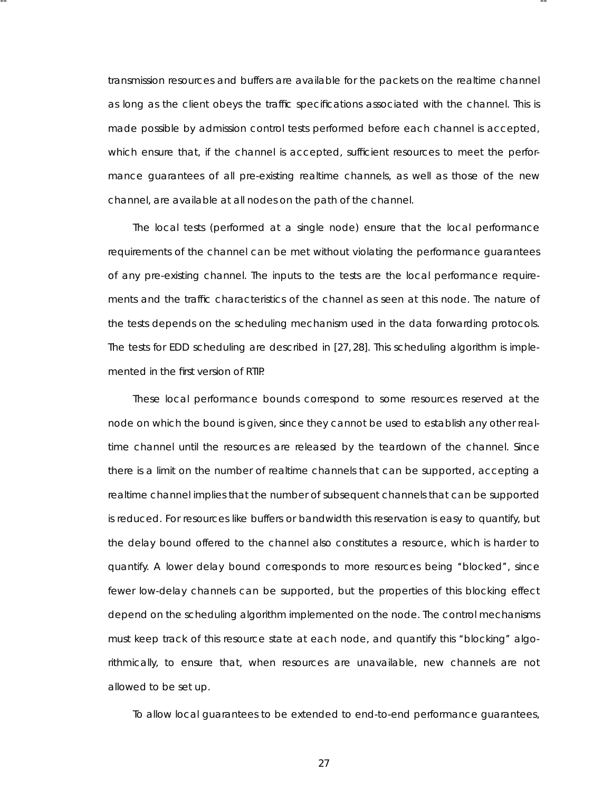transmission resources and buffers are availa ble for the packets on the realtime channel as long as the client obeys the traffic specifications associated with the channel. This is made possible by admission control tests performed before each channel is accepted, which ensure that, if the channel is accepted, sufficient resources to meet the performance guarantees of all pre-existing realtime channels, as well as those of the new channel, are availa ble at all nodes on the path of the channel.

-- --

The local tests (performed at a single node) ensure that the local performance requirements of the channel can be met without violating the performance guarantees of any pre-existing channel. The inputs to the tests are the local performance requirements and the traffic characteristics of the channel as seen at this node. The nature of the tests depends on the scheduling mechanism used in the data forwarding protocols . The tests for EDD scheduling are described in [27, 28]. This scheduling algorithm is implemented in the first version of RTIP.

These local performance bounds correspond to some resources reserved at the node on which the bound is given, since they cannot be used to establish any other realtime channel until the resources are released by the teardown of the channel. Since there is a limit on the number of realtime channels that can be supported, accepting a realtime channel implies that the number of subsequent channels that can be supported is reduced. For resources like buffers or bandwidth this reser vation is easy to quantify, but the delay bound offered to the channel also constitutes a resource, which is harder to quantify. A lower delay bound corresponds to more resources being ''blocked'', since fewer low-delay channels can be supported, but the properties of this blocking effect depend on the scheduling algorithm implemented on the node. The control mechanisms must keep track of this resource state at each node, and quantify this ''blocking'' algorithmically, to ensure that, when resources are unavailable, new channels are not allowed to be set up.

To allow local guarantees to be extended to end-to-end performance guarantees,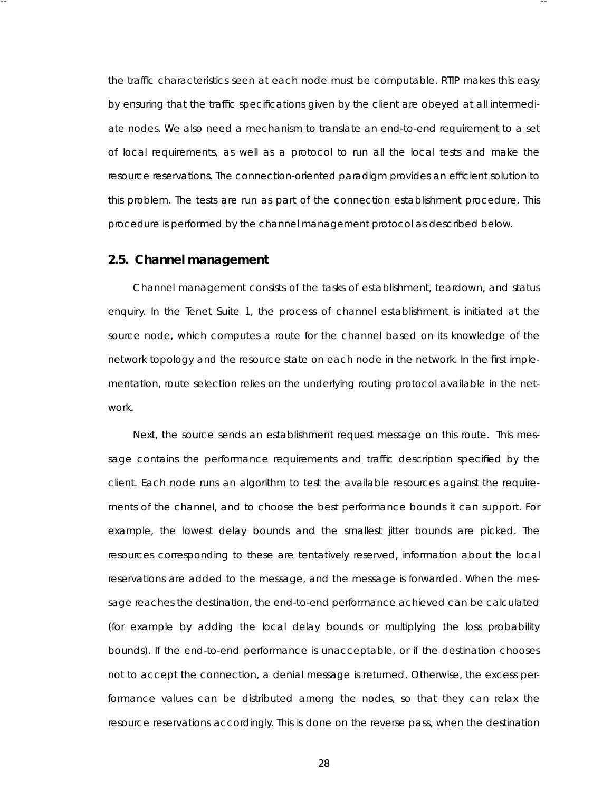the traffic characteristics seen at each node must be computable. RTIP makes this easy by ensuring that the traffic specifications given by the client are obeyed at all intermediate nodes. We also need a mechanism to translate an end-to-end requirement to a set of local requirements , as well as a protocol to run all the local tests and make the resource reservations. The connection-oriented paradigm provides an efficient solution to this problem. The tests are run as part of the connection establishment procedure. This procedure is performed by the channel management protocol as described below.

-- --

## **2.5. Channel management**

Channel management consists of the tasks of establishment, teardown, and status enquiry. In the Tenet Suite 1, the process of channel establishment is initiated at the source node, which computes a route for the channel based on its knowledge of the network topology and the resource state on each node in the network. In the first implementation, route selection relies on the underlying routing protocol available in the network.

Next, the source sends an establishment request message on this route. This message contains the performance requirements and traffic description specified by the client. Each node runs an algorithm to test the available resources against the requirements of the channel, and to choose the best performance bounds it can support. For example, the lowest delay bounds and the smallest jitter bounds are picked. The resources corresponding to these are tentatively reserved, information about the local reser vations are added to the message, and the message is forwarded. When the message reaches the destination, the end-to-end performance achieved can be calculated (for example by adding the local delay bounds or multiplying the loss probability bounds). If the end-to-end performance is unacceptable, or if the destination chooses not to accept the connection, a denial message is returned. Otherwise, the excess performance values can be distributed among the nodes, so that they can relax the resource reservations accordingly. This is done on the reverse pass, when the destination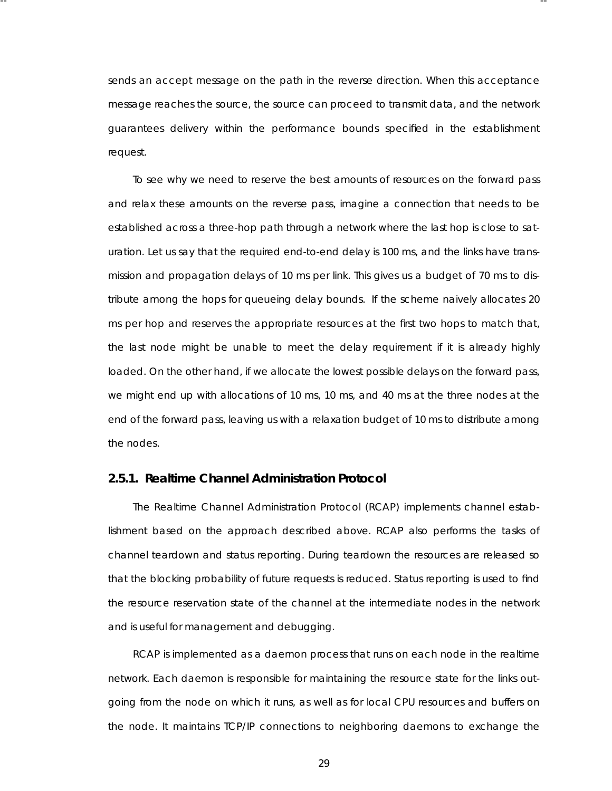sends an accept message on the path in the reverse direction. When this acceptance message reaches the source, the source can proceed to transmit data, and the network quarantees delivery within the performance bounds specified in the establishment request.

-- --

To see why we need to reserve the best amounts of resources on the forward pass and relax these amounts on the reverse pass , imagine a connection that needs to be established across a three-hop path through a network where the last hop is close to saturation. Let us say that the required end-to-end delay is 100 ms, and the links have transmission and propagation delays of 10 ms per link. This gives us a budget of 70 ms to distribute among the hops for queueing delay bounds. If the scheme naively allocates 20 ms per hop and reserves the appropriate resources at the first two hops to match that, the last node might be unable to meet the delay requirement if it is already highly loaded. On the other hand, if we allocate the lowest possible delays on the forward pass, we might end up with allocations of 10 ms, 10 ms, and 40 ms at the three nodes at the end of the forward pass, leaving us with a relaxation budget of 10 ms to distribute among the nodes.

# **2.5.1. Realtime Channel Administration Protocol**

The Realtime Channel Administration Protocol (RCAP) implements channel establishment based on the approach described above. RCAP also performs the tasks of channel teardown and status reporting. During teardown the resources are released so that the blocking probability of future requests is reduced. Status reporting is used to find the resource reservation state of the channel at the intermediate nodes in the network and is useful for management and debugging.

RCAP is implemented as a daemon process that runs on each node in the realtime network. Each daemon is responsible for maintaining the resource state for the links outgoing from the node on which it runs, as well as for local CPU resources and buffers on the node. It maintains TCP/IP connections to neighboring daemons to exchange the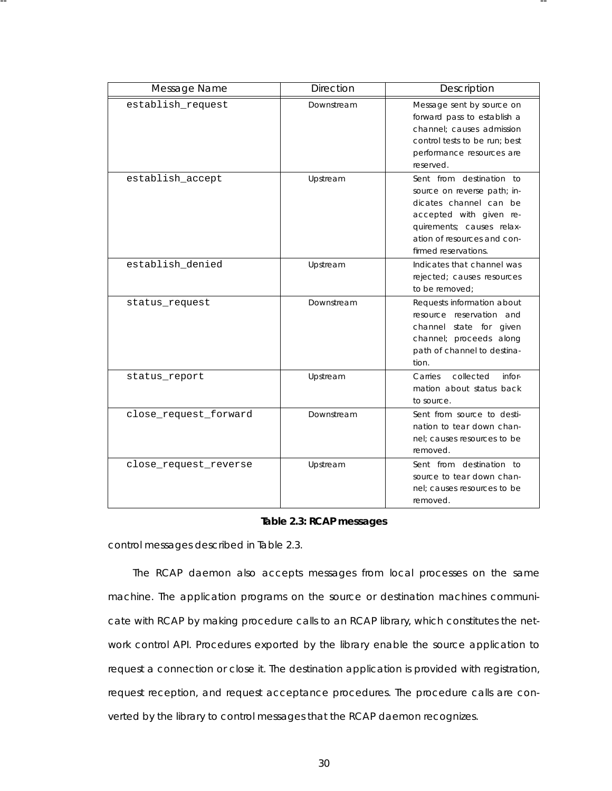| Message Name          | <b>Direction</b> | Description                                                                                                                                                                                      |
|-----------------------|------------------|--------------------------------------------------------------------------------------------------------------------------------------------------------------------------------------------------|
| establish_request     | Downstream       | Message sent by source on<br>forward pass to establish a<br>channel: causes admission<br>control tests to be run; best<br>performance resources are<br>reserved.                                 |
| establish_accept      | Upstream         | Sent from destination to<br>source on reverse path; in-<br>dicates channel can be<br>accepted with given re-<br>quirements; causes relax-<br>ation of resources and con-<br>firmed reservations. |
| establish denied      | Upstream         | Indicates that channel was<br>rejected; causes resources<br>to be removed;                                                                                                                       |
| status_request        | Downstream       | Requests information about<br>resource reservation and<br>channel state for given<br>channel; proceeds along<br>path of channel to destina-<br>tion.                                             |
| status_report         | Upstream         | collected<br>infor-<br>Carries<br>mation about status back<br>to source.                                                                                                                         |
| close_request_forward | Downstream       | Sent from source to desti-<br>nation to tear down chan-<br>nel; causes resources to be<br>removed.                                                                                               |
| close request reverse | Upstream         | Sent from destination to<br>source to tear down chan-<br>nel; causes resources to be<br>removed.                                                                                                 |

-- --

# **Ta ble 2.3: RCAP messages**

control messages described in Table 2.3.

The RCAP daemon also accepts messages from local processes on the same machine. The application programs on the source or destination machines communicate with RCAP by making procedure calls to an RCAP library, which constitutes the network control API. Procedures exported by the library enable the source application to request a connection or close it. The destination application is provided with registration, request reception, and request acceptance procedures . The procedure calls are converted by the library to control messages that the RCAP daemon recognizes.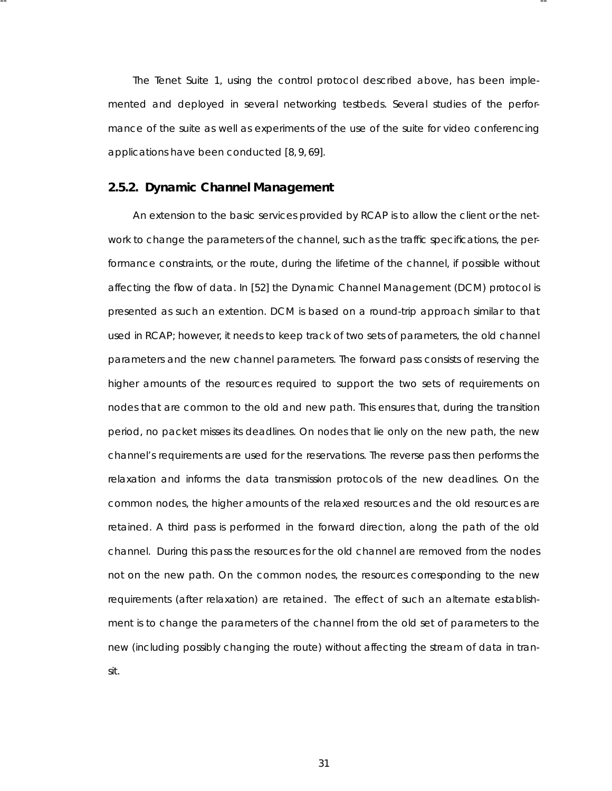The Tenet Suite 1, using the control protocol described above, has been implemented and deployed in several networking testbeds. Several studies of the performance of the suite as well as experiments of the use of the suite for video conferencing applications have been conducted [8, 9, 69].

-- --

# **2.5.2. Dynamic Channel Management**

An extension to the basic services provided by RCAP is to allow the client or the network to change the parameters of the channel, such as the traffic specifications, the performance constraints, or the route, during the lifetime of the channel, if possible without affecting the flow of data. In [52] the Dynamic Channel Management (DCM) protocol is presented as such an extention. DCM is based on a round-trip approach similar to that used in RCAP; however, it needs to keep track of two sets of parameters, the old channel parameters and the new channel parameters. The forward pass consists of reserving the higher amounts of the resources required to support the two sets of requirements on nodes that are common to the old and new path. This ensures that, during the transition period, no packet misses its deadlines. On nodes that lie only on the new path, the new channel's requirements are used for the reservations. The reverse pass then performs the relaxation and informs the data transmission protocols of the new deadlines. On the common nodes, the higher amounts of the relaxed resources and the old resources are retained. A third pass is performed in the forward direction, along the path of the old channel. During this pass the resources for the old channel are removed from the nodes not on the new path. On the common nodes, the resources corresponding to the new requirements (after relaxation) are retained. The effect of such an alternate establishment is to change the parameters of the channel from the old set of parameters to the new (including possibly changing the route) without affecting the stream of data in transit.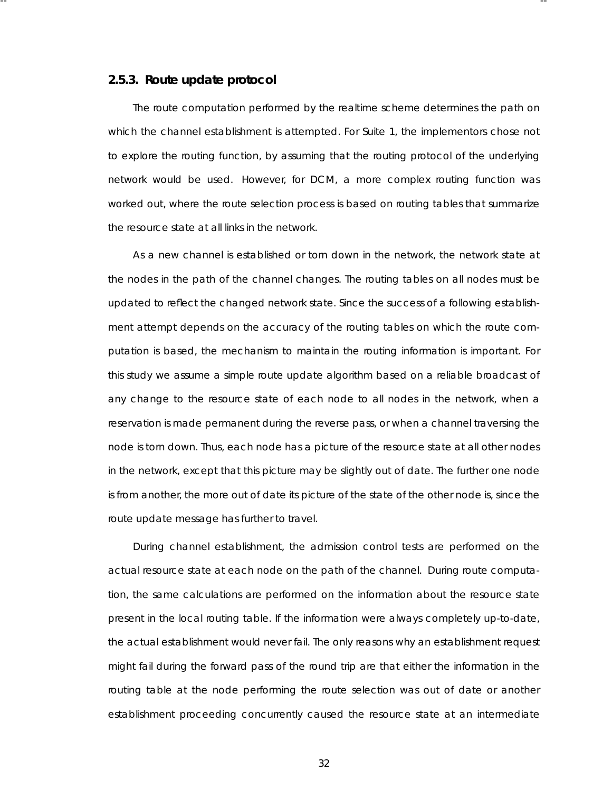## 2.5.3. Route update protocol

The route computation performed by the realtime scheme determines the path on which the channel establishment is attempted. For Suite 1, the implementors chose not to explore the routing function, by assuming that the routing protocol of the underlying network would be used. However, for DCM, a more complex routing function was worked out, where the route selection process is based on routing tables that summarize the resource state at all links in the network.

-- --

As a new channel is established or torn down in the network, the network state at the nodes in the path of the channel changes. The routing tables on all nodes must be updated to reflect the changed network state. Since the success of a following establishment attempt depends on the accuracy of the routing tables on which the route computation is based, the mechanism to maintain the routing information is important. For this study we assume a simple route update algorithm based on a reliable broadcast of any change to the resource state of each node to all nodes in the network, when a reservation is made permanent during the reverse pass, or when a channel traversing the node is torn down. Thus, each node has a picture of the resource state at all other nodes in the network, except that this picture may be slightly out of date. The further one node is from another, the more out of date its picture of the state of the other node is, since the route update message has further to travel.

During channel establishment, the admission control tests are performed on the actual resource state at each node on the path of the channel. During route computation, the same calculations are performed on the information about the resource state present in the local routing table. If the information were always completely up-to-date, the actual establishment would never fail. The only reasons why an esta blishment request might fail during the forward pass of the round trip are that either the information in the routing table at the node performing the route selection was out of date or another esta blishment proceeding concurrently caused the resource state at an intermediate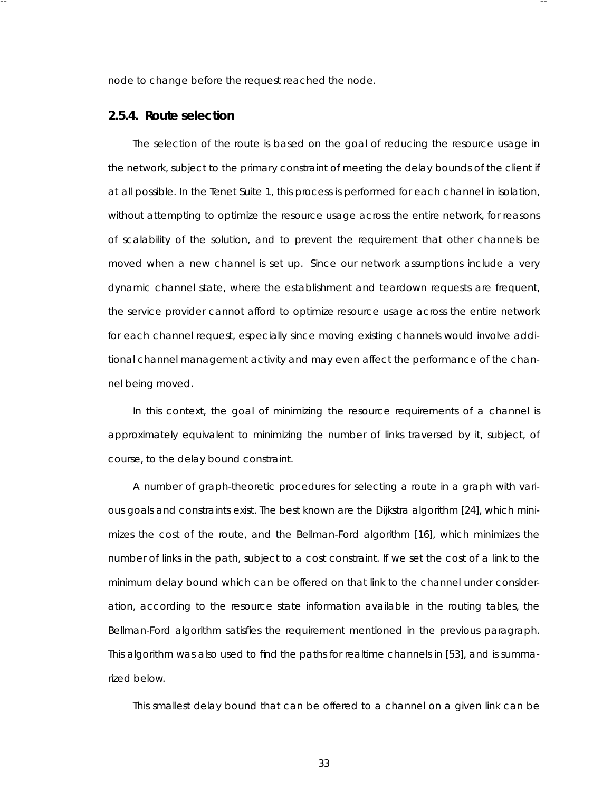node to change before the request reached the node.

-- --

### **2.5.4. Route selection**

The selection of the route is based on the goal of reducing the resource usage in the network, subject to the primary constraint of meeting the delay bounds of the client if at all possible. In the Tenet Suite 1, this process is performed for each channel in isolation, without attempting to optimize the resource usage across the entire network, for reasons of scalability of the solution, and to prevent the requirement that other channels be moved when a new channel is set up. Since our network assumptions include a very dynamic channel state, where the establishment and teardown requests are frequent, the service provider cannot afford to optimize resource usage across the entire network for each channel request, especially since moving existing channels would involve additional channel management activity and may even affect the performance of the channel being moved.

In this context, the goal of minimizing the resource requirements of a channel is approximately equivalent to minimizing the number of links traversed by it, subject, of course, to the delay bound constraint.

A number of graph-theoretic procedures for selecting a route in a graph with various goals and constraints exist. The best known are the Dijkstra algorithm [24], which minimizes the cost of the route, and the Bellman-Ford algorithm [16], which minimizes the number of links in the path, subject to a cost constraint. If we set the cost of a link to the minimum delay bound which can be offered on that link to the channel under consideration, according to the resource state information available in the routing tables, the Bellman-Ford algorithm satisfies the requirement mentioned in the previous paragraph. This algorithm was also used to find the paths for realtime channels in [53], and is summarized below.

This smallest delay bound that can be offered to a channel on a given link can be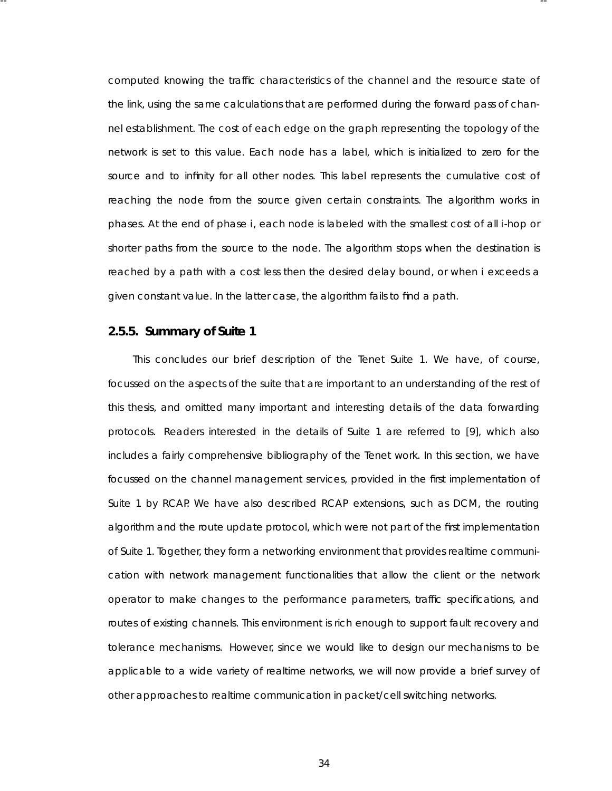computed knowing the traffic characteristics of the channel and the resource state of the link, using the same calculations that are performed during the forward pass of channel establishment. The cost of each edge on the graph representing the topology of the network is set to this value. Each node has a label, which is initialized to zero for the source and to infinity for all other nodes. This label represents the cumulative cost of reaching the node from the source given certain constraints. The algorithm works in phases . At the end of phase *i*, each node is labeled with the smallest cost of all *i*-hop or shorter paths from the source to the node. The algorithm stops when the destination is reached by a path with a cost less then the desired delay bound, or when *i* exceeds a given constant value. In the latter case, the algorithm fails to find a path.

-- --

# **2.5.5. Summary of Suite 1**

This concludes our brief description of the Tenet Suite 1. We have, of course, focussed on the aspects of the suite that are important to an understanding of the rest of this thesis, and omitted many important and interesting details of the data forwarding protocols. Readers interested in the details of Suite 1 are referred to [9], which also includes a fairly comprehensive bibliography of the Tenet work. In this section, we have focussed on the channel management services , provided in the first implementation of Suite 1 by RCAP. We have also described RCAP extensions, such as DCM, the routing algorithm and the route update protocol, which were not part of the first implementation of Suite 1. Together, they form a networking environment that provides realtime communication with network management functionalities that allow the client or the network operator to make changes to the performance parameters, traffic specifications, and routes of existing channels. This environment is rich enough to support fault recovery and tolerance mechanisms. However, since we would like to design our mechanisms to be applicable to a wide variety of realtime networks, we will now provide a brief survey of other approaches to realtime communication in packet/cell switching networks.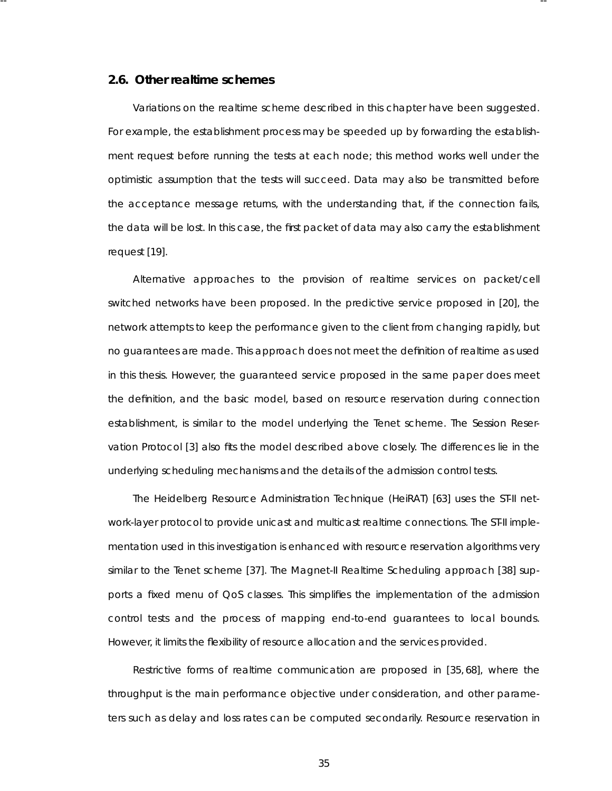## **2.6. Other realtime schemes**

Variations on the realtime scheme described in this chapter have been suggested. For example, the establishment process may be speeded up by forwarding the establishment request before running the tests at each node; this method works well under the optimistic assumption that the tests will succeed. Data may also be transmitted before the acceptance message returns, with the understanding that, if the connection fails, the data will be lost. In this case, the first packet of data may also carry the establishment request [19].

-- --

Alternative approaches to the provision of realtime services on packet/cell switched networks have been proposed. In the predictive service proposed in [20], the network attempts to keep the performance given to the client from changing rapidly, but no guarantees are made. This approach does not meet the definition of realtime as used in this thesis. However, the guaranteed service proposed in the same paper does meet the definition, and the basic model, based on resource reservation during connection esta blishment, is similar to the model underlying the Tenet scheme. The Session Reservation Protocol [3] also fits the model described above closely. The differences lie in the underlying scheduling mechanisms and the details of the admission control tests.

The Heidelberg Resource Administration Technique (HeiRAT) [63] uses the ST-II network-layer protocol to provide unicast and multicast realtime connections. The ST-II implementation used in this investigation is enhanced with resource reservation algorithms very similar to the Tenet scheme [37]. The Magnet-II Realtime Scheduling approach [38] supports a fixed menu of QoS classes. This simplifies the implementation of the admission control tests and the process of mapping end-to-end guarantees to local bounds. However, it limits the flexibility of resource allocation and the services provided.

Restrictive forms of realtime communication are proposed in [35,68], where the throughput is the main performance objective under consideration, and other parameters such as delay and loss rates can be computed secondarily. Resource reservation in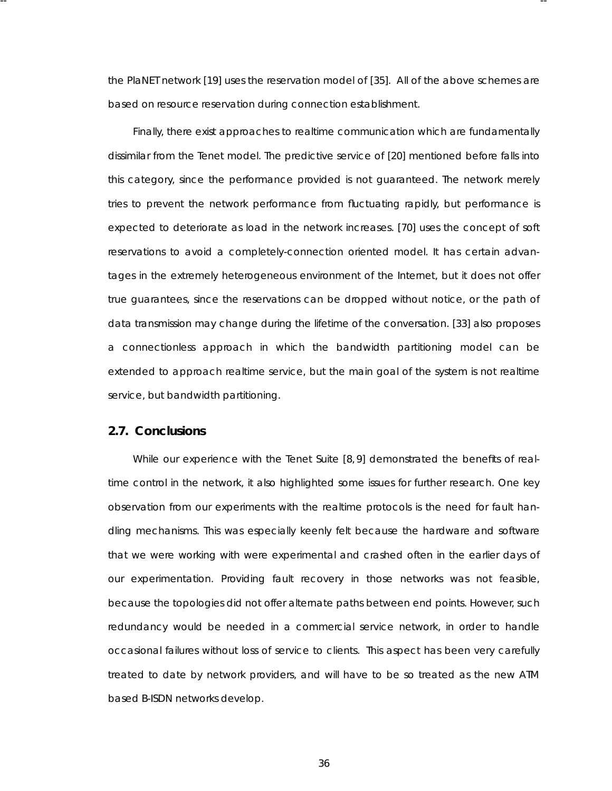the PlaNET network [19] uses the reservation model of [35]. All of the above schemes are based on resource reservation during connection establishment.

-- --

Finally, there exist approaches to realtime communication which are fundamentally dissimilar from the Tenet model. The predictive service of [20] mentioned before falls into this category, since the performance provided is not guaranteed. The network merely *tries* to prevent the network performance from fluctuating rapidly, but performance is expected to deteriorate as load in the network increases. [70] uses the concept of soft reser vations to avoid a completely-connection oriented model. It has certain advantages in the extremely heterogeneous environment of the Internet, but it does not offer true guarantees, since the reservations can be dropped without notice, or the path of data transmission may change during the lifetime of the conversation. [33] also proposes a connectionless approach in which the bandwidth partitioning model can be extended to approach realtime service, but the main goal of the system is not realtime service, but bandwidth partitioning.

## **2.7. Conclusions**

While our experience with the Tenet Suite [8, 9] demonstrated the benefits of realtime control in the network, it also highlighted some issues for further research. One key observation from our experiments with the realtime protocols is the need for fault handling mechanisms. This was especially keenly felt because the hardware and software that we were working with were experimental and crashed often in the earlier days of our experimentation. Providing fault recovery in those networks was not feasible, because the topologies did not offer alternate paths between end points. However, such redundancy would be needed in a commercial service network, in order to handle occasional failures without loss of service to clients. This aspect has been very carefully treated to date by network providers, and will have to be so treated as the new ATM based B-ISDN networks develop.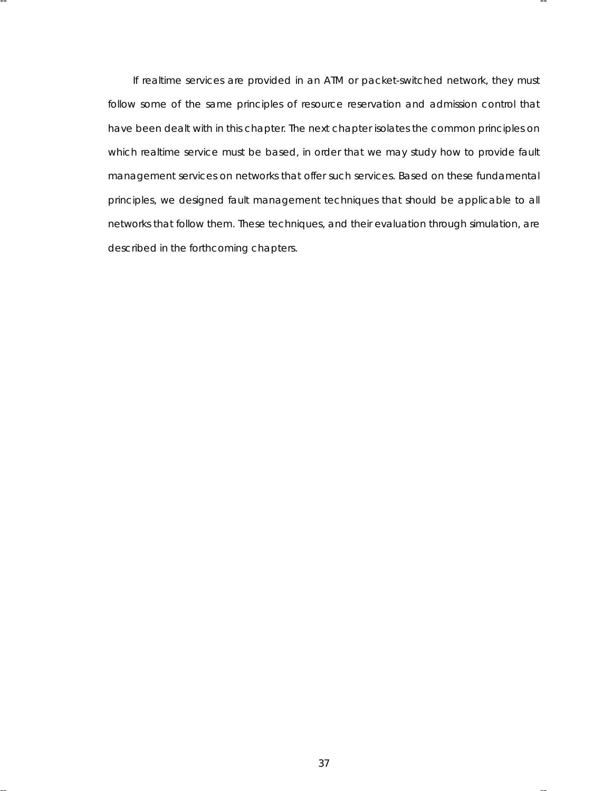If realtime services are provided in an ATM or packet-switched network, they must follow some of the same principles of resource reservation and admission control that have been dealt with in this chapter. The next chapter isolates the common principles on which realtime service must be based, in order that we may study how to provide fault management services on networks that offer such services. Based on these fundamental principles, we designed fault management techniques that should be applicable to all networks that follow them. These techniques, and their evaluation through simulation, are described in the forthcoming chapters.

-- --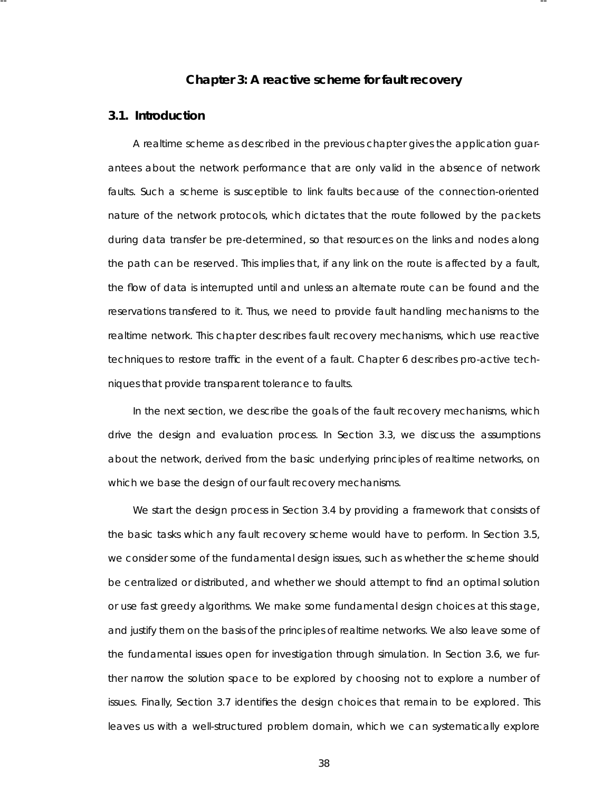# **Cha pter 3: A reactive scheme for fault recovery**

-- --

# **3.1. Introduction**

A realtime scheme as described in the previous chapter gives the application guarantees about the network performance that are only valid in the absence of network faults. Such a scheme is susceptible to link faults because of the connection-oriented nature of the network protocols, which dictates that the route followed by the packets during data transfer be pre-determined, so that resources on the links and nodes along the path can be reserved. This implies that, if any link on the route is affected by a fault, the flow of data is interrupted until and unless an alternate route can be found and the reser vations transfered to it. Thus, we need to provide fault handling mechanisms to the realtime network. This chapter describes fault recovery mechanisms, which use reactive techniques to restore traffic in the event of a fault. Chapter 6 describes pro-active techniques that provide transparent tolerance to faults.

In the next section, we describe the goals of the fault recovery mechanisms, which drive the design and evaluation process. In Section 3.3, we discuss the assumptions about the network, derived from the basic underlying principles of realtime networks, on which we base the design of our fault recovery mechanisms.

We start the design process in Section 3.4 by providing a framework that consists of the basic tasks which any fault recovery scheme would have to perform. In Section 3.5, we consider some of the fundamental design issues, such as whether the scheme should be centralized or distributed, and whether we should attempt to find an optimal solution or use fast greedy algorithms . We make some fundamental design choices at this stage, and justify them on the basis of the principles of realtime networks. We also leave some of the fundamental issues open for investigation through simulation. In Section 3.6, we further narrow the solution space to be explored by choosing not to explore a number of issues . Finally, Section 3.7 identifies the design choices that remain to be explored. This leaves us with a well-structured problem domain, which we can systematically explore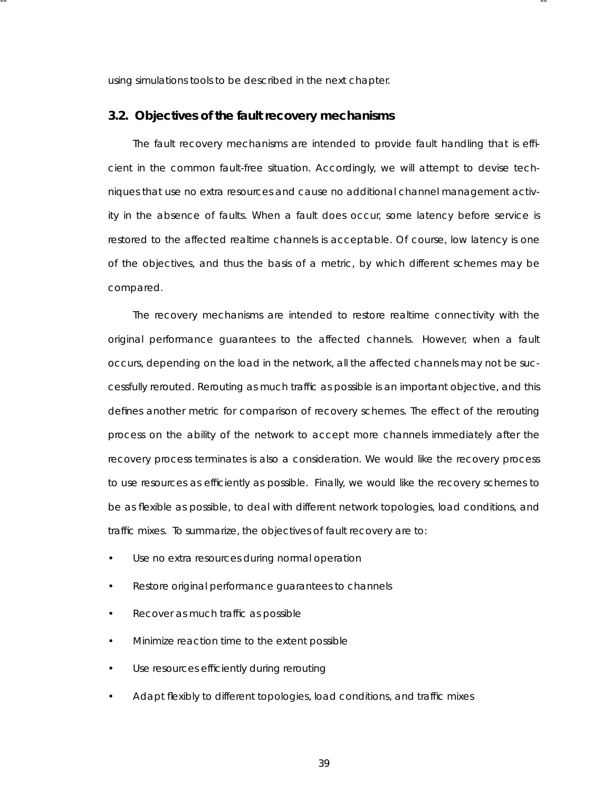using simulations tools to be described in the next chapter.

-- --

## **3.2. Objectives of the fault recovery mechanisms**

The fault recovery mechanisms are intended to provide fault handling that is efficient in the common fault-free situation. Accordingly, we will attempt to devise techniques that use no extra resources and cause no additional channel management activity in the absence of faults. When a fault does occur, some latency before service is restored to the affected realtime channels is acceptable. Of course, low latency is one of the objectives, and thus the basis of a metric, by which different schemes may be compared.

The recovery mechanisms are intended to restore realtime connectivity with the original performance guarantees to the affected channels. However, when a fault occurs, depending on the load in the network, all the affected channels may not be successfully rerouted. Rerouting as much traffic as possible is an important objective, and this defines another metric for comparison of recovery schemes . The effect of the rerouting process on the ability of the network to accept more channels immediately after the recovery process terminates is also a consideration. We would like the recovery process to use resources as efficiently as possible. Finally, we would like the recovery schemes to be as flexible as possible, to deal with different network topologies, load conditions, and traffic mixes. To summarize, the objectives of fault recovery are to:

- Use no extra resources during normal operation
- Restore original performance guarantees to channels
- Recover as much traffic as possible
- Minimize reaction time to the extent possible
- Use resources efficiently during rerouting
- Adapt flexibly to different topologies, load conditions, and traffic mixes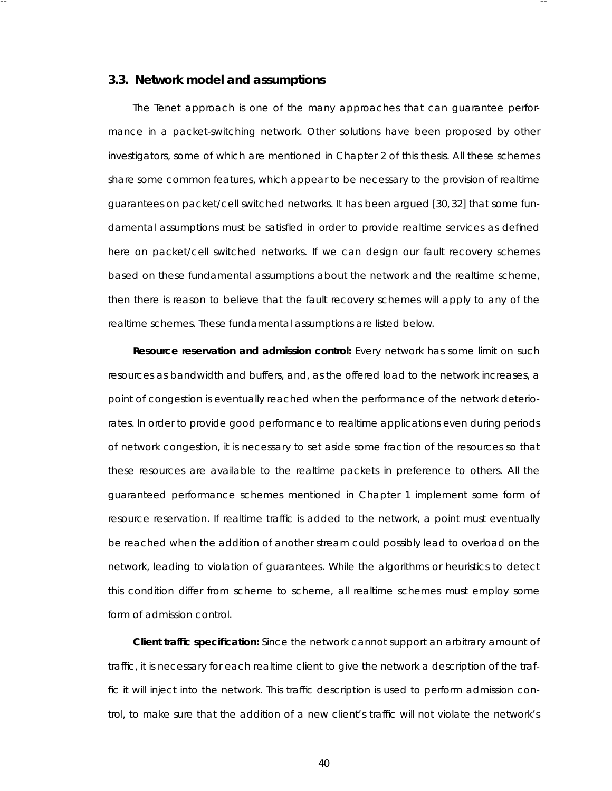## **3.3. Network model and assumptions**

-- --

The Tenet approach is one of the many approaches that can guarantee performance in a packet-switching network. Other solutions have been proposed by other investigators, some of which are mentioned in Chapter 2 of this thesis. All these schemes share some common features, which appear to be necessary to the provision of realtime guarantees on packet/cell switched networks. It has been argued [30, 32] that some fundamental assumptions must be satisfied in order to provide realtime services as defined here on packet/cell switched networks. If we can design our fault recovery schemes based on these fundamental assumptions about the network and the realtime scheme, then there is reason to believe that the fault recovery schemes will apply to any of the realtime schemes. These fundamental assumptions are listed below.

**Resource reservation and admission control:** Every network has some limit on such resources as bandwidth and buffers, and, as the offered load to the network increases, a point of congestion is eventually reached when the performance of the network deteriorates. In order to provide good performance to realtime applications even during periods of network congestion, it is necessary to set aside some fraction of the resources so that these resources are available to the realtime packets in preference to others. All the guaranteed performance schemes mentioned in Chapter 1 implement some form of resource reservation. If realtime traffic is added to the network, a point must eventually be reached when the addition of another stream could possibly lead to overload on the network, leading to violation of guarantees. While the algorithms or heuristics to detect this condition differ from scheme to scheme, all realtime schemes must employ some form of admission control.

**Client traffic specification:** Since the network cannot support an arbitrary amount of traffic, it is necessary for each realtime client to give the network a description of the traffic it will inject into the network. This traffic description is used to perform admission control, to make sure that the addition of a new client's traffic will not violate the network's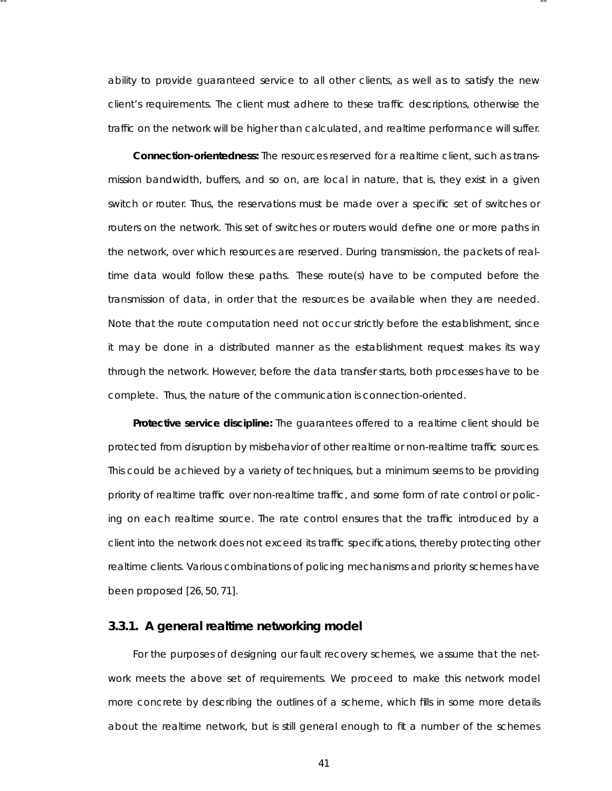ability to provide guaranteed service to all other clients, as well as to satisfy the new client's requirements. The client must adhere to these traffic descriptions, otherwise the traffic on the network will be higher than calculated, and realtime performance will suffer.

-- --

**Connection-orientedness:** The resources reserved for a realtime client, such as transmission bandwidth, buffers, and so on, are local in nature, that is, they exist in a given switch or router. Thus, the reservations must be made over a specific set of switches or routers on the network. This set of switches or routers would define one or more paths in the network, over which resources are reserved. During transmission, the packets of realtime data would follow these paths. These route(s) have to be computed before the transmission of data, in order that the resources be available when they are needed. Note that the route computation need not occur strictly before the establishment, since it may be done in a distributed manner as the establishment request makes its way through the network. However, before the data transfer starts, both processes have to be complete. Thus, the nature of the communication is connection-oriented.

**Protective service discipline:** The guarantees offered to a realtime client should be protected from disruption by misbehavior of other realtime or non-realtime traffic sources . This could be achieved by a variety of techniques, but a minimum seems to be providing priority of realtime traffic over non-realtime traffic, and some form of rate control or policing on each realtime source. The rate control ensures that the traffic introduced by a client into the network does not exceed its traffic specifications, thereby protecting other realtime clients. Various combinations of policing mechanisms and priority schemes have been proposed [26, 50, 71].

# **3.3.1. A general realtime networking model**

For the purposes of designing our fault recovery schemes, we assume that the network meets the above set of requirements. We proceed to make this network model more concrete by describing the outlines of a scheme, which fills in some more details about the realtime network, but is still general enough to fit a number of the schemes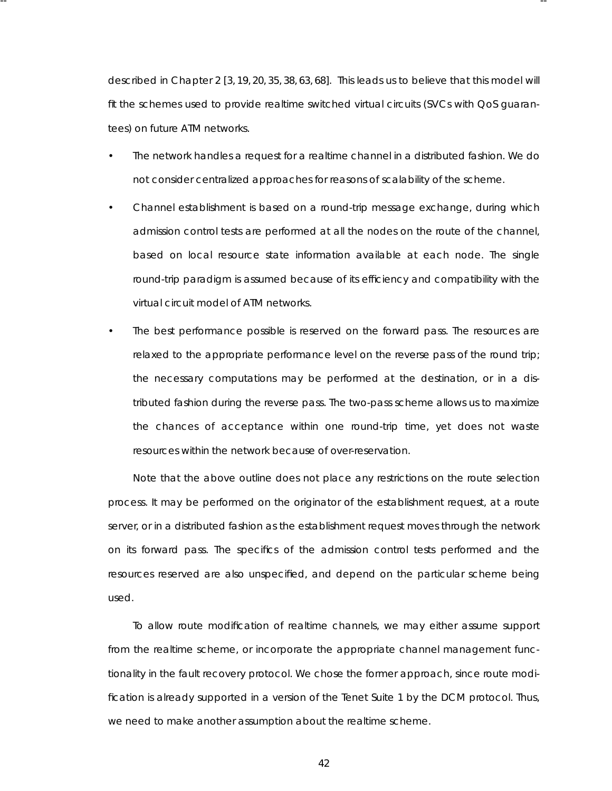described in Chapter 2 [3, 19, 20, 35, 38, 63, 68]. This leads us to believe that this model will fit the schemes used to provide realtime switched virtual circuits (SVCs with QoS guarantees) on future ATM networks.

-- --

- The network handles a request for a realtime channel in a distributed fashion. We do not consider centralized approaches for reasons of scalability of the scheme.
- Channel establishment is based on a round-trip message exchange, during which admission control tests are performed at all the nodes on the route of the channel, based on local resource state information available at each node. The single round-trip paradigm is assumed because of its efficiency and compatibility with the virtual circuit model of ATM networks.
- The best performance possible is reserved on the forward pass. The resources are relaxed to the appropriate performance level on the reverse pass of the round trip; the necessary computations may be performed at the destination, or in a distributed fashion during the reverse pass. The two-pass scheme allows us to maximize the chances of acceptance within one round-trip time, yet does not waste resources within the network because of over-reservation.

Note that the above outline does not place any restrictions on the route selection process. It may be performed on the originator of the establishment request, at a route server, or in a distributed fashion as the establishment request moves through the network on its forward pass. The specifics of the admission control tests performed and the resources reser ved are also unspecified, and depend on the particular scheme being used.

To allow route modification of realtime channels, we may either assume support from the realtime scheme, or incorporate the appropriate channel management functionality in the fault recovery protocol. We chose the former approach, since route modification is already supported in a version of the Tenet Suite 1 by the DCM protocol. Thus, we need to make another assumption about the realtime scheme.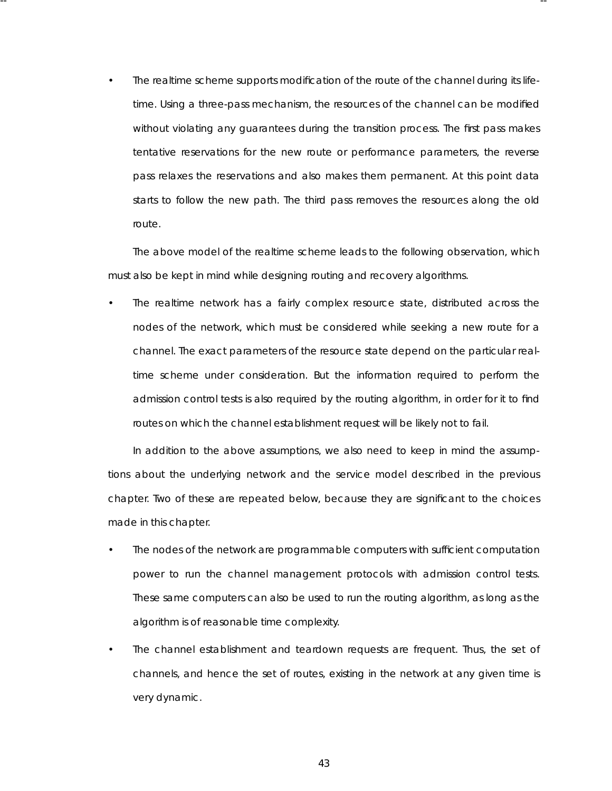The realtime scheme supports modification of the route of the channel during its lifetime. Using a three-pass mechanism, the resources of the channel can be modified without violating any guarantees during the transition process . The first pass makes tentative reservations for the new route or performance parameters, the reverse pass relaxes the reservations and also makes them permanent. At this point data starts to follow the new path. The third pass removes the resources along the old route.

-- --

The above model of the realtime scheme leads to the following observation, which must also be kept in mind while designing routing and recovery algorithms.

The realtime network has a fairly complex resource state, distributed across the nodes of the network, which must be considered while seeking a new route for a channel. The exact parameters of the resource state depend on the particular realtime scheme under consideration. But the information required to perform the admission control tests is also required by the routing algorithm, in order for it to find routes on which the channel establishment request will be likely not to fail.

In addition to the above assumptions, we also need to keep in mind the assumptions about the underlying network and the service model described in the previous chapter. Two of these are repeated below, because they are significant to the choices made in this chapter.

- The nodes of the network are programmable computers with sufficient computation power to run the channel management protocols with admission control tests. These same computers can also be used to run the routing algorithm, as long as the algorithm is of reasonable time complexity.
- The channel establishment and teardown requests are frequent. Thus, the set of channels, and hence the set of routes, existing in the network at any given time is very dynamic.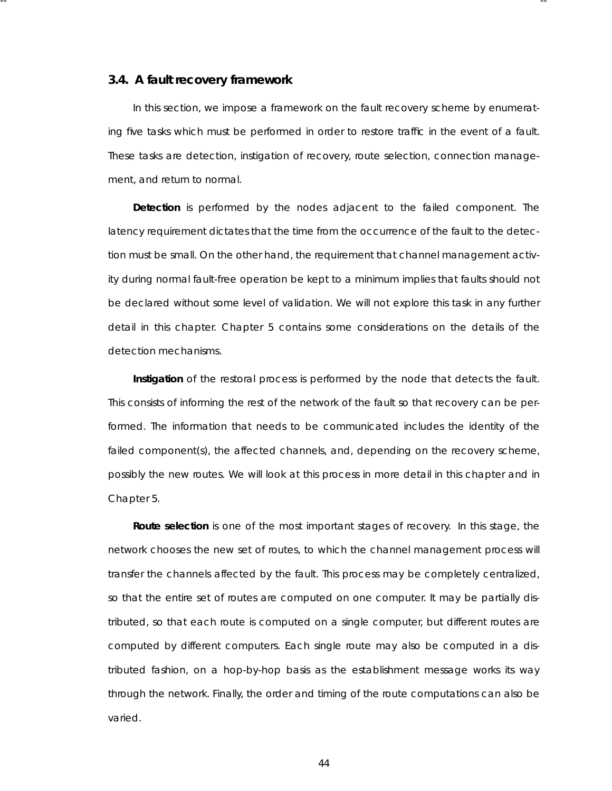### **3.4. A fault recovery framework**

In this section, we impose a framework on the fault recovery scheme by enumerating five tasks which must be performed in order to restore traffic in the event of a fault. These tasks are *detection*, *instigation* of recovery, *route selection*, *connection management*, and *return* to *normal*.

-- --

**Detection** is performed by the nodes adjacent to the failed component. The latency requirement dictates that the time from the occurrence of the fault to the detection must be small. On the other hand, the requirement that channel management activity during normal fault-free operation be kept to a minimum implies that faults should not be declared without some level of validation. We will not explore this task in any further detail in this chapter. Chapter 5 contains some considerations on the details of the detection mechanisms.

**Instigation** of the restoral process is performed by the node that detects the fault. This consists of informing the rest of the network of the fault so that recovery can be performed. The information that needs to be communicated includes the identity of the failed component(s), the affected channels, and, depending on the recovery scheme, possibly the new routes . We will look at this process in more detail in this chapter and in Chapter 5.

**Route selection** is one of the most important stages of recovery. In this stage, the network chooses the new set of routes, to which the channel management process will transfer the channels affected by the fault. This process may be completely centralized, so that the entire set of routes are computed on one computer. It may be partially distributed, so that each route is computed on a single computer, but different routes are computed by different computers. Each single route may also be computed in a distributed fashion, on a hop-by-hop basis as the establishment message works its way through the network. Finally, the order and timing of the route computations can also be varied.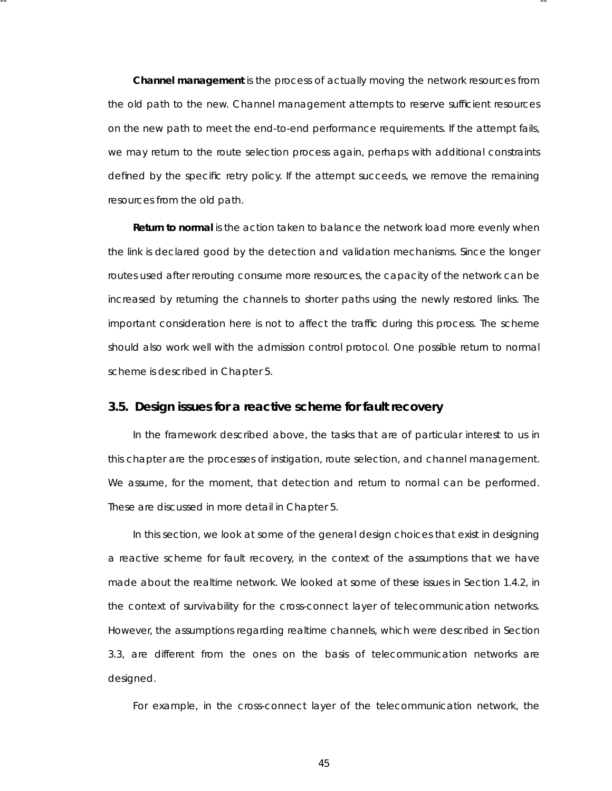**Channel management** is the process of actually moving the network resources from the old path to the new. Channel management attempts to reserve sufficient resources on the new path to meet the end-to-end performance requirements. If the attempt fails, we may return to the route selection process again, perhaps with additional constraints defined by the specific retry policy. If the attempt succeeds, we remove the remaining resources from the old path.

-- --

**Return to normal** is the action taken to balance the network load more evenly when the link is declared good by the detection and validation mechanisms. Since the longer routes used after rerouting consume more resources, the capacity of the network can be increased by returning the channels to shorter paths using the newly restored links. The important consideration here is not to affect the traffic during this process. The scheme should also work well with the admission control protocol. One possible return to normal scheme is described in Chapter 5.

# **3.5. Design issues for a reactive scheme for fault recovery**

In the framework described above, the tasks that are of particular interest to us in this chapter are the processes of instigation, route selection, and channel management. We assume, for the moment, that detection and return to normal can be performed. These are discussed in more detail in Chapter 5.

In this section, we look at some of the general design choices that exist in designing a reactive scheme for fault recovery, in the context of the assumptions that we have made about the realtime network. We looked at some of these issues in Section 1.4.2, in the context of survivability for the cross-connect layer of telecommunication networks. However, the assumptions regarding realtime channels, which were described in Section  $3.3$ , are different from the ones on the basis of telecommunication networks are designed.

For example, in the cross-connect layer of the telecommunication network, the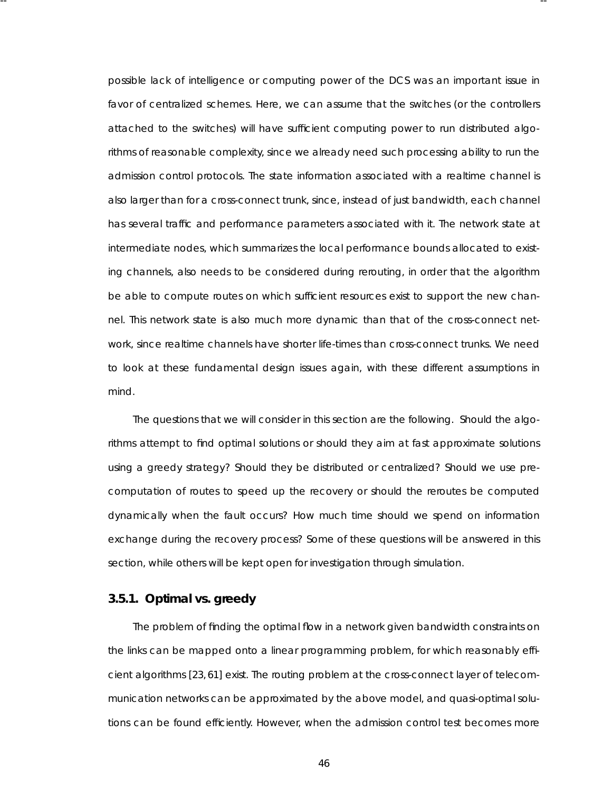possible lack of intelligence or computing power of the DCS was an important issue in favor of centralized schemes. Here, we can assume that the switches (or the controllers attached to the switches) will have sufficient computing power to run distributed algorithms of reasona ble complexity, since we already need such processing ability to run the admission control protocols. The state information associated with a realtime channel is also larger than for a cross-connect trunk, since, instead of just bandwidth, each channel has several traffic and performance parameters associated with it. The network state at intermediate nodes, which summarizes the local performance bounds allocated to existing channels, also needs to be considered during rerouting, in order that the algorithm be able to compute routes on which sufficient resources exist to support the new channel. This network state is also much more dynamic than that of the cross-connect network, since realtime channels have shorter life-times than cross-connect trunks. We need to look at these fundamental design issues again, with these different assumptions in mind.

-- --

The questions that we will consider in this section are the following. Should the algorithms attempt to find optimal solutions or should they aim at fast approximate solutions using a greedy strategy? Should they be distributed or centralized? Should we use precomputation of routes to speed up the recovery or should the reroutes be computed dynamically when the fault occurs? How much time should we spend on information exchange during the recovery process? Some of these questions will be answered in this section, while others will be kept open for investigation through simulation.

# **3.5.1. Optimal vs . greedy**

The problem of finding the optimal flow in a network given bandwidth constraints on the links can be mapped onto a linear programming problem, for which reasonably efficient algorithms [23, 61] exist. The routing problem at the cross-connect layer of telecommunication networks can be approximated by the above model, and quasi-optimal solutions can be found efficiently. However, when the admission control test becomes more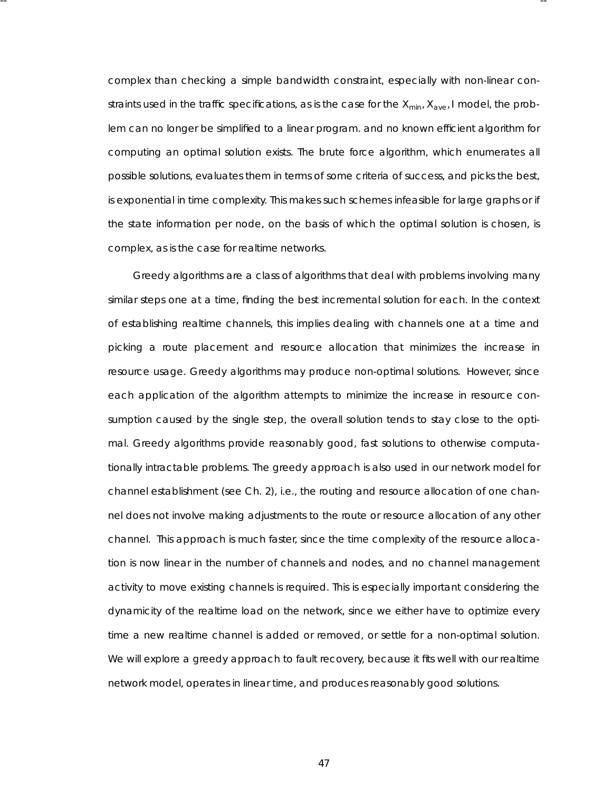complex than checking a simple bandwidth constraint, especially with non-linear constraints used in the traffic specifications, as is the case for the *Xmin*, *Xave*, *I* model, the problem can no longer be simplified to a linear program. and no known efficient algorithm for computing an optimal solution exists. The brute force algorithm, which enumerates all possible solutions, evaluates them in terms of some criteria of success, and picks the best, is exponential in time complexity. This makes such schemes infeasible for large graphs or if the state information per node, on the basis of which the optimal solution is chosen, is complex, as is the case for realtime networks.

-- --

Greedy algorithms are a class of algorithms that deal with problems involving many similar steps one at a time, finding the best incremental solution for each. In the context of establishing realtime channels, this implies dealing with channels one at a time and picking a route placement and resource allocation that minimizes the increase in resource usage. Greedy algorithms may produce non-optimal solutions. However, since each application of the algorithm attempts to minimize the increase in resource consumption caused by the single step, the overall solution tends to stay close to the optimal. Greedy algorithms provide reasonably good, fast solutions to otherwise computationally intractable problems. The greedy approach is also used in our network model for channel establishment (see Ch. 2), i.e., the routing and resource allocation of one channel does not involve making adjustments to the route or resource allocation of any other channel. This approach is much faster, since the time complexity of the resource allocation is now linear in the number of channels and nodes, and no channel management activity to move existing channels is required. This is especially important considering the dynamicity of the realtime load on the network, since we either have to optimize every time a new realtime channel is added or removed, or settle for a non-optimal solution. We will explore a greedy approach to fault recovery, because it fits well with our realtime network model, operates in linear time, and produces reasonably good solutions.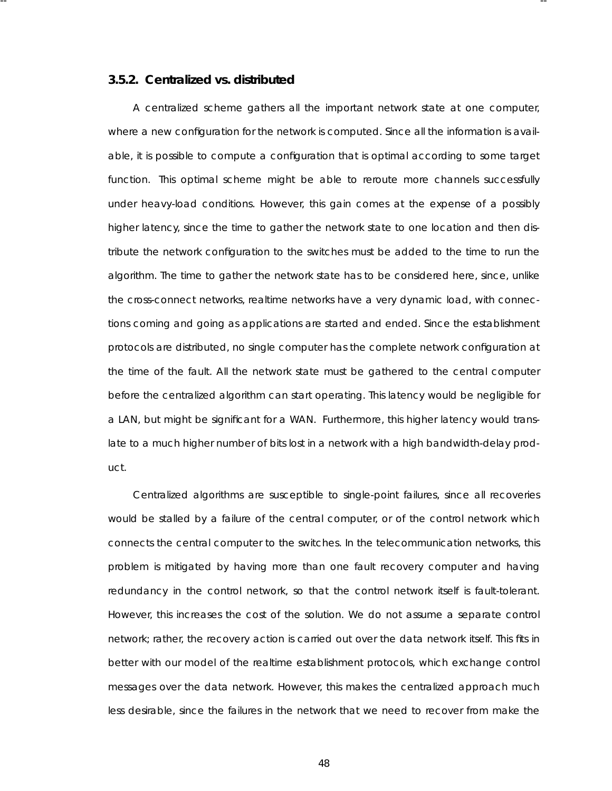## **3.5.2. Centralized vs . distr ibuted**

-- --

A centralized scheme gathers all the important network state at one computer, where a new configuration for the network is computed. Since all the information is available, it is possible to compute a configuration that is optimal according to some target function. This optimal scheme might be able to reroute more channels successfully under heavy-load conditions. However, this gain comes at the expense of a possibly higher latency, since the time to gather the network state to one location and then distribute the network configuration to the switches must be added to the time to run the algorithm. The time to gather the network state has to be considered here, since, unlike the cross-connect networks, realtime networks have a very dynamic load, with connections coming and going as applications are started and ended. Since the establishment protocols are distributed, no single computer has the complete network configuration at the time of the fault. All the network state must be gathered to the central computer before the centralized algorithm can start operating. This latency would be negligible for a LAN, but might be significant for a WAN. Furthermore, this higher latency would translate to a much higher number of bits lost in a network with a high bandwidth-delay product.

Centralized algorithms are susceptible to single-point failures, since all recoveries would be stalled by a failure of the central computer, or of the control network which connects the central computer to the switches. In the telecommunication networks, this problem is mitigated by having more than one fault recovery computer and having redundancy in the control network, so that the control network itself is fault-tolerant. However, this increases the cost of the solution. We do not assume a separate control network; rather, the recovery action is carried out over the data network itself. This fits in better with our model of the realtime establishment protocols, which exchange control messages over the data network. However, this makes the centralized approach much less desirable, since the failures in the network that we need to recover from make the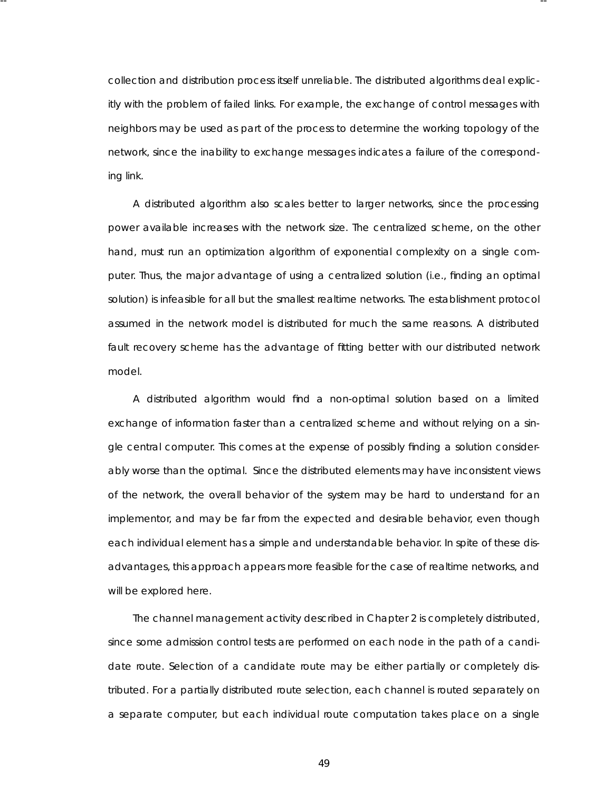collection and distribution process itself unrelia ble. The distributed algorithms deal explicitly with the problem of failed links. For example, the exchange of control messages with neighbors may be used as part of the process to determine the working topology of the network, since the inability to exchange messages indicates a failure of the corresponding link.

-- --

A distributed algorithm also scales better to larger networks, since the processing power available increases with the network size. The centralized scheme, on the other hand, must run an optimization algorithm of exponential complexity on a single computer. Thus , the major advantage of using a centralized solution (i.e., finding an optimal solution) is infeasible for all but the smallest realtime networks. The establishment protocol assumed in the network model is distributed for much the same reasons. A distributed fault recovery scheme has the advantage of fitting better with our distributed network model.

A distributed algorithm would find a non-optimal solution based on a limited exchange of information faster than a centralized scheme and without relying on a single central computer. This comes at the expense of possibly finding a solution considerably worse than the optimal. Since the distributed elements may have inconsistent views of the network, the overall behavior of the system may be hard to understand for an implementor, and may be far from the expected and desirable behavior, even though each individual element has a simple and understandable behavior. In spite of these disadvantages, this approach appears more feasible for the case of realtime networks, and will be explored here.

The channel management activity described in Chapter 2 is completely distributed, since some admission control tests are performed on each node in the path of a candidate route. Selection of a candidate route may be either partially or completely distributed. For a partially distributed route selection, each channel is routed separately on a separate computer, but each individual route computation takes place on a single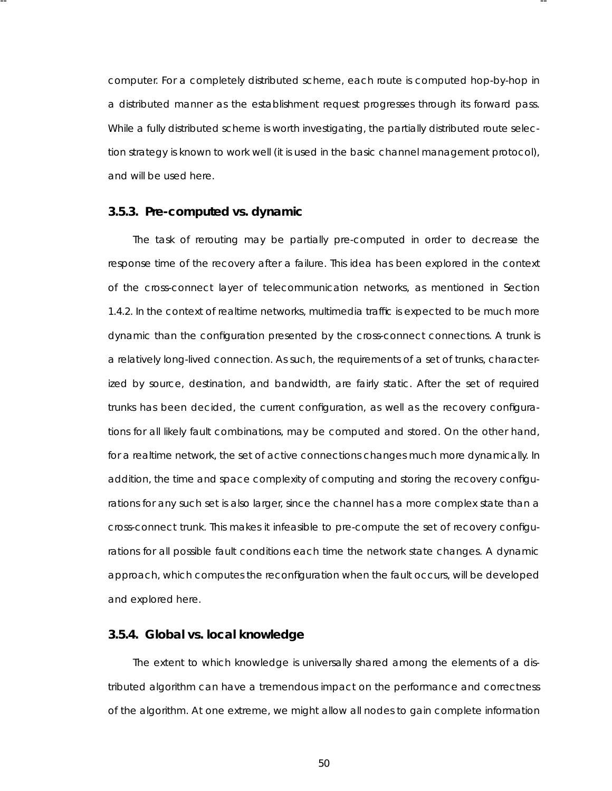computer. For a completely distributed scheme, each route is computed hop-by-hop in a distributed manner as the establishment request progresses through its forward pass. While a fully distributed scheme is worth investigating, the partially distributed route selection strategy is known to work well (it is used in the basic channel management protocol), and will be used here.

-- --

## **3.5.3. Pre-computed vs. dynamic**

The task of rerouting may be partially pre-computed in order to decrease the response time of the recovery after a failure. This idea has been explored in the context of the cross-connect layer of telecommunication networks, as mentioned in Section 1.4.2. In the context of realtime networks, multimedia traffic is expected to be much more dynamic than the configuration presented by the cross-connect connections. A trunk is a relatively long-lived connection. As such, the requirements of a set of trunks, characterized by source, destination, and bandwidth, are fairly static. After the set of required trunks has been decided, the current configuration, as well as the recovery configurations for all likely fault combinations, may be computed and stored. On the other hand, for a realtime network, the set of active connections changes much more dynamically. In addition, the time and space complexity of computing and storing the recovery configurations for any such set is also larger, since the channel has a more complex state than a cross-connect trunk. This makes it infeasible to pre-compute the set of recovery configurations for all possible fault conditions each time the network state changes. A dynamic approach, which computes the reconfiguration when the fault occurs, will be developed and explored here.

### **3.5.4. Global vs . local knowledge**

The extent to which knowledge is universally shared among the elements of a distributed algorithm can have a tremendous impact on the performance and correctness of the algorithm. At one extreme, we might allow all nodes to gain complete information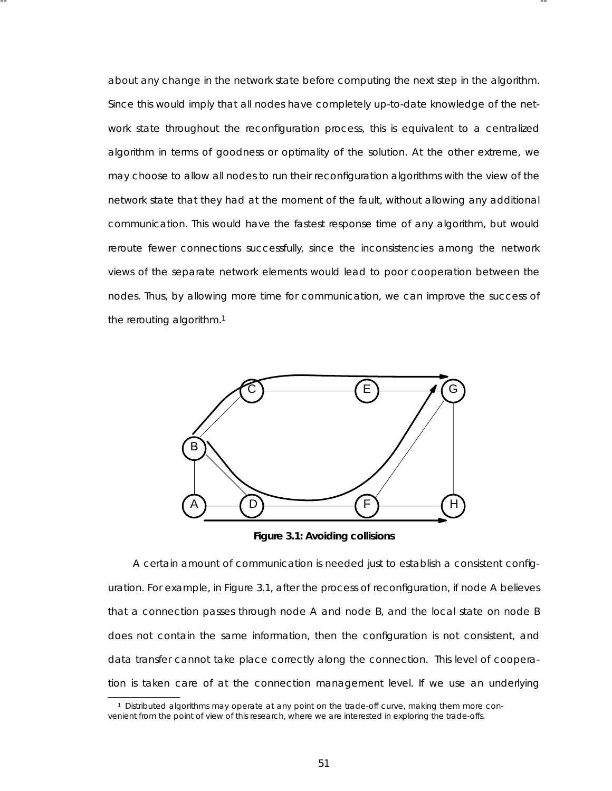about any change in the network state before computing the next step in the algorithm. Since this would imply that all nodes have completely up-to-date knowledge of the network state throughout the reconfiguration process , this is equivalent to a centralized algorithm in terms of goodness or optimality of the solution. At the other extreme, we may choose to allow all nodes to run their reconfiguration algorithms with the view of the network state that they had at the moment of the fault, without allowing any additional communication. This would have the fastest response time of any algorithm, but would reroute fewer connections successfully, since the inconsistencies among the network views of the separate network elements would lead to poor cooperation between the nodes. Thus, by allowing more time for communication, we can improve the success of the rerouting algorithm.1

-- --



**Figure 3.1: Avoiding collisions**

A certain amount of communication is needed just to establish a consistent configuration. For example, in Figure 3.1, after the process of reconfiguration, if node A believes that a connection passes through node A and node B, and the local state on node B does not contain the same information, then the configuration is not consistent, and data transfer cannot take place correctly along the connection. This level of cooperation is taken care of at the connection management level. If we use an underlying

<sup>&</sup>lt;sup>1</sup> Distributed algorithms may operate at any point on the trade-off curve, making them more convenient from the point of view of this research, where we are interested in exploring the trade-offs .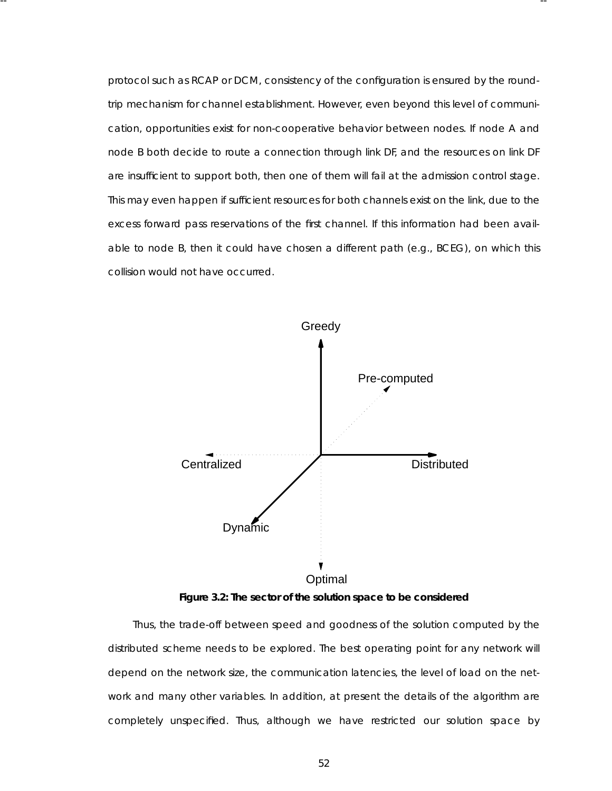protocol such as RCAP or DCM, consistency of the configuration is ensured by the roundtrip mechanism for channel establishment. However, even beyond this level of communication, opportunities exist for non-cooperative behavior between nodes. If node A and node B both decide to route a connection through link DF, and the resources on link DF are insufficient to support both, then one of them will fail at the admission control stage. This may even happen if sufficient resources for both channels exist on the link, due to the excess forward pass reservations of the first channel. If this information had been available to node B, then it could have chosen a different path (e.g., BCEG), on which this collision would not have occurred.

-- --



**Figure 3.2: The sector of the solution space to be considered**

Thus, the trade-off between speed and goodness of the solution computed by the distributed scheme needs to be explored. The best operating point for any network will depend on the network size, the communication latencies, the level of load on the network and many other variables. In addition, at present the details of the algorithm are completely unspecified. Thus, although we have restricted our solution space by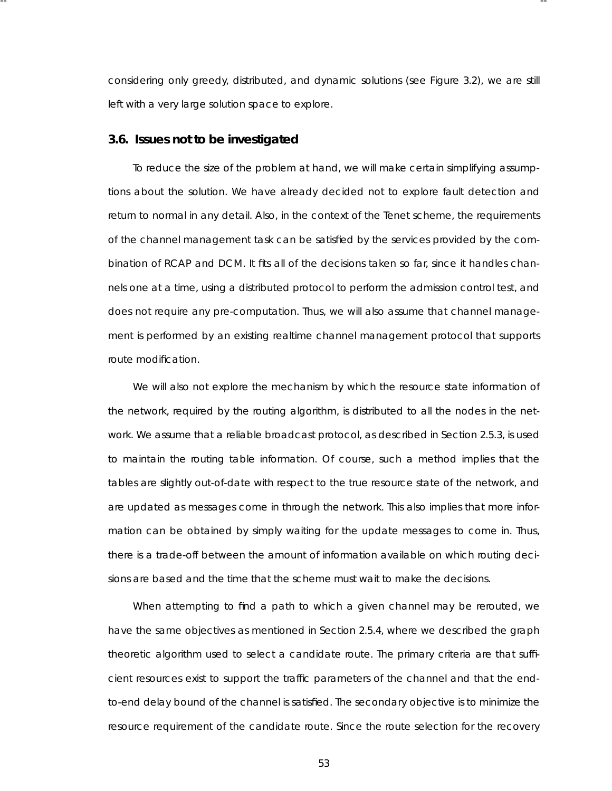considering only greedy, distributed, and dynamic solutions (see Figure 3.2), we are still left with a very large solution space to explore.

-- --

## **3.6. Issues not to be investig ated**

To reduce the size of the problem at hand, we will make certain simplifying assumptions about the solution. We have already decided not to explore fault detection and return to normal in any detail. Also, in the context of the Tenet scheme, the requirements of the channel management task can be satisfied by the services provided by the combination of RCAP and DCM. It fits all of the decisions taken so far, since it handles channels one at a time, using a distributed protocol to perform the admission control test, and does not require any pre-computation. Thus, we will also assume that channel management is performed by an existing realtime channel management protocol that supports route modification.

We will also not explore the mechanism by which the resource state information of the network, required by the routing algorithm, is distributed to all the nodes in the network. We assume that a reliable broadcast protocol, as described in Section 2.5.3, is used to maintain the routing table information. Of course, such a method implies that the tables are slightly out-of-date with respect to the true resource state of the network, and are updated as messages come in through the network. This also implies that more information can be obtained by simply waiting for the update messages to come in. Thus, there is a trade-off between the amount of information available on which routing decisions are based and the time that the scheme must wait to make the decisions.

When attempting to find a path to which a given channel may be rerouted, we have the same objectives as mentioned in Section 2.5.4, where we described the graph theoretic algorithm used to select a candidate route. The primary criteria are that sufficient resources exist to support the traffic parameter s of the channel and that the endto-end delay bound of the channel is satisfied. The secondary objective is to minimize the resource requirement of the candidate route. Since the route selection for the recovery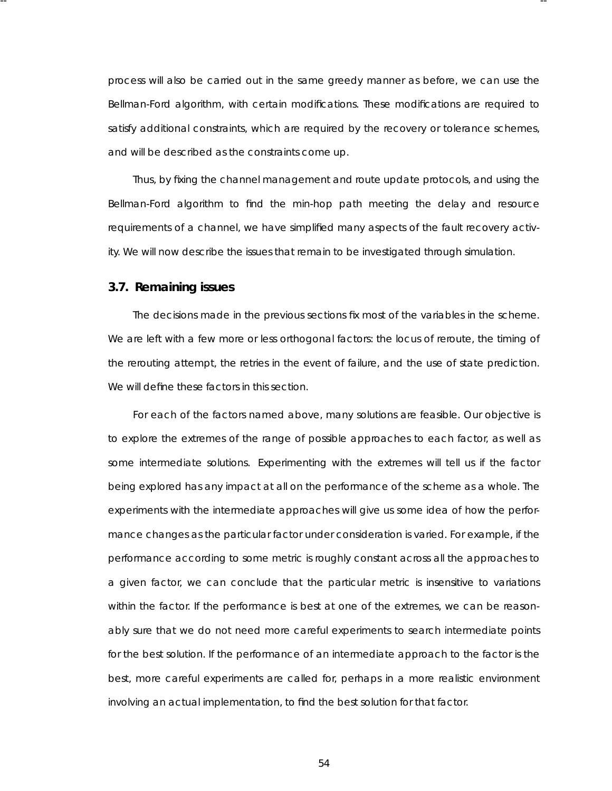process will also be carried out in the same greedy manner as before, we can use the Bellman-Ford algorithm, with certain modifications. These modifications are required to satisfy additional constraints, which are required by the recovery or tolerance schemes, and will be described as the constraints come up.

-- --

Thus, by fixing the channel management and route update protocols, and using the Bellman-Ford algorithm to find the min-hop path meeting the delay and resource requirements of a channel, we have simplified many aspects of the fault recovery activity. We will now describe the issues that remain to be investigated through simulation.

### **3.7. Remaining issues**

The decisions made in the previous sections fix most of the variables in the scheme. We are left with a few more or less orthogonal factors: *the locus of reroute*, the *timing* of the rerouting attempt, the *retries* in the event of failure, and the use of *state prediction*. We will define these factors in this section.

For each of the factors named above, many solutions are feasible. Our objective is to explore the extremes of the range of possible approaches to each factor, as well as some intermediate solutions. Experimenting with the extremes will tell us if the factor being explored has any impact at all on the performance of the scheme as a whole. The experiments with the intermediate approaches will give us some idea of how the performance changes as the particular factor under consideration is varied. For example, if the perfor mance according to some metric is roughly constant across all the approaches to a given factor, we can conclude that the particular metric is insensitive to variations within the factor. If the performance is best at one of the extremes, we can be reasonably sure that we do not need more careful experiments to search intermediate points for the best solution. If the performance of an intermediate approach to the factor is the best, more careful experiments are called for, perhaps in a more realistic environment involving an actual implementation, to find the best solution for that factor.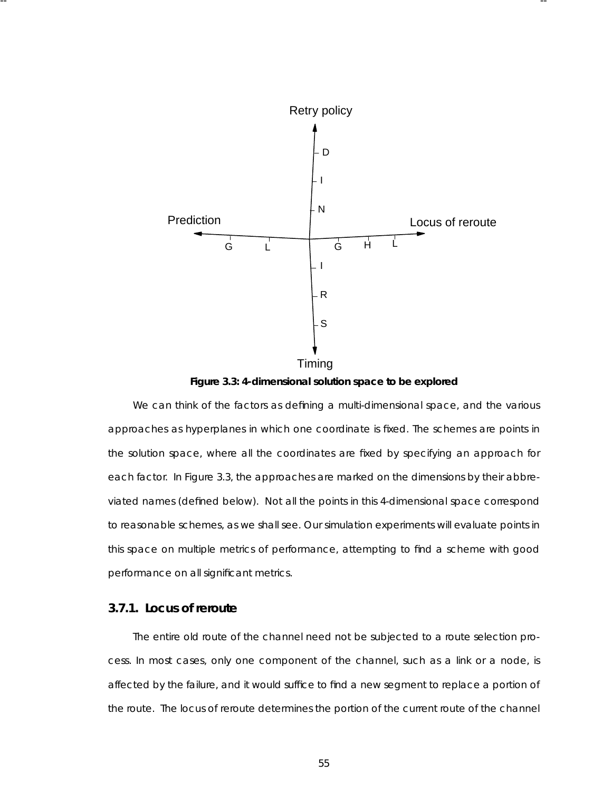

-- --

**Figure 3.3: 4-dimensional solution space to be explored**

We can think of the factors as defining a multi-dimensional space, and the various approaches as hyperplanes in which one coordinate is fixed. The schemes are points in the solution space, where all the coordinates are fixed by specifying an approach for each factor. In Figure 3.3, the approaches are marked on the dimensions by their abbreviated names (defined below). Not all the points in this 4-dimensional space correspond to reasonable schemes, as we shall see. Our simulation experiments will evaluate points in this space on multiple metrics of performance, attempting to find a scheme with good performance on all significant metrics.

# **3.7.1. Locus of reroute**

The entire old route of the channel need not be subjected to a route selection process . In most cases, only one component of the channel, such as a link or a node, is affected by the failure, and it would suffice to find a new segment to replace a portion of the route. The locus of reroute determines the portion of the current route of the channel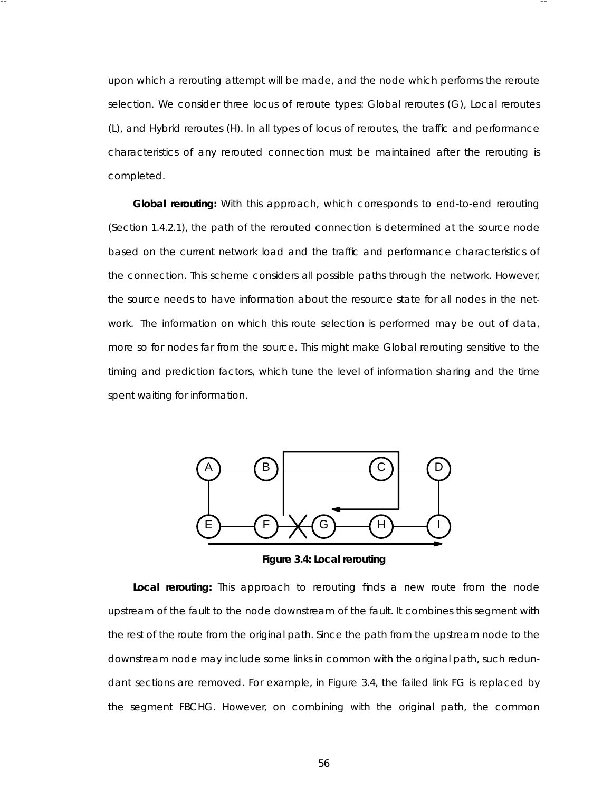upon which a rerouting attempt will be made, and the node which performs the reroute selection. We consider three locus of reroute types: *Global reroutes* (G), *Local reroutes* (L), and *Hybrid reroutes* (H). In all types of locus of reroutes, the traffic and performance characteristics of any rerouted connection must be maintained after the rerouting is completed.

-- --

**Global rerouting:** With this approach, which corresponds to *end-to-end* rerouting (Section 1.4.2.1), the path of the rerouted connection is determined at the source node based on the current network load and the traffic and performance characteristics of the connection. This scheme considers all possible paths through the network. However, the source needs to have information about the resource state for all nodes in the network. The information on which this route selection is performed may be out of data, more so for nodes far from the source. This might make Global rerouting sensitive to the timing and prediction factors, which tune the level of information sharing and the time spent waiting for information.



**Figure 3.4: Local rerouting**

**Local rerouting:** This approach to rerouting finds a new route from the node upstream of the fault to the node downstream of the fault. It combines this segment with the rest of the route from the original path. Since the path from the upstream node to the downstream node may include some links in common with the original path, such redundant sections are removed. For example, in Figure 3.4, the failed link FG is replaced by the segment FBCHG. However, on combining with the original path, the common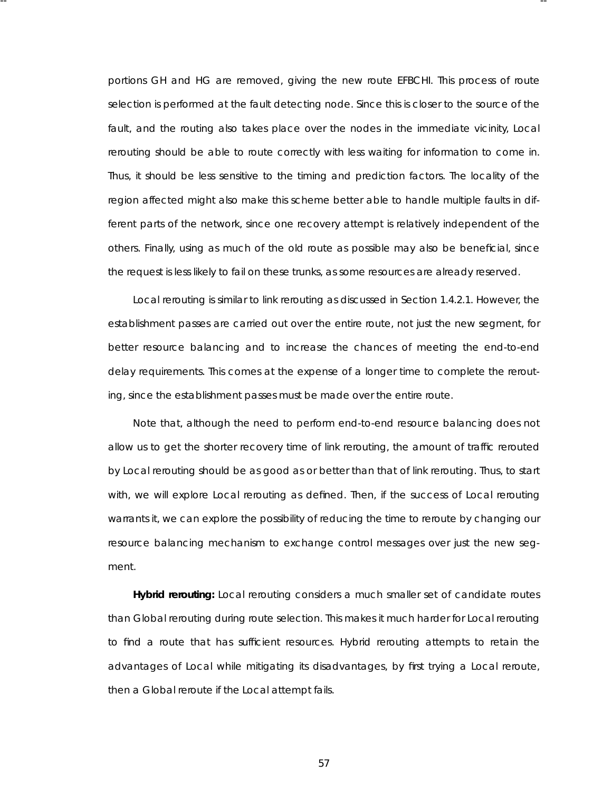portions GH and HG are removed, giving the new route EFBCHI. This process of route selection is performed at the fault detecting node. Since this is closer to the source of the fault, and the routing also takes place over the nodes in the immediate vicinity, Local rerouting should be able to route correctly with less waiting for information to come in. Thus, it should be less sensitive to the timing and prediction factors. The locality of the region affected might also make this scheme better able to handle multiple faults in different parts of the network, since one recovery attempt is relatively independent of the others. Finally, using as much of the old route as possible may also be beneficial, since the request is less likely to fail on these trunks, as some resources are already reserved.

-- --

Local rerouting is similar to *link* rerouting as discussed in Section 1.4.2.1. However, the establishment passes are carried out over the entire route, not just the new segment, for better resource balancing and to increase the chances of meeting the end-to-end delay requirements . This comes at the expense of a longer time to complete the rerouting, since the establishment passes must be made over the entire route.

Note that, although the need to perform end-to-end resource balancing does not allow us to get the shorter recovery time of link rerouting, the amount of traffic rerouted by Local rerouting should be as good as or better than that of link rerouting. Thus, to start with, we will explore Local rerouting as defined. Then, if the success of Local rerouting warrants it, we can explore the possibility of reducing the time to reroute by changing our resource balancing mechanism to exchange control messages over just the new segment.

Hybrid rerouting: Local rerouting considers a much smaller set of candidate routes than Global rerouting during route selection. This makes it much harder for Local rerouting to find a route that has sufficient resources. Hybrid rerouting attempts to retain the advantages of Local while mitigating its disadvantages , by first trying a Local reroute, then a Global reroute if the Local attempt fails.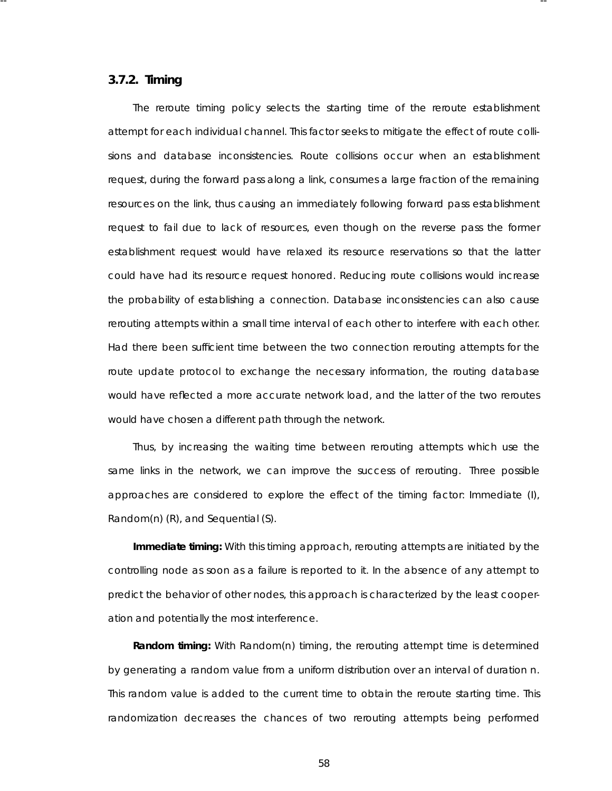#### **3.7.2. Timing**

The *reroute timing* policy selects the starting time of the reroute establishment attempt for each individual channel. This factor seeks to mitigate the effect of route collisions and database inconsistencies. *Route collisions* occur when an establishment request, during the forward pass along a link, consumes a large fraction of the remaining resources on the link, thus causing an immediately following forward pass establishment request to fail due to lack of resources, even though on the reverse pass the former establishment request would have relaxed its resource reservations so that the latter could have had its resource request honored. Reducing route collisions would increase the proba bility of establishing a connection. *Data base inconsistencies* can also cause rerouting attempts within a small time interval of each other to interfere with each other. Had there been sufficient time between the two connection rerouting attempts for the route update protocol to exchange the necessary information, the routing database would have reflected a more accurate network load, and the latter of the two reroutes would have chosen a different path through the network.

-- --

Thus, by increasing the waiting time between rerouting attempts which use the same links in the network, we can improve the success of rerouting. Three possible approaches are considered to explore the effect of the timing factor: *Immediate* (I), *Random(n)* (R), and *Sequential* (S).

**Immediate timing:** With this timing approach, rerouting attempts are initiated by the controlling node as soon as a failure is reported to it. In the absence of any attempt to predict the behavior of other nodes, this approach is characterized by the least cooperation and potentially the most interference.

**Random timing:** With Random(*n*) timing, the rerouting attempt time is determined by generating a random value from a uniform distribution over an interval of duration *n*. This random value is added to the current time to obtain the reroute starting time. This randomization decreases the chances of two rerouting attempts being performed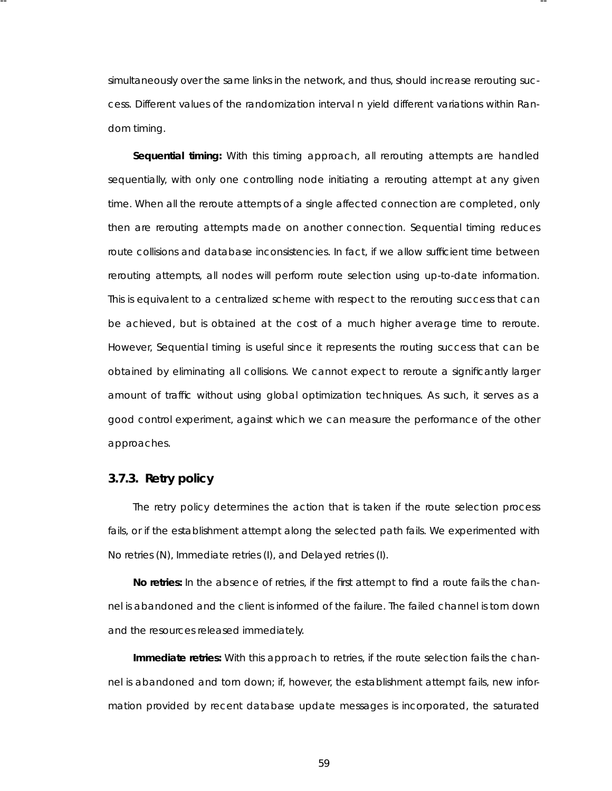simultaneously over the same links in the network, and thus, should increase rerouting success. Different values of the randomization interval *n* yield different variations within Random timing.

-- --

**Sequential timing:** With this timing approach, all rerouting attempts are handled sequentially, with only one controlling node initiating a rerouting attempt at any given time. When all the reroute attempts of a single affected connection are completed, only then are rerouting attempts made on another connection. Sequential timing reduces route collisions and database inconsistencies. In fact, if we allow sufficient time between rerouting attempts, all nodes will perform route selection using up-to-date information. This is equivalent to a centralized scheme with respect to the rerouting success that can be achieved, but is obtained at the cost of a much higher average time to reroute. However, Sequential timing is useful since it represents the routing success that can be obtained by eliminating all collisions. We cannot expect to reroute a significantly larger amount of traffic without using global optimization techniques. As such, it serves as a good control experiment, against which we can measure the performance of the other approaches.

#### **3.7.3. Retry policy**

The *retry* policy determines the action that is taken if the route selection process fails, or if the establishment attempt along the selected path fails. We experimented with *No retries* (N), *Immediate retries* (I), and *Delayed retries* (I).

No retries: In the absence of retries, if the first attempt to find a route fails the channel is abandoned and the client is informed of the failure. The failed channel is torn down and the resources released immediately.

Immediate retries: With this approach to retries, if the route selection fails the channel is abandoned and torn down; if, however, the establishment attempt fails, new information provided by recent database update messages is incorporated, the saturated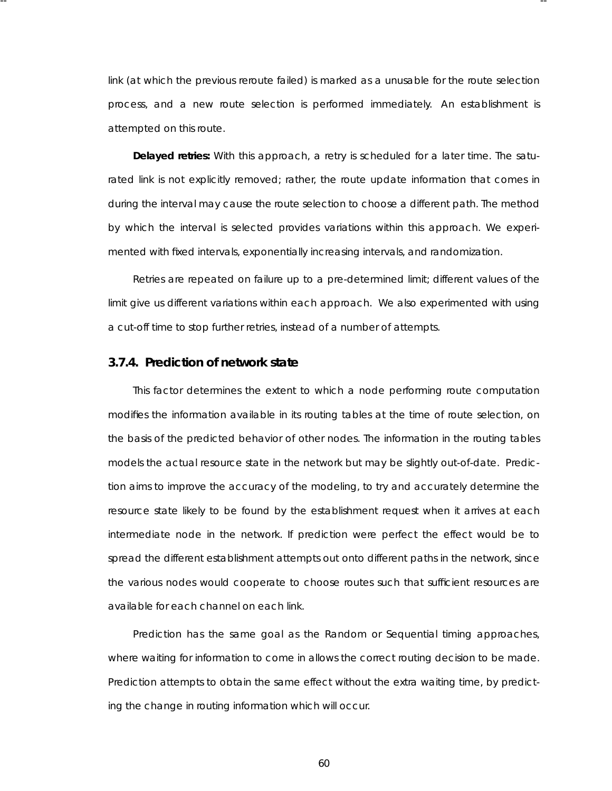link (at which the previous reroute failed) is marked as a unusable for the route selection process, and a new route selection is performed immediately. An establishment is attempted on this route.

-- --

**Delayed retries:** With this approach, a retry is scheduled for a later time. The saturated link is not explicitly removed; rather, the route update information that comes in during the interval may cause the route selection to choose a different path. The method by which the interval is selected provides variations within this approach. We experimented with fixed intervals, exponentially increasing intervals, and randomization.

Retries are repeated on failure up to a pre-determined limit; different values of the limit give us different variations within each approach. We also experimented with using a cut-off time to stop further retries, instead of a number of attempts.

# **3.7.4. Prediction of network state**

This factor determines the extent to which a node performing route computation modifies the information available in its routing tables at the time of route selection, on the basis of the predicted behavior of other nodes. The information in the routing tables models the actual resource state in the network but may be slightly out-of-date. Prediction aims to improve the accuracy of the modeling, to try and accurately determine the resource state likely to be found by the establishment request when it arrives at each intermediate node in the network. If prediction were perfect the effect would be to spread the different establishment attempts out onto different paths in the network, since the various nodes would cooperate to choose routes such that sufficient resources are availa ble for each channel on each link.

Prediction has the same goal as the Random or Sequential timing approaches, where waiting for information to come in allows the correct routing decision to be made. Prediction attempts to obtain the same effect without the extra waiting time, by predicting the change in routing information which will occur.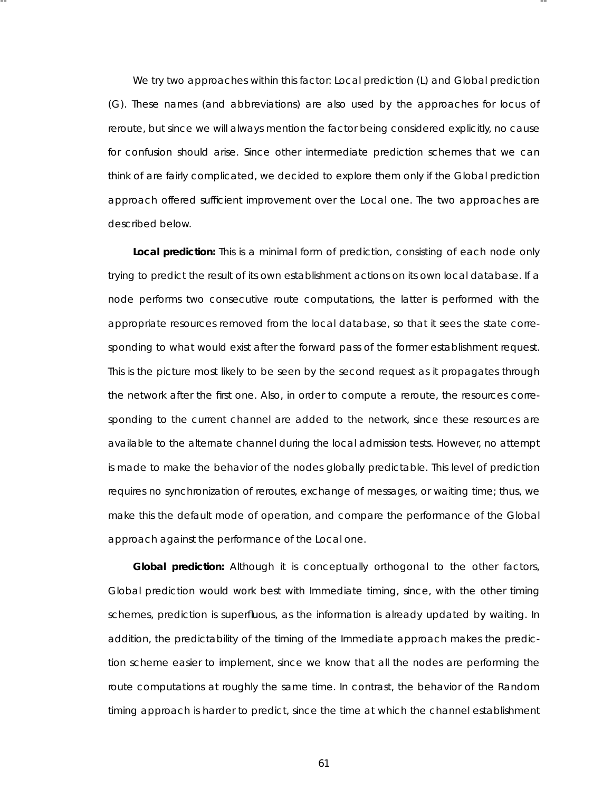We try two approaches within this factor: *Local prediction* (L) and *Global prediction* (G). These names (and abbreviations) are also used by the approaches for locus of reroute, but since we will always mention the factor being considered explicitly, no cause for confusion should arise. Since other intermediate prediction schemes that we can think of are fairly complicated, we decided to explore them only if the Global prediction approach offered sufficient improvement over the Local one. The two approaches are described below.

-- --

Local prediction: This is a minimal form of prediction, consisting of each node only trying to predict the result of its own establishment actions on its own local database. If a node performs two consecutive route computations, the latter is performed with the appropriate resources removed from the local database, so that it sees the state corresponding to what would exist after the forward pass of the former establishment request. This is the picture most likely to be seen by the second request as it propagates through the network after the first one. Also, in order to compute a reroute, the resources corresponding to the current channel are added to the network, since these resources are availa ble to the alternate channel during the local admission tests. However, no attempt is made to make the behavior of the nodes globally predictable. This level of prediction requires no synchronization of reroutes, exchange of messages, or waiting time; thus, we make this the default mode of operation, and compare the performance of the Global approach against the performance of the Local one.

Global prediction: Although it is conceptually orthogonal to the other factors, Global prediction would work best with Immediate timing, since, with the other timing schemes, prediction is superfluous, as the information is already updated by waiting. In addition, the predictability of the timing of the Immediate approach makes the prediction scheme easier to implement, since we know that all the nodes are performing the route computations at roughly the same time. In contrast, the behavior of the Random timing approach is harder to predict, since the time at which the channel establishment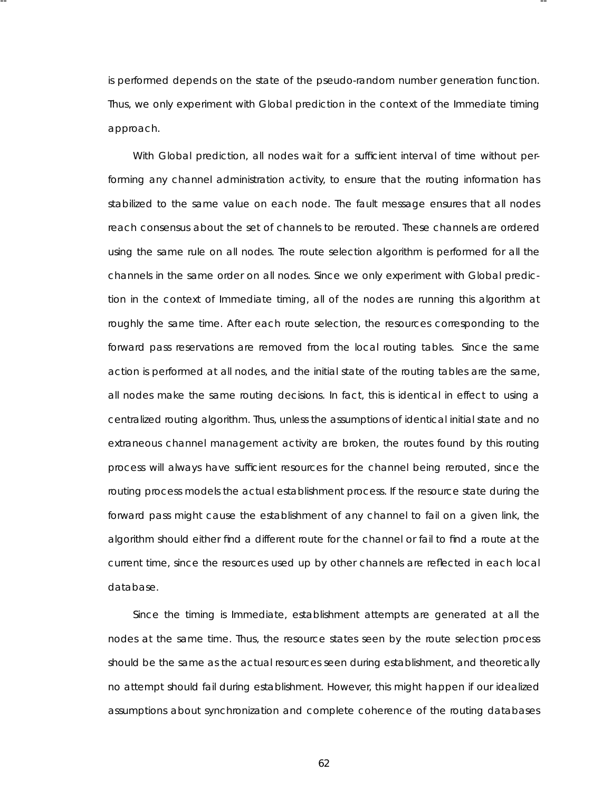is performed depends on the state of the pseudo-random number generation function. Thus, we only experiment with Global prediction in the context of the Immediate timing approach.

-- --

With Global prediction, all nodes wait for a sufficient interval of time without performing any channel administration activity, to ensure that the routing information has stabilized to the same value on each node. The fault message ensures that all nodes reach consensus about the set of channels to be rerouted. These channels are ordered using the same rule on all nodes. The route selection algorithm is performed for all the *channels* in the same order on all nodes. Since we only experiment with Global prediction in the context of Immediate timing, all of the nodes are running this algorithm at roughly the same time. After each route selection, the resources corresponding to the forward pass reservations are removed from the local routing tables. Since the same action is performed at all nodes, and the initial state of the routing tables are the same, all nodes make the same routing decisions. In fact, this is identical in effect to using a centralized routing algorithm. Thus, unless the assumptions of identical initial state and no extraneous channel management activity are broken, the routes found by this routing process will always have sufficient resources for the channel being rerouted, since the routing process models the actual establishment process . If the resource state during the forward pass might cause the establishment of any channel to fail on a given link, the algorithm should either find a different route for the channel or fail to find a route at the current time, since the resources used up by other channels are reflected in each local database.

Since the timing is Immediate, establishment attempts are generated at all the nodes at the same time. Thus, the resource states seen by the route selection process should be the same as the actual resources seen during establishment, and theoretically no attempt should fail during establishment. However, this might happen if our idealized assumptions about synchronization and complete coherence of the routing databases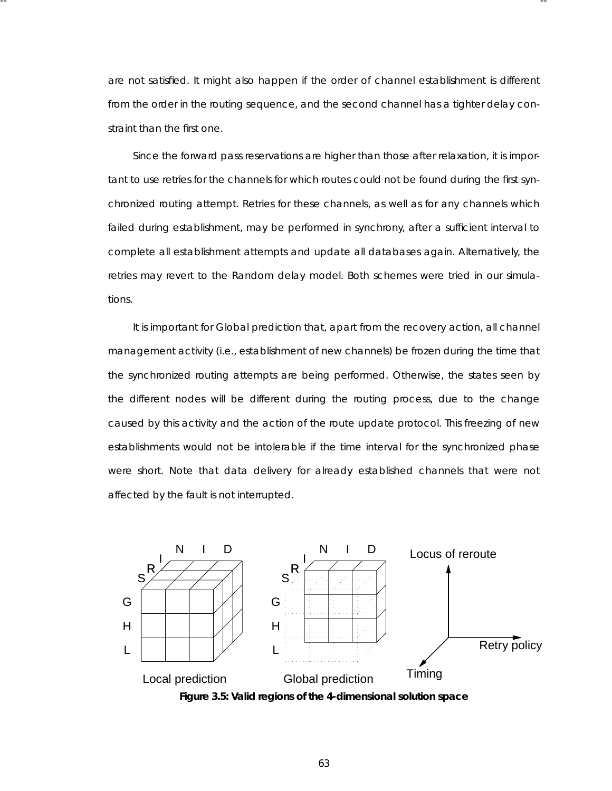are not satisfied. It might also happen if the order of channel establishment is different from the order in the routing sequence, and the second channel has a tighter delay constraint than the first one.

-- --

Since the forward pass reservations are higher than those after relaxation, it is important to use retries for the channels for which routes could not be found during the first synchronized routing attempt. Retries for these channels, as well as for any channels which failed during establishment, may be performed in synchrony, after a sufficient interval to complete all establishment attempts and update all databases again. Alternatively, the retries may revert to the Random delay model. Both schemes were tried in our simulations.

It is important for Global prediction that, apart from the recovery action, all channel management activity (i.e., establishment of new channels) be frozen during the time that the synchronized routing attempts are being performed. Otherwise, the states seen by the different nodes will be different during the routing process, due to the change caused by this activity and the action of the route update protocol. This freezing of new esta blishments would not be intolerable if the time interval for the synchronized phase were short. Note that data delivery for already established channels that were not affected by the fault is not interrupted.



Figure 3.5: Valid regions of the 4-dimensional solution space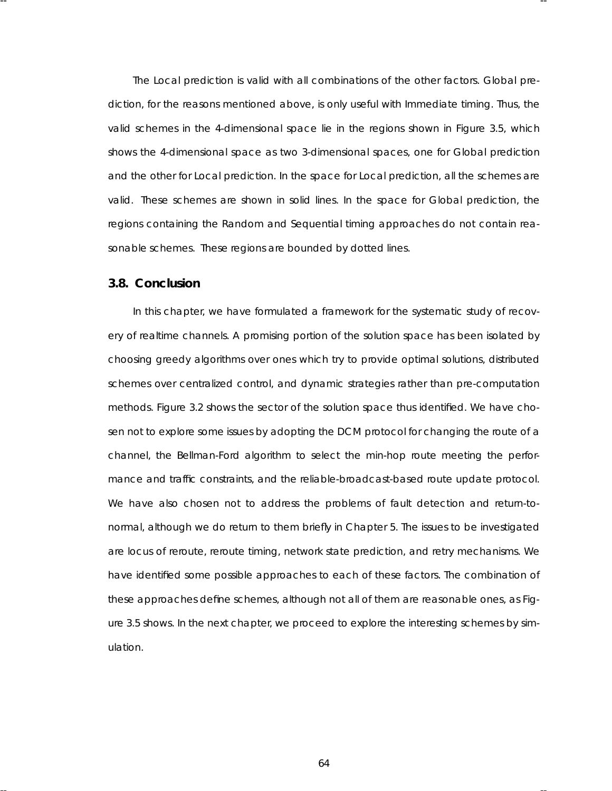The Local prediction is valid with all combinations of the other factors. Global prediction, for the reasons mentioned above, is only useful with Immediate timing. Thus, the valid schemes in the 4-dimensional space lie in the regions shown in Figure 3.5, which shows the 4-dimensional space as two 3-dimensional spaces, one for Global prediction and the other for Local prediction. In the space for Local prediction, all the schemes are valid. These schemes are shown in solid lines. In the space for Global prediction, the regions containing the Random and Sequential timing approaches do not contain reasonable schemes. These regions are bounded by dotted lines.

-- --

### **3.8. Conclusion**

In this chapter, we have formulated a framework for the systematic study of recovery of realtime channels. A promising portion of the solution space has been isolated by choosing greedy algorithms over ones which try to provide optimal solutions, distributed schemes over centralized control, and dynamic strategies rather than pre-computation methods . Figure 3.2 shows the sector of the solution space thus identified. We have chosen not to explore some issues by adopting the DCM protocol for changing the route of a channel, the Bellman-Ford algorithm to select the min-hop route meeting the performance and traffic constraints, and the reliable-broadcast-based route update protocol. We have also chosen not to address the problems of fault detection and return-tonormal, although we do return to them briefly in Chapter 5. The issues to be investigated are locus of reroute, reroute timing, network state prediction, and retry mechanisms. We have identified some possible approaches to each of these factors. The combination of these approaches define schemes, although not all of them are reasonable ones, as Figure 3.5 shows . In the next chapter, we proceed to explore the interesting schemes by simulation.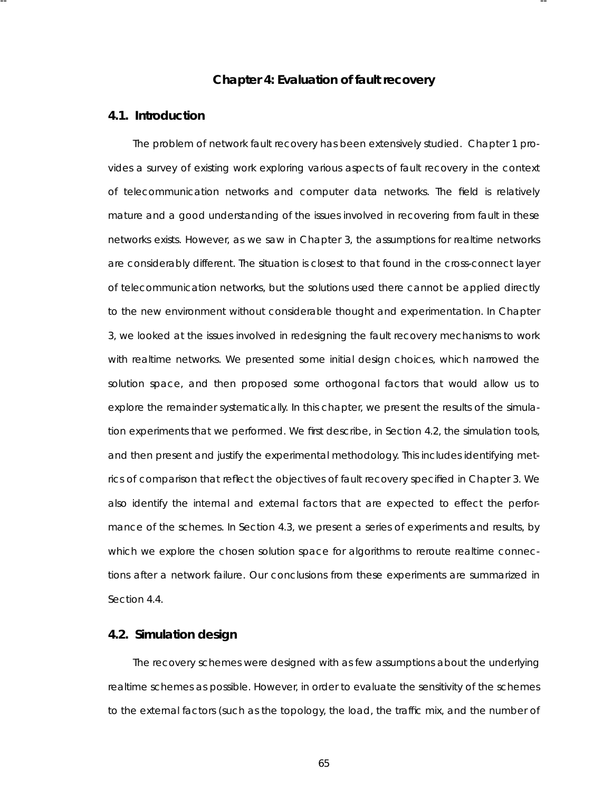### **Chapter 4: Evaluation of fault recovery**

-- --

### **4.1. Introduction**

The problem of network fault recovery has been extensively studied. Chapter 1 provides a survey of existing work exploring various aspects of fault recovery in the context of telecommunication networks and computer data networks. The field is relatively mature and a good understanding of the issues involved in recovering from fault in these networks exists. However, as we saw in Chapter 3, the assumptions for realtime networks are considerably different. The situation is closest to that found in the cross-connect layer of telecommunication networks, but the solutions used there cannot be applied directly to the new environment without considerable thought and experimentation. In Chapter 3, we looked at the issues involved in redesigning the fault recovery mechanisms to work with realtime networks. We presented some initial design choices, which narrowed the solution space, and then proposed some orthogonal factors that would allow us to explore the remainder systematically. In this chapter, we present the results of the simulation experiments that we performed. We first describe, in Section 4.2, the simulation tools, and then present and justify the experimental methodology. This includes identifying metrics of comparison that reflect the objectives of fault recovery specified in Chapter 3. We also identify the internal and external factors that are expected to effect the performance of the schemes. In Section 4.3, we present a series of experiments and results, by which we explore the chosen solution space for algorithms to reroute realtime connections after a network failure. Our conclusions from these experiments are summarized in Section 4.4.

#### **4.2. Simula tion design**

The recovery schemes were designed with as few assumptions about the underlying realtime schemes as possible. However, in order to evaluate the sensitivity of the schemes to the external factors (such as the topology, the load, the traffic mix, and the number of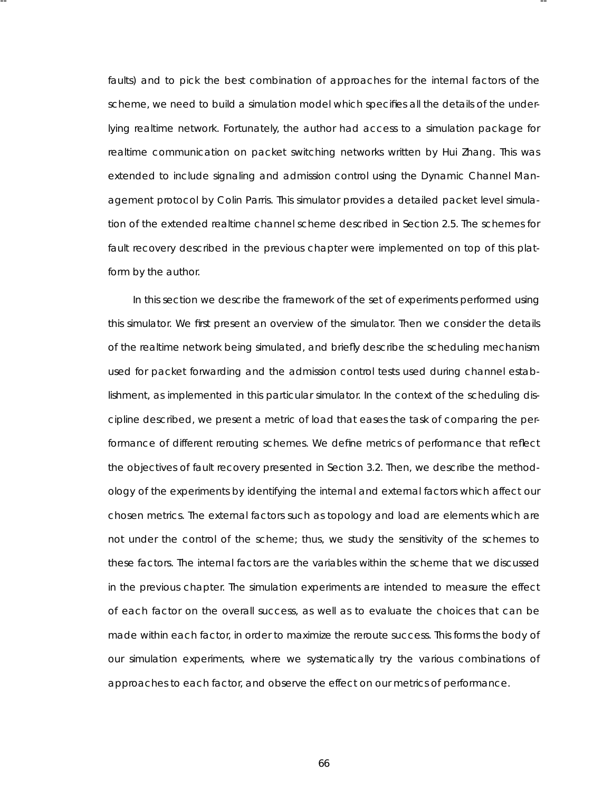faults) and to pick the best combination of approaches for the internal factors of the scheme, we need to build a simulation model which specifies all the details of the underlying realtime network. Fortunately, the author had access to a simulation package for realtime communication on packet switching networks written by Hui Zhang. This was extended to include signaling and admission control using the Dynamic Channel Management protocol by Colin Parris. This simulator provides a detailed packet level simulation of the extended realtime channel scheme described in Section 2.5. The schemes for fault recovery described in the previous chapter were implemented on top of this platform by the author.

-- --

In this section we describe the framework of the set of experiments performed using this simulator. We first present an overview of the simulator. Then we consider the details of the realtime network being simulated, and briefly describe the scheduling mechanism used for packet forwarding and the admission control tests used during channel establishment, as implemented in this particular simulator. In the context of the scheduling discipline described, we present a metric of load that eases the task of comparing the performance of different rerouting schemes. We define metrics of performance that reflect the objectives of fault recovery presented in Section 3.2. Then, we describe the methodology of the experiments by identifying the internal and external factors which affect our chosen metrics. The external factors such as topology and load are elements which are not under the control of the scheme; thus, we study the sensitivity of the schemes to these factors. The internal factors are the variables within the scheme that we discussed in the previous chapter. The simulation experiments are intended to measure the effect of each factor on the overall success, as well as to evaluate the choices that can be made within each factor, in order to maximize the reroute success. This forms the body of our simulation experiments, where we systematically try the various combinations of approaches to each factor, and observe the effect on our metrics of performance.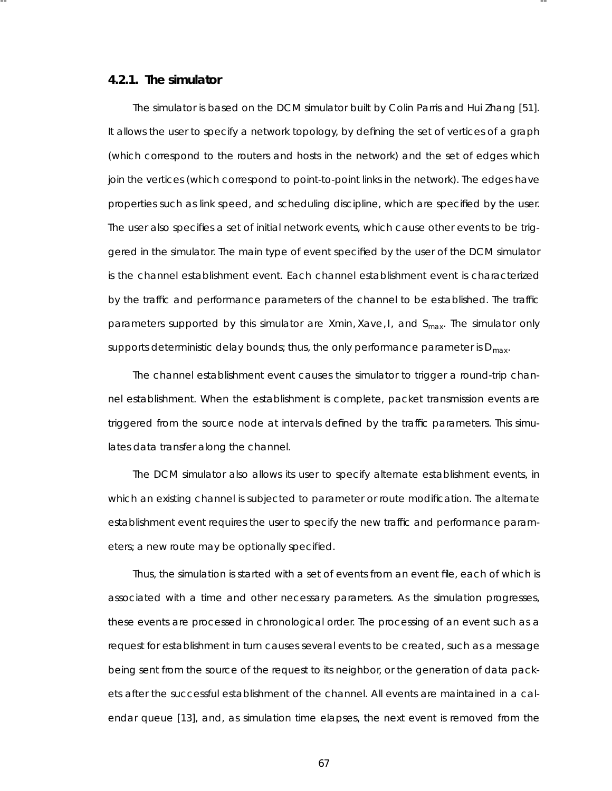### **4.2.1. The simula tor**

The simulator is based on the DCM simulator built by Colin Parris and Hui Zhang [51]. It allows the user to specify a network topology, by defining the set of vertices of a graph (which correspond to the routers and hosts in the network) and the set of edges which join the vertices (which correspond to point-to-point links in the network). The edges have properties such as link speed, and scheduling discipline, which are specified by the user. The user also specifies a set of initial network events, which cause other events to be triggered in the simulator. The main type of event specified by the user of the DCM simulator is the channel establishment event. Each channel establishment event is characterized by the traffic and performance parameters of the channel to be established. The traffic parameters supported by this simulator are *Xmin, Xave, I,* and  $S_{max}$ . The simulator only supports deterministic delay bounds; thus, the only performance parameter is  $D_{max}$ .

-- --

The channel establishment event causes the simulator to trigger a round-trip channel establishment. When the establishment is complete, packet transmission events are triggered from the source node at intervals defined by the traffic parameters. This simulates data transfer along the channel.

The DCM simulator also allows its user to specify alternate establishment events , in which an existing channel is subjected to parameter or route modification. The alternate esta blishment event requires the user to specify the new traffic and performance parameters; a new route may be optionally specified.

Thus, the simulation is started with a set of events from an event file, each of which is associated with a time and other necessary parameters. As the simulation progresses, these events are processed in chronological order. The processing of an event such as a request for establishment in turn causes several events to be created, such as a message being sent from the source of the request to its neighbor, or the generation of data packets after the successful establishment of the channel. All events are maintained in a calendar queue [13], and, as simulation time elapses , the next event is removed from the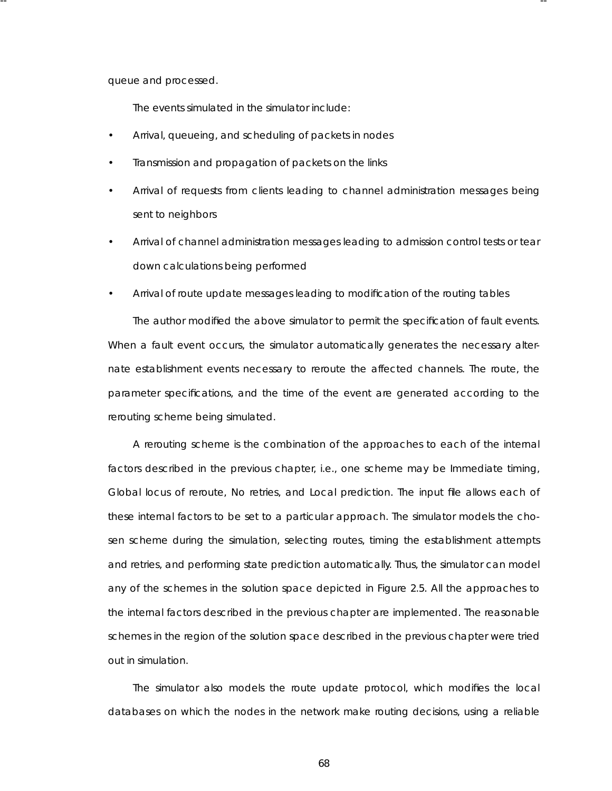queue and processed.

The events simulated in the simulator include:

Arrival, queueing, and scheduling of packets in nodes

-- --

- Transmission and propagation of packets on the links
- Arrival of requests from clients leading to channel administration messages being sent to neighbors
- Arrival of channel administration messages leading to admission control tests or tear down calculations being performed
- Arrival of route update messages leading to modification of the routing tables

The author modified the above simulator to permit the specification of fault events . When a fault event occurs, the simulator automatically generates the necessary alternate establishment events necessary to reroute the affected channels. The route, the parameter specifications, and the time of the event are generated according to the rerouting scheme being simulated.

A rerouting scheme is the combination of the approaches to each of the internal factors described in the previous chapter, i.e., one scheme may be Immediate timing, Global locus of reroute, No retries, and Local prediction. The input file allows each of these internal factors to be set to a particular approach. The simulator models the chosen scheme during the simulation, selecting routes , timing the establishment attempts and retries, and performing state prediction automatically. Thus, the simulator can model any of the schemes in the solution space depicted in Figure 2.5. All the approaches to the internal factors described in the previous chapter are implemented. The reasonable schemes in the region of the solution space described in the previous chapter were tried out in simulation.

The simulator also models the route update protocol, which modifies the local databases on which the nodes in the network make routing decisions, using a reliable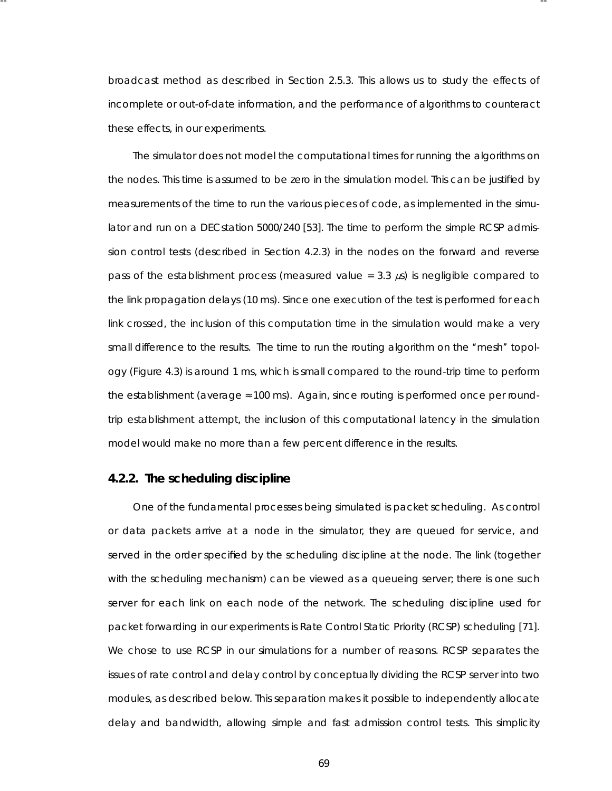broadcast method as described in Section 2.5.3. This allows us to study the effects of incomplete or out-of-date information, and the performance of algorithms to counteract these effects, in our experiments.

-- --

The simulator does *not* model the computational times for running the algorithms on the nodes. This time is assumed to be zero in the simulation model. This can be justified by measurements of the time to run the various pieces of code, as implemented in the simulator and run on a DECstation 5000/240 [53]. The time to perform the simple RCSP admission control tests (described in Section 4.2.3) in the nodes on the forward and reverse pass of the establishment process (measured value =  $3.3 \mu s$ ) is negligible compared to the link propagation delays (10 ms). Since one execution of the test is performed for each link crossed, the inclusion of this computation time in the simulation would make a very small difference to the results. The time to run the routing algorithm on the "mesh" topology (Figure 4.3) is around 1 ms, which is small compared to the round-trip time to perform the establishment (average  $\approx 100$  ms). Again, since routing is performed once per roundtrip establishment attempt, the inclusion of this computational latency in the simulation model would make no more than a few percent difference in the results.

### **4.2.2. The scheduling discipline**

One of the fundamental processes being simulated is packet scheduling. As control or data packets arrive at a node in the simulator, they are queued for service, and served in the order specified by the scheduling discipline at the node. The link (together with the scheduling mechanism) can be viewed as a queueing server; there is one such server for each link on each node of the network. The scheduling discipline used for packet forwarding in our experiments is Rate Control Static Priority (RCSP) scheduling [71]. We chose to use RCSP in our simulations for a number of reasons . RCSP separates the issues of rate control and delay control by conceptually dividing the RCSP server into two modules, as described below. This separation makes it possible to independently allocate delay and bandwidth, allowing simple and fast admission control tests. This simplicity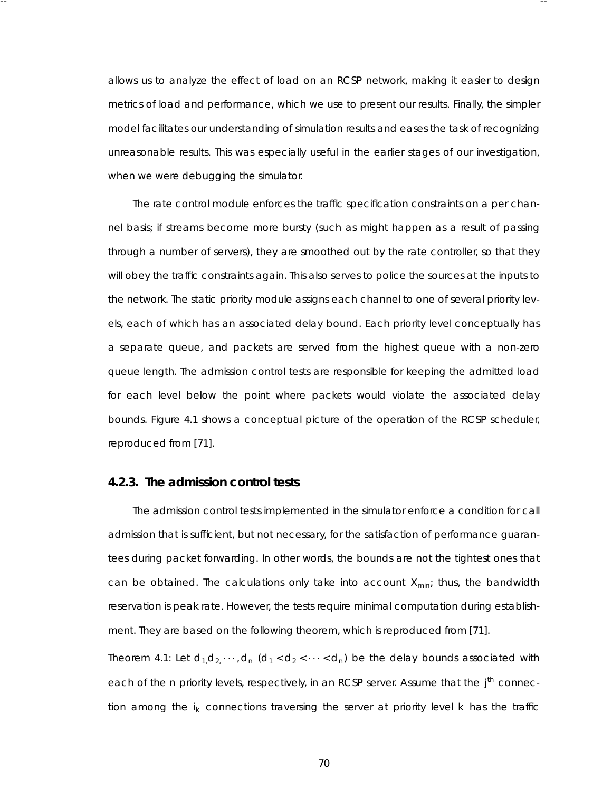allows us to analyze the effect of load on an RCSP network, making it easier to design metrics of load and performance, which we use to present our results. Finally, the simpler model facilitates our understanding of simulation results and eases the task of recognizing unreasona ble results . This was especially useful in the earlier stages of our investigation, when we were debugging the simulator.

-- --

The rate control module enforces the traffic specification constraints on a per channel basis; if streams become more bursty (such as might happen as a result of passing through a number of servers), they are smoothed out by the rate controller, so that they will obey the traffic constraints again. This also serves to police the sources at the inputs to the network. The static priority module assigns each channel to one of several priority levels, each of which has an associated delay bound. Each priority level conceptually has a separate queue, and packets are served from the highest queue with a non-zero queue length. The admission control tests are responsible for keeping the admitted load for each level below the point where packets would violate the associated delay bounds . Figure 4.1 shows a conceptual picture of the operation of the RCSP scheduler, reproduced from [71].

### **4.2.3. The admission control tests**

The admission control tests implemented in the simulator enforce a condition for call admission that is sufficient, but not necessary, for the satisfaction of performance guarantees during packet forwarding. In other words , the bounds are not the tightest ones that can be obtained. The calculations only take into account  $X_{min}$ ; thus, the bandwidth reser vation is peak rate. However, the tests require minimal computation during establishment. They are based on the following theorem, which is reproduced from [71].

*Theorem 4.1: Let*  $d_1, d_2, \cdots, d_n$  $(d_1 < d_2 < \cdots < d_n)$  *be the delay bounds associated with* each of the n priority levels, respectively, in an RCSP server. Assume that the j<sup>th</sup> connec*tion among the i<sub>k</sub> connections traversing the server at priority level k has the traffic*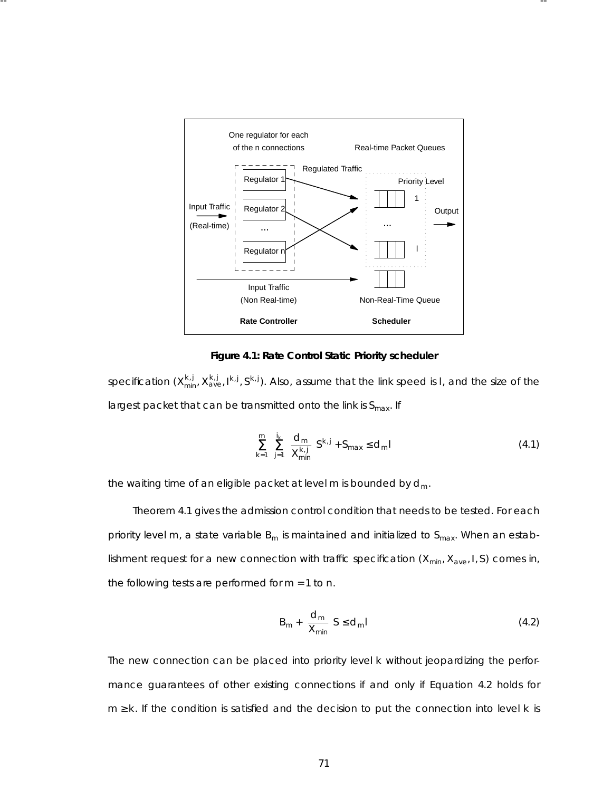

-- --

#### **Figure 4.1: Rate Control Static Prior ity scheduler**

 $s$ pecification (X $_{\sf min}^{k,j}$  X $_{\sf ave}^{k,j}$ , I $^{k,j}$ , S $^{k,j}$ ). Also, assume that the link speed is I, and the size of the largest packet that can be transmitted onto the link is S<sub>max</sub>. If

$$
\sum_{k=1}^{m} \sum_{j=1}^{i_k} \left[ \frac{d_m}{X_{\text{min}}^{k,j}} \right] S^{k,j} + S_{\text{max}} \le d_m l \tag{4.1}
$$

*the waiting time of an eligible packet at level m is bounded by dm.*

Theorem 4.1 gives the admission control condition that needs to be tested. For each priority level  $m$ , a state variable  $B_m$  is maintained and initialized to  $S_{max}$ . When an establishment request for a new connection with traffic specification ( $X_{min}$ ,  $X_{ave}$ , *I*, *S*) comes in, the following tests are performed for  $m = 1$  to  $n$ .

$$
B_m + \left[\frac{d_m}{X_{min}}\right] S \le d_m
$$
\n(4.2)

The new connection can be placed into priority level  $k$  without jeopardizing the performance guarantees of other existing connections if and only if Equation 4.2 holds for *m* ≥ *k* . If the condition is satisfied and the decision to put the connection into level *k* is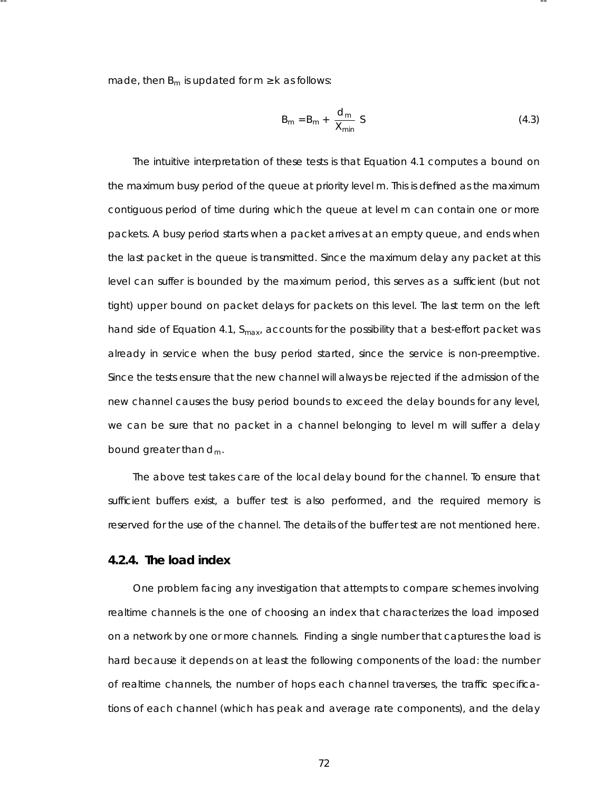made, then  $B_m$  is updated for  $m \geq k$  as follows:

-- --

$$
B_m = B_m + \left[\frac{d_m}{X_{min}}\right]S
$$
 (4.3)

The intuitive interpretation of these tests is that Equation 4.1 computes a bound on the maximum busy period of the queue at priority level *m*. This is defined as the maximum contiguous period of time during which the queue at level *m* can contain one or more packets. A busy period starts when a packet arrives at an empty queue, and ends when the last packet in the queue is transmitted. Since the maximum delay any packet at this level can suffer is bounded by the maximum period, this serves as a sufficient (but not tight) upper bound on packet delays for packets on this level. The last term on the left hand side of Equation 4.1, *Smax*, accounts for the possibility that a best-effort packet was already in service when the busy period started, since the service is non-preemptive. Since the tests ensure that the new channel will always be rejected if the admission of the new channel causes the busy period bounds to exceed the delay bounds for any level, we can be sure that no packet in a channel belonging to level *m* will suffer a delay bound greater than *dm*.

The above test takes care of the local delay bound for the channel. To ensure that sufficient buffers exist, a buffer test is also performed, and the required memory is reser ved for the use of the channel. The details of the buffer test are not mentioned here.

# **4.2.4. The load index**

One problem facing any investigation that attempts to compare schemes involving realtime channels is the one of choosing an index that characterizes the load imposed on a network by one or more channels. Finding a single number that captures the load is hard because it depends on at least the following components of the load: the number of realtime channels, the number of hops each channel traverses, the traffic specifications of each channel (which has peak and average rate components), and the delay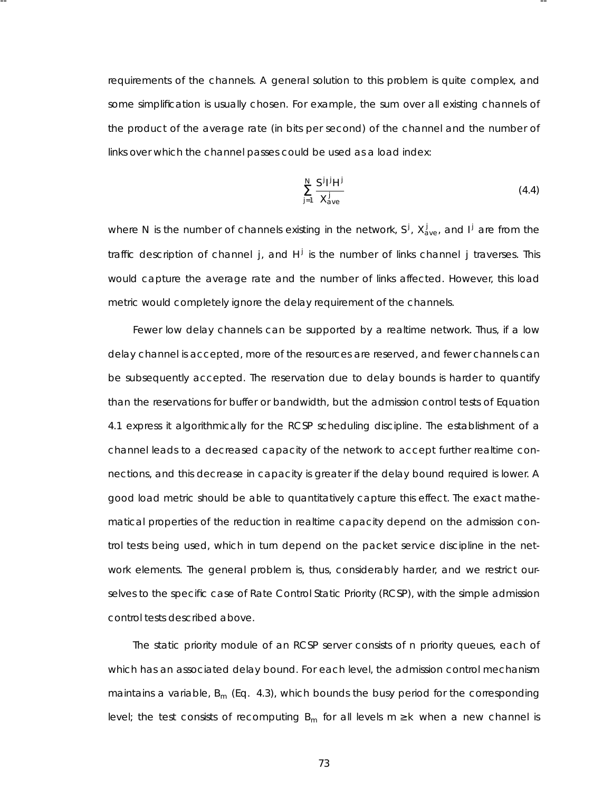requirements of the channels. A general solution to this problem is quite complex, and some simplification is usually chosen. For example, the sum over all existing channels of the product of the average rate (in bits per second) of the channel and the number of links over which the channel passes could be used as a load index:

-- --

$$
\sum_{j=1}^{N} \frac{S^j l^j H^j}{X_{\text{ave}}^j} \tag{4.4}
$$

where *N* is the number of channels existing in the network,  $S^j$ ,  $X^j_{ave}$ , and  $I^j$  are from the traffic description of channel *j*, and  $H^j$  is the number of links channel *j* traverses. This would capture the average rate and the number of links affected. However, this load metric would completely ignore the delay requirement of the channels.

Fewer low delay channels can be supported by a realtime network. Thus, if a low delay channel is accepted, more of the resources are reserved, and fewer channels can be subsequently accepted. The reservation due to delay bounds is harder to quantify than the reservations for buffer or bandwidth, but the admission control tests of Equation 4.1 express it algorithmically for the RCSP scheduling discipline. The establishment of a channel leads to a decreased capacity of the network to accept further realtime connections, and this decrease in capacity is greater if the delay bound required is lower. A good load metric should be able to quantitatively capture this effect. The exact mathematical properties of the reduction in realtime capacity depend on the admission control tests being used, which in turn depend on the packet service discipline in the network elements. The general problem is, thus, considerably harder, and we restrict ourselves to the specific case of Rate Control Static Priority (RCSP), with the simple admission control tests described above.

The static priority module of an RCSP server consists of *n* priority queues, each of which has an associated delay bound. For each level, the admission control mechanism maintains a variable,  $B_m$  (Eq. 4.3), which bounds the busy period for the corresponding level; the test consists of recomputing  $B_m$  for all levels  $m \ge k$  when a new channel is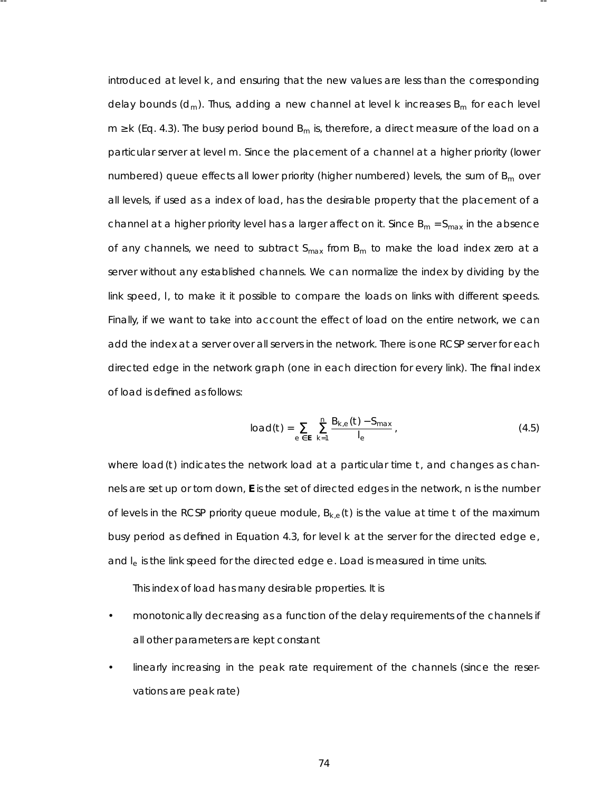introduced at level *k* , and ensuring that the new values are less than the corresponding delay bounds (*dm*). Thus, adding a new channel at level *k* increases *Bm* for each level  $m \ge k$  (Eq. 4.3). The busy period bound  $B_m$  is, therefore, a direct measure of the load on a particular server at level *m*. Since the placement of a channel at a higher priority (lower numbered) queue effects all lower priority (higher numbered) levels, the sum of  $B<sub>m</sub>$  over all levels, if used as a index of load, has the desirable property that the placement of a channel at a higher priority level has a larger affect on it. Since  $B_m = S_{max}$  in the absence of any channels, we need to subtract S<sub>max</sub> from B<sub>m</sub> to make the load index zero at a server without any established channels. We can normalize the index by dividing by the link speed, *l*, to make it it possible to compare the loads on links with different speeds. Finally, if we want to take into account the effect of load on the entire network, we can add the index at a server over all servers in the network. There is one RCSP server for each directed edge in the network graph (one in each direction for every link). The final index of load is defined as follows:

-- --

$$
load(t) = \sum_{e \in E} \sum_{k=1}^{n} \frac{B_{k,e}(t) - S_{max}}{I_e} \tag{4.5}
$$

where  $load(t)$  indicates the network load at a particular time  $t<sub>i</sub>$  and changes as channels are set up or torn down, **E** is the set of directed edges in the network, *n* is the number of levels in the RCSP priority queue module,  $B_{k,e}(t)$  is the value at time *t* of the maximum busy period as defined in Equation 4.3, for level *k* at the server for the directed edge *e*, and *le* is the link speed for the directed edge *e*. Load is measured in time units.

This index of load has many desirable properties. It is

- monotonically decreasing as a function of the delay requirements of the channels if all other parameters are kept constant
- linearly increasing in the peak rate requirement of the channels (since the reservations are peak rate)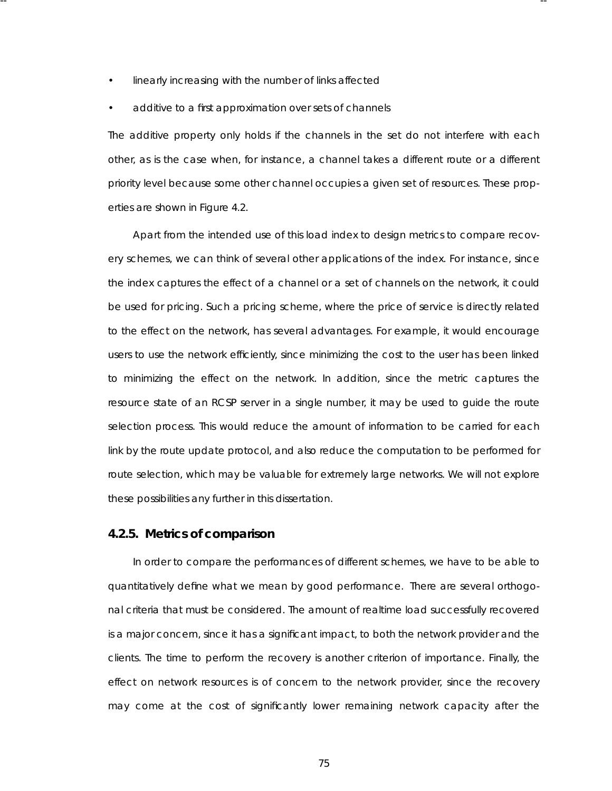linearly increasing with the number of links affected

-- --

• additive to a first approximation over sets of channels

The additive property only holds if the channels in the set do not interfere with each other, as is the case when, for instance, a channel takes a different route or a different priority level because some other channel occupies a given set of resources. These properties are shown in Figure 4.2.

Apart from the intended use of this load index to design metrics to compare recovery schemes, we can think of several other applications of the index. For instance, since the index captures the effect of a channel or a set of channels on the network, it could be used for pricing. Such a pricing scheme, where the price of service is directly related to the effect on the network, has several advantages. For example, it would encourage users to use the network efficiently, since minimizing the cost to the user has been linked to minimizing the effect on the network. In addition, since the metric captures the resource state of an RCSP server in a single number, it may be used to guide the route selection process. This would reduce the amount of information to be carried for each link by the route update protocol, and also reduce the computation to be performed for route selection, which may be valuable for extremely large networks. We will not explore these possibilities any further in this dissertation.

### **4.2.5. Metrics of comparison**

In order to compare the performances of different schemes, we have to be able to quantitatively define what we mean by good performance. There are several orthogonal criteria that must be considered. The amount of realtime load successfully recovered is a major concern, since it has a significant impact, to both the network provider and the clients. The time to perform the recovery is another criterion of importance. Finally, the effect on network resources is of concern to the network provider, since the recovery may come at the cost of significantly lower remaining network capacity after the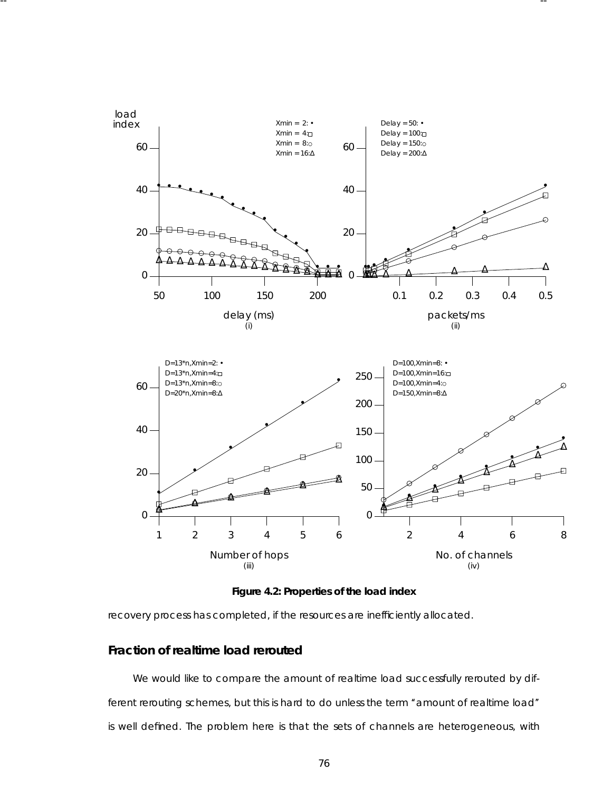

-- --

Figure 4.2: Properties of the load index

recovery process has completed, if the resources are inefficiently allocated.

# **Fraction of realtime load rerouted**

We would like to compare the amount of realtime load successfully rerouted by different rerouting schemes, but this is hard to do unless the term "amount of realtime load" is well defined. The problem here is that the sets of channels are heterogeneous, with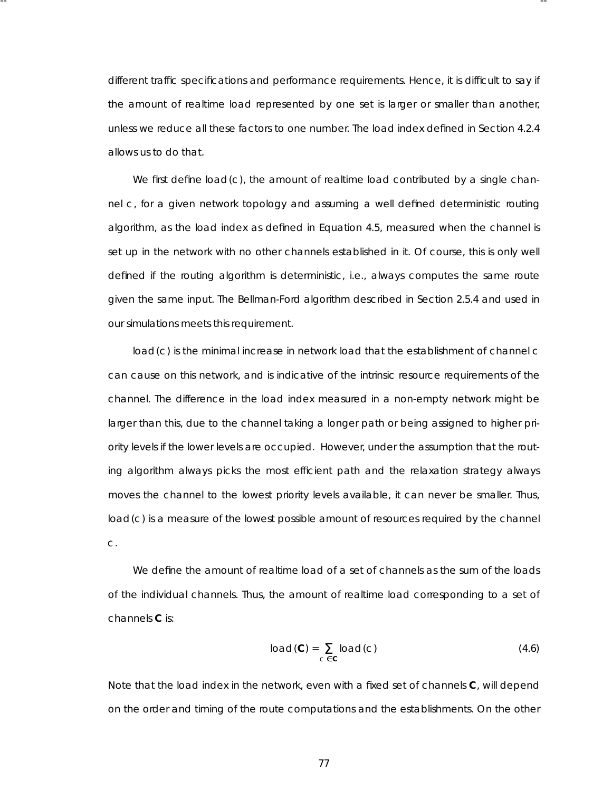different traffic specifications and performance requirements. Hence, it is difficult to say if the amount of realtime load represented by one set is larger or smaller than another, unless we reduce all these factors to one number. The load index defined in Section 4.2.4 allows us to do that.

-- --

We first define *load*(*c*), the amount of realtime load contributed by a single channel *c*, for a given network topology and assuming a well defined deterministic routing algorithm, as the load index as defined in Equation 4.5, measured when the channel is set up in the network with no other channels established in it. Of course, this is only well defined if the routing algorithm is deterministic, i.e., always computes the same route given the same input. The Bellman-Ford algorithm described in Section 2.5.4 and used in our simulations meets this requirement.

*load*(*c*) is the minimal increase in network load that the establishment of channel *c* can cause on this network, and is indicative of the intrinsic resource requirements of the channel. The difference in the load index measured in a non-empty network might be larger than this, due to the channel taking a longer path or being assigned to higher priority levels if the lower levels are occupied. However, under the assumption that the routing algorithm always picks the most efficient path and the relaxation strategy always moves the channel to the lowest priority levels available, it can never be smaller. Thus, *load*(*c*) is a measure of the lowest possible amount of resources required by the channel *c*.

We define the amount of realtime load of a set of channels as the sum of the loads of the individual channels. Thus, the amount of realtime load corresponding to a set of channels **C** is:

$$
load(C) = \sum_{c \in C} load(c)
$$
 (4.6)

Note that the load index in the network, even with a fixed set of channels **C**, will depend on the order and timing of the route computations and the establishments . On the other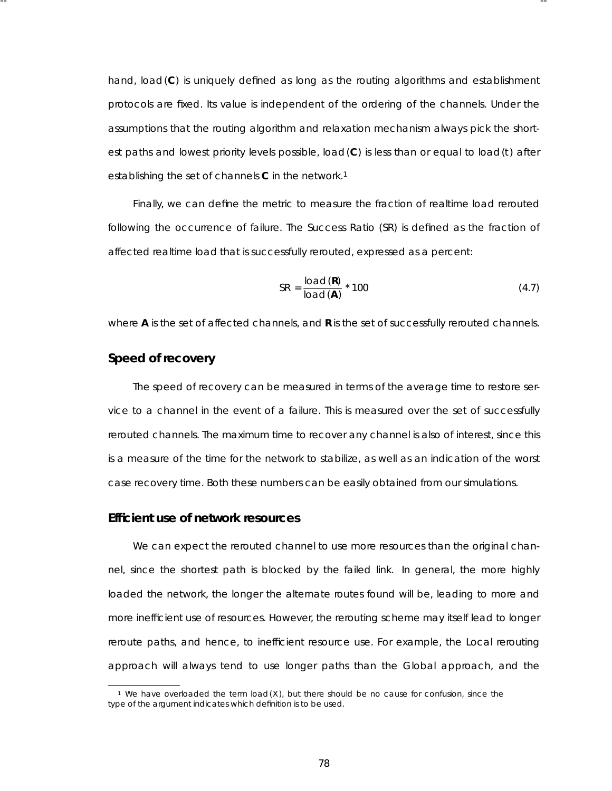hand, *load*(**C**) is uniquely defined as long as the routing algorithms and establishment protocols are fixed. Its value is independent of the ordering of the channels. Under the assumptions that the routing algorithm and relaxation mechanism always pick the shortest paths and lowest priority levels possible, *load*(C) is less than or equal to *load*(*t*) after establishing the set of channels **C** in the network.<sup>1</sup>

-- --

Finally, we can define the metric to measure the fraction of realtime load rerouted following the occurrence of failure. The Success Ratio (SR) is defined as the fraction of affected realtime load that is successfully rerouted, expressed as a percent:

$$
SR = \frac{load(R)}{load(A)} * 100
$$
 (4.7)

where **A** is the set of affected channels, and **R** is the set of successfully rerouted channels.

### **Speed of recovery**

The speed of recovery can be measured in terms of the average time to restore service to a channel in the event of a failure. This is measured over the set of successfully rerouted channels. The maximum time to recover any channel is also of interest, since this is a measure of the time for the network to stabilize, as well as an indication of the worst case recovery time. Both these numbers can be easily obtained from our simulations .

# **Efficient use of network resources**

We can expect the rerouted channel to use more resources than the original channel, since the shortest path is blocked by the failed link. In general, the more highly loaded the network, the longer the alternate routes found will be, leading to more and more inefficient use of resources . However, the rerouting scheme may itself lead to longer reroute paths, and hence, to inefficient resource use. For example, the Local rerouting approach will always tend to use longer paths than the Global approach, and the

<sup>1</sup> We have overloaded the term *load*(*X* ), but there should be no cause for confusion, since the type of the argument indicates which definition is to be used.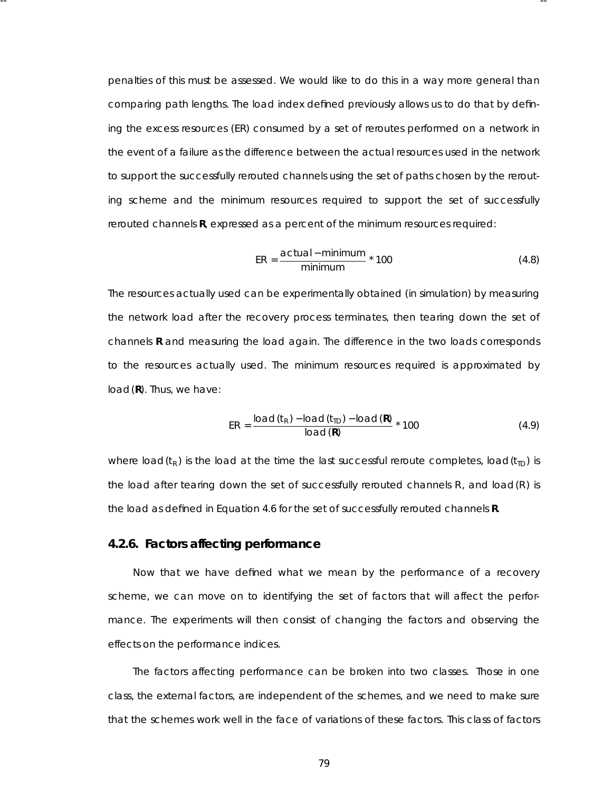penalties of this must be assessed. We would like to do this in a way more general than comparing path lengths. The load index defined previously allows us to do that by defining the excess resources (ER) consumed by a set of reroutes performed on a network in the event of a failure as the difference between the actual resources used in the network to support the successfully rerouted channels using the set of paths chosen by the rerouting scheme and the minimum resources required to support the set of successfully rerouted channels **R**, expressed as a percent of the minimum resources required:

-- --

$$
ER = \frac{actual - minimum}{minimum} \times 100
$$
 (4.8)

The resources actually used can be experimentally obtained (in simulation) by measuring the network load after the recovery process terminates, then tearing down the set of channels **R** and measuring the load again. The difference in the two loads corresponds to the resources actually used. The minimum resources required is approximated by *load*(**R**). Thus, we have:

$$
ER = \frac{load(t_R) - load(t_{ID}) - load(R)}{load(R)} \times 100
$$
\n(4.9)

where  $load(t_R)$  is the load at the time the last successful reroute completes,  $load(t_{ID})$  is the load after tearing down the set of successfully rerouted channels *R*, and *load*(*R*) is the load as defined in Equation 4.6 for the set of successfully rerouted channels **R**.

### **4.2.6. Factors affecting performance**

Now that we have defined what we mean by the performance of a recovery scheme, we can move on to identifying the set of factors that will affect the performance. The experiments will then consist of changing the factors and observing the effects on the performance indices.

The factors affecting performance can be broken into two classes. Those in one class, the external factors, are independent of the schemes, and we need to make sure that the schemes work well in the face of variations of these factors. This class of factors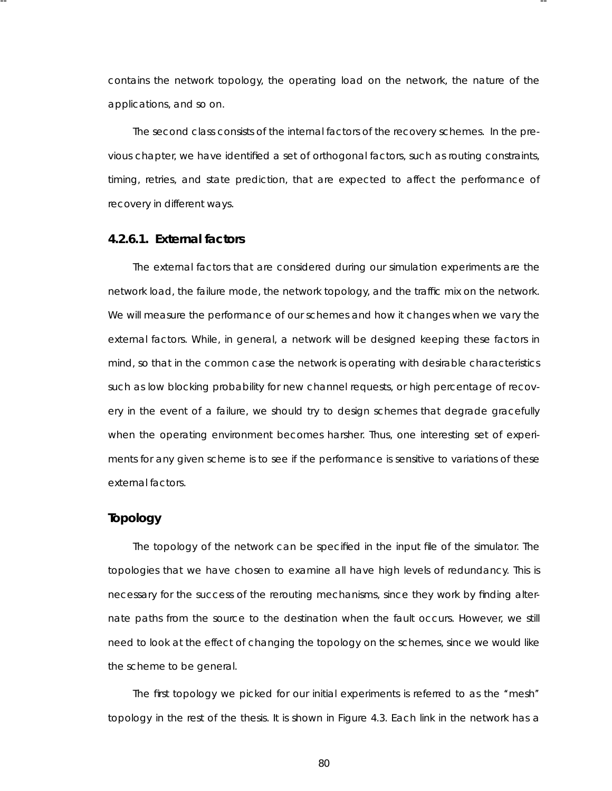contains the network topology, the operating load on the network, the nature of the applications, and so on.

-- --

The second class consists of the internal factors of the recovery schemes. In the previous chapter, we have identified a set of orthogonal factors, such as routing constraints, timing, retries, and state prediction, that are expected to affect the performance of recovery in different ways.

### **4.2.6.1. External factor s**

The external factors that are considered during our simulation experiments are the network load, the failure mode, the network topology, and the traffic mix on the network. We will measure the performance of our schemes and how it changes when we vary the external factors. While, in general, a network will be designed keeping these factors in mind, so that in the common case the network is operating with desirable characteristics such as low blocking probability for new channel requests, or high percentage of recovery in the event of a failure, we should try to design schemes that degrade gracefully when the operating environment becomes harsher. Thus, one interesting set of experiments for any given scheme is to see if the performance is sensitive to variations of these external factors.

### **Topology**

The topology of the network can be specified in the input file of the simulator. The topologies that we have chosen to examine all have high levels of redundancy. This is necessary for the success of the rerouting mechanisms, since they work by finding alternate paths from the source to the destination when the fault occurs. However, we still need to look at the effect of changing the topology on the schemes, since we would like the scheme to be general.

The first topology we picked for our initial experiments is referred to as the ''mesh'' topology in the rest of the thesis. It is shown in Figure 4.3. Each link in the network has a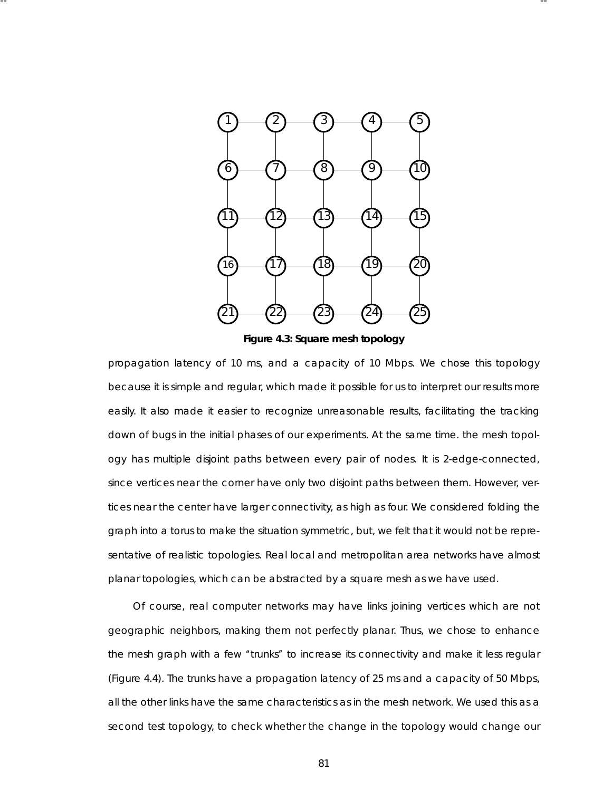

-- --

**Figure 4.3: Square mesh topology**

propagation latency of 10 ms, and a capacity of 10 Mbps. We chose this topology because it is simple and regular, which made it possible for us to interpret our results more easily. It also made it easier to recognize unreasonable results, facilitating the tracking down of bugs in the initial phases of our experiments . At the same time. the mesh topology has multiple disjoint paths between every pair of nodes. It is 2-edge-connected, since vertices near the corner have only two disjoint paths between them. However, vertices near the center have larger connectivity, as high as four. We considered folding the graph into a torus to make the situation symmetric, but, we felt that it would not be representative of realistic topologies. Real local and metropolitan area networks have almost planar topologies, which can be abstracted by a square mesh as we have used.

Of course, real computer networks may have links joining vertices which are not geographic neighbors, making them not perfectly planar. Thus, we chose to enhance the mesh graph with a few "trunks" to increase its connectivity and make it less regular (Figure 4.4). The trunks have a propagation latency of 25 ms and a capacity of 50 Mbps, all the other links have the same characteristics as in the mesh network. We used this as a second test topology, to check whether the change in the topology would change our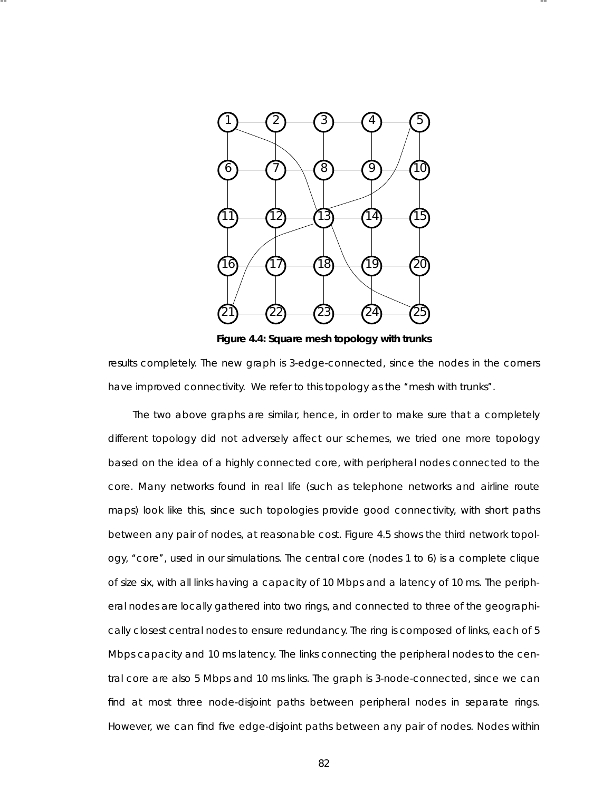

-- --

**Figure 4.4: Square mesh topology with trunks**

results completely. The new graph is 3-edge-connected, since the nodes in the corners have improved connectivity. We refer to this topology as the "mesh with trunks".

The two above graphs are similar, hence, in order to make sure that a completely different topology did not adversely affect our schemes, we tried one more topology based on the idea of a highly connected core, with peripheral nodes connected to the core. Many networks found in real life (such as telephone networks and airline route maps) look like this, since such topologies provide good connectivity, with short paths between any pair of nodes, at reasonable cost. Figure 4.5 shows the third network topology, ''core'', used in our simulations . The central core (nodes 1 to 6) is a complete clique of size six, with all links having a capacity of 10 Mbps and a latency of 10 ms. The peripheral nodes are locally gathered into two rings, and connected to three of the geographically closest central nodes to ensure redundancy. The ring is composed of links, each of 5 Mbps capacity and 10 ms latency. The links connecting the peripheral nodes to the central core are also 5 Mbps and 10 ms links. The graph is 3-node-connected, since we can find at most three node-disjoint paths between peripheral nodes in separate rings. However, we can find five *edge*-disjoint paths between any pair of nodes. Nodes within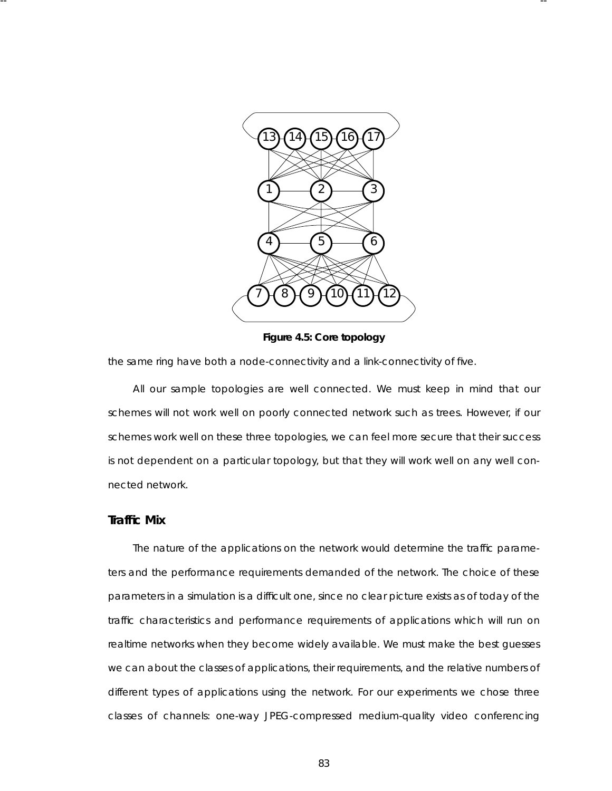

**Figure 4.5: Core topology**

the same ring have both a node-connectivity and a link-connectivity of five.

-- --

All our sample topologies are well connected. We must keep in mind that our schemes will not work well on poorly connected network such as trees. However, if our schemes work well on these three topologies, we can feel more secure that their success is not dependent on a particular topology, but that they will work well on any well connected network.

### **Traffic Mix**

The nature of the applications on the network would determine the traffic parameters and the performance requirements demanded of the network. The choice of these parameters in a simulation is a difficult one, since no clear picture exists as of today of the traffic characteristics and performance requirements of applications which will run on realtime networks when they become widely available. We must make the best guesses we can about the classes of applications, their requirements, and the relative numbers of different types of applications using the network. For our experiments we chose three classes of channels: one-way JPEG-compressed medium-quality video conferencing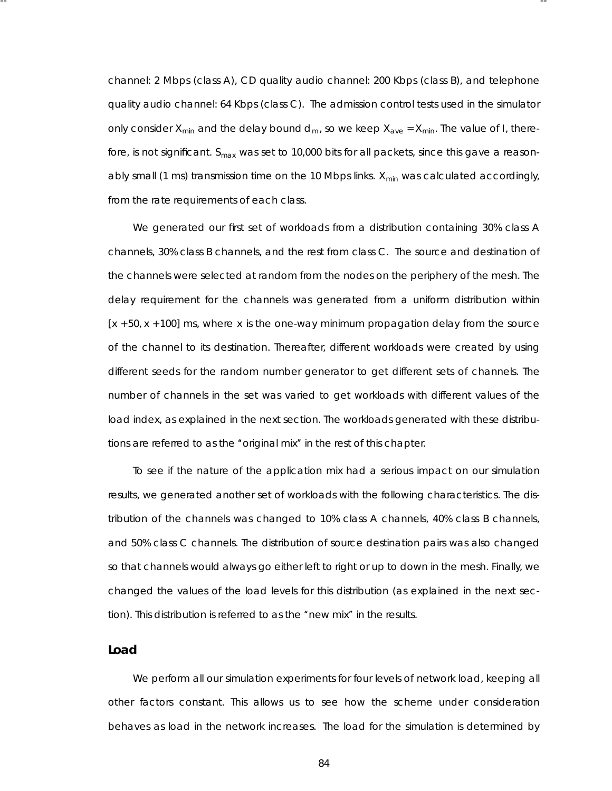channel: 2 Mbps (class A), CD quality audio channel: 200 Kbps (class B), and telephone quality audio channel: 64 Kbps (class C). The admission control tests used in the simulator only consider  $X_{min}$  and the delay bound  $d_m$ , so we keep  $X_{ave} = X_{min}$ . The value of *I*, therefore, is not significant. S<sub>max</sub> was set to 10,000 bits for all packets, since this gave a reasonably small (1 ms) transmission time on the 10 Mbps links. *X<sub>min</sub>* was calculated accordingly, from the rate requirements of each class.

-- --

We generated our first set of workloads from a distribution containing 30% class A channels , 30% class B channels, and the rest from class C. The source and destination of the channels were selected at random from the nodes on the periphery of the mesh. The delay requirement for the channels was generated from a uniform distribution within [*x* + 50, *x* + 100] ms, where *x* is the one-way minimum propagation delay from the source of the channel to its destination. Thereafter, different workloads were created by using different seeds for the random number generator to get different sets of channels. The number of channels in the set was varied to get workloads with different values of the load index, as explained in the next section. The workloads generated with these distributions are referred to as the "original mix" in the rest of this chapter.

To see if the nature of the application mix had a serious impact on our simulation results, we generated another set of workloads with the following characteristics. The distribution of the channels was changed to 10% class A channels, 40% class B channels, and 50% class C channels. The distribution of source destination pairs was also changed so that channels would always go either left to right or up to down in the mesh. Finally, we changed the values of the load levels for this distribution (as explained in the next section). This distribution is referred to as the "new mix" in the results.

### **Load**

We perform all our simulation experiments for four levels of network load, keeping all other factors constant. This allows us to see how the scheme under consideration behaves as load in the network increases. The load for the simulation is determined by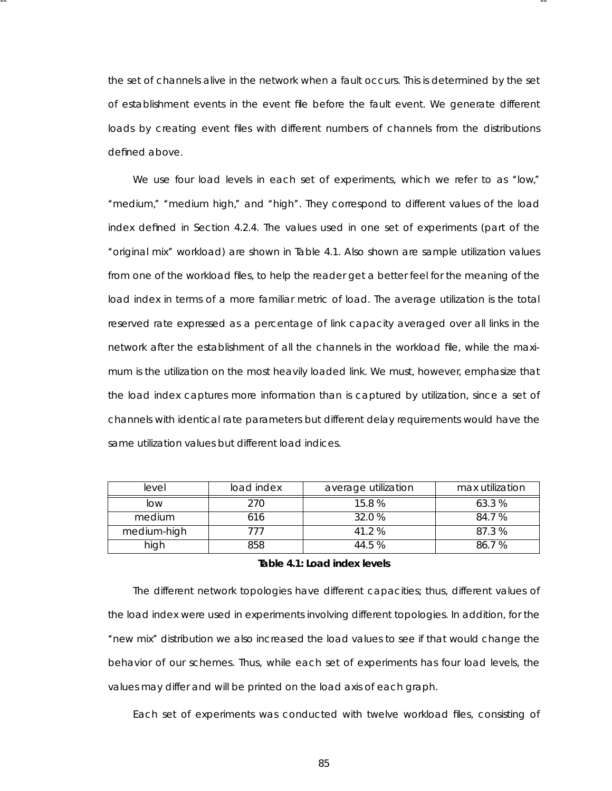the set of channels alive in the network when a fault occurs. This is determined by the set of establishment events in the event file before the fault event. We generate different loads by creating event files with different numbers of channels from the distributions defined above.

-- --

We use four load levels in each set of experiments, which we refer to as "low," ''medium,'' ''medium high,'' and ''high''. They correspond to different values of the load index defined in Section 4.2.4. The values used in one set of experiments (part of the ''or iginal mix'' wor kload) are shown in Table 4.1. Also shown are sample utilization values from one of the workload files, to help the reader get a better feel for the meaning of the load index in terms of a more familiar metric of load. The average utilization is the total reser ved rate expressed as a percentage of link capacity averaged over all links in the network after the establishment of all the channels in the workload file, while the maximum is the utilization on the most heavily loaded link. We must, however, emphasize that the load index captures more information than is captured by utilization, since a set of channels with identical rate parameters but different delay requirements would have the same utilization values but different load indices.

| level       | load index | average utilization | max utilization |
|-------------|------------|---------------------|-----------------|
| low         | 270        | 15.8 %              | 63.3 %          |
| medium      | 616        | 32.0 %              | 84.7 %          |
| medium-high | 777        | 41.2 %              | 87.3 %          |
| high        | 858        | 44.5 %              | 86.7 %          |

### **Ta ble 4.1: Load index levels**

The different network topologies have different capacities; thus, different values of the load index were used in experiments involving different topologies. In addition, for the "new mix" distribution we also increased the load values to see if that would change the behavior of our schemes. Thus, while each set of experiments has four load levels, the values may differ and will be printed on the load axis of each graph.

Each set of experiments was conducted with twelve workload files, consisting of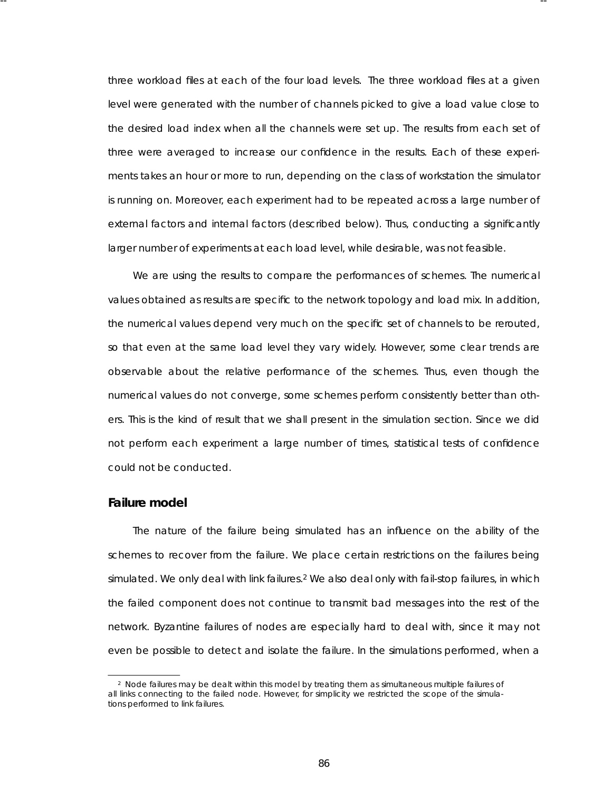three workload files at each of the four load levels. The three workload files at a given level were generated with the number of channels picked to give a load value close to the desired load index when all the channels were set up. The results from each set of three were averaged to increase our confidence in the results . Each of these experiments takes an hour or more to run, depending on the class of workstation the simulator is running on. Moreover, each experiment had to be repeated across a large number of external factors and internal factors (described below). Thus, conducting a significantly larger number of experiments at each load level, while desirable, was not feasible.

-- --

We are using the results to compare the performances of schemes. The numerical values obtained as results are specific to the network topology and load mix. In addition, the numerical values depend very much on the specific set of channels to be rerouted, so that even at the same load level they vary widely. However, some clear trends are observable about the *relative* performance of the schemes. Thus, even though the numerical values do not converge, some schemes perform consistently better than others. This is the kind of result that we shall present in the simulation section. Since we did not perform each experiment a large number of times, statistical tests of confidence could not be conducted.

### **Failure model**

The nature of the failure being simulated has an influence on the ability of the schemes to recover from the failure. We place certain restrictions on the failures being simulated. We only deal with link failures.<sup>2</sup> We also deal only with *fail-stop* failures, in which the failed component does not continue to transmit bad messages into the rest of the networ k. *Byzantine* failures of nodes are especially hard to deal with, since it may not even be possible to detect and isolate the failure. In the simulations performed, when a

<sup>&</sup>lt;sup>2</sup> Node failures may be dealt within this model by treating them as simultaneous multiple failures of all links connecting to the failed node. However, for simplicity we restricted the scope of the simulations performed to link failures.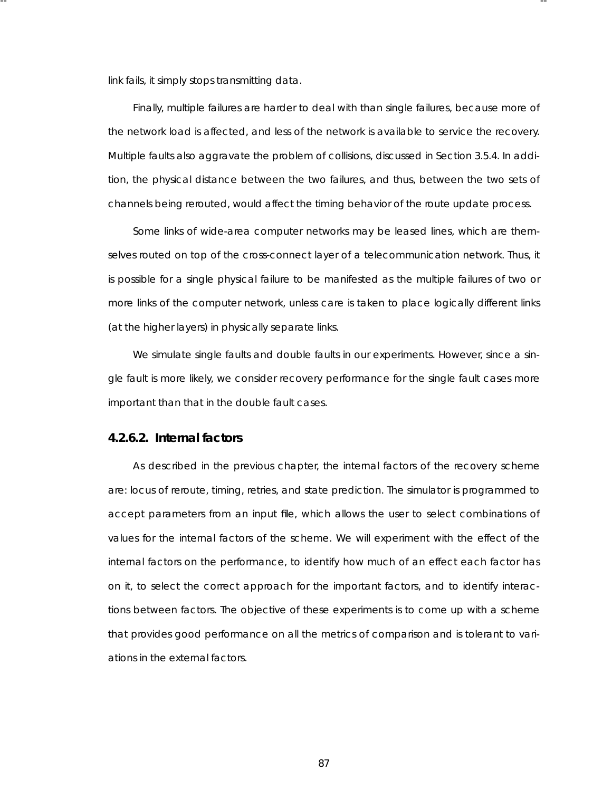link fails, it simply stops transmitting data.

Finally, multiple failures are harder to deal with than single failures, because more of the network load is affected, and less of the network is available to service the recovery. Multiple faults also aggravate the problem of collisions, discussed in Section 3.5.4. In addition, the physical distance between the two failures, and thus, between the two sets of channels being rerouted, would affect the timing behavior of the route update process .

-- --

Some links of wide-area computer networks may be leased lines, which are themselves routed on top of the cross-connect layer of a telecommunication network. Thus, it is possible for a single physical failure to be manifested as the multiple failures of two or more links of the computer network, unless care is taken to place logically different links (at the higher layers) in physically separate links.

We simulate single faults and double faults in our experiments. However, since a single fault is more likely, we consider recovery performance for the single fault cases more important than that in the double fault cases.

#### **4.2.6.2. Internal factor s**

As described in the previous chapter, the internal factors of the recovery scheme are: locus of reroute, timing, retries, and state prediction. The simulator is programmed to accept parameters from an input file, which allows the user to select combinations of values for the internal factors of the scheme. We will experiment with the effect of the internal factors on the performance, to identify how much of an effect each factor has on it, to select the correct approach for the important factors, and to identify interactions between factors. The objective of these experiments is to come up with a scheme that provides good performance on all the metrics of comparison and is tolerant to variations in the external factors.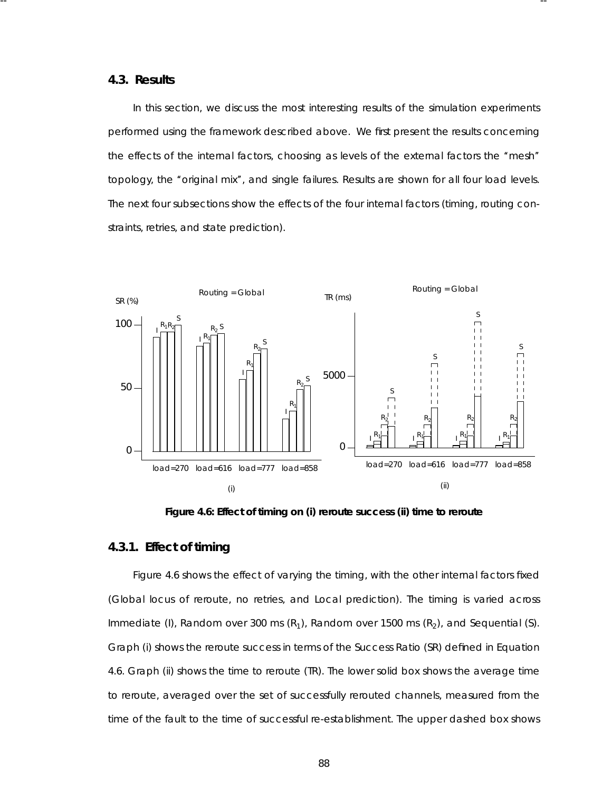#### **4.3. Results**

In this section, we discuss the most interesting results of the simulation experiments performed using the framework described above. We first present the results concerning the effects of the internal factors, choosing as levels of the external factors the "mesh" topology, the "original mix", and single failures. Results are shown for all four load levels. The next four subsections show the effects of the four internal factors (timing, routing constraints, retries, and state prediction).

-- --



**Figure 4.6: Effect of timing on (i) reroute success (ii) time to reroute**

# **4.3.1. Effect of timing**

Figure 4.6 shows the effect of varying the timing, with the other internal factors fixed (Global locus of reroute, no retries, and Local prediction). The timing is varied across Immediate (I), Random over 300 ms  $(R_1)$ , Random over 1500 ms  $(R_2)$ , and Sequential (S). Graph (i) shows the reroute success in terms of the Success Ratio (SR) defined in Equation 4.6. Graph (ii) shows the time to reroute (TR). The lower solid box shows the average time to reroute, averaged over the set of successfully rerouted channels, measured from the time of the fault to the time of successful re-esta blishment. The upper dashed box shows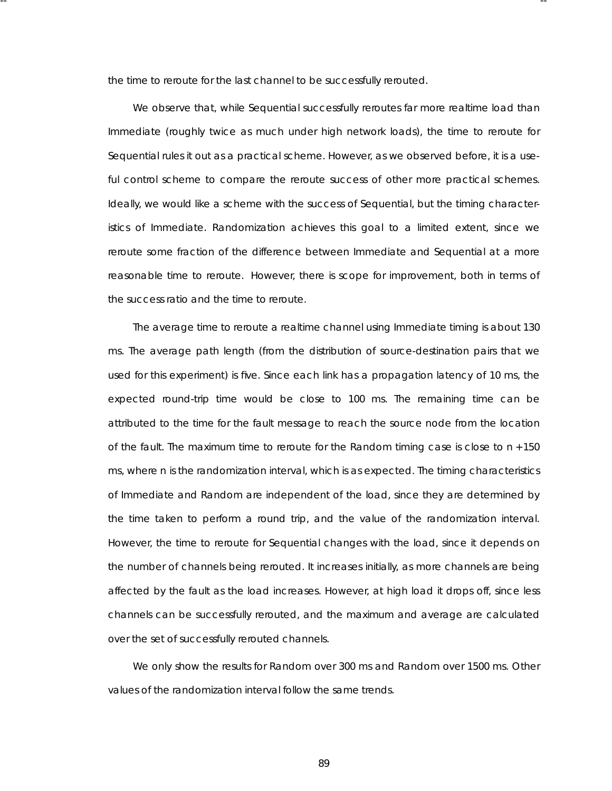the time to reroute for the last channel to be successfully rerouted.

-- --

We observe that, while Sequential successfully reroutes far more realtime load than Immediate (roughly twice as much under high network loads), the time to reroute for Sequential rules it out as a practical scheme. However, as we observed before, it is a useful control scheme to compare the reroute success of other more practical schemes. Ideally, we would like a scheme with the success of Sequential, but the timing characteristics of Immediate. Randomization achieves this goal to a limited extent, since we reroute some fraction of the difference between Immediate and Sequential at a more reasonable time to reroute. However, there is scope for improvement, both in terms of the success ratio and the time to reroute.

The average time to reroute a realtime channel using Immediate timing is about 130 ms . The average path length (from the distribution of source-destination pairs that we used for this experiment) is five. Since each link has a propagation latency of 10 ms, the expected round-trip time would be close to 100 ms. The remaining time can be attributed to the time for the fault message to reach the source node from the location of the fault. The maximum time to reroute for the Random timing case is close to *n* + 150 ms, where *n* is the randomization interval, which is as expected. The timing characteristics of Immediate and Random are independent of the load, since they are deter mined by the time taken to perform a round trip, and the value of the randomization interval. However, the time to reroute for Sequential changes with the load, since it depends on the number of channels being rerouted. It increases initially, as more channels are being affected by the fault as the load increases . However, at high load it drops off, since less channels can be successfully rerouted, and the maximum and average are calculated over the set of successfully rerouted channels.

We only show the results for Random over 300 ms and Random over 1500 ms. Other values of the randomization interval follow the same trends .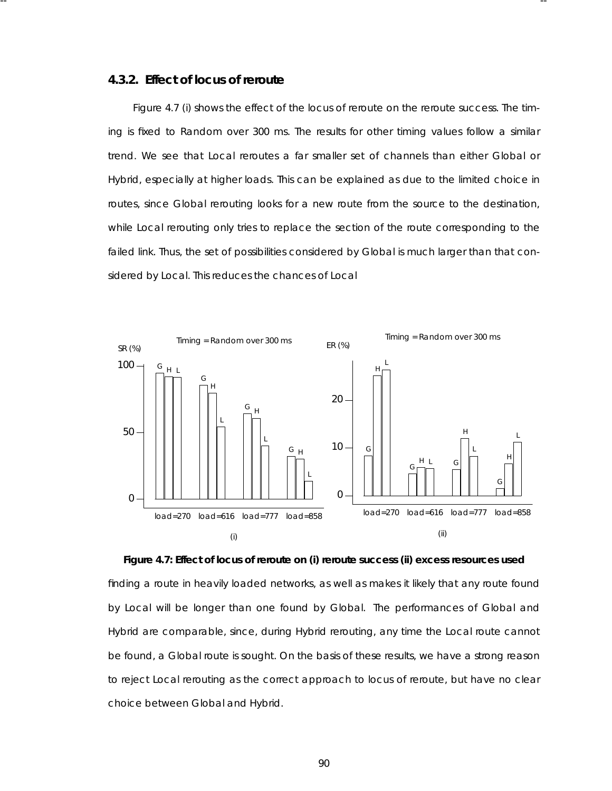### **4.3.2. Effect of locus of reroute**

Figure 4.7 (i) shows the effect of the locus of reroute on the reroute success. The timing is fixed to Random over 300 ms. The results for other timing values follow a similar trend. We see that Local reroutes a far smaller set of channels than either Global or Hybrid, especially at higher loads. This can be explained as due to the limited choice in routes, since Global rerouting looks for a new route from the source to the destination, while Local rerouting only tries to replace the section of the route corresponding to the failed link. Thus, the set of possibilities considered by Global is much larger than that considered by Local. This reduces the chances of Local

-- --



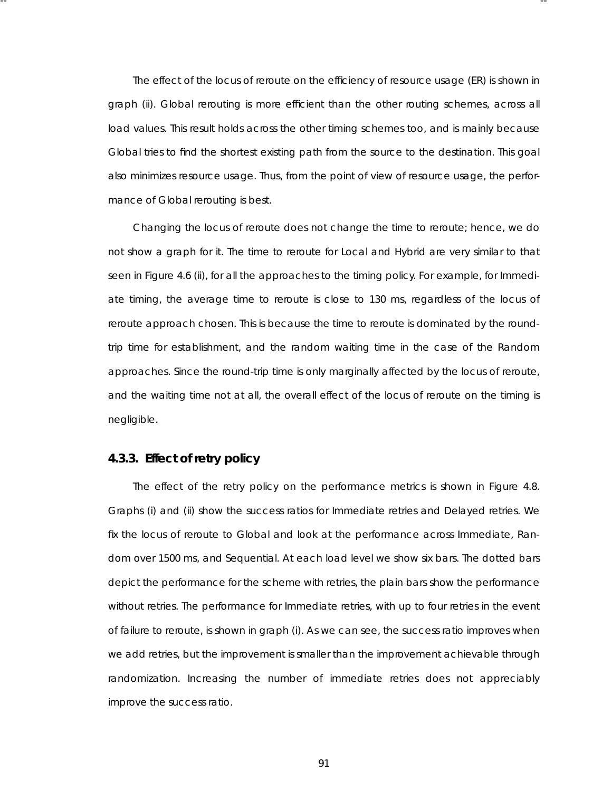The effect of the locus of reroute on the efficiency of resource usage (ER) is shown in graph (ii). Global rerouting is more efficient than the other routing schemes, across all load values. This result holds across the other timing schemes too, and is mainly because Global tries to find the shortest existing path from the source to the destination. This goal also minimizes resource usage. Thus, from the point of view of resource usage, the performance of Global rerouting is best.

-- --

Changing the locus of reroute does not change the time to reroute; hence, we do not show a graph for it. The time to reroute for Local and Hybrid are very similar to that seen in Figure 4.6 (ii), for all the approaches to the timing policy. For example, for Immediate timing, the average time to reroute is close to 130 ms, regardless of the locus of reroute approach chosen. This is because the time to reroute is dominated by the roundtrip time for establishment, and the random waiting time in the case of the Random approaches. Since the round-trip time is only marginally affected by the locus of reroute, and the waiting time not at all, the overall effect of the locus of reroute on the timing is negligible.

# **4.3.3. Effect of retry policy**

The effect of the retry policy on the performance metrics is shown in Figure 4.8. Graphs (i) and (ii) show the success ratios for Immediate retries and Delayed retries. We fix the locus of reroute to Global and look at the performance across Immediate, Random over 1500 ms, and Sequential. At each load level we show six bars. The dotted bars depict the performance for the scheme with retries, the plain bars show the performance without retries. The performance for Immediate retries, with up to four retries in the event of failure to reroute, is shown in graph (i). As we can see, the success ratio improves when we add retries, but the improvement is smaller than the improvement achievable through randomization. Increasing the number of immediate retries does not appreciably improve the success ratio.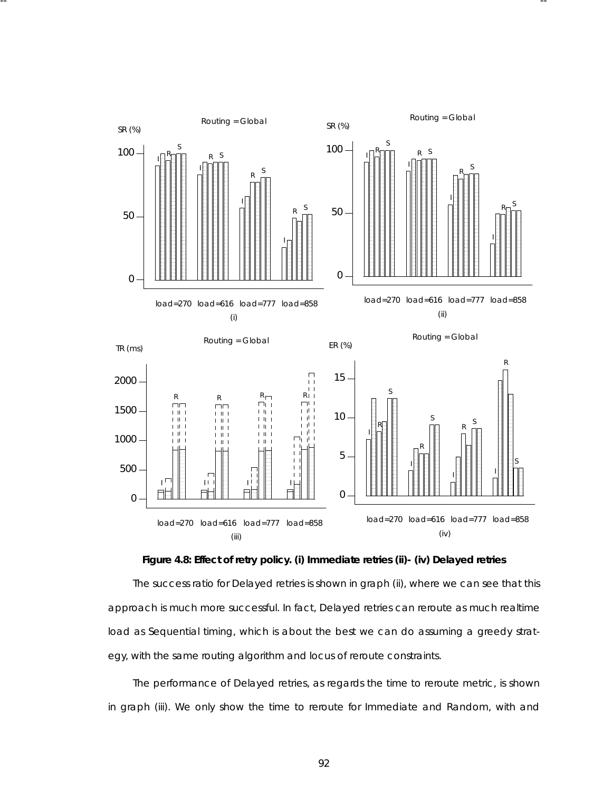

-- --



The success ratio for Delayed retries is shown in graph (ii), where we can see that this approach is much more successful. In fact, Delayed retries can reroute as much realtime load as Sequential timing, which is about the best we can do assuming a greedy strategy, with the same routing algorithm and locus of reroute constraints.

The performance of Delayed retries, as regards the time to reroute metric, is shown in graph (iii). We only show the time to reroute for Immediate and Random, with and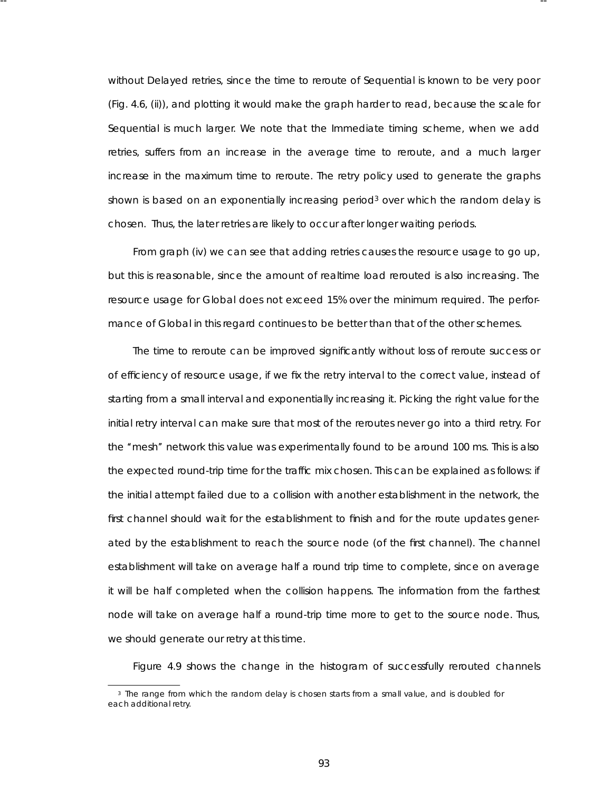without Delayed retries, since the time to reroute of Sequential is known to be very poor (Fig. 4.6, (ii)), and plotting it would make the graph harder to read, because the scale for Sequential is much larger. We note that the Immediate timing scheme, when we add retries, suffers from an increase in the average time to reroute, and a much larger increase in the maximum time to reroute. The retry policy used to generate the graphs shown is based on an exponentially increasing period<sup>3</sup> over which the random delay is chosen. Thus, the later retries are likely to occur after longer waiting periods.

-- --

From graph (iv) we can see that adding retries causes the resource usage to go up, but this is reasona ble, since the amount of realtime load rerouted is also increasing. The resource usage for Global does not exceed 15% over the minimum required. The performance of Global in this regard continues to be better than that of the other schemes.

The time to reroute can be improved significantly without loss of reroute success or of efficiency of resource usage, if we fix the retry interval to the *correct* value, instead of starting from a small interval and exponentially increasing it. Picking the right value for the initial retry interval can make sure that most of the reroutes never go into a third retry. For the "mesh" network this value was experimentally found to be around 100 ms. This is also the expected round-trip time for the traffic mix chosen. This can be explained as follows: if the initial attempt failed due to a collision with another establishment in the network, the first channel should wait for the establishment to finish and for the route updates generated by the establishment to reach the source node (of the first channel). The channel esta blishment will take on average half a round trip time to complete, since on average it will be half completed when the collision happens. The information from the farthest node will take on average half a round-trip time more to get to the source node. Thus, we should generate our retry at this time.

Figure 4.9 shows the change in the histogram of successfully rerouted channels

<sup>&</sup>lt;sup>3</sup> The range from which the random delay is chosen starts from a small value, and is doubled for each additional retry.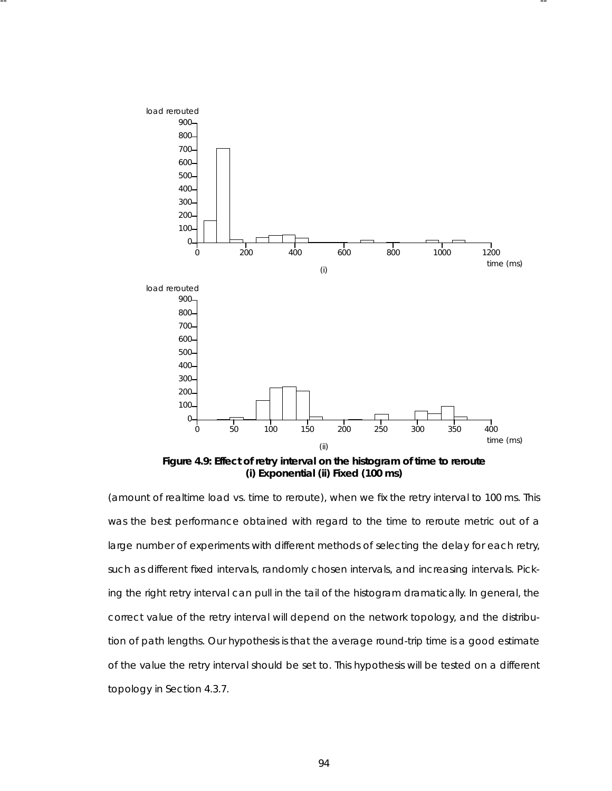

-- --

Figure 4.9: Effect of retry interval on the histogram of time to reroute **(i) Exponential (ii) Fixed (100 ms)**

(amount of realtime load vs. time to reroute), when we fix the retry interval to 100 ms. This was the best performance obtained with regard to the time to reroute metric out of a large number of experiments with different methods of selecting the delay for each retry, such as different fixed intervals, randomly chosen intervals, and increasing intervals. Picking the right retry interval can pull in the tail of the histogram dramatically. In general, the correct value of the retry interval will depend on the network topology, and the distribution of path lengths. Our hypothesis is that the average round-trip time is a good estimate of the value the retry interval should be set to. This hypothesis will be tested on a different topology in Section 4.3.7.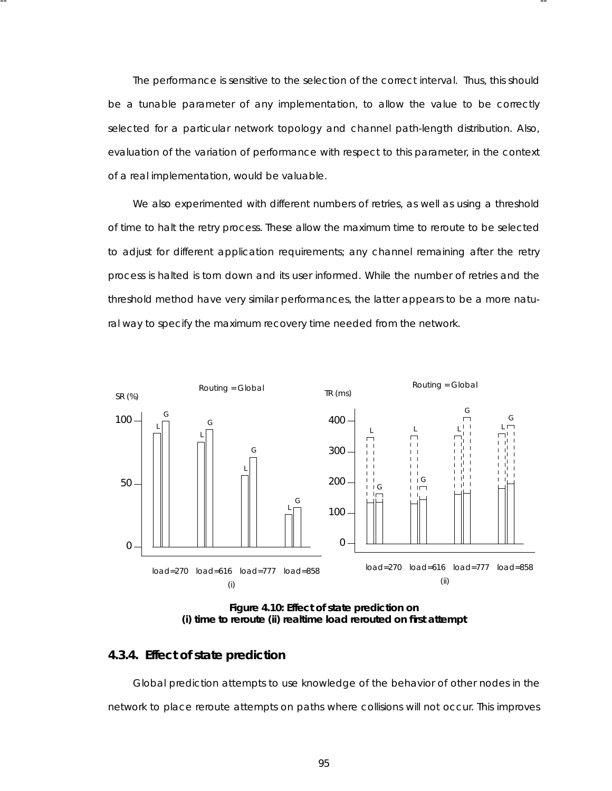The performance is sensitive to the selection of the correct interval. Thus, this should be a tunable parameter of any implementation, to allow the value to be correctly selected for a particular network topology and channel path-length distribution. Also, evaluation of the variation of performance with respect to this parameter, in the context of a real implementation, would be valuable.

-- --

We also experimented with different numbers of retries, as well as using a threshold of time to halt the retry process. These allow the maximum time to reroute to be selected to adjust for different application requirements; any channel remaining after the retry process is halted is torn down and its user informed. While the number of retries and the threshold method have very similar performances, the latter appears to be a more natural way to specify the maximum recovery time needed from the network.



**Figure 4.10: Effect of state prediction on (i) time to reroute (ii) realtime load rerouted on first attempt**

# **4.3.4. Effect of state prediction**

Global prediction attempts to use knowledge of the behavior of other nodes in the network to place reroute attempts on paths where collisions will not occur. This improves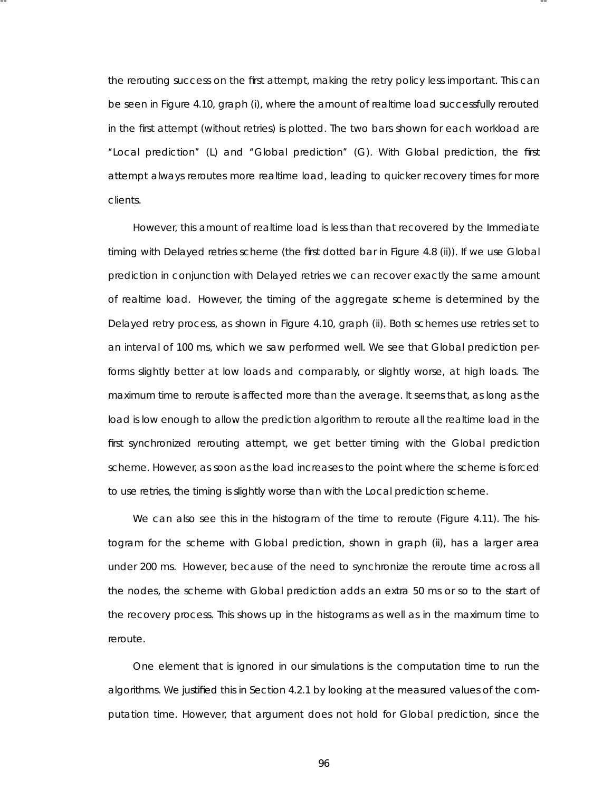the rerouting success on the first attempt, making the retry policy less important. This can be seen in Figure 4.10, graph (i), where the amount of realtime load successfully rerouted in the first attempt (without retries) is plotted. The two bars shown for each workload are ''Local prediction'' (L) and ''Global prediction'' (G). With Global prediction, the first attempt always reroutes more realtime load, leading to quicker recovery times for more clients .

-- --

However, this amount of realtime load is less than that recovered by the Immediate timing with Delayed retries scheme (the first dotted bar in Figure 4.8 (ii)). If we use Global prediction in conjunction with Delayed retries we can recover exactly the same amount of realtime load. However, the timing of the aggregate scheme is determined by the Delayed retry process, as shown in Figure 4.10, graph (ii). Both schemes use retries set to an interval of 100 ms, which we saw performed well. We see that Global prediction performs slightly better at low loads and comparably, or slightly worse, at high loads. The maximum time to reroute is affected more than the average. It seems that, as long as the load is low enough to allow the prediction algorithm to reroute all the realtime load in the first synchronized rerouting attempt, we get better timing with the Global prediction scheme. However, as soon as the load increases to the point where the scheme is forced to use retries, the timing is slightly worse than with the Local prediction scheme.

We can also see this in the histogram of the time to reroute (Figure 4.11). The histogram for the scheme with Global prediction, shown in graph (ii), has a larger area under 200 ms. However, because of the need to synchronize the reroute time across all the nodes, the scheme with Global prediction adds an extra 50 ms or so to the start of the recovery process . This shows up in the histograms as well as in the maximum time to reroute.

One element that is ignored in our simulations is the computation time to run the algorithms. We justified this in Section 4.2.1 by looking at the measured values of the computation time. However, that argument does not hold for Global prediction, since the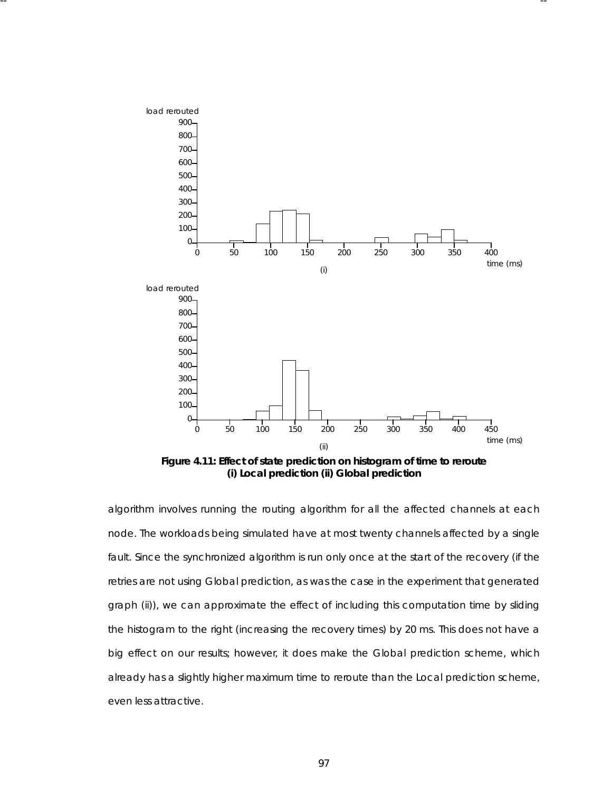

-- --

**Figure 4.11: Effect of state prediction on histogram of time to reroute (i) Local prediction (ii) Global prediction**

algorithm involves running the routing algorithm for all the affected channels at each node. The workloads being simulated have at most twenty channels affected by a single fault. Since the synchronized algorithm is run only once at the start of the recovery (if the retries are not using Global prediction, as was the case in the experiment that generated graph (ii)), we can approximate the effect of including this computation time by sliding the histogram to the right (increasing the recovery times) by 20 ms. This does not have a big effect on our results; however, it does make the Global prediction scheme, which already has a slightly higher maximum time to reroute than the Local prediction scheme, even less attractive.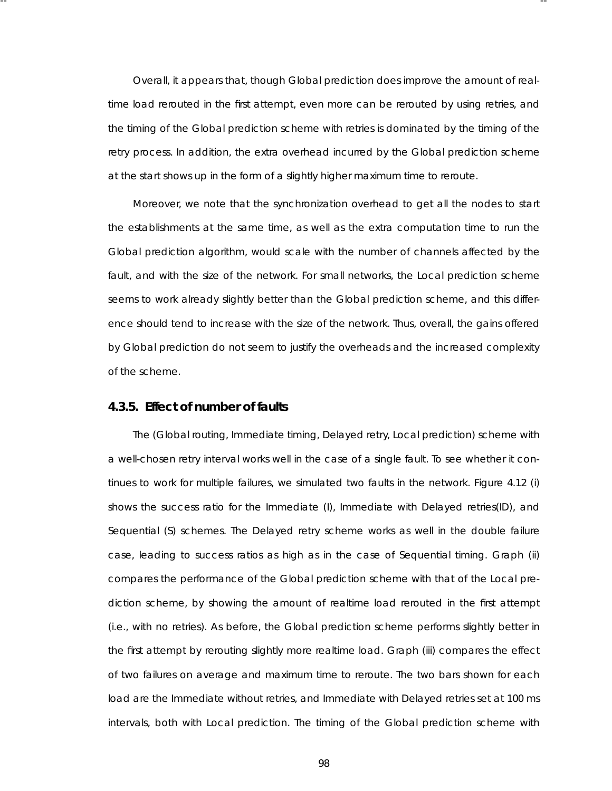Overall, it appears that, though Global prediction does improve the amount of realtime load rerouted in the first attempt, even more can be rerouted by using retries, and the timing of the Global prediction scheme with retries is dominated by the timing of the retry process. In addition, the extra overhead incurred by the Global prediction scheme at the start shows up in the form of a slightly higher maximum time to reroute.

-- --

Moreover, we note that the synchronization overhead to get all the nodes to start the establishments at the same time, as well as the extra computation time to run the Global prediction algorithm, would scale with the number of channels affected by the fault, and with the size of the network. For small networks, the Local prediction scheme seems to work already slightly better than the Global prediction scheme, and this difference should tend to increase with the size of the network. Thus, overall, the gains offered by Global prediction do not seem to justify the overheads and the increased complexity of the scheme.

# **4.3.5. Effect of number of faults**

The (Global routing, Immediate timing, Delayed retry, Local prediction) scheme with a well-chosen retry interval works well in the case of a single fault. To see whether it continues to work for multiple failures, we simulated two faults in the network. Figure 4.12 (i) shows the success ratio for the Immediate (I), Immediate with Delayed retries(ID), and Sequential (S) schemes. The Delayed retry scheme works as well in the double failure case, leading to success ratios as high as in the case of Sequential timing. Graph (ii) compares the performance of the Global prediction scheme with that of the Local prediction scheme, by showing the amount of realtime load rerouted in the first attempt (i.e., with no retries). As before, the Global prediction scheme performs slightly better in the first attempt by rerouting slightly more realtime load. Graph (iii) compares the effect of two failures on average and maximum time to reroute. The two bars shown for each load are the Immediate without retries, and Immediate with Delayed retries set at 100 ms intervals, both with Local prediction. The timing of the Global prediction scheme with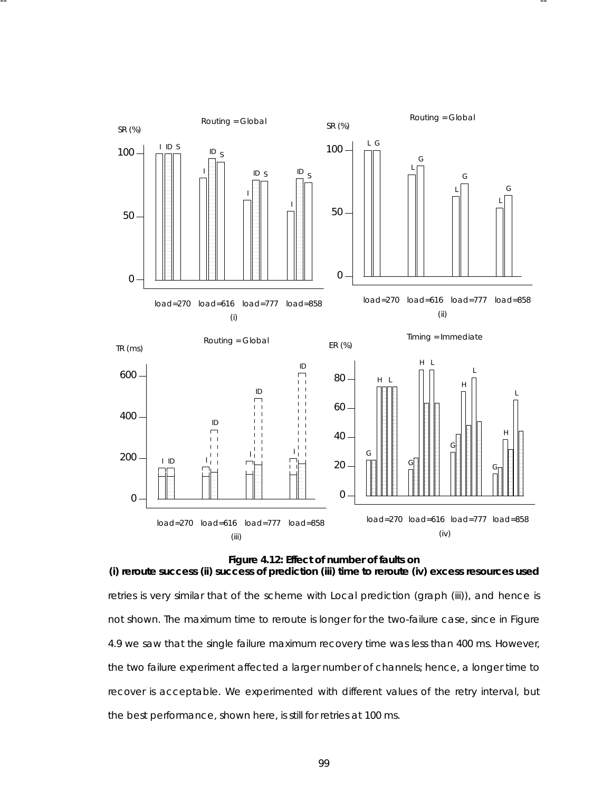

-- --

**Figure 4.12: Effect of number of faults on (i) reroute success (ii) success of prediction (iii) time to reroute (iv) excess resources used** retries is very similar that of the scheme with Local prediction (graph (iii)), and hence is not shown. The maximum time to reroute is longer for the two-failure case, since in Figure 4.9 we saw that the single failure maximum recovery time was less than 400 ms. However, the two failure experiment affected a larger number of channels; hence, a longer time to recover is acceptable. We experimented with different values of the retry interval, but the best performance, shown here, is still for retries at 100 ms.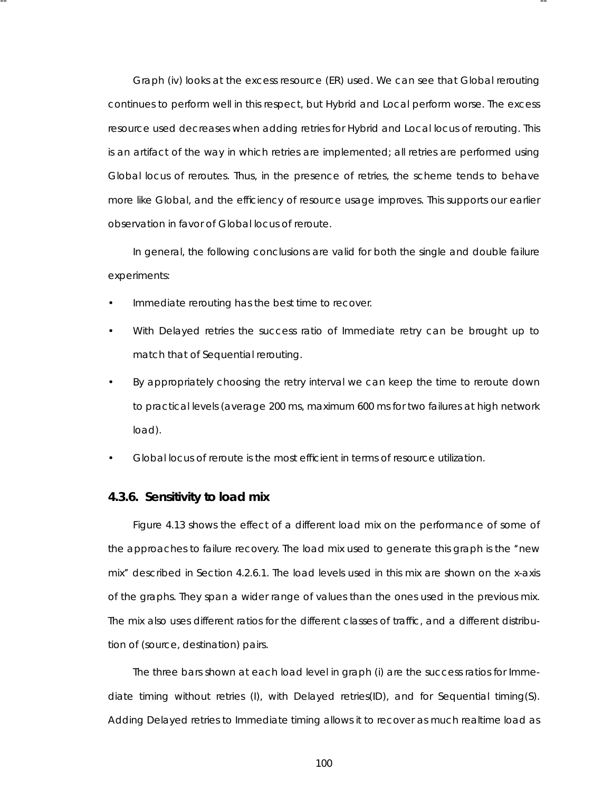Graph (iv) looks at the excess resource (ER) used. We can see that Global rerouting continues to perform well in this respect, but Hybrid and Local perform worse. The excess resource used decreases when adding retries for Hybrid and Local locus of rerouting. This is an artifact of the way in which retries are implemented; all retries are performed using Global locus of reroutes. Thus, in the presence of retries, the scheme tends to behave more like Global, and the efficiency of resource usage improves. This supports our earlier obser vation in favor of Global locus of reroute.

-- --

In general, the following conclusions are valid for both the single and double failure experiments:

- Immediate rerouting has the best time to recover.
- With Delayed retries the success ratio of Immediate retry can be brought up to match that of Sequential rerouting.
- By appropriately choosing the retry interval we can keep the time to reroute down to practical levels (average 200 ms, maximum 600 ms for two failures at high network load).
- Global locus of reroute is the most efficient in terms of resource utilization.

## **4.3.6. Sensitivity to load mix**

Figure 4.13 shows the effect of a different load mix on the performance of some of the approaches to failure recovery. The load mix used to generate this graph is the ''new mix" described in Section 4.2.6.1. The load levels used in this mix are shown on the x-axis of the graphs . They span a wider range of values than the ones used in the previous mix. The mix also uses different ratios for the different classes of traffic, and a different distribution of (source, destination) pairs.

The three bars shown at each load level in graph (i) are the success ratios for Immediate timing without retries (I), with Delayed retries(ID), and for Sequential timing(S). Adding Delayed retries to Immediate timing allows it to recover as much realtime load as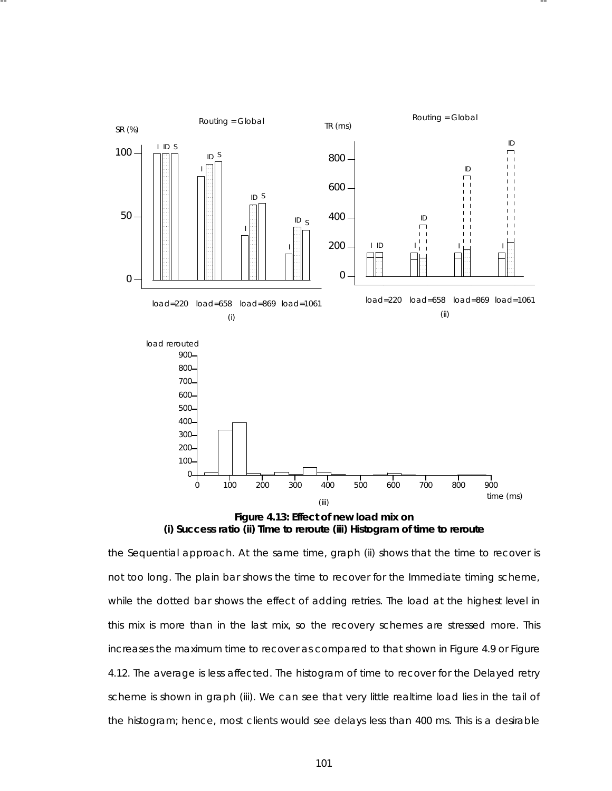

-- --

**Figure 4.13: Effect of new load mix on (i) Success ratio (ii) Time to reroute (iii) Histogram of time to reroute**

the Sequential approach. At the same time, graph (ii) shows that the time to recover is not too long. The plain bar shows the time to recover for the Immediate timing scheme, while the dotted bar shows the effect of adding retries. The load at the highest level in this mix is more than in the last mix, so the recovery schemes are stressed more. This increases the maximum time to recover as compared to that shown in Figure 4.9 or Figure 4.12. The average is less affected. The histogram of time to recover for the Delayed retry scheme is shown in graph (iii). We can see that very little realtime load lies in the tail of the histogram; hence, most clients would see delays less than 400 ms. This is a desirable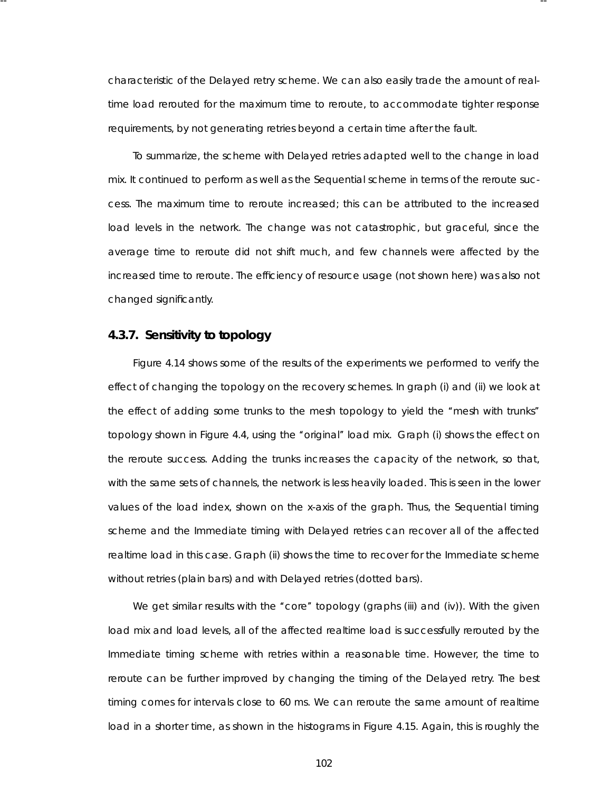characteristic of the Delayed retry scheme. We can also easily trade the amount of realtime load rerouted for the maximum time to reroute, to accommodate tighter response requirements, by not generating retries beyond a certain time after the fault.

-- --

To summarize, the scheme with Delayed retries adapted well to the change in load mix. It continued to perform as well as the Sequential scheme in terms of the reroute success . The maximum time to reroute increased; this can be attributed to the increased load levels in the network. The change was not catastrophic, but graceful, since the average time to reroute did not shift much, and few channels were affected by the increased time to reroute. The efficiency of resource usage (not shown here) was also not changed significantly.

# **4.3.7. Sensitivity to topology**

Figure 4.14 shows some of the results of the experiments we performed to verify the effect of changing the topology on the recovery schemes . In graph (i) and (ii) we look at the effect of adding some trunks to the mesh topology to yield the ''mesh with trunks'' topology shown in Figure 4.4, using the "original" load mix. Graph (i) shows the effect on the reroute success. Adding the trunks increases the capacity of the network, so that, with the same sets of channels, the network is less heavily loaded. This is seen in the lower values of the load index, shown on the x-axis of the graph. Thus, the Sequential timing scheme and the Immediate timing with Delayed retries can recover all of the affected realtime load in this case. Graph (ii) shows the time to recover for the Immediate scheme without retries (plain bars) and with Delayed retries (dotted bars).

We get similar results with the "core" topology (graphs (iii) and (iv)). With the given load mix and load levels, all of the affected realtime load is successfully rerouted by the Immediate timing scheme with retries within a reasonable time. However, the time to reroute can be further improved by changing the timing of the Delayed retry. The best timing comes for intervals close to 60 ms. We can reroute the same amount of realtime load in a shorter time, as shown in the histograms in Figure 4.15. Again, this is roughly the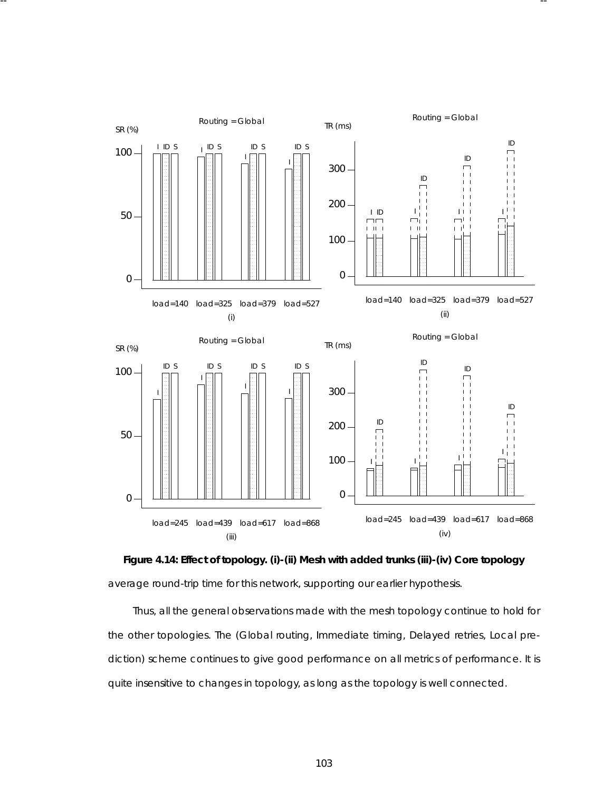

-- --



Thus, all the general observations made with the mesh topology continue to hold for the other topologies. The (Global routing, Immediate timing, Delayed retries, Local prediction) scheme continues to give good performance on all metrics of performance. It is quite insensitive to changes in topology, as long as the topology is well connected.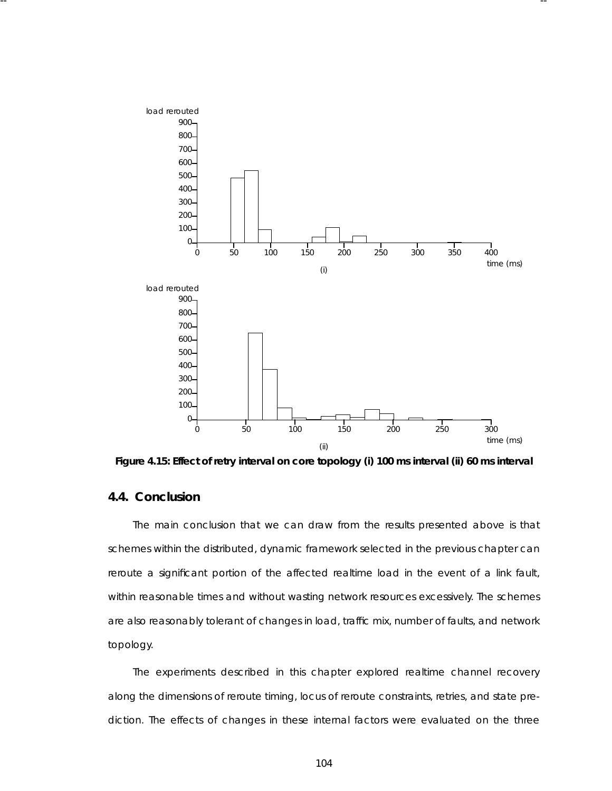

-- --

Figure 4.15: Effect of retry interval on core topology (i) 100 ms interval (ii) 60 ms interval

# **4.4. Conclusion**

The main conclusion that we can draw from the results presented above is that schemes within the distributed, dynamic framework selected in the previous chapter can reroute a significant portion of the affected realtime load in the event of a link fault, within reasonable times and without wasting network resources excessively. The schemes are also reasonably tolerant of changes in load, traffic mix, number of faults, and network topology.

The experiments described in this chapter explored realtime channel recovery along the dimensions of reroute timing, locus of reroute constraints, retries, and state prediction. The effects of changes in these internal factors were evaluated on the three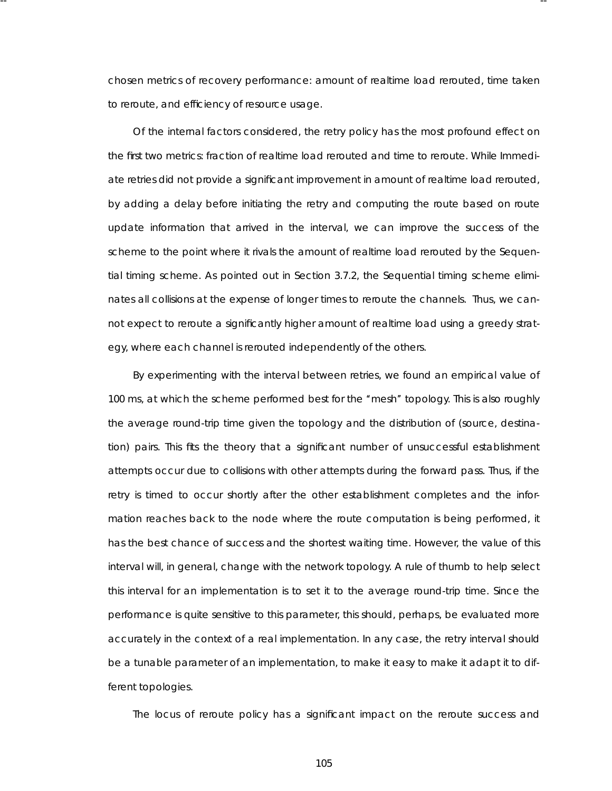chosen metrics of recovery performance: amount of realtime load rerouted, time taken to reroute, and efficiency of resource usage.

-- --

Of the internal factors considered, the retry policy has the most profound effect on the first two metrics: fraction of realtime load rerouted and time to reroute. While Immediate retries did not provide a significant improvement in amount of realtime load rerouted, by adding a delay before initiating the retry and computing the route based on route update information that arrived in the interval, we can improve the success of the scheme to the point where it rivals the amount of realtime load rerouted by the Sequential timing scheme. As pointed out in Section 3.7.2, the Sequential timing scheme eliminates all collisions at the expense of longer times to reroute the channels. Thus, we cannot expect to reroute a significantly higher amount of realtime load using a greedy strategy, where each channel is rerouted independently of the others.

By experimenting with the interval between retries, we found an empirical value of 100 ms, at which the scheme performed best for the "mesh" topology. This is also roughly the average round-trip time given the topology and the distribution of (source, destination) pairs. This fits the theory that a significant number of unsuccessful establishment attempts occur due to collisions with other attempts during the forward pass. Thus, if the retry is timed to occur shortly after the other establishment completes *and* the information reaches back to the node where the route computation is being performed, it has the best chance of success and the shortest waiting time. However, the value of this interval will, in general, change with the network topology. A rule of thumb to help select this interval for an implementation is to set it to the average round-trip time. Since the performance is quite sensitive to this parameter, this should, perhaps, be evaluated more accurately in the context of a real implementation. In any case, the retry interval should be a tunable parameter of an implementation, to make it easy to make it adapt it to different topologies.

The locus of reroute policy has a significant impact on the reroute success and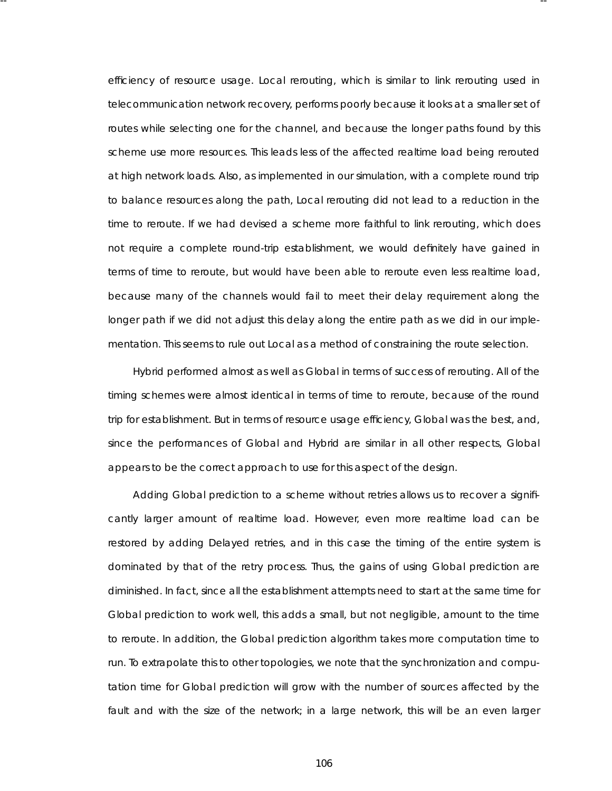efficiency of resource usage. Local rerouting, which is similar to *link rerouting* used in telecommunication network recovery, performs poorly because it looks at a smaller set of routes while selecting one for the channel, and because the longer paths found by this scheme use more resources . This leads less of the affected realtime load being rerouted at high network loads. Also, as implemented in our simulation, with a complete round trip to balance resources along the path, Local rerouting did not lead to a reduction in the time to reroute. If we had devised a scheme more faithful to *link rerouting*, which does not require a complete round-trip establishment, we would definitely have gained in terms of time to reroute, but would have been able to reroute even less realtime load, because many of the channels would fail to meet their delay requirement along the longer path if we did not adjust this delay along the entire path as we did in our implementation. This seems to rule out Local as a method of constraining the route selection.

-- --

Hybrid performed almost as well as Global in terms of success of rerouting. All of the timing schemes were almost identical in terms of time to reroute, because of the round trip for establishment. But in terms of resource usage efficiency, Global was the best, and, since the performances of Global and Hybrid are similar in all other respects, Global appears to be the correct approach to use for this aspect of the design.

Adding Global prediction to a scheme without retries allows us to recover a significantly larger amount of realtime load. However, even more realtime load can be restored by adding Delayed retries, and in this case the timing of the entire system is dominated by that of the retry process. Thus, the gains of using Global prediction are diminished. In fact, since all the establishment attempts need to start at the same time for Global prediction to work well, this adds a small, but not negligible, amount to the time to reroute. In addition, the Global prediction algorithm takes more computation time to run. To extrapolate this to other topologies, we note that the synchronization and computation time for Global prediction will grow with the number of sources affected by the fault and with the size of the network; in a large network, this will be an even larger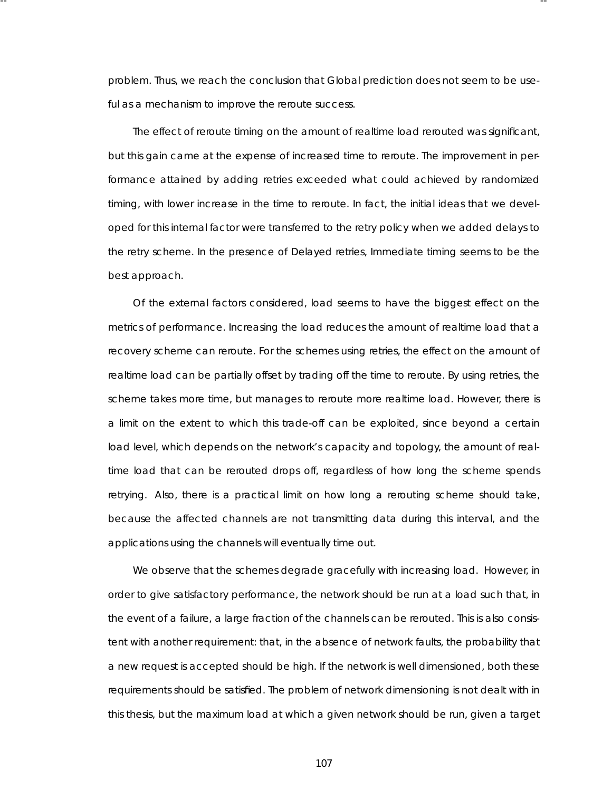problem. Thus, we reach the conclusion that Global prediction does not seem to be useful as a mechanism to improve the reroute success.

-- --

The effect of reroute timing on the amount of realtime load rerouted was significant, but this gain came at the expense of increased time to reroute. The improvement in performance attained by adding retries exceeded what could achieved by randomized timing, with lower increase in the time to reroute. In fact, the initial ideas that we developed for this internal factor were transferred to the retry policy when we added delays to the retry scheme. In the presence of Delayed retries, Immediate timing seems to be the best approach.

Of the external factors considered, load seems to have the biggest effect on the metrics of performance. Increasing the load reduces the amount of realtime load that a recovery scheme can reroute. For the schemes using retries, the effect on the amount of realtime load can be partially offset by trading off the time to reroute. By using retries, the scheme takes more time, but manages to reroute more realtime load. However, there is a limit on the extent to which this trade-off can be exploited, since beyond a certain load level, which depends on the network's capacity and topology, the amount of realtime load that can be rerouted drops off, regardless of how long the scheme spends retrying. Also, there is a practical limit on how long a rerouting scheme should take, because the affected channels are not transmitting data during this interval, and the applications using the channels will eventually time out.

We observe that the schemes degrade gracefully with increasing load. However, in order to give satisfactory performance, the network should be run at a load such that, in the event of a failure, a large fraction of the channels can be rerouted. This is also consistent with another requirement: that, in the absence of network faults, the probability that a new request is accepted should be high. If the network is well dimensioned, both these requirements should be satisfied. The problem of network dimensioning is not dealt with in this thesis, but the maximum load at which a given network should be run, given a target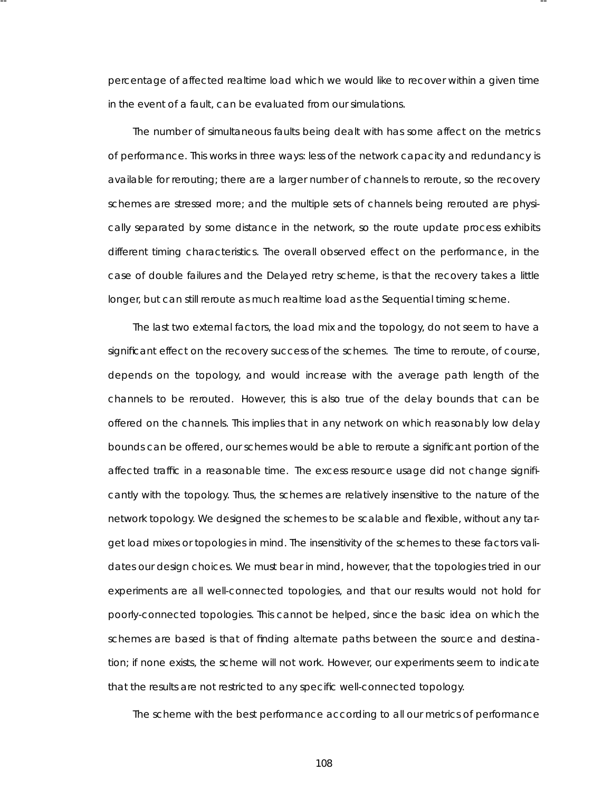percentage of affected realtime load which we would like to recover within a given time in the event of a fault, can be evaluated from our simulations.

-- --

The number of simultaneous faults being dealt with has some affect on the metrics of performance. This works in three ways: less of the network capacity and redundancy is availa ble for rerouting; there are a larger number of channels to reroute, so the recovery schemes are stressed more; and the multiple sets of channels being rerouted are physically separated by some distance in the network, so the route update process exhibits different timing characteristics. The overall observed effect on the performance, in the case of double failures and the Delayed retry scheme, is that the recovery takes a little longer, but can still reroute as much realtime load as the Sequential timing scheme.

The last two external factors, the load mix and the topology, do not seem to have a significant effect on the recovery success of the schemes. The time to reroute, of course, depends on the topology, and would increase with the average path length of the channels to be rerouted. However, this is also true of the delay bounds that can be offered on the channels. This implies that in any network on which reasonably low delay bounds can be offered, our schemes would be able to reroute a significant portion of the affected traffic in a reasonable time. The excess resource usage did not change significantly with the topology. Thus, the schemes are relatively insensitive to the nature of the network topology. We designed the schemes to be scalable and flexible, without any target load mixes or topologies in mind. The insensitivity of the schemes to these factors validates our design choices. We must bear in mind, however, that the topologies tried in our experiments are all well-connected topologies, and that our results would not hold for poorly-connected topologies. This cannot be helped, since the basic idea on which the schemes are based is that of finding alternate paths between the source and destination; if none exists, the scheme will not work. However, our experiments seem to indicate that the results are not restricted to any specific well-connected topology.

The scheme with the best performance according to all our metrics of performance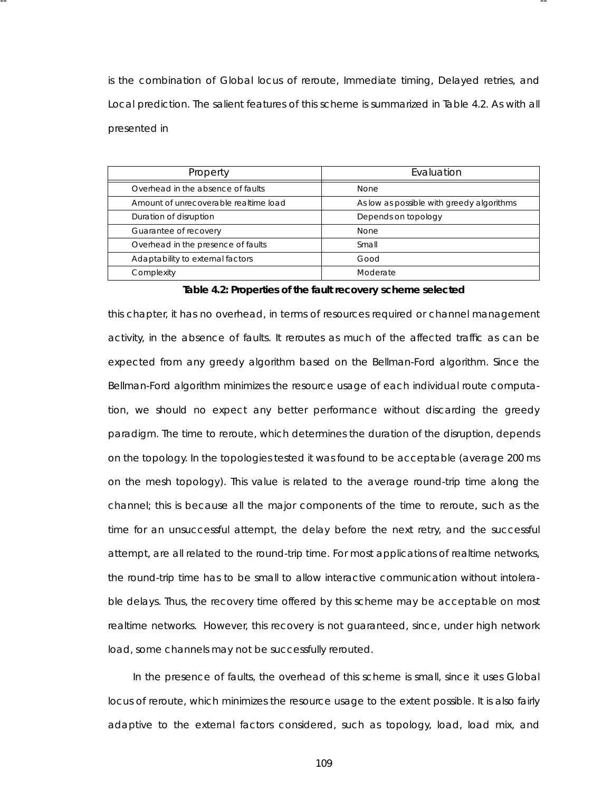is the combination of Global locus of reroute, Immediate timing, Delayed retries, and Local prediction. The salient features of this scheme is summarized in Table 4.2. As with all presented in

-- --

| Property                              | Evaluation                                |
|---------------------------------------|-------------------------------------------|
| Overhead in the absence of faults     | <b>None</b>                               |
| Amount of unrecoverable realtime load | As low as possible with greedy algorithms |
| Duration of disruption                | Depends on topology                       |
| Guarantee of recovery                 | <b>None</b>                               |
| Overhead in the presence of faults    | Small                                     |
| Adaptability to external factors      | Good                                      |
| Complexity                            | Moderate                                  |

#### Table 4.2: Properties of the fault recovery scheme selected

this chapter, it has no overhead, in terms of resources required or channel management activity, in the absence of faults. It reroutes as much of the affected traffic as can be expected from any greedy algorithm based on the Bellman-Ford algorithm. Since the Bellman-Ford algorithm minimizes the resource usage of each individual route computation, we should no expect any better performance without discarding the greedy paradigm. The time to reroute, which determines the duration of the disruption, depends on the topology. In the topologies tested it was found to be acceptable (average 200 ms on the mesh topology). This value is related to the average round-trip time along the channel; this is because all the major components of the time to reroute, such as the time for an unsuccessful attempt, the delay before the next retry, and the successful attempt, are all related to the round-trip time. For most applications of realtime networks, the round-trip time has to be small to allow interactive communication without intolerable delays. Thus, the recovery time offered by this scheme may be acceptable on most realtime networks. However, this recovery is not guaranteed, since, under high network load, some channels may not be successfully rerouted.

In the presence of faults, the overhead of this scheme is small, since it uses Global locus of reroute, which minimizes the resource usage to the extent possible. It is also fairly adaptive to the external factors considered, such as topology, load, load mix, and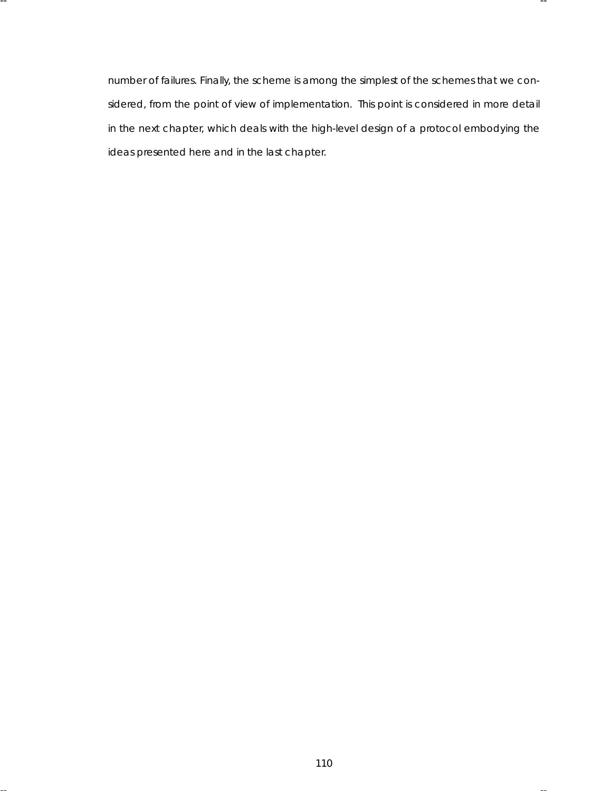number of failures . Finally, the scheme is among the simplest of the schemes that we considered, from the point of view of implementation. This point is considered in more detail in the next chapter, which deals with the high-level design of a protocol embodying the ideas presented here and in the last chapter.

-- --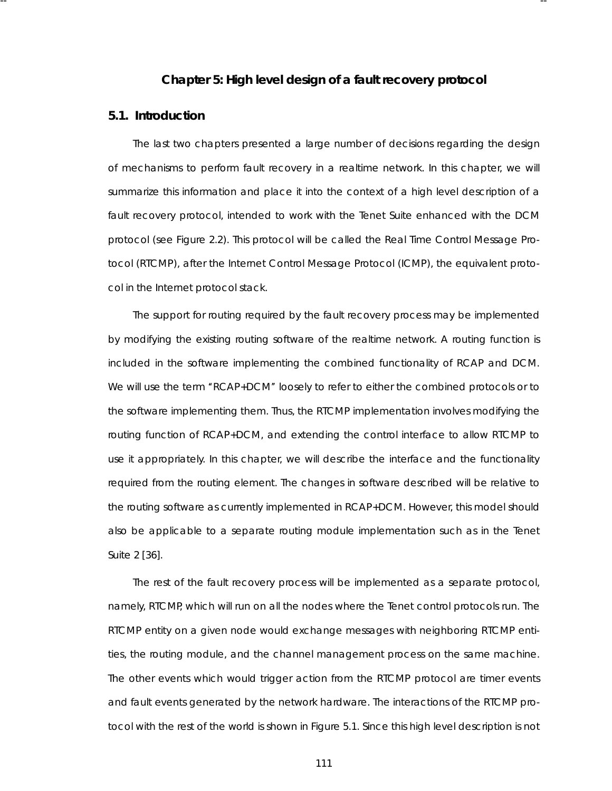# **Cha pter 5: High level design of a fault recovery protocol**

-- --

### **5.1. Introduction**

The last two chapters presented a large number of decisions regarding the design of mechanisms to perform fault recovery in a realtime network. In this chapter, we will summarize this information and place it into the context of a high level description of a fault recovery protocol, intended to work with the Tenet Suite enhanced with the DCM protocol (see Figure 2.2). This protocol will be called the Real Time Control Message Protocol (RTCMP), after the Internet Control Message Protocol (ICMP), the equivalent protocol in the Internet protocol stack.

The support for routing required by the fault recovery process may be implemented by modifying the existing routing software of the realtime network. A routing function is included in the software implementing the combined functionality of RCAP and DCM. We will use the term ''RCAP+DCM'' loosely to refer to either the combined protocols or to the software implementing them. Thus, the RTCMP implementation involves modifying the routing function of RCAP+DCM, and extending the control interface to allow RTCMP to use it appropriately. In this chapter, we will describe the interface and the functionality required from the routing element. The changes in software described will be relative to the routing software as currently implemented in RCAP+DCM. However, this model should also be applicable to a separate routing module implementation such as in the Tenet Suite 2 [36].

The rest of the fault recovery process will be implemented as a separate protocol, namely, RTCMP, which will run on all the nodes where the Tenet control protocols run. The RTCMP entity on a given node would exchange messages with neighboring RTCMP entities, the routing module, and the channel management process on the same machine. The other events which would trigger action from the RTCMP protocol are timer events and fault events generated by the network hardware. The interactions of the RTCMP protocol with the rest of the world is shown in Figure 5.1. Since this high level description is not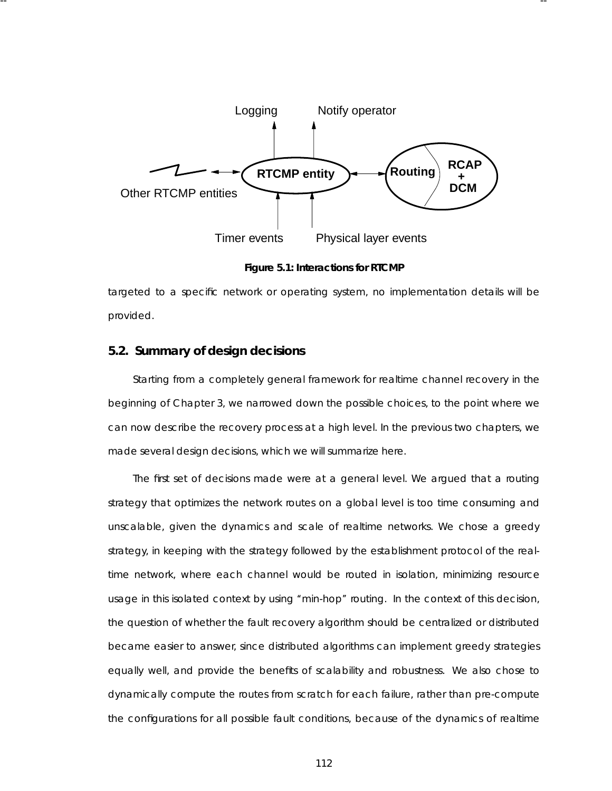

-- --

**Figure 5.1: Interactions for RTCMP**

targeted to a specific network or operating system, no implementation details will be provided.

# **5.2. Summary of design decisions**

Starting from a completely general framework for realtime channel recovery in the beginning of Chapter 3, we narrowed down the possible choices, to the point where we can now describe the recovery process at a high level. In the previous two chapters, we made several design decisions, which we will summarize here.

The first set of decisions made were at a general level. We argued that a routing strategy that optimizes the network routes on a global level is too time consuming and unscalable, given the dynamics and scale of realtime networks. We chose a greedy strategy, in keeping with the strategy followed by the establishment protocol of the realtime network, where each channel would be routed in isolation, minimizing resource usage in this isolated context by using "min-hop" routing. In the context of this decision, the question of whether the fault recovery algorithm should be centralized or distributed became easier to answer, since distributed algorithms can implement greedy strategies equally well, and provide the benefits of scalability and robustness . We also chose to dynamically compute the routes from scratch for each failure, rather than pre-compute the configurations for all possible fault conditions, because of the dynamics of realtime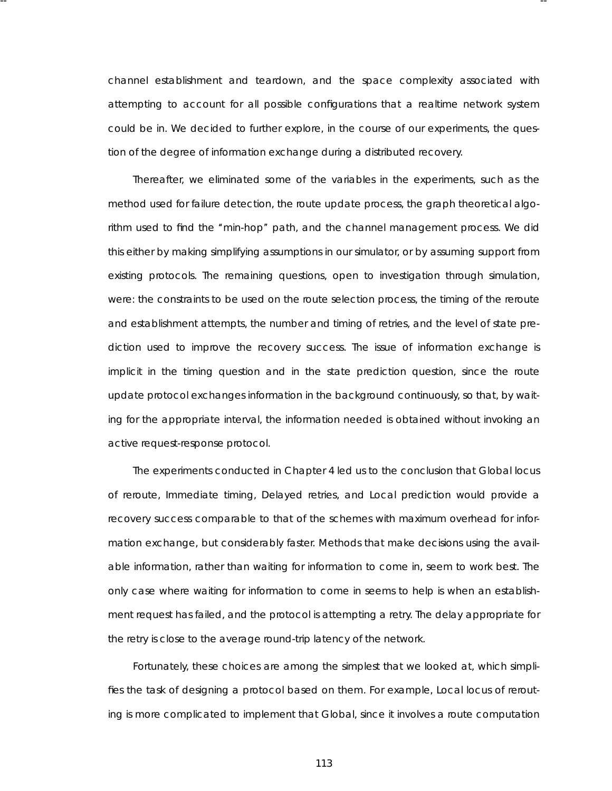channel establishment and teardown, and the space complexity associated with attempting to account for all possible configurations that a realtime network system could be in. We decided to further explore, in the course of our experiments , the question of the degree of information exchange during a distributed recovery.

-- --

Thereafter, we eliminated some of the variables in the experiments, such as the method used for failure detection, the route update process , the graph theoretical algorithm used to find the ''min-hop'' path, and the channel management process . We did this either by making simplifying assumptions in our simulator, or by assuming support from existing protocols . The remaining questions, open to investigation through simulation, were: the constraints to be used on the route selection process , the timing of the reroute and establishment attempts, the number and timing of retries, and the level of state prediction used to improve the recovery success. The issue of information exchange is implicit in the timing question and in the state prediction question, since the route update protocol exchanges information in the background continuously, so that, by waiting for the appropriate interval, the information needed is obtained without invoking an active request-response protocol.

The experiments conducted in Chapter 4 led us to the conclusion that Global locus of reroute, Immediate timing, Delayed retries, and Local prediction would provide a recovery success comparable to that of the schemes with maximum overhead for information exchange, but considerably faster. Methods that make decisions using the available information, rather than waiting for information to come in, seem to work best. The only case where waiting for information to come in seems to help is when an establishment request has failed, and the protocol is attempting a retry. The delay appropriate for the retry is close to the average round-trip latency of the network.

Fortunately, these choices are among the simplest that we looked at, which simplifies the task of designing a protocol based on them. For example, Local locus of rerouting is more complicated to implement that Global, since it involves a route computation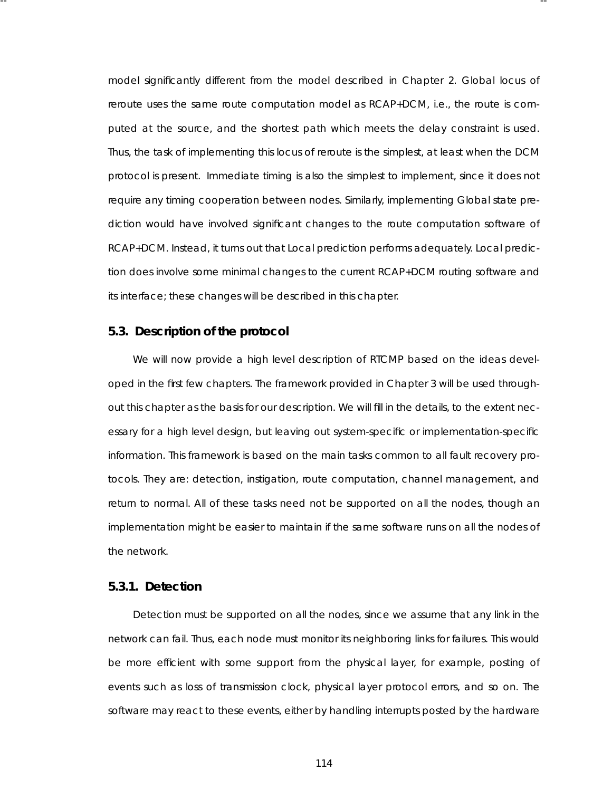model significantly different from the model described in Chapter 2. Global locus of reroute uses the same route computation model as RCAP+DCM, i.e., the route is computed at the source, and the shortest path which meets the delay constraint is used. Thus, the task of implementing this locus of reroute is the simplest, at least when the DCM protocol is present. Immediate timing is also the simplest to implement, since it does not require any timing cooperation between nodes. Similarly, implementing Global state prediction would have involved significant changes to the route computation software of RCAP+DCM. Instead, it turns out that Local prediction performs adequately. Local prediction does involve some minimal changes to the current RCAP+DCM routing software and its interface; these changes will be described in this chapter.

-- --

# **5.3. Description of the protocol**

We will now provide a high level description of RTCMP based on the ideas developed in the first few chapters. The framework provided in Chapter 3 will be used throughout this chapter as the basis for our description. We will fill in the details, to the extent necessary for a high level design, but leaving out system-specific or implementation-specific information. This framework is based on the main tasks common to all fault recovery protocols . They are: detection, instigation, route computation, channel management, and return to normal. All of these tasks need not be supported on all the nodes, though an implementation might be easier to maintain if the same software runs on all the nodes of the network.

# **5.3.1. Detection**

Detection must be supported on all the nodes, since we assume that any link in the network can fail. Thus, each node must monitor its neighboring links for failures. This would be more efficient with some support from the physical layer, for example, posting of events such as loss of transmission clock, physical layer protocol errors, and so on. The software may react to these events, either by handling interrupts posted by the hardware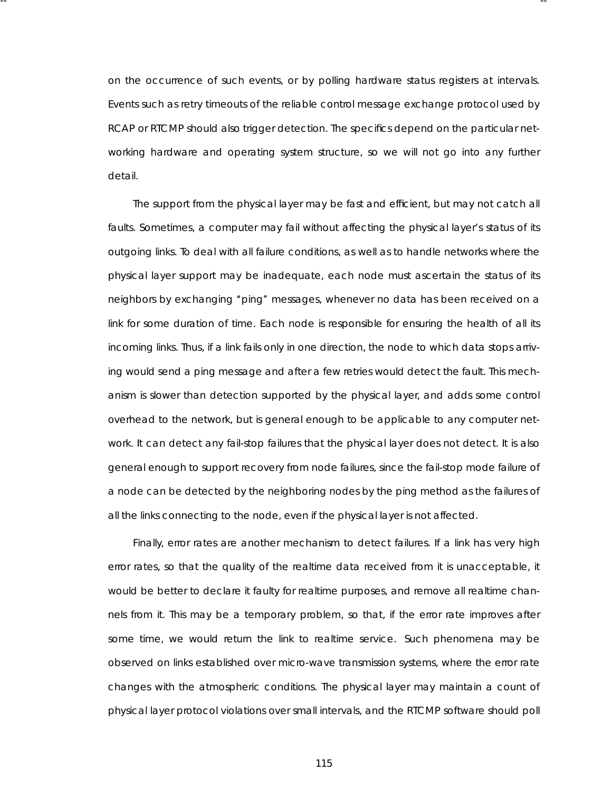on the occurrence of such events, or by polling hardware status registers at intervals. Events such as retry timeouts of the reliable control message exchange protocol used by RCAP or RTCMP should also trigger detection. The specifics depend on the particular networking hardware and operating system structure, so we will not go into any further detail.

-- --

The support from the physical layer may be fast and efficient, but may not catch all faults. Sometimes, a computer may fail without affecting the physical layer's status of its outgoing links. To deal with all failure conditions, as well as to handle networks where the physical layer support may be inadequate, each node must ascertain the status of its neighbors by exchanging "ping" messages, whenever no data has been received on a link for some duration of time. Each node is responsible for ensuring the health of all its incoming links. Thus, if a link fails only in one direction, the node to which data stops arriving would send a ping message and after a few retries would detect the fault. This mechanism is slower than detection supported by the physical layer, and adds some control overhead to the network, but is general enough to be applicable to any computer network. It can detect any fail-stop failures that the physical layer does not detect. It is also general enough to support recovery from node failures , since the fail-stop mode failure of a node can be detected by the neighboring nodes by the ping method as the failures of all the links connecting to the node, even if the physical layer is not affected.

Finally, error rates are another mechanism to detect failures. If a link has very high error rates, so that the quality of the realtime data received from it is unacceptable, it would be better to declare it faulty for realtime purposes, and remove all realtime channels from it. This may be a temporary problem, so that, if the error rate improves after some time, we would return the link to realtime service. Such phenomena may be obser ved on links established over micro-wave transmission systems, where the error rate changes with the atmospheric conditions. The physical layer may maintain a count of physical layer protocol violations over small intervals , and the RTCMP software should poll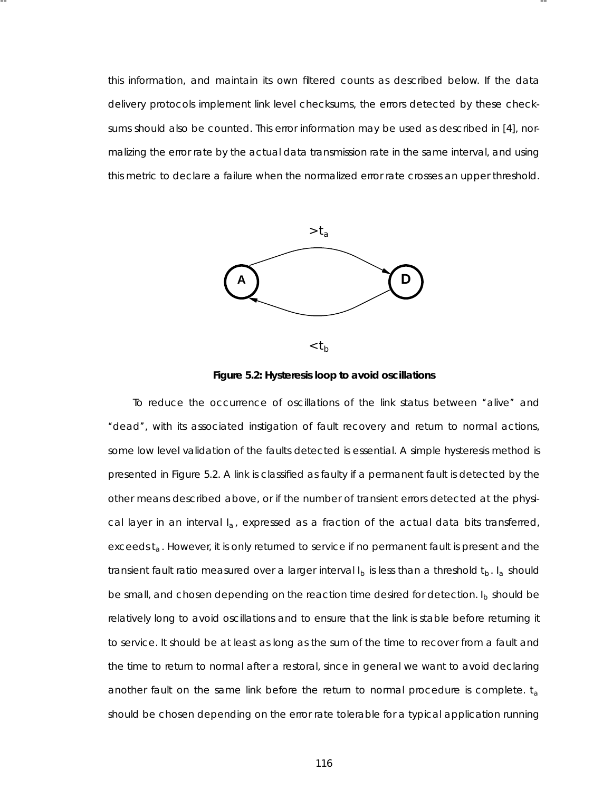this information, and maintain its own filtered counts as described below. If the data delivery protocols implement link level checksums, the errors detected by these checksums should also be counted. This error information may be used as described in [4], normalizing the error rate by the actual data transmission rate in the same interval, and using this metric to declare a failure when the normalized error rate crosses an upper threshold.

-- --





To reduce the occurrence of oscillations of the link status between ''alive'' and "dead", with its associated instigation of fault recovery and return to normal actions, some low level validation of the faults detected is essential. A simple hysteresis method is presented in Figure 5.2. A link is classified as faulty if a permanent fault is detected by the other means described above, or if the number of transient error s detected at the physical layer in an interval *Ia*, expressed as a fraction of the actual data bits transferred, exceeds  $t_a$ . However, it is only returned to service if no permanent fault is present and the transient fault ratio measured over a larger interval  $I_b$  is less than a threshold  $t_b$ .  $I_a$  should be small, and chosen depending on the reaction time desired for detection. *I<sub>b</sub>* should be relatively long to avoid oscillations and to ensure that the link is stable before returning it to service. It should be at least as long as the sum of the time to recover from a fault and the time to return to normal after a restoral, since in general we want to avoid declaring another fault on the same link before the return to normal procedure is complete.  $t_a$ should be chosen depending on the error rate tolerable for a typical application running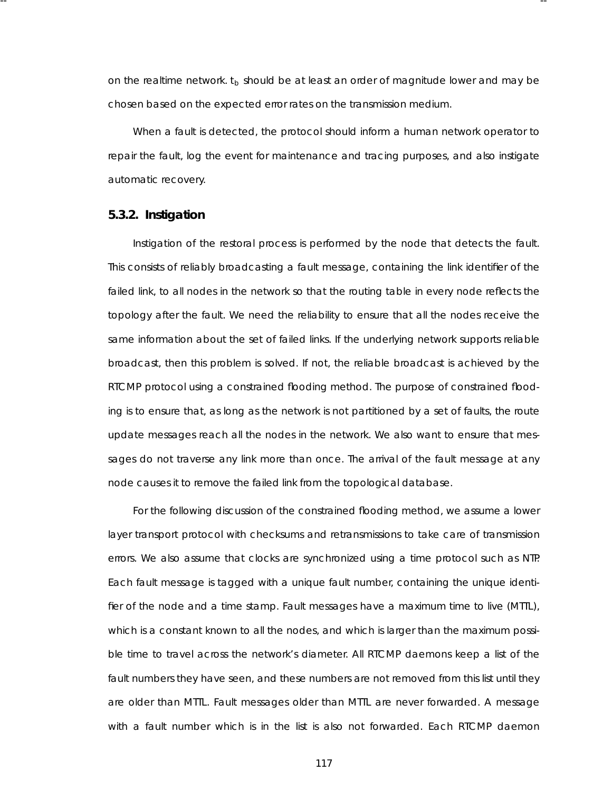on the realtime network.  $t_b$  should be at least an order of magnitude lower and may be chosen based on the expected error rates on the transmission medium.

-- --

When a fault is detected, the protocol should inform a human network operator to repair the fault, log the event for maintenance and tracing purposes , and also instigate automatic recovery.

#### **5.3.2. Instigation**

Instigation of the restoral process is performed by the node that detects the fault. This consists of relia bly broadcasting a fault message, containing the link identifier of the failed link, to all nodes in the network so that the routing table in every node reflects the topology after the fault. We need the reliability to ensure that all the nodes receive the same information about the set of failed links. If the underlying network supports reliable broadcast, then this problem is solved. If not, the reliable broadcast is achieved by the RTCMP protocol using a constrained flooding method. The purpose of constrained flooding is to ensure that, as long as the network is not partitioned by a set of faults, the route update messages reach all the nodes in the network. We also want to ensure that messages do not traverse any link more than once. The arrival of the fault message at any node causes it to remove the failed link from the topological database.

For the following discussion of the constrained flooding method, we assume a lower layer transport protocol with checksums and retransmissions to take care of transmission errors. We also assume that clocks are synchronized using a time protocol such as NTP. Each fault message is tagged with a unique fault number, containing the unique identifier of the node and a time stamp. Fault messages have a maximum time to live (*MTTL*), which is a constant known to all the nodes, and which is larger than the maximum possible time to travel across the network's diameter. All RTCMP daemons keep a list of the fault numbers they have seen, and these numbers are not removed from this list until they are older than *MTTL*. Fault messages older than *MTTL* are never forwarded. A message with a fault number which is in the list is also not forwarded. Each RTCMP daemon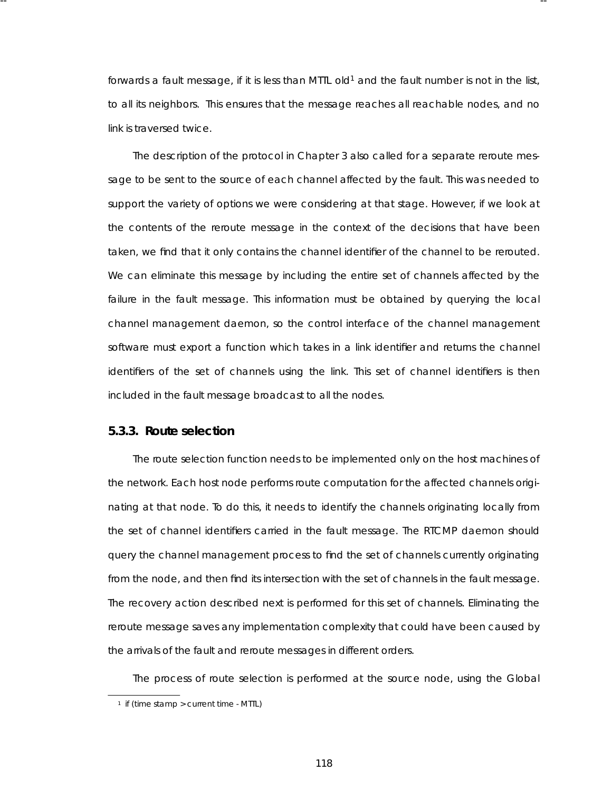forwards a fault message, if it is less than *MTTL* old<sup>1</sup> and the fault number is not in the list, to *all* its neighbors. This ensures that the message reaches all reachable nodes, and no link is traversed twice.

-- --

The description of the protocol in Chapter 3 also called for a separate reroute message to be sent to the source of each channel affected by the fault. This was needed to support the variety of options we were considering at that stage. However, if we look at the contents of the reroute message in the context of the decisions that have been taken, we find that it only contains the channel identifier of the channel to be rerouted. We can eliminate this message by including the entire set of channels affected by the failure in the fault message. This information must be obtained by querying the local channel management daemon, so the control interface of the channel management software must export a function which takes in a link identifier and returns the channel identifiers of the set of channels using the link. This set of channel identifiers is then included in the fault message broadcast to all the nodes.

# **5.3.3. Route selection**

The route selection function needs to be implemented only on the host machines of the network. Each host node performs route computation for the affected channels originating at that node. To do this, it needs to identify the channels originating locally from the set of channel identifiers carried in the fault message. The RTCMP daemon should query the channel management process to find the set of channels currently originating from the node, and then find its intersection with the set of channels in the fault message. The recovery action described next is performed for this set of channels. Eliminating the reroute message saves any implementation complexity that could have been caused by the arrivals of the fault and reroute messages in different orders.

The process of route selection is performed at the source node, using the Global

<sup>1</sup> if (time stamp > current time - *MTTL*)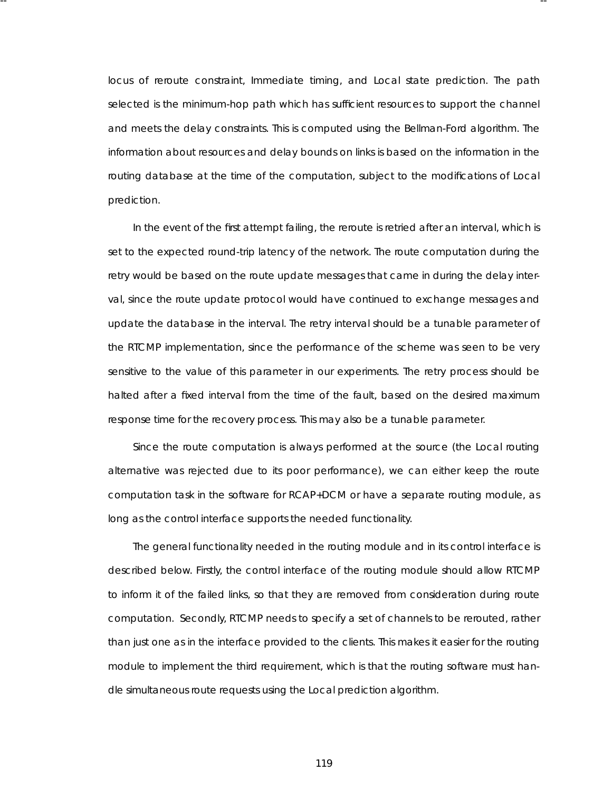locus of reroute constraint, Immediate timing, and Local state prediction. The path selected is the minimum-hop path which has sufficient resources to support the channel and meets the delay constraints. This is computed using the Bellman-Ford algorithm. The information about resources and delay bounds on links is based on the information in the routing database at the time of the computation, subject to the modifications of Local prediction.

-- --

In the event of the first attempt failing, the reroute is retried after an interval, which is set to the expected round-trip latency of the network. The route computation during the retry would be based on the route update messages that came in during the delay interval, since the route update protocol would have continued to exchange messages and update the database in the interval. The retry interval should be a tunable parameter of the RTCMP implementation, since the performance of the scheme was seen to be very sensitive to the value of this parameter in our experiments. The retry process should be halted after a fixed interval from the time of the fault, based on the desired maximum response time for the recovery process . This may also be a tunable parameter.

Since the route computation is always performed at the source (the Local routing alternative was rejected due to its poor performance), we can either keep the route computation task in the software for RCAP+DCM or have a separate routing module, as long as the control interface supports the needed functionality.

The general functionality needed in the routing module and in its control interface is described below. Firstly, the control interface of the routing module should allow RTCMP to inform it of the failed links, so that they are removed from consideration during route computation. Secondly, RTCMP needs to specify a set of channels to be rerouted, rather than just one as in the interface provided to the clients. This makes it easier for the routing module to implement the third requirement, which is that the routing software must handle simultaneous route requests using the Local prediction algorithm.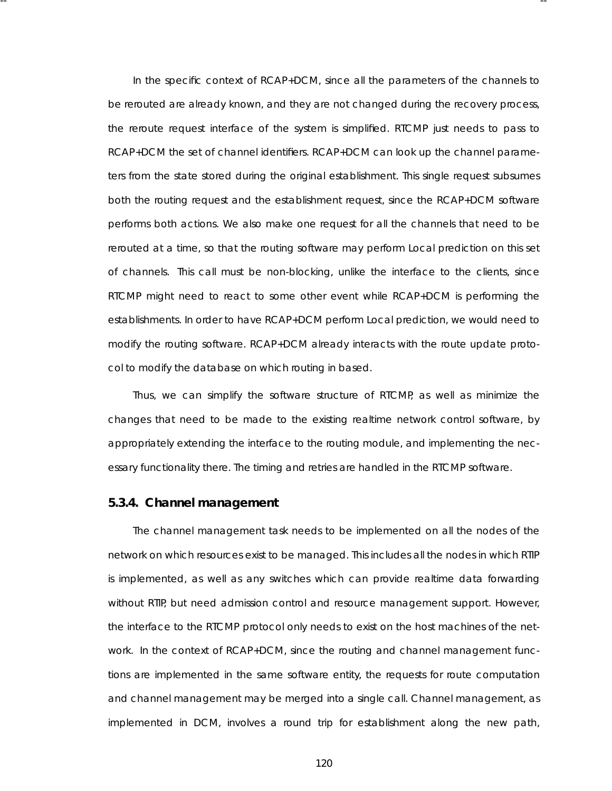In the specific context of RCAP+DCM, since all the parameter s of the channels to be rerouted are already known, and they are not changed during the recovery process , the reroute request interface of the system is simplified. RTCMP just needs to pass to RCAP+DCM the set of channel identifiers. RCAP+DCM can look up the channel parameters from the state stored during the original establishment. This single request subsumes both the routing request and the establishment request, since the RCAP+DCM software performs both actions. We also make one request for all the channels that need to be rerouted at a time, so that the routing software may perform Local prediction on this set of channels. This call *must* be non-blocking, unlike the interface to the clients, since RTCMP might need to react to some other event while RCAP+DCM is performing the esta blishments. In order to have RCAP+DCM perform Local prediction, we would need to modify the routing software. RCAP+DCM already interacts with the route update protocol to modify the database on which routing in based.

-- --

Thus, we can simplify the software structure of RTCMP, as well as minimize the changes that need to be made to the existing realtime network control software, by appropriately extending the interface to the routing module, and implementing the necessary functionality there. The timing and retries are handled in the RTCMP software.

#### **5.3.4. Channel management**

The channel management task needs to be implemented on all the nodes of the network on which resources exist to be managed. This includes all the nodes in which RTIP is implemented, as well as any switches which can provide realtime data forwarding without RTIP, but need admission control and resource management support. However, the interface to the RTCMP protocol only needs to exist on the host machines of the network. In the context of RCAP+DCM, since the routing and channel management functions are implemented in the same software entity, the requests for route computation and channel management may be merged into a single call. Channel management, as implemented in DCM, involves a round trip for establishment along the new path,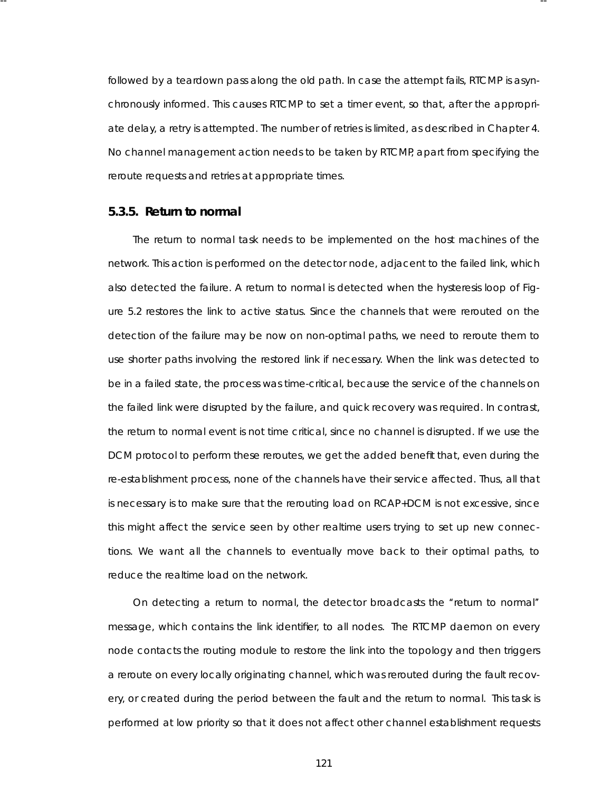followed by a teardown pass along the old path. In case the attempt fails, RTCMP is asynchronously informed. This causes RTCMP to set a timer event, so that, after the appropriate delay, a retry is attempted. The number of retries is limited, as described in Chapter 4. No channel management action needs to be taken by RTCMP, apart from specifying the reroute requests and retries at appropriate times.

-- --

## **5.3.5. Return to nor mal**

The return to normal task needs to be implemented on the host machines of the network. This action is performed on the detector node, adjacent to the failed link, which also detected the failure. A return to normal is detected when the hysteresis loop of Figure 5.2 restores the link to active status . Since the channels that were rerouted on the detection of the failure may be now on non-optimal paths, we need to reroute them to use shorter paths involving the restored link if necessary. When the link was detected to be in a failed state, the process was time-critical, because the service of the channels on the failed link were disrupted by the failure, and quick recovery was required. In contrast, the return to normal event is not time critical, since no channel is disrupted. If we use the DCM protocol to perform these reroutes, we get the added benefit that, even during the re-esta blishment process , none of the channels have their service affected. Thus, all that is necessary is to make sure that the rerouting load on RCAP+DCM is not excessive, since this might affect the service seen by other realtime users trying to set up new connections . We want all the channels to eventually move back to their optimal paths, to reduce the realtime load on the network.

On detecting a return to normal, the detector broadcasts the "return to normal" message, which contains the link identifier, to all nodes. The RTCMP daemon on every node contacts the routing module to restore the link into the topology and then triggers a reroute on every locally originating channel, which was rerouted during the fault recovery, or created during the period between the fault and the return to normal. This task is performed at low priority so that it does not affect other channel establishment requests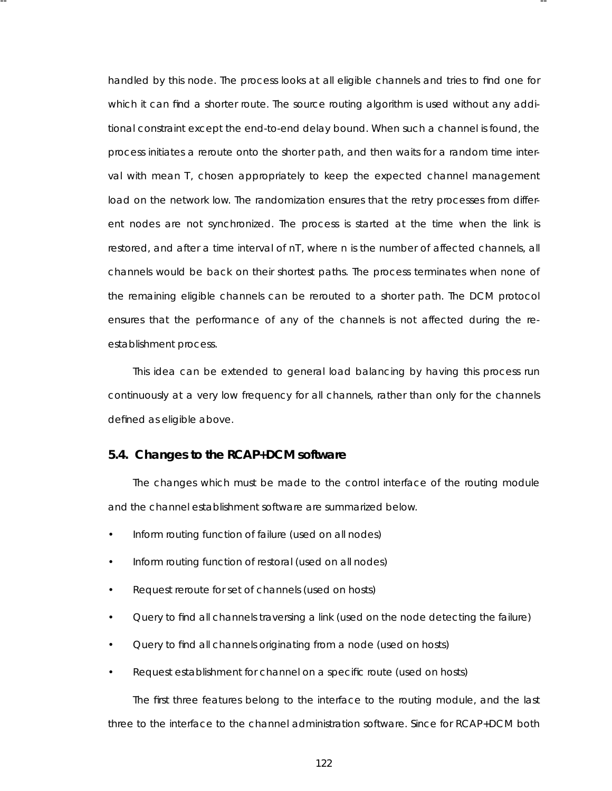handled by this node. The process looks at all eligible channels and tries to find one for which it can find a shorter route. The source routing algorithm is used without any additional constraint except the end-to-end delay bound. When such a channel is found, the process initiates a reroute onto the shorter path, and then waits for a random time interval with mean *T*, chosen appropriately to keep the expected channel management load on the network low. The randomization ensures that the retry processes from different nodes are not synchronized. The process is started at the time when the link is restored, and after a time interval of *nT* , where *n* is the number of affected channels, all channels would be back on their shortest paths. The process terminates when none of the remaining eligible channels can be rerouted to a shorter path. The DCM protocol ensures that the performance of any of the channels is not affected during the reesta blishment process .

-- --

This idea can be extended to general load balancing by having this process run continuously at a very low frequency for all channels, rather than only for the channels defined as eligible above.

# **5.4. Changes to the RCAP+DCM software**

The changes which must be made to the control interface of the routing module and the channel establishment software are summarized below.

- Inform routing function of failure (used on all nodes)
- Inform routing function of restoral (used on all nodes)
- Request reroute for set of channels (used on hosts)
- Query to find all channels traversing a link (used on the node detecting the failure)
- Query to find all channels originating from a node (used on hosts)
- Request establishment for channel on a specific route (used on hosts)

The first three features belong to the interface to the routing module, and the last three to the interface to the channel administration software. Since for RCAP+DCM both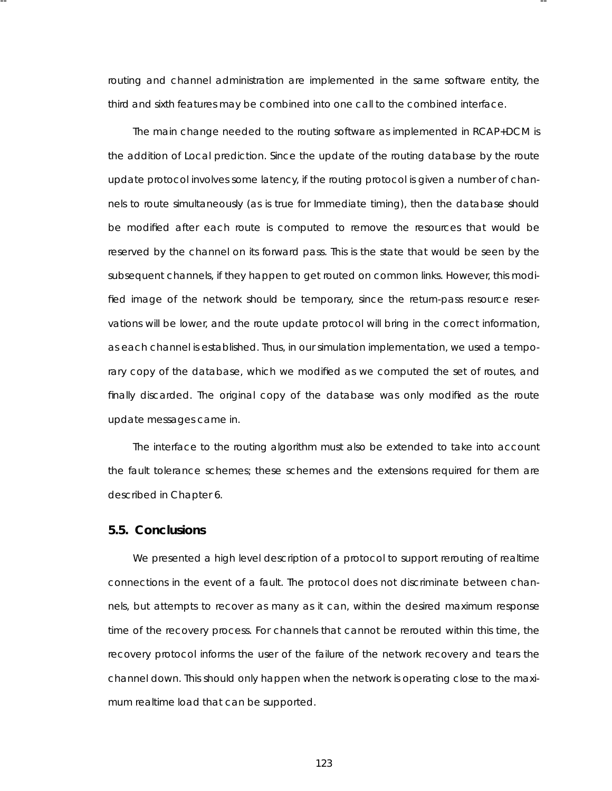routing and channel administration are implemented in the same software entity, the third and sixth features may be combined into one call to the combined interface.

-- --

The main change needed to the routing software as implemented in RCAP+DCM is the addition of Local prediction. Since the update of the routing database by the route update protocol involves some latency, if the routing protocol is given a number of channels to route simultaneously (as is true for Immediate timing), then the database should be modified after each route is computed to remove the resources that would be reserved by the channel on its forward pass. This is the state that would be seen by the subsequent channels, if they happen to get routed on common links. However, this modified image of the network should be temporary, since the return-pass resource reservations will be lower, and the route update protocol will bring in the correct information, as each channel is established. Thus, in our simulation implementation, we used a temporary copy of the database, which we modified as we computed the set of routes, and finally discarded. The original copy of the database was only modified as the route update messages came in.

The interface to the routing algorithm must also be extended to take into account the fault tolerance schemes; these schemes and the extensions required for them are described in Chapter 6.

## **5.5. Conclusions**

We presented a high level description of a protocol to support rerouting of realtime connections in the event of a fault. The protocol does not discriminate between channels , but attempts to recover as many as it can, within the desired maximum response time of the recovery process . For channels that cannot be rerouted within this time, the recovery protocol informs the user of the failure of the network recovery and tears the channel down. This should only happen when the network is operating close to the maximum realtime load that can be supported.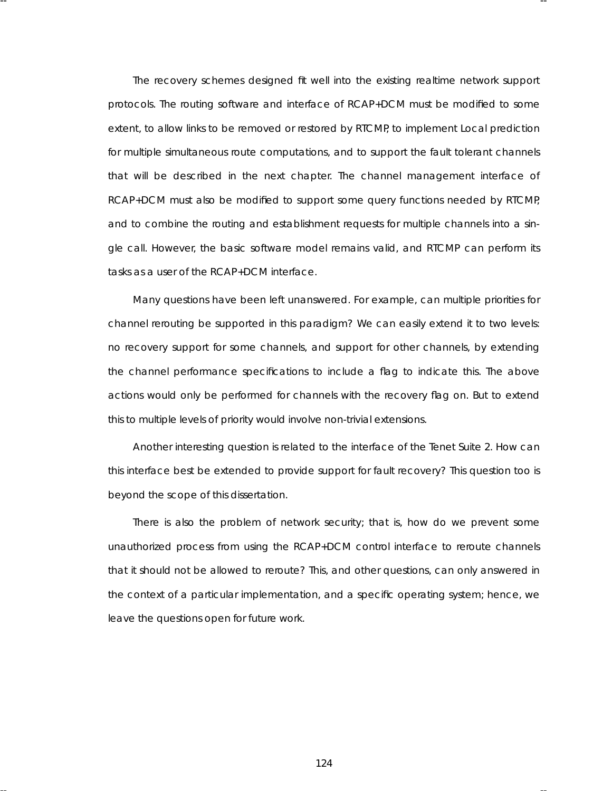The recovery schemes designed fit well into the existing realtime network support protocols . The routing software and interface of RCAP+DCM must be modified to some extent, to allow links to be removed or restored by RTCMP, to implement Local prediction for multiple simultaneous route computations, and to support the fault tolerant channels that will be described in the next chapter. The channel management interface of RCAP+DCM must also be modified to support some query functions needed by RTCMP, and to combine the routing and establishment requests for multiple channels into a single call. However, the basic software model remains valid, and RTCMP can perform its tasks as a user of the RCAP+DCM interface.

-- --

Many questions have been left unanswered. For example, can multiple priorities for channel rerouting be supported in this paradigm? We can easily extend it to two levels: no recovery support for some channels, and support for other channels, by extending the channel performance specifications to include a flag to indicate this. The above actions would only be performed for channels with the recovery flag on. But to extend this to multiple levels of priority would involve non-trivial extensions.

Another interesting question is related to the interface of the Tenet Suite 2. How can this interface best be extended to provide support for fault recovery? This question too is beyond the scope of this dissertation.

There is also the problem of network security; that is, how do we prevent some unauthorized process from using the RCAP+DCM control interface to reroute channels that it should not be allowed to reroute? This, and other questions, can only answered in the context of a particular implementation, and a specific operating system; hence, we leave the questions open for future work.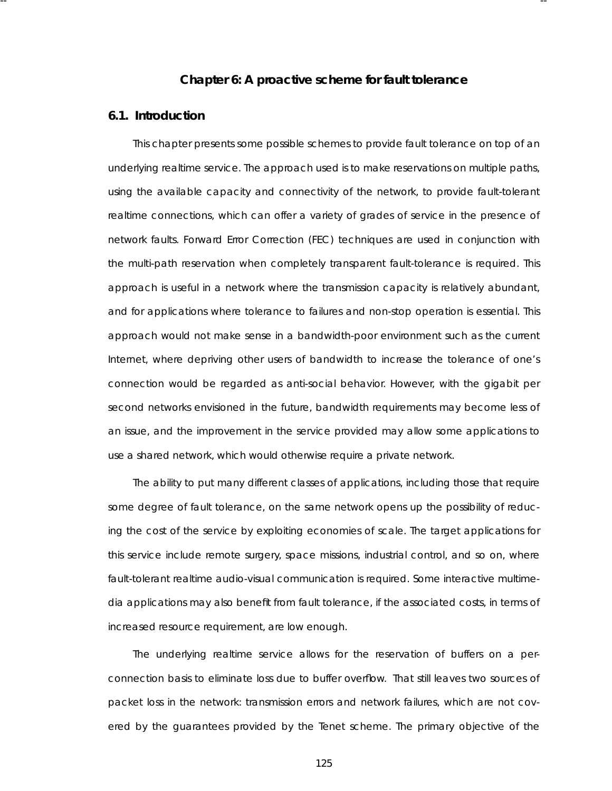# **Cha pter 6: A proactive scheme for fault tolerance**

-- --

# **6.1. Introduction**

This chapter presents some possible schemes to provide fault tolerance on top of an underlying realtime service. The approach used is to make reservations on multiple paths, using the available capacity and connectivity of the network, to provide fault-tolerant realtime connections, which can offer a variety of grades of service in the presence of network faults. Forward Error Correction (FEC) techniques are used in conjunction with the multi-path reservation when completely transparent fault-tolerance is required. This approach is useful in a network where the transmission capacity is relatively abundant, and for applications where tolerance to failures and non-stop operation is essential. This approach would not make sense in a bandwidth-poor environment such as the current Internet, where depriving other users of bandwidth to increase the tolerance of one's connection would be regarded as anti-social behavior. However, with the gigabit per second networks envisioned in the future, bandwidth requirements may become less of an issue, and the improvement in the service provided may allow some applications to use a shared network, which would otherwise require a private network.

The ability to put many different classes of applications, including those that require some degree of fault tolerance, on the same network opens up the possibility of reducing the cost of the service by exploiting economies of scale. The target applications for this service include remote surgery, space missions, industrial control, and so on, where fault-tolerant realtime audio-visual communication is required. Some interactive multimedia applications may also benefit from fault tolerance, if the associated costs, in terms of increased resource requirement, are low enough.

The underlying realtime service allows for the reservation of buffers on a perconnection basis to eliminate loss due to buffer overflow. That still leaves two sources of packet loss in the network: transmission errors and network failures, which are not covered by the guarantees provided by the Tenet scheme. The primary objective of the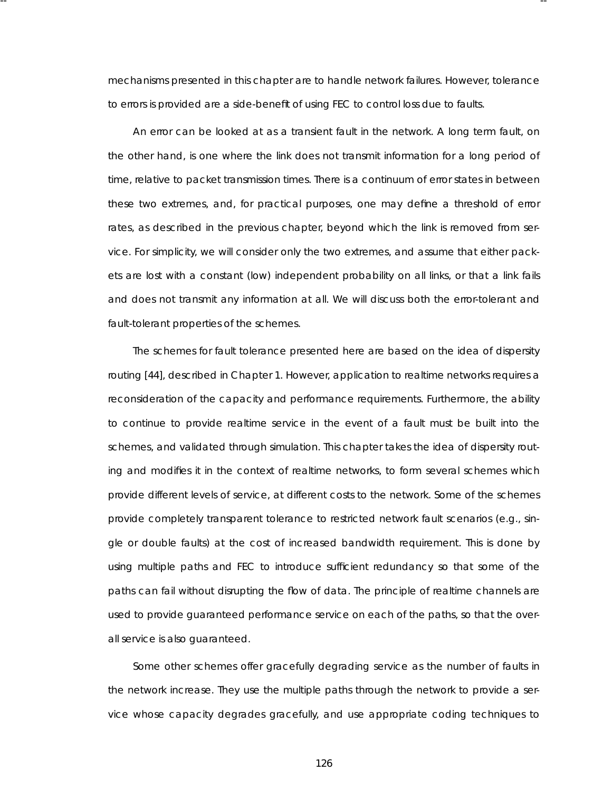mechanisms presented in this chapter are to handle network failures. However, tolerance to errors is provided are a side-benefit of using FEC to control loss due to faults.

-- --

An error can be looked at as a transient fault in the network. A long term fault, on the other hand, is one where the link does not transmit information for a long period of time, relative to packet transmission times. There is a continuum of error states in between these two extremes, and, for practical purposes, one may define a threshold of error rates, as described in the previous chapter, beyond which the link is removed from service. For simplicity, we will consider only the two extremes , and assume that either packets are lost with a constant (low) independent probability on all links, or that a link fails and does not transmit any information at all. We will discuss both the error-tolerant and fault-tolerant properties of the schemes.

The schemes for fault tolerance presented here are based on the idea of dispersity routing [44], described in Chapter 1. However, application to realtime networks requires a reconsideration of the capacity and performance requirements. Furthermore, the ability to continue to provide *realtime* service in the event of a fault must be built into the schemes, and validated through simulation. This chapter takes the idea of dispersity routing and modifies it in the context of realtime networks, to form several schemes which provide different levels of service, at different costs to the network. Some of the schemes provide completely transparent tolerance to restricted network fault scenarios (e.g., single or double faults) at the cost of increased bandwidth requirement. This is done by using multiple paths and FEC to introduce sufficient redundancy so that some of the paths can fail without disrupting the flow of data. The principle of realtime channels are used to provide guaranteed performance service on each of the paths, so that the overall service is also guaranteed.

Some other schemes offer gracefully degrading service as the number of faults in the network increase. They use the multiple paths through the network to provide a service whose capacity degrades gracefully, and use appropriate coding techniques to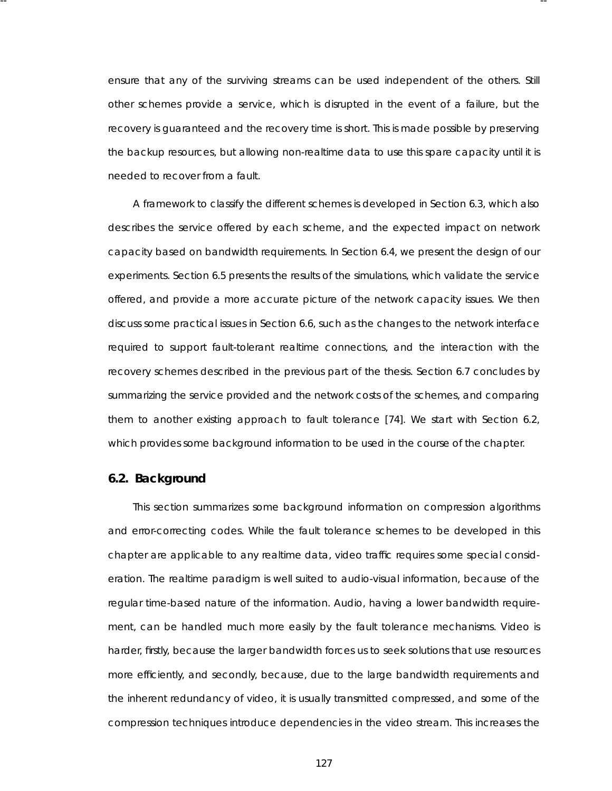ensure that any of the surviving streams can be used independent of the others. Still other schemes provide a service, which is disrupted in the event of a failure, but the recovery is guaranteed and the recovery time is short. This is made possible by preserving the backup resources, but allowing non-realtime data to use this spare capacity until it is needed to recover from a fault.

-- --

A framework to classify the different schemes is developed in Section 6.3, which also describes the service offered by each scheme, and the expected impact on network ca pacity based on bandwidth requirements . In Section 6.4, we present the design of our experiments. Section 6.5 presents the results of the simulations, which validate the service offered, and provide a more accurate picture of the network capacity issues. We then discuss some practical issues in Section 6.6, such as the changes to the network interface required to support fault-tolerant realtime connections, and the interaction with the recovery schemes described in the previous part of the thesis. Section 6.7 concludes by summarizing the service provided and the network costs of the schemes, and comparing them to another existing approach to fault tolerance [74]. We start with Section 6.2, which provides some background information to be used in the course of the chapter.

## **6.2. Background**

This section summarizes some background information on compression algorithms and error-correcting codes. While the fault tolerance schemes to be developed in this chapter are applicable to any realtime data, video traffic requires some special consideration. The realtime paradigm is well suited to audio-visual information, because of the regular time-based nature of the information. Audio, having a lower bandwidth requirement, can be handled much more easily by the fault tolerance mechanisms. Video is harder, firstly, because the larger bandwidth forces us to seek solutions that use resources more efficiently, and secondly, because, due to the large bandwidth requirements and the inherent redundancy of video, it is usually transmitted compressed, and some of the compression techniques introduce dependencies in the video stream. This increases the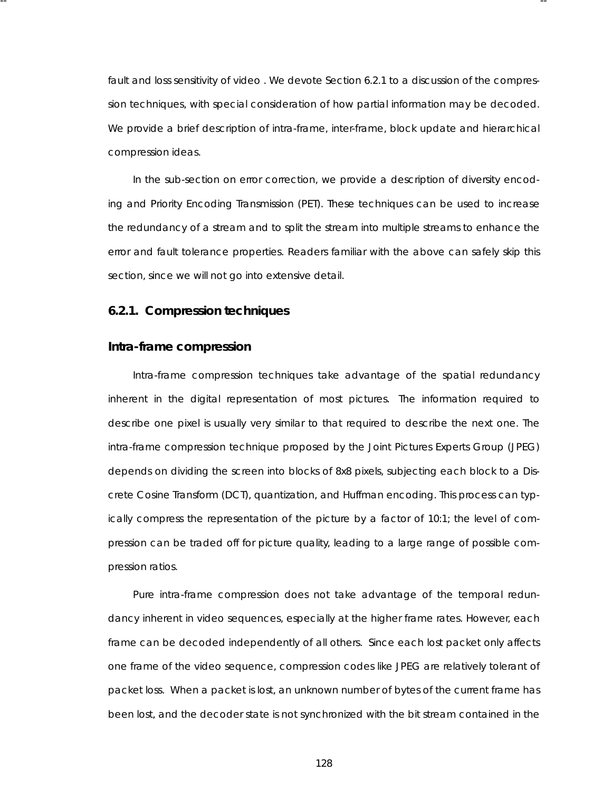fault and loss sensitivity of video . We devote Section 6.2.1 to a discussion of the compression techniques, with special consideration of how partial information may be decoded. We provide a brief description of intra-frame, inter-frame, block update and hierarchical compression ideas.

-- --

In the sub-section on error correction, we provide a description of diversity encoding and Priority Encoding Transmission (PET). These techniques can be used to increase the redundancy of a stream and to split the stream into multiple streams to enhance the error and fault tolerance properties. Readers familiar with the above can safely skip this section, since we will not go into extensive detail.

## **6.2.1. Compression techniques**

#### **Intra-frame compression**

Intra-frame compression techniques take advantage of the spatial redundancy inherent in the digital representation of most pictures. The information required to describe one pixel is usually very similar to that required to describe the next one. The intra-frame compression technique proposed by the Joint Pictures Experts Group (JPEG) depends on dividing the screen into blocks of 8x8 pixels, subjecting each block to a Discrete Cosine Transform (DCT), quantization, and Huffman encoding. This process can typically compress the representation of the picture by a factor of 10:1; the level of compression can be traded off for picture quality, leading to a large range of possible compression ratios .

Pure intra-frame compression does not take advantage of the temporal redundancy inherent in video sequences, especially at the higher frame rates . However, each frame can be decoded independently of all others. Since each lost packet only affects one frame of the video sequence, compression codes like JPEG are relatively tolerant of packet loss . When a packet is lost, an unknown number of bytes of the current frame has been lost, and the decoder state is not synchronized with the bit stream contained in the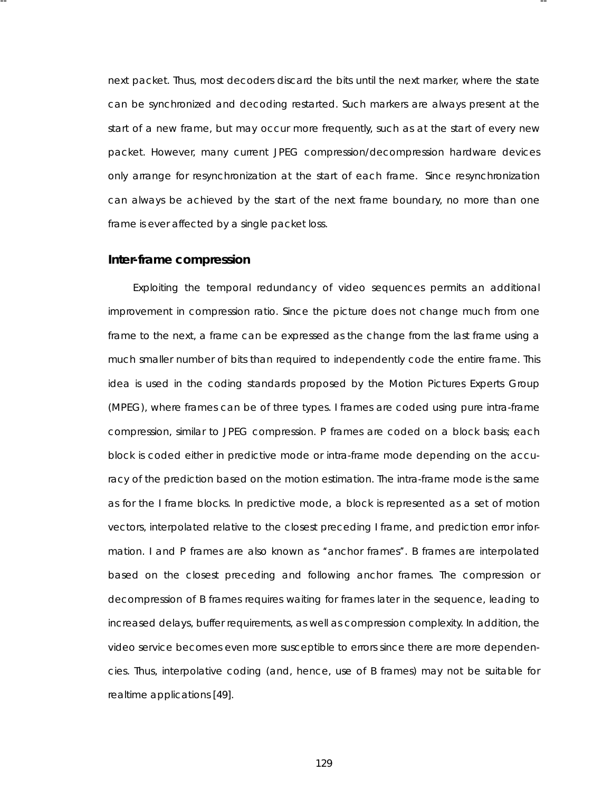next packet. Thus, most decoders discard the bits until the next marker, where the state can be synchronized and decoding restarted. Such markers are always present at the start of a new frame, but may occur more frequently, such as at the start of every new packet. However, many current JPEG compression/decompression hardware devices only arrange for resynchronization at the start of each frame. Since resynchronization can always be achieved by the start of the next frame boundary, no more than one frame is ever affected by a single packet loss.

-- --

#### **Inter-frame compression**

Exploiting the temporal redundancy of video sequences permits an additional improvement in compression ratio. Since the picture does not change much from one frame to the next, a frame can be expressed as the change from the last frame using a much smaller number of bits than required to independently code the entire frame. This idea is used in the coding standards proposed by the Motion Pictures Experts Group (MPEG), where frames can be of three types. I frames are coded using pure intra-frame compression, similar to JPEG compression. P frames are coded on a block basis; each block is coded either in predictive mode or intra-frame mode depending on the accuracy of the prediction based on the motion estimation. The intra-frame mode is the same as for the I frame blocks . In predictive mode, a block is represented as a set of motion vectors, interpolated relative to the closest preceding I frame, and prediction error information. I and P frames are also known as "anchor frames". B frames are interpolated based on the closest preceding and following anchor frames . The compression or decompression of B frames requires waiting for frames later in the sequence, leading to increased delays, buffer requirements, as well as compression complexity. In addition, the video service becomes even more susceptible to errors since there are more dependencies. Thus, interpolative coding (and, hence, use of B frames) may not be suitable for realtime applications [49].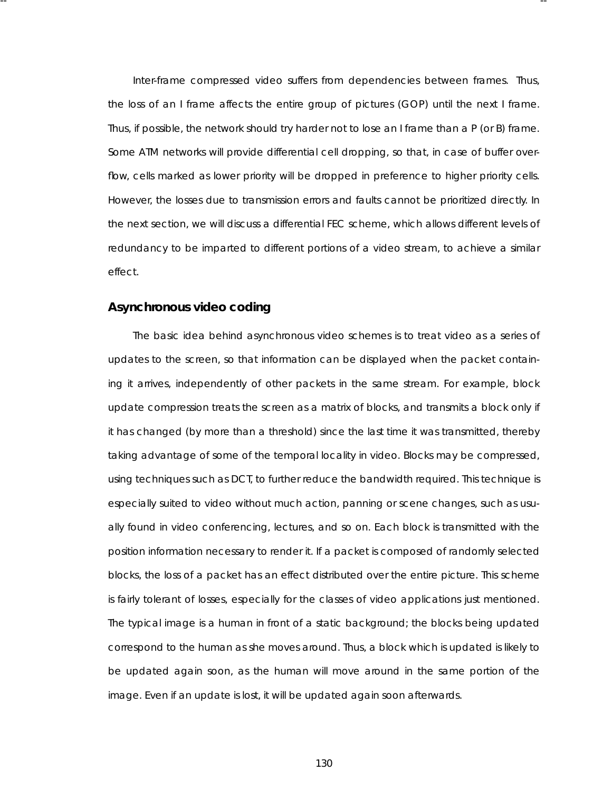Inter-frame compressed video suffers from dependencies between frames. Thus, the loss of an I frame affects the entire group of pictures (GOP) until the next I frame. Thus, if possible, the network should try harder not to lose an I frame than a P (or B) frame. Some ATM networks will provide differential cell dropping, so that, in case of buffer overflow, cells marked as lower priority will be dropped in preference to higher priority cells. However, the losses due to transmission errors and faults cannot be prioritized directly. In the next section, we will discuss a differential FEC scheme, which allows different levels of redundancy to be imparted to different portions of a video stream, to achieve a similar effect.

-- --

# **Asynchronous video coding**

The basic idea behind asynchronous video schemes is to treat video as a series of updates to the screen, so that information can be displayed when the packet containing it arrives , independently of other packets in the same stream. For example, block update compression treats the screen as a matrix of blocks, and transmits a block only if it has changed (by more than a threshold) since the last time it was transmitted, thereby taking advantage of some of the temporal locality in video. Blocks may be compressed, using techniques such as DCT, to further reduce the bandwidth required. This technique is especially suited to video without much action, panning or scene changes, such as usually found in video conferencing, lectures, and so on. Each block is transmitted with the position information necessary to render it. If a packet is composed of randomly selected blocks , the loss of a packet has an effect distributed over the entire picture. This scheme is fairly tolerant of losses, especially for the classes of video applications just mentioned. The typical image is a human in front of a static background; the blocks being updated correspond to the human as she moves around. Thus, a block which is updated is likely to be updated again soon, as the human will move around in the same portion of the image. Even if an update is lost, it will be updated again soon afterwards .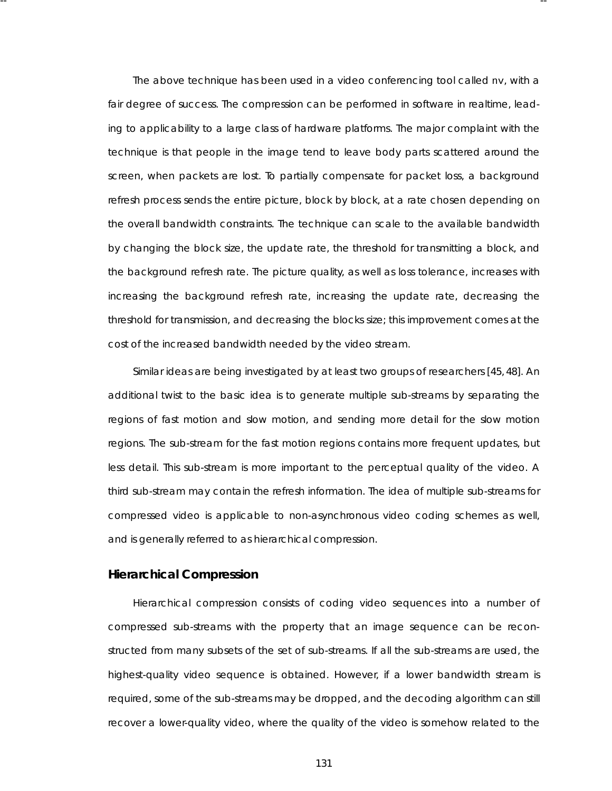The above technique has been used in a video conferencing tool called nv, with a fair degree of success. The compression can be performed in software in realtime, leading to applicability to a large class of hardware platforms. The major complaint with the technique is that people in the image tend to leave body parts scattered around the screen, when packets are lost. To partially compensate for packet loss, a background refresh process sends the entire picture, block by block, at a rate chosen depending on the overall bandwidth constraints. The technique can scale to the available bandwidth by changing the block size, the update rate, the threshold for transmitting a block, and the background refresh rate. The picture quality, as well as loss tolerance, increases with increasing the background refresh rate, increasing the update rate, decreasing the threshold for transmission, and decreasing the blocks size; this improvement comes at the cost of the increased bandwidth needed by the video stream.

-- --

Similar ideas are being investigated by at least two groups of researchers [45,48]. An additional twist to the basic idea is to generate multiple sub-streams by separating the regions of fast motion and slow motion, and sending more detail for the slow motion regions . The sub-stream for the fast motion regions contains more frequent updates, but less detail. This sub-stream is more important to the perceptual quality of the video. A third sub-stream may contain the refresh information. The idea of multiple sub-streams for compressed video is applicable to non-asynchronous video coding schemes as well, and is generally referred to as hierarchical compression.

# **Hierarchical Compression**

Hierarchical compression consists of coding video sequences into a number of compressed sub-streams with the property that an image sequence can be reconstructed from many subsets of the set of sub-streams. If all the sub-streams are used, the highest-quality video sequence is obtained. However, if a lower bandwidth stream is required, some of the sub-streams may be dropped, and the decoding algorithm can still recover a lower-quality video, where the quality of the video is somehow related to the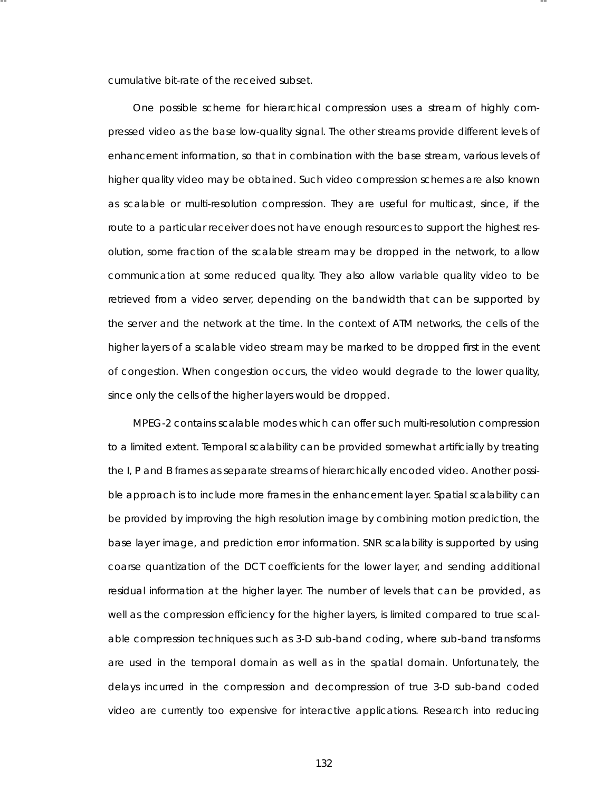cumulative bit-rate of the received subset.

-- --

One possible scheme for hierarchical compression uses a stream of highly compressed video as the base low-quality signal. The other streams provide different levels of enhancement information, so that in combination with the base stream, various levels of higher quality video may be obtained. Such video compression schemes are also known as scalable or multi-resolution compression. They are useful for multicast, since, if the route to a particular receiver does not have enough resources to support the highest resolution, some fraction of the scalable stream may be dropped in the network, to allow communication at some reduced quality. They also allow variable quality video to be retrieved from a video server, depending on the bandwidth that can be supported by the server and the network at the time. In the context of ATM networks, the cells of the higher layers of a scalable video stream may be marked to be dropped first in the event of congestion. When congestion occurs, the video would degrade to the lower quality, since only the cells of the higher layers would be dropped.

MPEG-2 contains scalable modes which can offer such multi-resolution compression to a limited extent. Temporal scalability can be provided somewhat artificially by treating the I, P and B frames as separate streams of hierarchically encoded video. Another possible approach is to include more frames in the enhancement layer. Spatial scalability can be provided by improving the high resolution image by combining motion prediction, the base layer image, and prediction error information. SNR scalability is supported by using coarse quantization of the DCT coefficients for the lower layer, and sending additional residual information at the higher layer. The number of levels that can be provided, as well as the compression efficiency for the higher layers, is limited compared to true scalable compression techniques such as 3-D sub-band coding, where sub-band transforms are used in the temporal domain as well as in the spatial domain. Unfortunately, the delays incurred in the compression and decompression of true 3-D sub-band coded video are currently too expensive for interactive applications . Research into reducing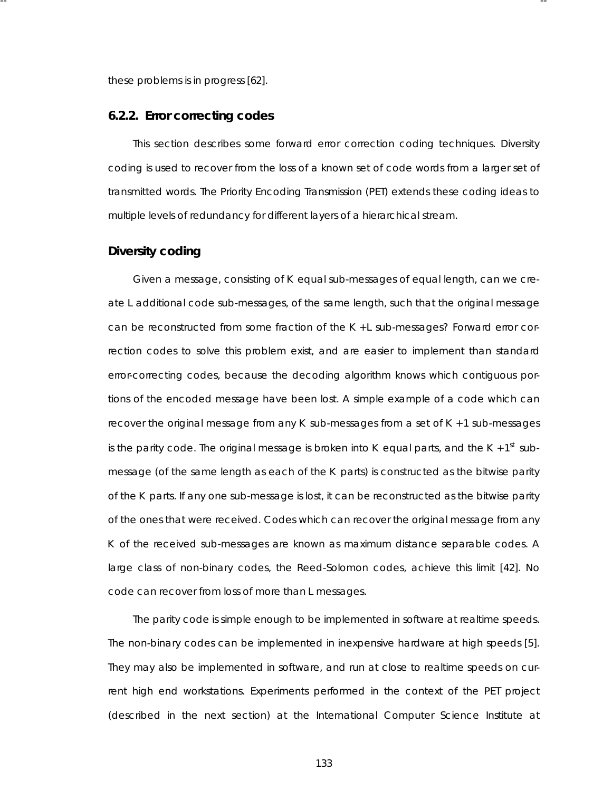these problems is in progress [62].

#### **6.2.2. Error correcting codes**

This section describes some forward error correction coding techniques. Diversity coding is used to recover from the loss of a known set of code words from a larger set of transmitted words. The Priority Encoding Transmission (PET) extends these coding ideas to multiple levels of redundancy for different layers of a hierarchical stream.

-- --

# **Diver sity coding**

Given a message, consisting of *K* equal sub-messages of equal length, can we create *L* additional code sub-messages, of the same length, such that the original message can be reconstructed from some fraction of the  $K + L$  sub-messages? Forward error correction codes to solve this problem exist, and are easier to implement than standard error-correcting codes, because the decoding algorithm knows which contiguous portions of the encoded message have been lost. A simple example of a code which can recover the original message from any *K* sub-messages from a set of *K* + 1 sub-messages is the parity code. The original message is broken into  $K$  equal parts, and the  $K + 1<sup>st</sup>$  submessage (of the same length as each of the *K* parts) is constructed as the bitwise parity of the K parts. If any one sub-message is lost, it can be reconstructed as the bitwise parity of the ones that were received. Codes which can recover the original message from any *K* of the received sub-messages are known as maximum distance separable codes. A large class of non-binary codes, the Reed-Solomon codes, achieve this limit [42]. No code can recover from loss of more than *L* messages .

The parity code is simple enough to be implemented in software at realtime speeds. The non-binary codes can be implemented in inexpensive hardware at high speeds [5]. They may also be implemented in software, and run at close to realtime speeds on current high end workstations. Experiments performed in the context of the PET project (described in the next section) at the International Computer Science Institute at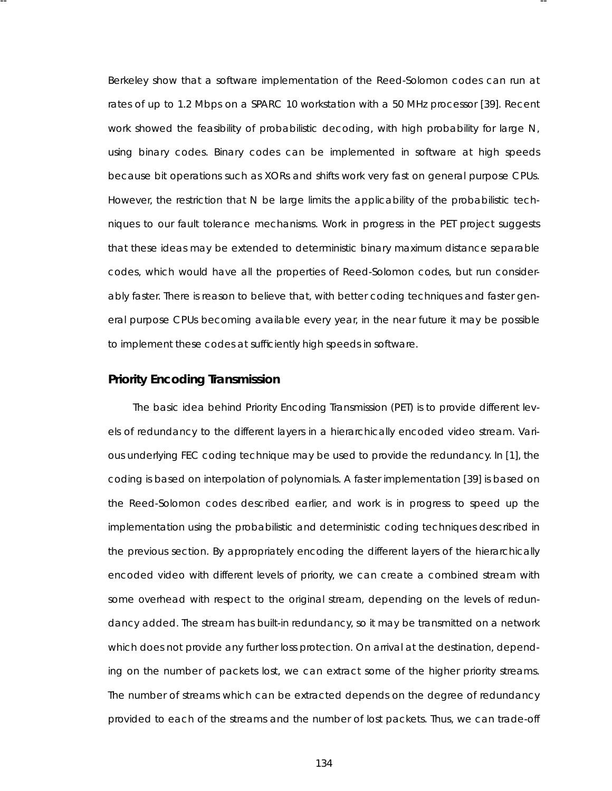Berkeley show that a software implementation of the Reed-Solomon codes can run at rates of up to 1.2 Mbps on a SPARC 10 workstation with a 50 MHz processor [39]. Recent work showed the feasibility of probabilistic decoding, with high probability for large N, using binary codes. Binary codes can be implemented in software at high speeds because bit operations such as XORs and shifts work very fast on general purpose CPUs. However, the restriction that N be large limits the applicability of the probabilistic techniques to our fault tolerance mechanisms. Work in progress in the PET project suggests that these ideas may be extended to deterministic binary maximum distance separable codes, which would have all the properties of Reed-Solomon codes, but run considerably faster. There is reason to believe that, with better coding techniques and faster general purpose CPUs becoming available every year, in the near future it may be possible to implement these codes at sufficiently high speeds in software.

-- --

### **Pr ior ity Encoding Transmission**

The basic idea behind Priority Encoding Transmission (PET) is to provide different levels of redundancy to the different layers in a hierarchically encoded video stream. Various underlying FEC coding technique may be used to provide the redundancy. In [1], the coding is based on interpolation of polynomials. A faster implementation [39] is based on the Reed-Solomon codes described earlier, and work is in progress to speed up the implementation using the proba bilistic and deterministic coding techniques described in the previous section. By appropriately encoding the different layers of the hierarchically encoded video with different levels of priority, we can create a combined stream with some overhead with respect to the original stream, depending on the levels of redundancy added. The stream has built-in redundancy, so it may be transmitted on a network which does not provide any further loss protection. On arrival at the destination, depending on the number of packets lost, we can extract some of the higher priority streams. The number of streams which can be extracted depends on the degree of redundancy provided to each of the streams and the number of lost packets. Thus, we can trade-off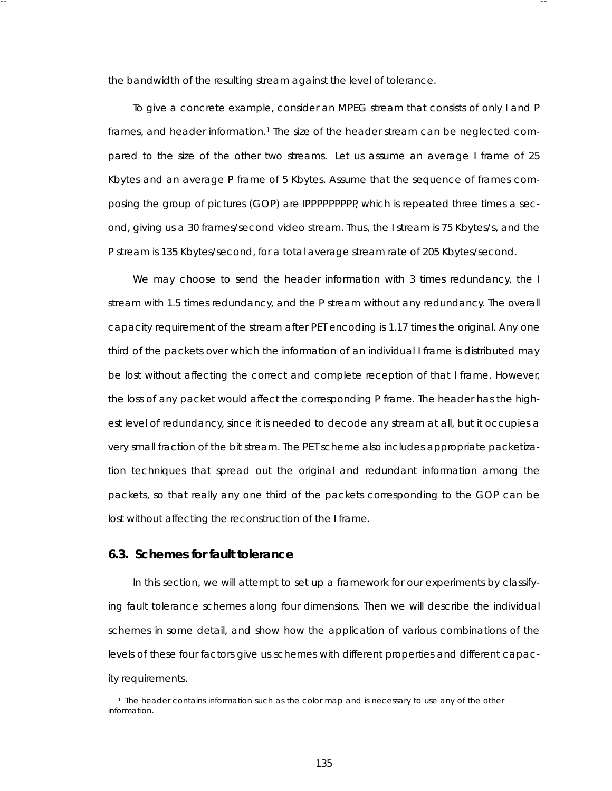the bandwidth of the resulting stream against the level of tolerance.

-- --

To give a concrete example, consider an MPEG stream that consists of only I and P frames, and header information.<sup>1</sup> The size of the header stream can be neglected compared to the size of the other two streams. Let us assume an average I frame of 25 Kbytes and an average P frame of 5 Kbytes . Assume that the sequence of frames composing the group of pictures (GOP) are IPPPPPPPPP, which is repeated three times a second, giving us a 30 frames/second video stream. Thus, the I stream is 75 Kbytes/s, and the P stream is 135 Kbytes/second, for a total average stream rate of 205 Kbytes/second.

We may choose to send the header information with 3 times redundancy, the I stream with 1.5 times redundancy, and the P stream without any redundancy. The overall ca pacity requirement of the stream after PET encoding is 1.17 times the original. Any one third of the packets over which the information of an individual I frame is distributed may be lost without affecting the correct and complete reception of that I frame. However, the loss of any packet would affect the corresponding P frame. The header has the highest level of redundancy, since it is needed to decode any stream at all, but it occupies a very small fraction of the bit stream. The PET scheme also includes appropriate packetization techniques that spread out the original and redundant information among the packets , so that really *any* one third of the packets corresponding to the GOP can be lost without affecting the reconstruction of the I frame.

# **6.3. Schemes for fault tolerance**

In this section, we will attempt to set up a framework for our experiments by classifying fault tolerance schemes along four dimensions. Then we will describe the individual schemes in some detail, and show how the application of various combinations of the levels of these four factors give us schemes with different properties and different capacity requirements.

<sup>&</sup>lt;sup>1</sup> The header contains information such as the color map and is necessary to use any of the other information.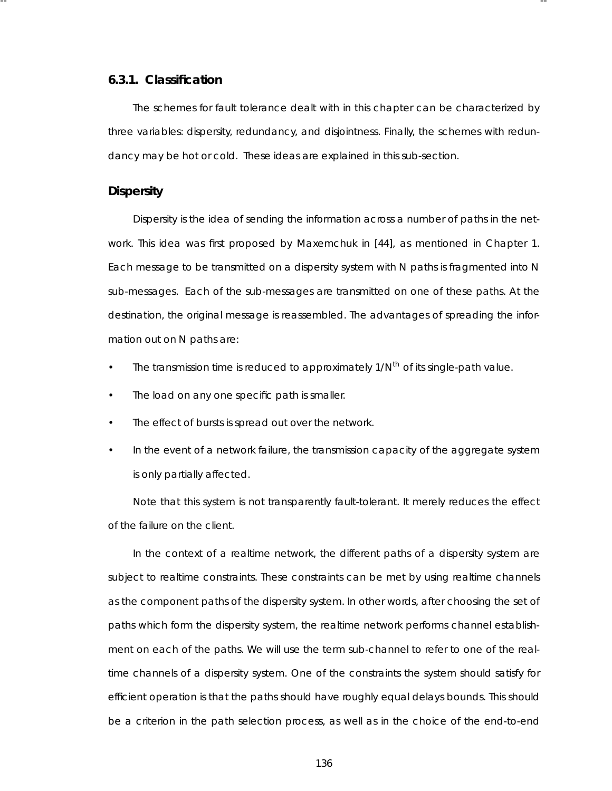### **6.3.1. Classification**

The schemes for fault tolerance dealt with in this chapter can be characterized by three variables: dispersity, redundancy, and disjointness. Finally, the schemes with redundancy may be hot or cold. These ideas are explained in this sub-section.

-- --

## **Dispersity**

Dispersity is the idea of sending the information across a number of paths in the network. This idea was first proposed by Maxemchuk in [44], as mentioned in Chapter 1. Each message to be transmitted on a dispersity system with *N* paths is fragmented into *N* sub-messages . Each of the sub-messages are transmitted on one of these paths. At the destination, the original message is reassembled. The advantages of spreading the information out on *N* paths are:

- The transmission time is reduced to approximately 1/*Nth* of its single-path value.
- The load on any one specific path is smaller.
- The effect of bursts is spread out over the network.
- In the event of a network failure, the transmission capacity of the aggregate system is only partially affected.

Note that this system is not transparently fault-tolerant. It merely reduces the effect of the failure on the client.

In the context of a realtime network, the different paths of a dispersity system are subject to realtime constraints . These constraints can be met by using realtime channels as the component paths of the dispersity system. In other words , after choosing the set of paths which form the dispersity system, the realtime network performs channel establishment on each of the paths. We will use the term *sub-channel* to refer to one of the realtime channels of a dispersity system. One of the constraints the system should satisfy for efficient operation is that the paths should have roughly equal delays bounds. This should be a criterion in the path selection process, as well as in the choice of the end-to-end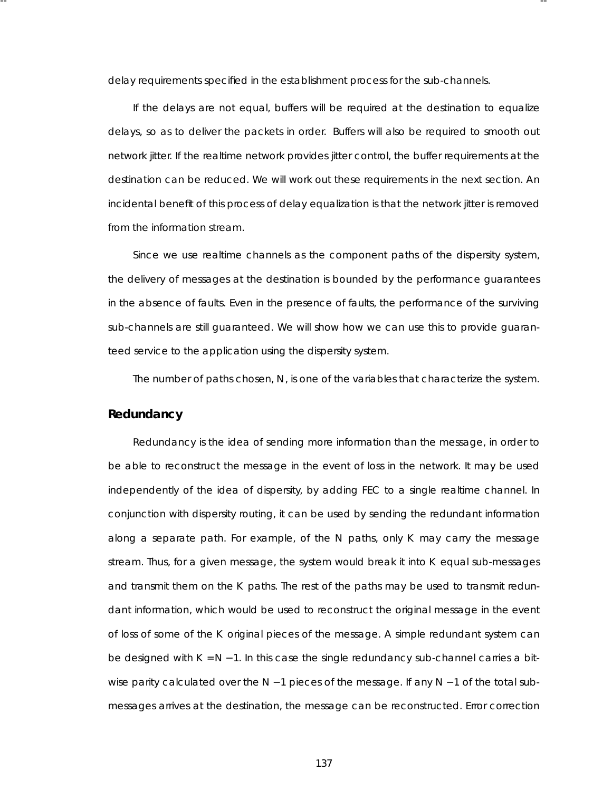delay requirements specified in the establishment process for the sub-channels.

-- --

If the delays are not equal, buffers will be required at the destination to equalize delays, so as to deliver the packets in order. Buffers will also be required to smooth out network jitter. If the realtime network provides jitter control, the buffer requirements at the destination can be reduced. We will work out these requirements in the next section. An incidental benefit of this process of delay equalization is that the network jitter is removed from the information stream.

Since we use realtime channels as the component paths of the dispersity system, the delivery of messages at the destination is bounded by the performance guarantees in the absence of faults. Even in the presence of faults, the performance of the surviving sub-channels are still guaranteed. We will show how we can use this to provide guaranteed service to the application using the dispersity system.

The number of paths chosen, N, is one of the variables that characterize the system.

## **Redundancy**

Redundancy is the idea of sending more information than the message, in order to be able to reconstruct the message in the event of loss in the network. It may be used independently of the idea of dispersity, by adding FEC to a single realtime channel. In conjunction with dispersity routing, it can be used by sending the redundant information along a separate path. For example, of the *N* paths, only *K* may carry the message stream. Thus, for a given message, the system would break it into *K* equal sub-messages and transmit them on the *K* paths. The rest of the paths may be used to transmit redundant information, which would be used to reconstruct the original message in the event of loss of some of the *K* original pieces of the message. A simple redundant system can be designed with *K* = *N* − 1. In this case the single redundancy sub-channel carries a bitwise parity calculated over the *N* − 1 pieces of the message. If any *N* − 1 of the total submessages arrives at the destination, the message can be reconstructed. Error correction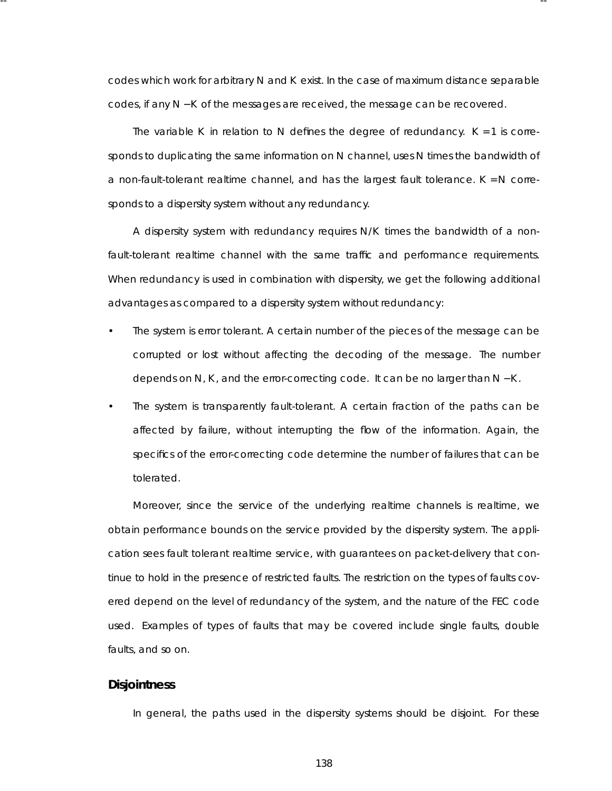codes which work for arbitrary N and K exist. In the case of maximum distance separable codes , if any *N* − *K* of the messages are received, the message can be recovered.

-- --

The variable *K* in relation to *N* defines the degree of redundancy.  $K = 1$  is corresponds to duplicating the same information on *N* channel, uses *N* times the bandwidth of a non-fault-tolerant realtime channel, and has the largest fault tolerance. *K* = *N* corresponds to a dispersity system without any redundancy.

A dispersity system with redundancy requires  $N/K$  times the bandwidth of a nonfault-tolerant realtime channel with the same traffic and performance requirements. When redundancy is used in combination with dispersity, we get the following additional advantages as compared to a dispersity system without redundancy:

- The system is error tolerant. A certain number of the pieces of the message can be corrupted or lost without affecting the decoding of the message. The number depends on *N*, *K* , and the error-correcting code. It can be no larger than *N* − *K* .
- The system is transparently fault-tolerant. A certain fraction of the paths can be affected by failure, without interrupting the flow of the information. Again, the specifics of the error-correcting code determine the number of failures that can be tolerated.

Moreover, since the service of the underlying realtime channels is realtime, we obtain performance bounds on the service provided by the dispersity system. The application sees fault tolerant realtime service, with guarantees on packet-delivery that continue to hold in the presence of restricted faults. The restriction on the types of faults covered depend on the level of redundancy of the system, and the nature of the FEC code used. Examples of types of faults that may be covered include single faults, double faults, and so on.

#### **Disjointness**

In general, the paths used in the dispersity systems should be disjoint. For these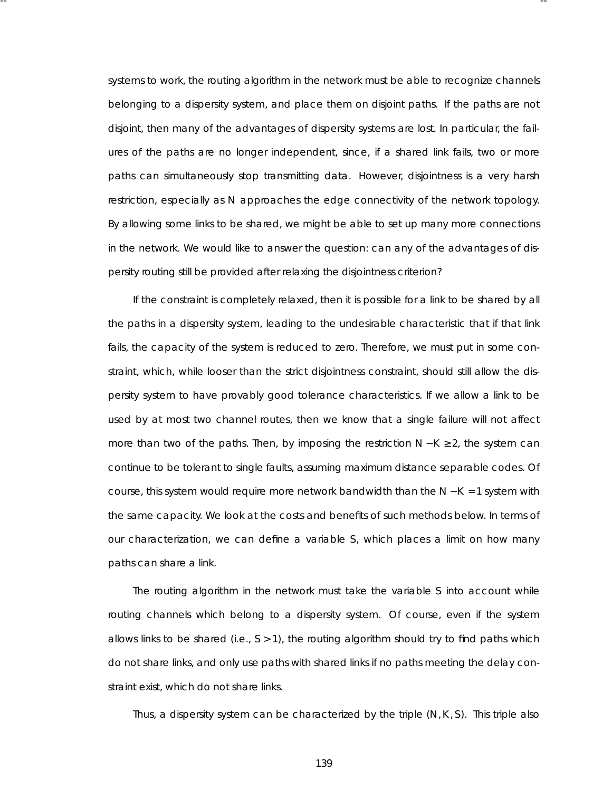systems to work, the routing algorithm in the network must be able to recognize channels belonging to a dispersity system, and place them on disjoint paths. If the paths are not disjoint, then many of the advantages of dispersity systems are lost. In particular, the failures of the paths are no longer independent, since, if a shared link fails, two or more paths can simultaneously stop transmitting data. However, disjointness is a very harsh restriction, especially as *N* approaches the edge connectivity of the network topology. By allowing some links to be shared, we might be able to set up many more connections in the network. We would like to answer the question: can any of the advantages of dispersity routing still be provided after relaxing the disjointness criterion?

-- --

If the constraint is completely relaxed, then it is possible for a link to be shared by all the paths in a dispersity system, leading to the undesirable characteristic that if that link fails, the capacity of the system is reduced to zero. Therefore, we must put in some constraint, which, while looser than the strict disjointness constraint, should still allow the dispersity system to have provably good tolerance characteristics. If we allow a link to be used by at most two channel routes, then we know that a single failure will not affect more than two of the paths. Then, by imposing the restriction *N* − K ≥ 2, the system can continue to be tolerant to single faults, assuming maximum distance separable codes. Of course, this system would require more network bandwidth than the *N* − *K* = 1 system with the same capacity. We look at the costs and benefits of such methods below. In terms of our characterization, we can define a variable *S*, which places a limit on how many paths can share a link.

The routing algorithm in the network must take the variable S into account while routing channels which belong to a dispersity system. Of course, even if the system allows links to be shared (i.e., *S* > 1), the routing algorithm should try to find paths which do not share links, and only use paths with shared links if no paths meeting the delay constraint exist, which do not share links.

Thus, a dispersity system can be characterized by the triple  $(N, K, S)$ . This triple also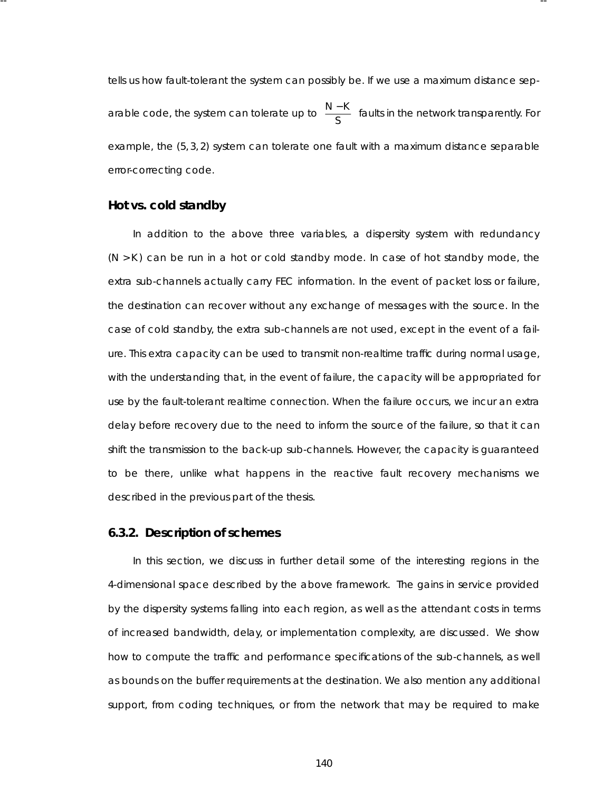tells us how fault-tolerant the system can possibly be. If we use a maximum distance separable code, the system can tolerate up to I I  $\mathsf{L}% _{0}\left( \mathcal{N}\right)$ *N* − *K S* J I  $\frac{1}{2}$ faults in the network transparently. For example, the (5, 3, 2) system can tolerate one fault with a maximum distance separable error-correcting code.

-- --

# **Hot vs. cold standby**

In addition to the above three variables, a dispersity system with redundancy (*N* > *K* ) can be run in a hot or cold standby mode. In case of hot standby mode, the extra sub-channels actually carry FEC information. In the event of packet loss or failure, the destination can recover without any exchange of messages with the source. In the case of cold standby, the extra sub-channels are not used, except in the event of a failure. This extra capacity can be used to transmit non-realtime traffic during normal usage, with the understanding that, in the event of failure, the capacity will be appropriated for use by the fault-tolerant realtime connection. When the failure occurs, we incur an extra delay before recovery due to the need to inform the source of the failure, so that it can shift the transmission to the back-up sub-channels. However, the capacity is guaranteed to be there, unlike what happens in the reactive fault recovery mechanisms we described in the previous part of the thesis.

#### **6.3.2. Description of schemes**

In this section, we discuss in further detail some of the interesting regions in the 4-dimensional space described by the above framework. The gains in service provided by the dispersity systems falling into each region, as well as the attendant costs in terms of increased bandwidth, delay, or implementation complexity, are discussed. We show how to compute the traffic and performance specifications of the sub-channels, as well as bounds on the buffer requirements at the destination. We also mention any additional support, from coding techniques, or from the network that may be required to make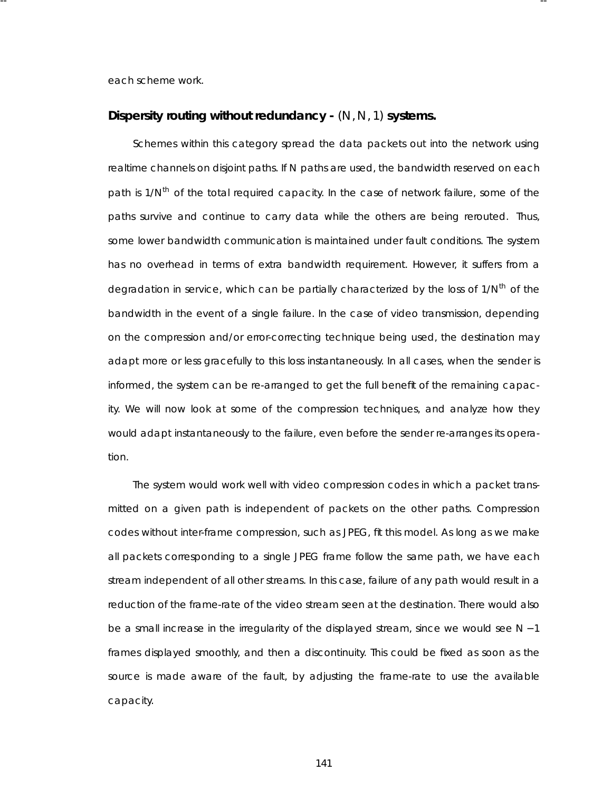each scheme work.

#### **Disper sity routing without redundancy -** (*N*,*N*, 1) **systems .**

-- --

Schemes within this category spread the data packets out into the network using realtime channels on disjoint paths. If *N* paths are used, the bandwidth reserved on each path is 1/N<sup>th</sup> of the total required capacity. In the case of network failure, some of the paths survive and continue to carry data while the others are being rerouted. Thus, some lower bandwidth communication is maintained under fault conditions. The system has no overhead in terms of extra bandwidth requirement. However, it suffers from a degradation in service, which can be partially characterized by the loss of  $1/N<sup>th</sup>$  of the bandwidth in the event of a single failure. In the case of video transmission, depending on the compression and/or error-correcting technique being used, the destination may adapt more or less gracefully to this loss instantaneously. In all cases, when the sender is informed, the system can be re-arranged to get the full benefit of the remaining capacity. We will now look at some of the compression techniques, and analyze how they would adapt instantaneously to the failure, even before the sender re-arranges its operation.

The system would work well with video compression codes in which a packet transmitted on a given path is independent of packets on the other paths. Compression codes without inter-frame compression, such as JPEG, fit this model. As long as we make all packets corresponding to a single JPEG frame follow the same path, we have each stream independent of all other streams . In this case, failure of any path would result in a reduction of the frame-rate of the video stream seen at the destination. There would also be a small increase in the irregularity of the displayed stream, since we would see *N* − 1 frames displayed smoothly, and then a discontinuity. This could be fixed as soon as the source is made aware of the fault, by adjusting the frame-rate to use the available capacity.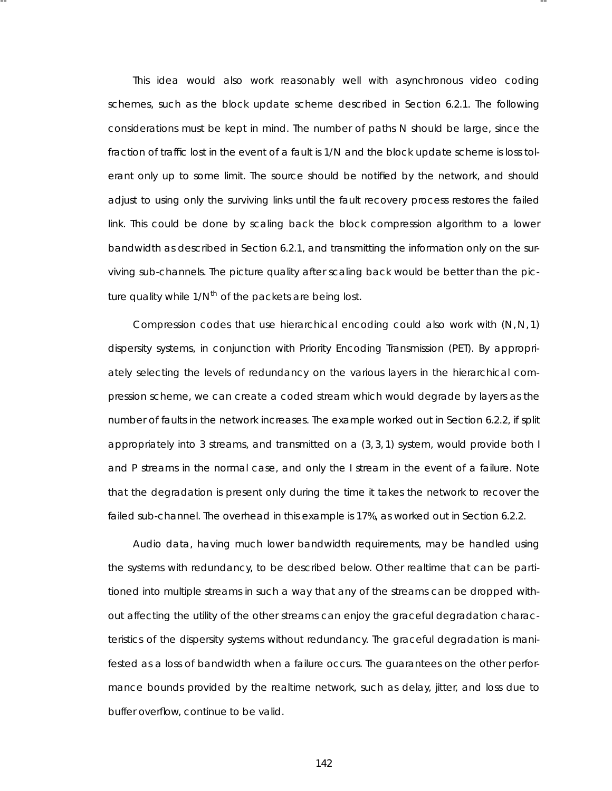This idea would also work reasonably well with asynchronous video coding schemes, such as the block update scheme described in Section 6.2.1. The following considerations must be kept in mind. The number of paths *N* should be large, since the fraction of traffic lost in the event of a fault is 1/*N* and the block update scheme is loss tolerant only up to some limit. The source should be notified by the network, and should adjust to using only the surviving links until the fault recovery process restores the failed link. This could be done by scaling back the block compression algorithm to a lower bandwidth as described in Section 6.2.1, and transmitting the information only on the surviving sub-channels. The picture quality after scaling back would be better than the picture quality while 1/*Nth* of the packets are being lost.

-- --

Compression codes that use hierarchical encoding could also work with (*N*, *N*, 1) dispersity systems, in conjunction with Priority Encoding Transmission (PET). By appropriately selecting the levels of redundancy on the various layers in the hierarchical compression scheme, we can create a coded stream which would degrade by layers as the number of faults in the network increases. The example worked out in Section 6.2.2, if split appropriately into 3 streams, and transmitted on  $a(3,3,1)$  system, would provide both I and P streams in the normal case, and only the I stream in the event of a failure. Note that the degradation is present only during the time it takes the network to recover the failed sub-channel. The overhead in this example is 17%, as worked out in Section 6.2.2.

Audio data, having much lower bandwidth requirements, may be handled using the systems with redundancy, to be described below. Other realtime that can be partitioned into multiple streams in such a way that any of the streams can be dropped without affecting the utility of the other streams can enjoy the graceful degradation characteristics of the dispersity systems without redundancy. The graceful degradation is manifested as a loss of bandwidth when a failure occurs. The guarantees on the other performance bounds provided by the realtime network, such as delay, jitter, and loss due to buffer overflow, continue to be valid.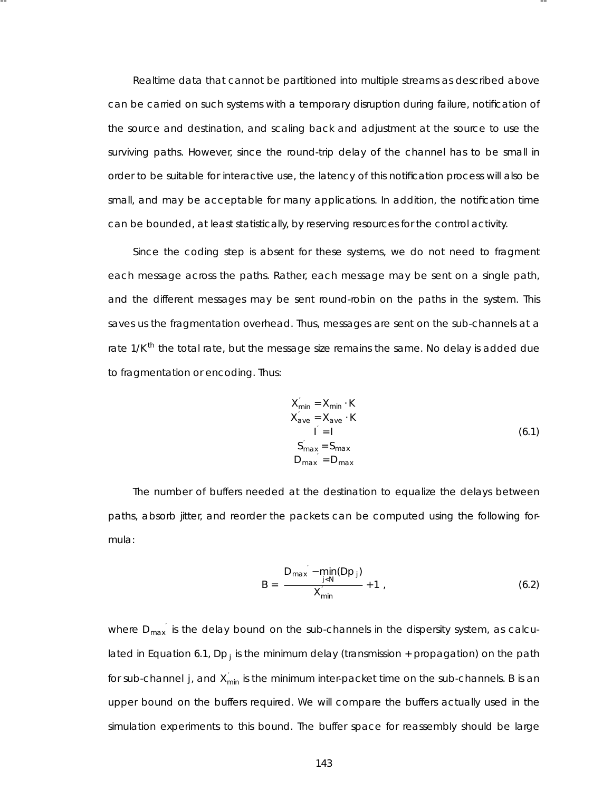Realtime data that cannot be partitioned into multiple streams as described above can be carried on such systems with a temporary disruption during failure, notification of the source and destination, and scaling back and adjustment at the source to use the surviving paths. However, since the round-trip delay of the channel has to be small in order to be suitable for interactive use, the latency of this notification process will also be small, and may be acceptable for many applications . In addition, the notification time can be bounded, at least statistically, by reser ving resources for the control activity.

-- --

Since the coding step is absent for these systems, we do not need to fragment each message across the paths. Rather, each message may be sent on a single path, and the different messages may be sent round-robin on the paths in the system. This saves us the fragmentation overhead. Thus, messages are sent on the sub-channels at a rate 1/K<sup>th</sup> the total rate, but the message size remains the same. No delay is added due to fragmentation or encoding. Thus:

$$
X'_{min} = X_{min} \cdot K
$$
  
\n
$$
X'_{ave} = X_{ave} \cdot K
$$
  
\n
$$
i' = 1
$$
  
\n
$$
S'_{max} = S_{max}
$$
  
\n
$$
D_{max} = D_{max}
$$
  
\n(6.1)

The number of buffers needed at the destination to equalize the delays between paths, absorb jitter, and reorder the packets can be computed using the following formula:

$$
B = \left[ \frac{D_{\text{max}}' - \min_{j < N} (Dp_j)}{X'_{\text{min}}} + 1 \right],\tag{6.2}
$$

where  $D_{\text{max}}'$  is the delay bound on the sub-channels in the dispersity system, as calculated in Equation 6.1,  $Dp_j$  is the minimum delay (transmission + propagation) on the path for sub-channel *j*, and  $X_{min}^{'}$  is the minimum inter-packet time on the sub-channels. *B* is an upper bound on the buffers required. We will compare the buffers actually used in the simulation experiments to this bound. The buffer space for reassembly should be large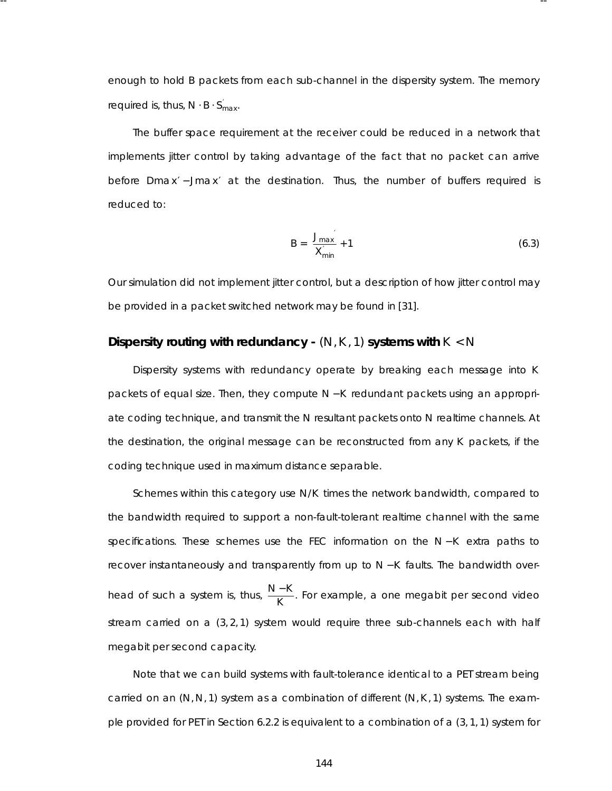enough to hold *B* packets from *each* sub-channel in the dispersity system. The memory required is, thus,  $N \cdot B \cdot S'_{max}$ .

-- --

The buffer space requirement at the receiver could be reduced in a network that implements jitter control by taking advantage of the fact that no packet can arrive before *Dmax'* – Jmax' at the destination. Thus, the number of buffers required is reduced to:

$$
B = \left[ \frac{J_{max}}{X'_{min}} + 1 \right]
$$
 (6.3)

Our simulation did not implement jitter control, but a description of how jitter control may be provided in a packet switched network may be found in [31].

# **Disper sity routing with redundancy -** (*N*,*K* , 1) **systems with** *K* < *N*

Dispersity systems with redundancy operate by breaking each message into *K* packets of equal size. Then, they compute *N* − *K* redundant packets using an appropriate coding technique, and transmit the *N* resultant packets onto *N* realtime channels. At the destination, the original message can be reconstructed from any *K* packets, if the coding technique used in maximum distance separable.

Schemes within this category use  $N/K$  times the network bandwidth, compared to the bandwidth required to support a non-fault-tolerant realtime channel with the same specifications. These schemes use the FEC information on the *N* − *K* extra paths to recover instantaneously and transparently from up to *N* − *K* faults. The bandwidth overhead of such a system is, thus,  $\frac{N-K}{K}$ . For example, a one megabit per second video stream carried on a  $(3, 2, 1)$  system would require three sub-channels each with half megabit per second capacity.

Note that we can build systems with fault-tolerance identical to a PET stream being carr ied on an (*N*,*N*, 1) system as a combination of different (*N*,*K* , 1) systems . The example provided for PET in Section 6.2.2 is equivalent to a combination of a (3, 1, 1) system for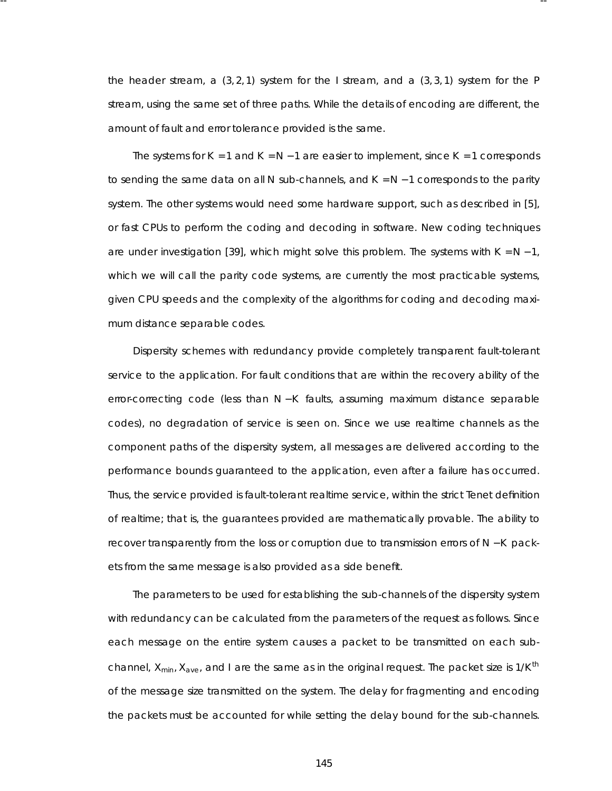the header stream, a  $(3, 2, 1)$  system for the I stream, and a  $(3, 3, 1)$  system for the P stream, using the same set of three paths. While the details of encoding are different, the amount of fault and error tolerance provided is the same.

-- --

The systems for *K* = 1 and *K* = *N* − 1 are easier to implement, since *K* = 1 corresponds to sending the same data on all *N* sub-channels , and *K* = *N* − 1 corresponds to the parity system. The other systems would need some hardware support, such as described in [5], or fast CPUs to perform the coding and decoding in software. New coding techniques are under investigation [39], which might solve this problem. The systems with *K* = *N* − 1, which we will call the parity code systems, are currently the most practicable systems, given CPU speeds and the complexity of the algorithms for coding and decoding maximum distance separable codes.

Dispersity schemes with redundancy provide completely transparent fault-tolerant service to the application. For fault conditions that are within the recovery ability of the error-correcting code (less than *N* − *K* faults, assuming maximum distance separable codes), no degradation of service is seen on. Since we use realtime channels as the component paths of the dispersity system, all messages are delivered according to the performance bounds guaranteed to the application, even after a failure has occurred. Thus, the service provided is fault-tolerant *realtime* service, within the strict Tenet definition of realtime; that is, the guarantees provided are mathematically prova ble. The ability to recover transparently from the loss or corruption due to transmission error s of *N* − *K* packets from the same message is also provided as a side benefit.

The parameters to be used for establishing the sub-channels of the dispersity system with redundancy can be calculated from the parameters of the request as follows. Since each message on the entire system causes a packet to be transmitted on each subchannel, *Xmin*, *Xave*, and *I* are the same as in the original request. The packet size is 1/*K th* of the message size transmitted on the system. The delay for fragmenting and encoding the packets must be accounted for while setting the delay bound for the sub-channels.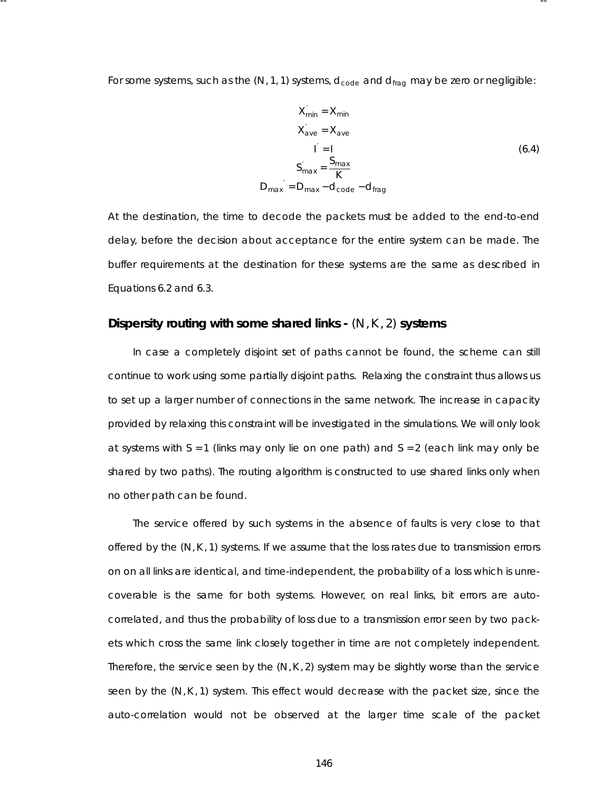For some systems, such as the (N, 1, 1) systems,  $d_{code}$  and  $d_{frag}$  may be zero or negligible:

-- --

$$
X'_{min} = X_{min}
$$
  
\n
$$
X'_{ave} = X_{ave}
$$
  
\n
$$
I' = I
$$
  
\n
$$
S'_{max} = \frac{S_{max}}{K}
$$
  
\n
$$
D_{max}' = D_{max} - d_{code} - d_{frag}
$$
  
\n(6.4)

At the destination, the time to decode the packets must be added to the end-to-end delay, before the decision about acceptance for the entire system can be made. The buffer requirements at the destination for these systems are the same as described in Equations 6.2 and 6.3.

# **Disper sity routing with some shared links -** (*N*,*K* , 2) **systems**

In case a completely disjoint set of paths cannot be found, the scheme can still continue to work using some partially disjoint paths. Relaxing the constraint thus allows us to set up a larger number of connections in the same network. The increase in capacity provided by relaxing this constraint will be investigated in the simulations . We will only look at systems with *S* = 1 (links may only lie on one path) and *S* = 2 (each link may only be shared by two paths). The routing algorithm is constructed to use shared links only when no other path can be found.

The service offered by such systems in the absence of faults is very close to that offered by the  $(N, K, 1)$  systems. If we assume that the loss rates due to transmission errors on on all links are identical, and time-independent, the proba bility of a loss which is unrecoverable is the same for both systems. However, on real links, bit errors are autocorrelated, and thus the probability of loss due to a transmission error seen by two packets which cross the same link closely together in time are not completely independent. Therefore, the service seen by the  $(N, K, 2)$  system may be slightly worse than the service seen by the (*N*,*K* , 1) system. This effect would decrease with the packet size, since the auto-correlation would not be observed at the larger time scale of the packet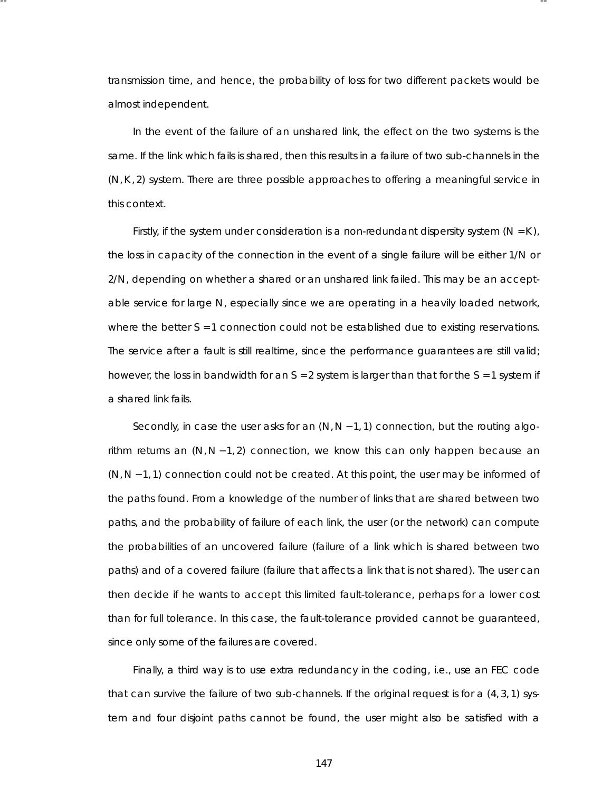transmission time, and hence, the proba bility of loss for two different packets would be almost independent.

-- --

In the event of the failure of an unshared link, the effect on the two systems is the same. If the link which fails is shared, then this results in a failure of two sub-channels in the (*N*,*K* , 2) system. There are three possible approaches to offering a meaningful service in this context.

Firstly, if the system under consideration is a non-redundant dispersity system  $(N = K)$ , the loss in capacity of the connection in the event of a single failure will be either 1/*N* or 2/*N*, depending on whether a shared or an unshared link failed. This may be an acceptable service for large *N*, especially since we are operating in a heavily loaded network, where the better  $S = 1$  connection could not be established due to existing reservations. The service after a fault is still realtime, since the performance guarantees are still valid; however, the loss in bandwidth for an *S* = 2 system is larger than that for the *S* = 1 system if a shared link fails.

Secondly, in case the user asks for an (*N*,*N* − 1, 1) connection, but the routing algorithm returns an  $(N, N-1, 2)$  connection, we know this can only happen because an (*N*, *N* − 1, 1) connection could not be created. At this point, the user may be informed of the paths found. From a knowledge of the number of links that are shared between two paths, and the probability of failure of each link, the user (or the network) can compute the proba bilities of an uncovered failure (failure of a link which is shared between two paths) and of a covered failure (failure that affects a link that is not shared). The user can then decide if he wants to accept this limited fault-tolerance, perhaps for a lower cost than for full tolerance. In this case, the fault-tolerance provided cannot be guaranteed, since only some of the failures are covered.

Finally, a third way is to use extra redundancy in the coding, i.e., use an FEC code that can survive the failure of two sub-channels . If the original request is for a (4, 3, 1) system and four disjoint paths cannot be found, the user might also be satisfied with a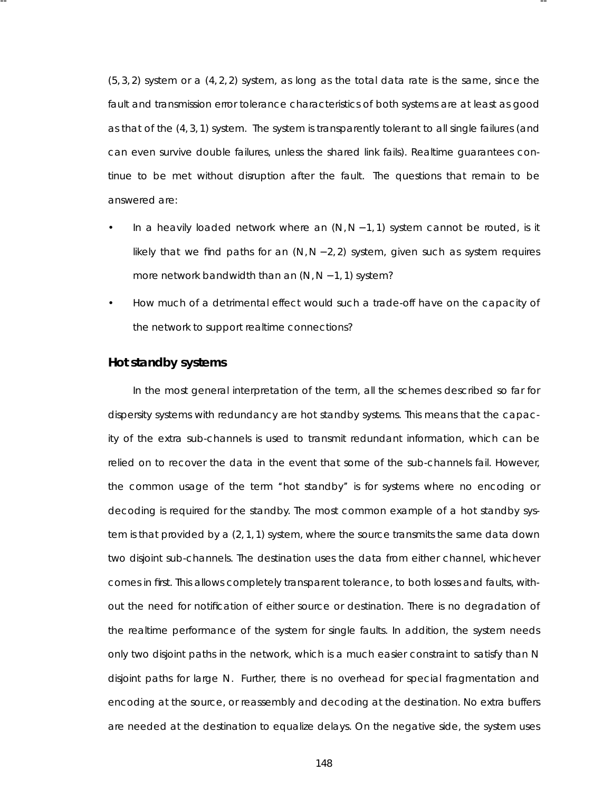$(5, 3, 2)$  system or a  $(4, 2, 2)$  system, as long as the total data rate is the same, since the fault and transmission error tolerance characteristics of both systems are at least as good as that of the (4, 3, 1) system. The system is transparently tolerant to all single failures (and can even survive double failures, unless the shared link fails). Realtime quarantees continue to be met without disruption after the fault. The questions that remain to be answered are:

-- --

- In a heavily loaded network where an (*N*, *N* − 1, 1) system cannot be routed, is it likely that we find paths for an (*N*,*N* − 2, 2) system, given such as system requires more network bandwidth than an (*N*, *N* − 1, 1) system?
- How much of a detrimental effect would such a trade-off have on the capacity of the network to support realtime connections?

#### **Hot standby systems**

In the most general interpretation of the term, all the schemes described so far for dispersity systems with redundancy are hot standby systems. This means that the capacity of the extra sub-channels is used to transmit redundant information, which can be relied on to recover the data in the event that some of the sub-channels fail. However, the common usage of the term ''hot standby'' is for systems where no encoding or decoding is required for the standby. The most common example of a hot standby system is that provided by a (2, 1, 1) system, where the source transmits the same data down two disjoint sub-channels. The destination uses the data from either channel, whichever comes in first. This allows completely transparent tolerance, to both losses and faults, without the need for notification of either source or destination. There is no degradation of the realtime performance of the system for single faults. In addition, the system needs only two disjoint paths in the network, which is a much easier constraint to satisfy than N disjoint paths for large *N*. Further, there is no overhead for special fragmentation and encoding at the source, or reassembly and decoding at the destination. No extra buffers are needed at the destination to equalize delays. On the negative side, the system uses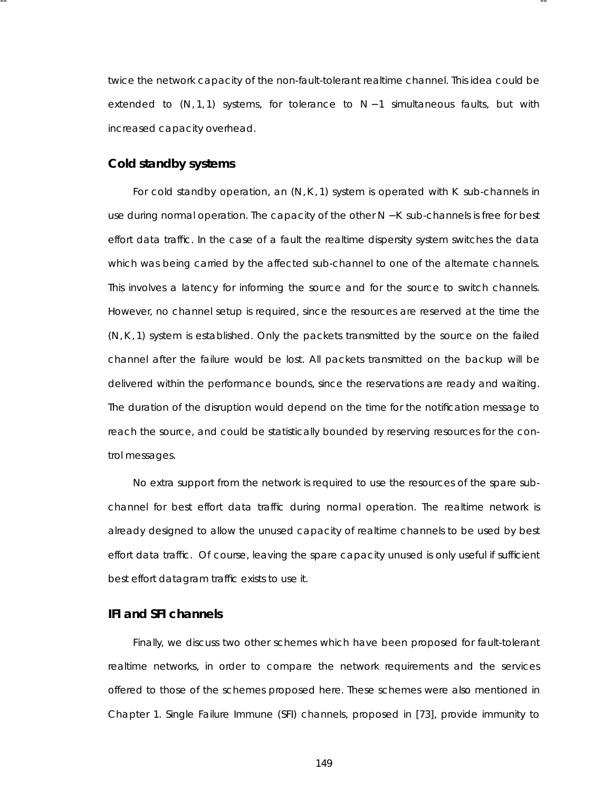twice the network capacity of the non-fault-tolerant realtime channel. This idea could be extended to (*N*, 1, 1) systems, for tolerance to *N* − 1 simultaneous faults, but with increased capacity overhead.

-- --

# **Cold standby systems**

For cold standby operation, an (*N*,*K* , 1) system is operated with *K* sub-channels in use during normal operation. The capacity of the other *N* − *K* sub-channels is free for best effort data traffic. In the case of a fault the realtime dispersity system switches the data which was being carried by the affected sub-channel to one of the alternate channels. This involves a latency for informing the source and for the source to switch channels. However, no channel setup is required, since the resources are reserved at the time the (*N*,*K* , 1) system is established. Only the packets transmitted by the source on the failed channel after the failure would be lost. All packets transmitted on the backup will be delivered within the performance bounds, since the reservations are ready and waiting. The duration of the disruption would depend on the time for the notification message to reach the source, and could be statistically bounded by reserving resources for the control messages.

No extra support from the network is required to use the resources of the spare subchannel for best effort data traffic during normal operation. The realtime network is already designed to allow the unused capacity of realtime channels to be used by best effort data traffic. Of course, leaving the spare capacity unused is only useful if sufficient best effort datagram traffic exists to use it.

#### **IFI and SFI channels**

Finally, we discuss two other schemes which have been proposed for fault-tolerant realtime networks, in order to compare the network requirements and the services offered to those of the schemes proposed here. These schemes were also mentioned in Cha pter 1. Single Failure Immune (SFI) channels, proposed in [73], provide immunity to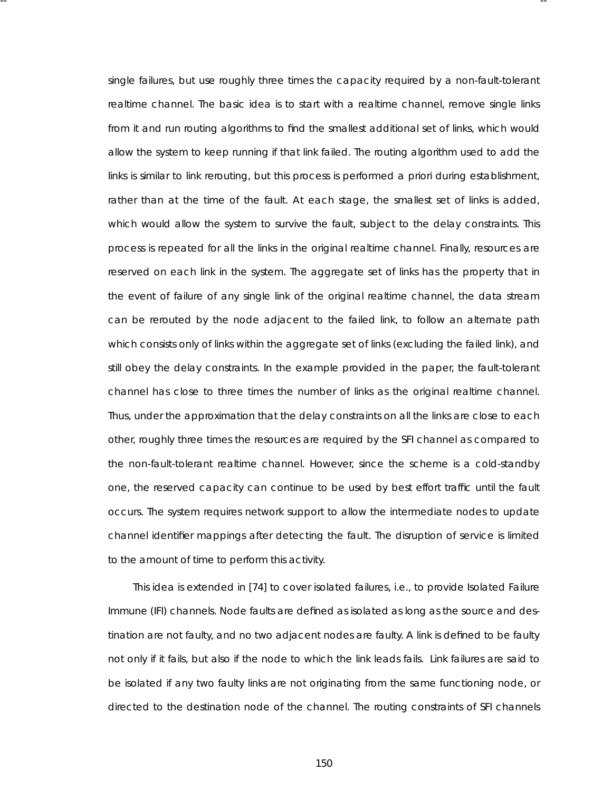single failures, but use roughly three times the capacity required by a non-fault-tolerant realtime channel. The basic idea is to start with a realtime channel, remove single links from it and run routing algorithms to find the smallest additional set of links, which would allow the system to keep running if that link failed. The routing algorithm used to add the links is similar to *link rerouting*, but this process is performed *a priori* during establishment, rather than at the time of the fault. At each stage, the smallest set of links is added, which would allow the system to survive the fault, subject to the delay constraints . This process is repeated for all the links in the original realtime channel. Finally, resources are reserved on each link in the system. The aggregate set of links has the property that in the event of failure of any single link of the original realtime channel, the data stream can be rerouted by the node adjacent to the failed link, to follow an alternate path which consists only of links within the aggregate set of links (excluding the failed link), and still obey the delay constraints . In the example provided in the paper, the fault-tolerant channel has close to three times the number of links as the original realtime channel. Thus, under the approximation that the delay constraints on all the links are close to each other, roughly three times the resources are required by the SFI channel as compared to the non-fault-tolerant realtime channel. However, since the scheme is a cold-standby one, the reser ved capacity can continue to be used by best effort traffic until the fault occurs. The system requires network support to allow the intermediate nodes to update channel identifier mappings after detecting the fault. The disruption of service is limited to the amount of time to perform this activity.

-- --

This idea is extended in [74] to cover isolated failures , i.e., to provide Isolated Failure Immune (IFI) channels. Node faults are defined as isolated as long as the source and destination are not faulty, and no two adjacent nodes are faulty. A link is defined to be faulty not only if it fails, but also if the node to which the link leads fails. Link failures are said to be isolated if any two faulty links are not originating from the same functioning node, or directed to the destination node of the channel. The routing constraints of SFI channels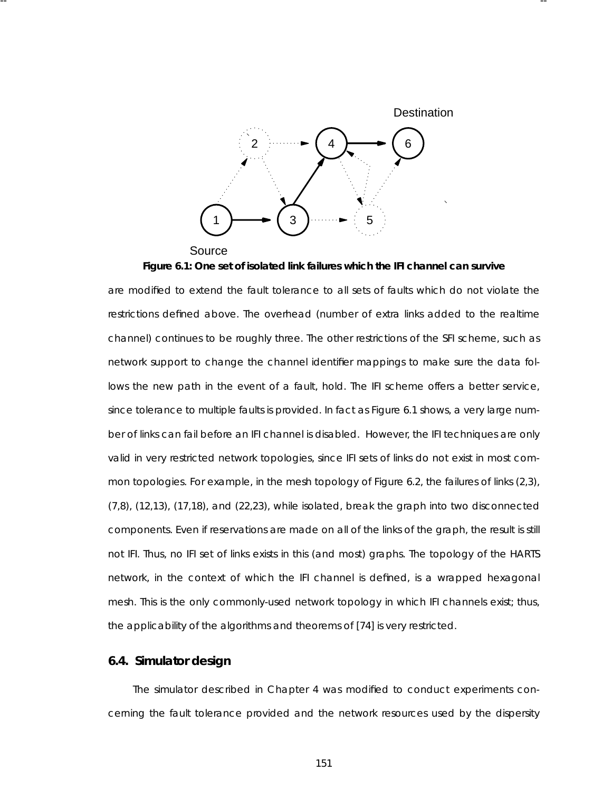

-- --

Source **Figure 6.1: One set of isolated link failures which the IFI channel can survive**

are modified to extend the fault tolerance to all sets of faults which do not violate the restrictions defined above. The overhead (number of extra links added to the realtime channel) continues to be roughly three. The other restrictions of the SFI scheme, such as network support to change the channel identifier mappings to make sure the data follows the new path in the event of a fault, hold. The IFI scheme offers a better service, since tolerance to multiple faults is provided. In fact as Figure 6.1 shows, a very large number of links can fail before an IFI channel is disabled. However, the IFI techniques are only valid in very restricted network topologies, since IFI sets of links do not exist in most common topologies. For example, in the mesh topology of Figure 6.2, the failures of links (2,3), (7,8), (12,13), (17,18), and (22,23), while isolated, break the graph into two disconnected components . Even if reser vations are made on all of the links of the graph, the result is still not IFI. Thus, no IFI set of links exists in this (and most) graphs . The topology of the HARTS network, in the context of which the IFI channel is defined, is a wrapped hexagonal mesh. This is the only commonly-used network topology in which IFI channels exist; thus, the applicability of the algorithms and theorems of [74] is very restricted.

## **6.4. Simula tor design**

The simulator described in Chapter 4 was modified to conduct experiments concerning the fault tolerance provided and the network resources used by the dispersity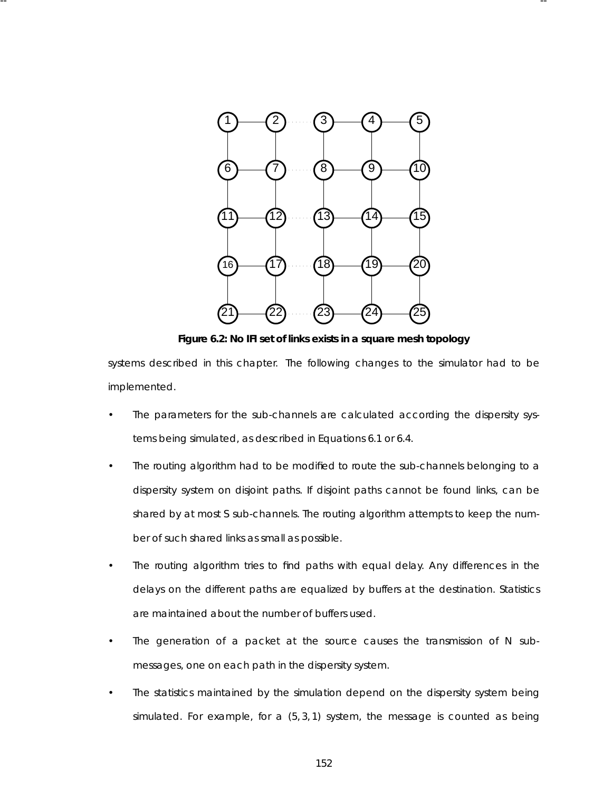

-- --

**Figure 6.2: No IFI set of links exists in a square mesh topology**

systems described in this chapter. The following changes to the simulator had to be implemented.

- The parameters for the sub-channels are calculated according the dispersity systems being simulated, as described in Equations 6.1 or 6.4.
- The routing algorithm had to be modified to route the sub-channels belonging to a dispersity system on disjoint paths. If disjoint paths cannot be found links, can be shared by at most *S* sub-channels . The routing algorithm attempts to keep the number of such shared links as small as possible.
- The routing algorithm tries to find paths with equal delay. Any differences in the delays on the different paths are equalized by buffers at the destination. Statistics are maintained about the number of buffers used.
- The generation of a packet at the source causes the transmission of *N* submessages, one on each path in the dispersity system.
- The statistics maintained by the simulation depend on the dispersity system being simulated. For example, for a (5, 3, 1) system, the message is counted as being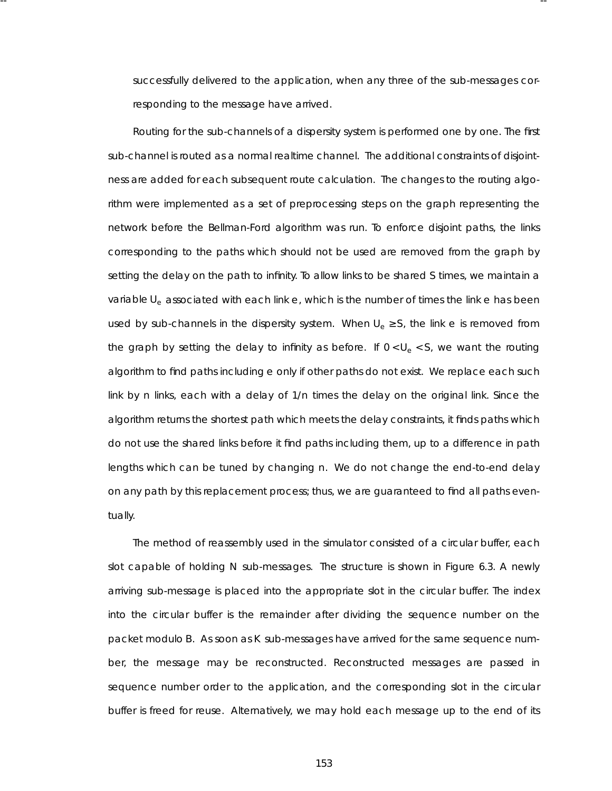successfully delivered to the application, when any three of the sub-messages corresponding to the message have arrived.

-- --

Routing for the sub-channels of a dispersity system is performed one by one. The first sub-channel is routed as a normal realtime channel. The additional constraints of disjointness are added for each subsequent route calculation. The changes to the routing algorithm were implemented as a set of preprocessing steps on the graph representing the network before the Bellman-Ford algorithm was run. To enforce disjoint paths, the links corresponding to the paths which should not be used are removed from the graph by setting the delay on the path to infinity. To allow links to be shared S times, we maintain a variable *Ue* associated with each link *e*, which is the number of times the link *e* has been used by sub-channels in the dispersity system. When  $U_e \geq S$ , the link *e* is removed from the graph by setting the delay to infinity as before. If  $0 < U_e < S$ , we want the routing algorithm to find paths including e only if other paths do not exist. We replace each such link by *n* links, each with a delay of  $1/n$  times the delay on the original link. Since the algorithm returns the shortest path which meets the delay constraints, it finds paths which do not use the shared links before it find paths including them, up to a difference in path lengths which can be tuned by changing *n*. We do not change the end-to-end delay on any path by this replacement process; thus, we are guaranteed to find all paths eventually.

The method of reassembly used in the simulator consisted of a circular buffer, each slot capable of holding *N* sub-messages. The structure is shown in Figure 6.3. A newly arriving sub-message is placed into the appropriate slot in the circular buffer. The index into the circular buffer is the remainder after dividing the sequence number on the packet modulo *B*. As soon as *K* sub-messages have arrived for the same sequence number, the message may be reconstructed. Reconstructed messages are passed in sequence number order to the application, and the corresponding slot in the circular buffer is freed for reuse. Alternatively, we may hold each message up to the end of its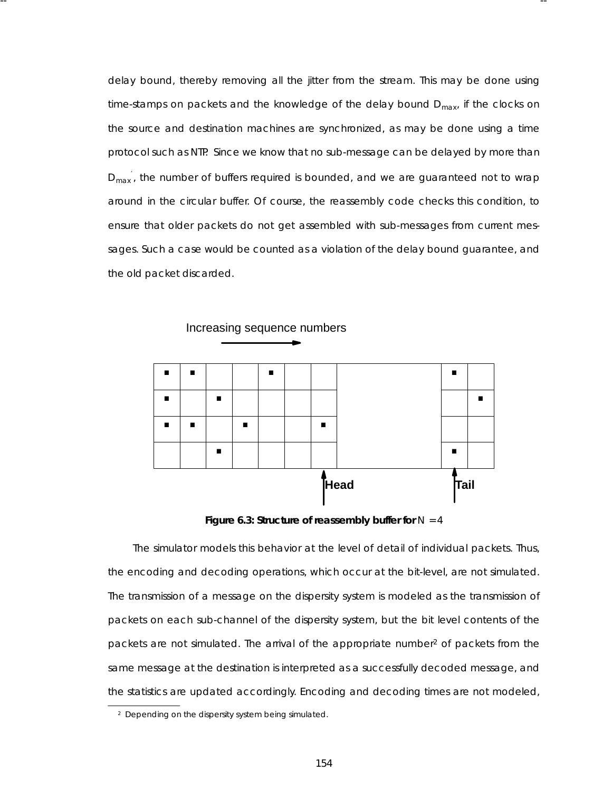delay bound, thereby removing all the jitter from the stream. This may be done using time-stamps on packets and the knowledge of the delay bound *Dmax*, if the clocks on the source and destination machines are synchronized, as may be done using a time protocol such as NTP. Since we know that no sub-message can be delayed by more than  $D_{\text{max}}$ <sup>'</sup>, the number of buffers required is bounded, and we are guaranteed not to wrap around in the circular buffer. Of course, the reassembly code checks this condition, to ensure that older packets do not get assembled with sub-messages from current messages . Such a case would be counted as a violation of the delay bound guarantee, and the old packet discarded.

-- --



Figure 6.3: Structure of reassembly buffer for  $N = 4$ 

The simulator models this behavior at the level of detail of individual packets. Thus, the encoding and decoding operations, which occur at the bit-level, are not simulated. The transmission of a message on the dispersity system is modeled as the transmission of packets on each sub-channel of the dispersity system, but the bit level contents of the packets are not simulated. The arrival of the appropriate number<sup>2</sup> of packets from the same message at the destination is interpreted as a successfully decoded message, and the statistics are updated accordingly. Encoding and decoding times are not modeled,

<sup>2</sup> Depending on the dispersity system being simulated.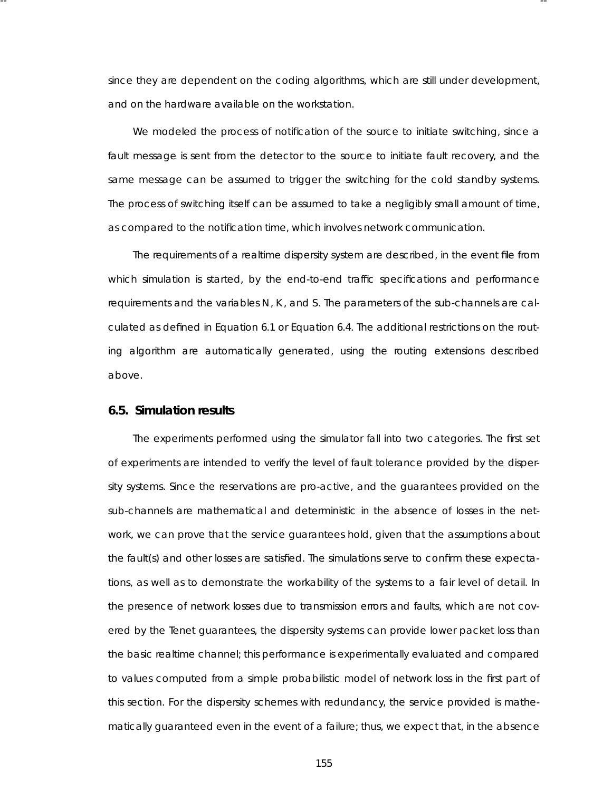since they are dependent on the coding algorithms, which are still under development, and on the hardware available on the workstation.

-- --

We modeled the process of notification of the source to initiate switching, since a fault message is sent from the detector to the source to initiate fault recovery, and the same message can be assumed to trigger the switching for the cold standby systems . The process of switching itself can be assumed to take a negligibly small amount of time, as compared to the notification time, which involves network communication.

The requirements of a realtime dispersity system are described, in the event file from which simulation is started, by the end-to-end traffic specifications and performance requirements and the variables *N*, *K*, and *S*. The parameters of the sub-channels are calculated as defined in Equation 6.1 or Equation 6.4. The additional restrictions on the routing algorithm are automatically generated, using the routing extensions described above.

### **6.5. Simula tion results**

The experiments performed using the simulator fall into two categories. The first set of experiments are intended to verify the level of fault tolerance provided by the dispersity systems. Since the reservations are pro-active, and the guarantees provided on the sub-channels are mathematical and deterministic in the absence of losses in the network, we can prove that the service quarantees hold, given that the assumptions about the fault(s) and other losses are satisfied. The simulations serve to confirm these expectations, as well as to demonstrate the workability of the systems to a fair level of detail. In the presence of network losses due to transmission errors and faults, which are not covered by the Tenet guarantees, the dispersity systems can provide lower packet loss than the basic realtime channel; this performance is experimentally evaluated and compared to values computed from a simple probabilistic model of network loss in the first part of this section. For the dispersity schemes with redundancy, the service provided is mathematically guaranteed even in the event of a failure; thus, we expect that, in the absence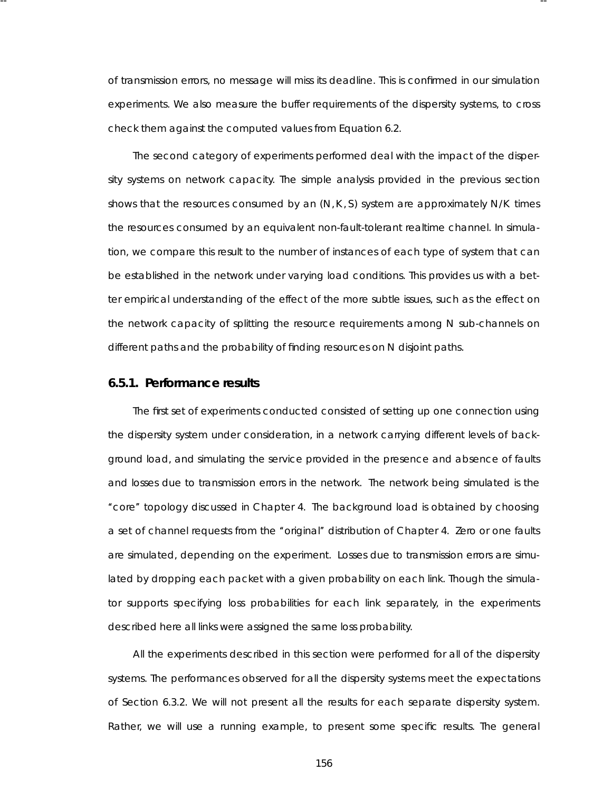of transmission errors, no message will miss its deadline. This is confirmed in our simulation experiments. We also measure the buffer requirements of the dispersity systems, to cross check them against the computed values from Equation 6.2.

-- --

The second category of experiments performed deal with the impact of the dispersity systems on network capacity. The simple analysis provided in the previous section shows that the resources consumed by an (*N*,*K* , *S*) system are approximately *N*/*K* times the resources consumed by an equivalent non-fault-tolerant realtime channel. In simulation, we compare this result to the number of instances of each type of system that can be established in the network under varying load conditions. This provides us with a better empirical understanding of the effect of the more subtle issues, such as the effect on the network capacity of splitting the resource requirements among N sub-channels on different paths and the proba bility of finding resources on *N* disjoint paths.

#### **6.5.1. Perfor mance results**

The first set of experiments conducted consisted of setting up one connection using the dispersity system under consideration, in a network carrying different levels of background load, and simulating the service provided in the presence and absence of faults and losses due to transmission errors in the network. The network being simulated is the ''core'' topology discussed in Chapter 4. The background load is obtained by choosing a set of channel requests from the "original" distribution of Chapter 4. Zero or one faults are simulated, depending on the experiment. Losses due to transmission errors are simulated by dropping each packet with a given probability on each link. Though the simulator supports specifying loss probabilities for each link separately, in the experiments described here all links were assigned the same loss probability.

All the experiments described in this section were performed for all of the dispersity systems. The performances observed for all the dispersity systems meet the expectations of Section 6.3.2. We will not present all the results for each separate dispersity system. Rather, we will use a running example, to present some specific results . The general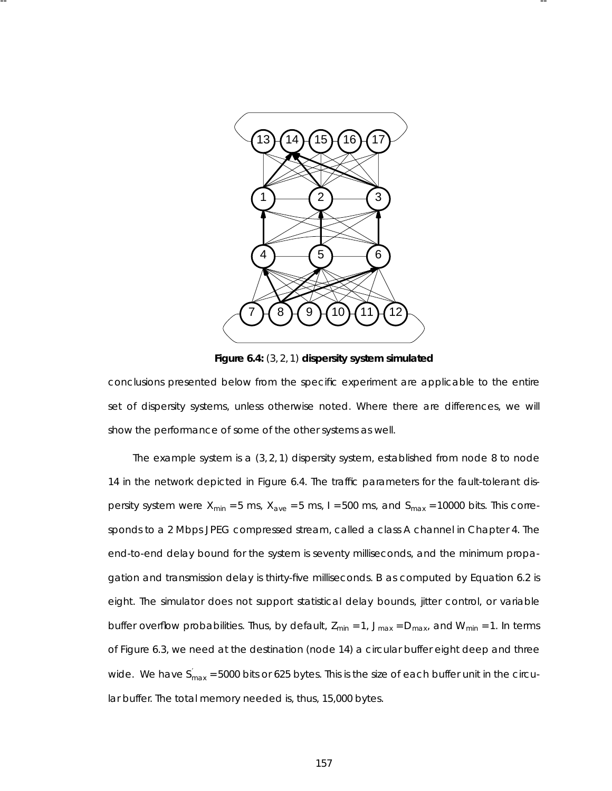

-- --

Figure 6.4: (3, 2, 1) dispersity system simulated

conclusions presented below from the specific experiment are applicable to the entire set of dispersity systems, unless otherwise noted. Where there are differences, we will show the performance of some of the other systems as well.

The example system is a  $(3, 2, 1)$  dispersity system, established from node 8 to node 14 in the network depicted in Figure 6.4. The traffic parameters for the fault-tolerant dispersity system were  $X_{min} = 5$  ms,  $X_{ave} = 5$  ms,  $I = 500$  ms, and  $S_{max} = 10000$  bits. This corresponds to a 2 Mbps JPEG compressed stream, called a class A channel in Chapter 4. The end-to-end delay bound for the system is seventy milliseconds, and the minimum propagation and transmission delay is thirty-five milliseconds . *B* as computed by Equation 6.2 is eight. The simulator does not support statistical delay bounds, jitter control, or variable buffer overflow probabilities. Thus, by default,  $Z_{min} = 1$ ,  $J_{max} = D_{max}$ , and  $W_{min} = 1$ . In terms of Figure 6.3, we need at the destination (node 14) a circular buffer eight deep and three wide. We have  $S^{'}_{max}$  = 5000 bits or 625 bytes. This is the size of each buffer unit in the circular buffer. The total memory needed is, thus, 15,000 bytes.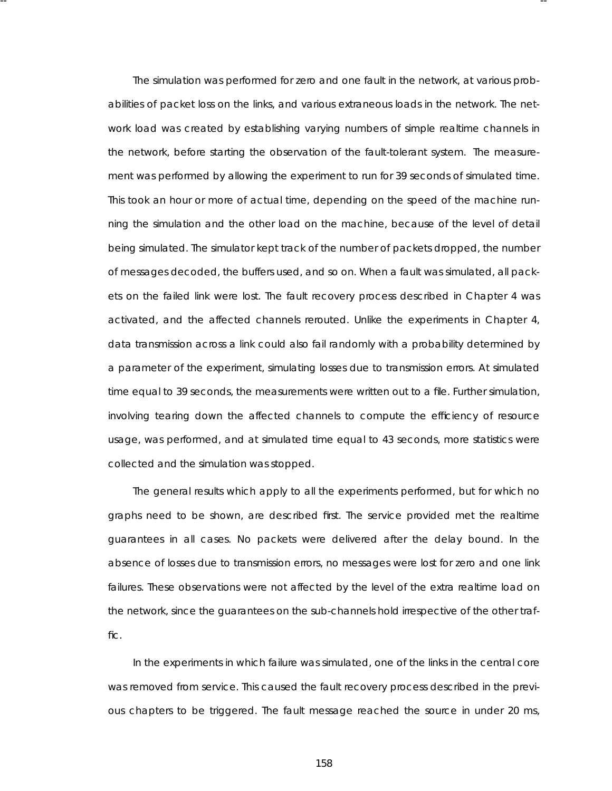The simulation was performed for zero and one fault in the network, at various probabilities of packet loss on the links, and various extraneous loads in the network. The network load was created by establishing varying numbers of simple realtime channels in the network, before starting the observation of the fault-tolerant system. The measurement was performed by allowing the experiment to run for 39 seconds of simulated time. This took an hour or more of actual time, depending on the speed of the machine running the simulation and the other load on the machine, because of the level of detail being simulated. The simulator kept track of the number of packets dropped, the number of messages decoded, the buffers used, and so on. When a fault was simulated, all packets on the failed link were lost. The fault recovery process described in Chapter 4 was activated, and the affected channels rerouted. Unlike the experiments in Chapter 4, data transmission across a link could also fail randomly with a probability determined by a parameter of the experiment, simulating losses due to transmission errors. At simulated time equal to 39 seconds, the measurements were written out to a file. Further simulation, involving tearing down the affected channels to compute the efficiency of resource usage, was performed, and at simulated time equal to 43 seconds, more statistics were collected and the simulation was stopped.

-- --

The general results which apply to all the experiments performed, but for which no graphs need to be shown, are described first. The service provided met the realtime guarantees in all cases. No packets were delivered after the delay bound. In the absence of losses due to transmission errors, no messages were lost for zero and one link failures. These observations were not affected by the level of the extra realtime load on the network, since the quarantees on the sub-channels hold irrespective of the other traffic.

In the experiments in which failure was simulated, one of the links in the central core was removed from service. This caused the fault recovery process described in the previous chapters to be triggered. The fault message reached the source in under 20 ms,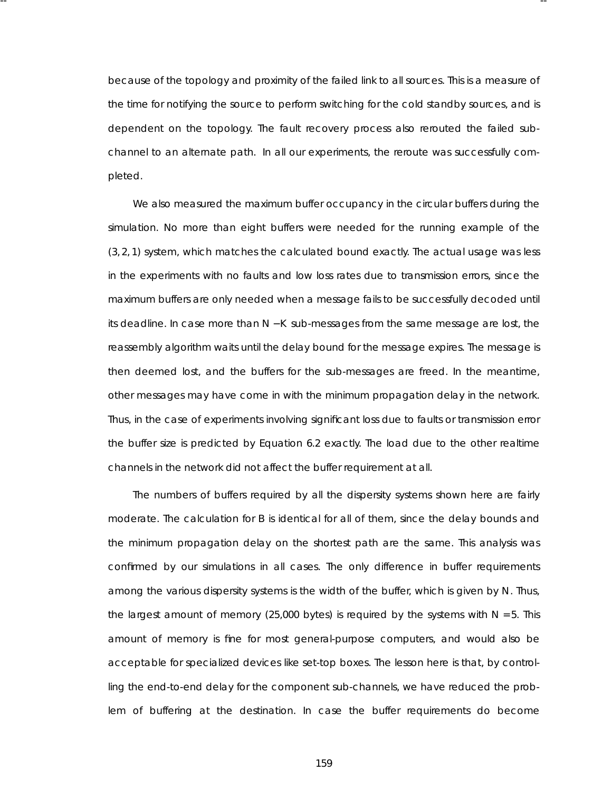because of the topology and proximity of the failed link to all sources . This is a measure of the time for notifying the source to perform switching for the cold standby sources, and is dependent on the topology. The fault recovery process also rerouted the failed subchannel to an alternate path. In all our experiments , the reroute was successfully completed.

-- --

We also measured the maximum buffer occupancy in the circular buffers during the simulation. No more than eight buffers were needed for the running example of the (3, 2, 1) system, which matches the calculated bound exactly. The actual usage was less in the experiments with no faults and low loss rates due to transmission errors, since the maximum buffers are only needed when a message fails to be successfully decoded until its deadline. In case more than *N* − *K* sub-messages from the same message are lost, the reassembly algorithm waits until the delay bound for the message expires . The message is then deemed lost, and the buffers for the sub-messages are freed. In the meantime, other messages may have come in with the minimum propagation delay in the network. Thus , in the case of experiments involving significant loss due to faults or transmission error the buffer size is predicted by Equation 6.2 exactly. The load due to the other realtime channels in the network did not affect the buffer requirement at all.

The numbers of buffers required by all the dispersity systems shown here are fairly moderate. The calculation for *B* is identical for all of them, since the delay bounds and the minimum propagation delay on the shortest path are the same. This analysis was confir med by our simulations in all cases. The only difference in buffer requirements among the various dispersity systems is the width of the buffer, which is given by N. Thus, the largest amount of memory (25,000 bytes) is required by the systems with  $N = 5$ . This amount of memory is fine for most general-purpose computers, and would also be acceptable for specialized devices like set-top boxes. The lesson here is that, by controlling the end-to-end delay for the component sub-channels, we have reduced the problem of buffering at the destination. In case the buffer requirements do become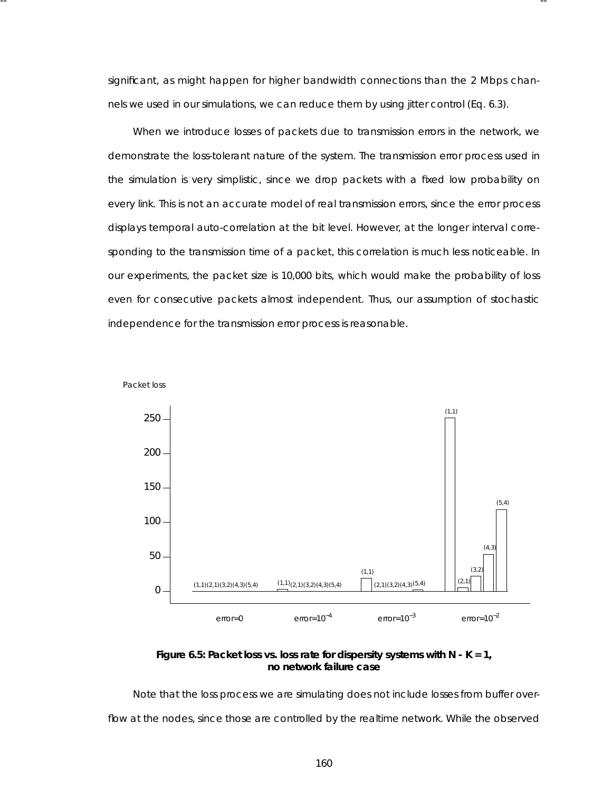significant, as might happen for higher bandwidth connections than the 2 Mbps channels we used in our simulations, we can reduce them by using jitter control (Eq. 6.3).

-- --

When we introduce losses of packets due to transmission errors in the network, we demonstrate the loss-tolerant nature of the system. The transmission error process used in the simulation is very simplistic, since we drop packets with a fixed low probability on every link. This is not an accurate model of real transmission errors, since the error process displays temporal auto-correlation at the bit level. However, at the longer interval corresponding to the transmission time of a packet, this correlation is much less noticeable. In our experiments, the packet size is 10,000 bits, which would make the probability of loss even for consecutive packets almost independent. Thus, our assumption of stochastic independence for the transmission error process is reasonable.





Note that the loss process we are simulating does not include losses from buffer overflow at the nodes, since those are controlled by the realtime network. While the observed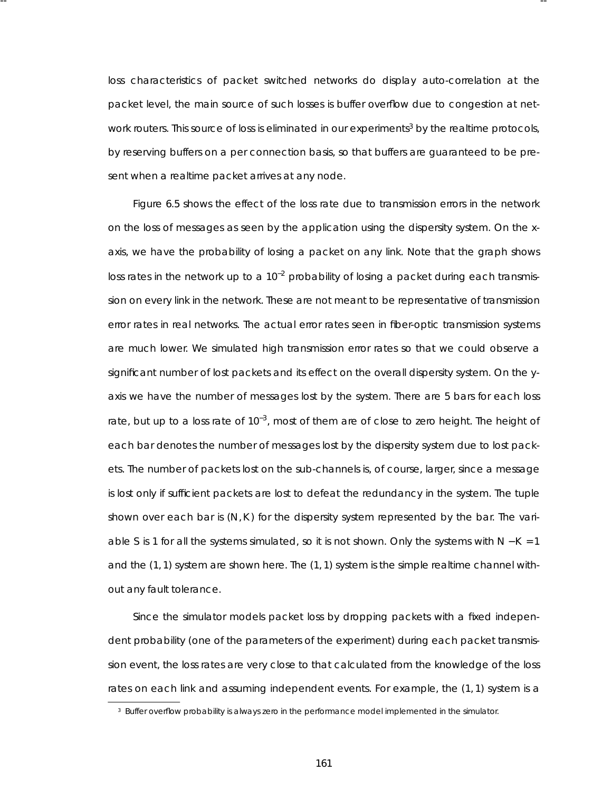loss characteristics of packet switched networks do display auto-correlation at the packet level, the main source of such losses is buffer overflow due to congestion at network routers. This source of loss is eliminated in our experiments<sup>3</sup> by the realtime protocols, by reserving buffers on a per connection basis, so that buffers are guaranteed to be present when a realtime packet arrives at any node.

-- --

Figure 6.5 shows the effect of the loss rate due to transmission errors in the network on the loss of messages as seen by the application using the dispersity system. On the xaxis, we have the probability of losing a packet on any link. Note that the graph shows loss rates in the network up to a  $10^{-2}$  probability of losing a packet during each transmission on every link in the network. These are not meant to be representative of transmission error rates in real networks. The actual error rates seen in fiber-optic transmission systems are much lower. We simulated high transmission error rates so that we could observe a significant number of lost packets and its effect on the overall dispersity system. On the yaxis we have the number of messages lost by the system. There are 5 bars for each loss rate, but up to a loss rate of  $10^{-3}$ , most of them are of close to zero height. The height of each bar denotes the number of messages lost by the dispersity system due to lost packets. The number of packets lost on the sub-channels is, of course, larger, since a message is lost only if sufficient packets are lost to defeat the redundancy in the system. The tuple shown over each bar is  $(N, K)$  for the dispersity system represented by the bar. The variable *S* is 1 for all the systems simulated, so it is not shown. Only the systems with *N* − *K* = 1 and the (1, 1) system are shown here. The (1, 1) system is the simple realtime channel without any fault tolerance.

Since the simulator models packet loss by dropping packets with a fixed independent probability (one of the parameters of the experiment) during each packet transmission event, the loss rates are very close to that calculated from the knowledge of the loss rates on each link and assuming independent events . For example, the (1, 1) system is a

<sup>&</sup>lt;sup>3</sup> Buffer overflow probability is always zero in the performance model implemented in the simulator.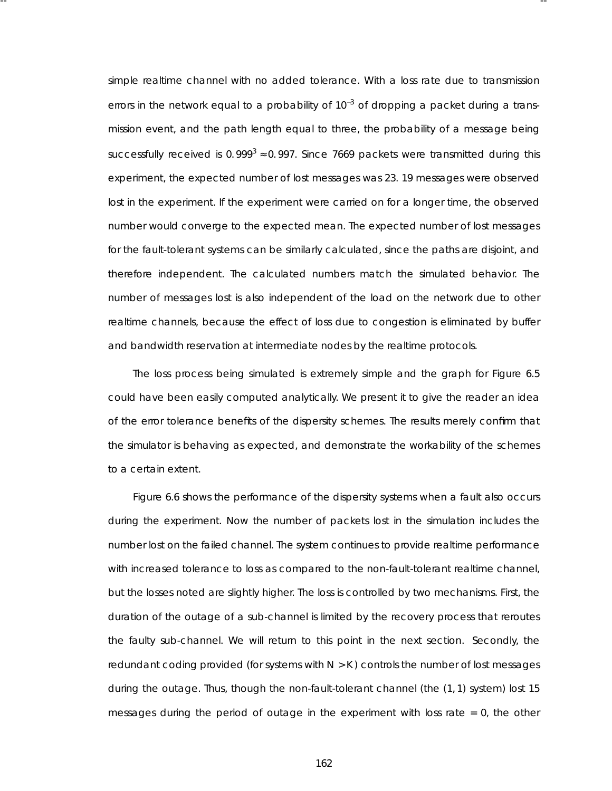simple realtime channel with no added tolerance. With a loss rate due to transmission errors in the network equal to a probability of  $10^{-3}$  of dropping a packet during a transmission event, and the path length equal to three, the probability of a message being successfully received is 0.999<sup>3</sup>  $\approx$  0.997. Since 7669 packets were transmitted during this experiment, the expected number of lost messages was 23. 19 messages were observed lost in the experiment. If the experiment were carried on for a longer time, the observed number would converge to the expected mean. The expected number of lost messages for the fault-tolerant systems can be similarly calculated, since the paths are disjoint, and therefore independent. The calculated numbers match the simulated behavior. The number of messages lost is also *independent* of the load on the network due to other realtime channels, because the effect of loss due to congestion is eliminated by buffer and bandwidth reservation at intermediate nodes by the realtime protocols.

-- --

The loss process being simulated is extremely simple and the graph for Figure 6.5 could have been easily computed analytically. We present it to give the reader an idea of the error tolerance benefits of the dispersity schemes. The results merely confirm that the simulator is behaving as expected, and demonstrate the workability of the schemes to a certain extent.

Figure 6.6 shows the performance of the dispersity systems when a fault also occurs during the experiment. Now the number of packets lost in the simulation includes the number lost on the failed channel. The system continues to provide realtime performance with increased tolerance to loss as compared to the non-fault-tolerant realtime channel, but the losses noted are slightly higher. The loss is controlled by two mechanisms. First, the duration of the outage of a sub-channel is limited by the *recovery* process that reroutes the faulty sub-channel. We will return to this point in the next section. Secondly, the redundant coding provided (for systems with *N* > *K* ) controls the number of lost messages during the outage. Thus, though the non-fault-tolerant channel (the (1, 1) system) lost 15 messages during the period of outage in the experiment with loss rate = 0, the other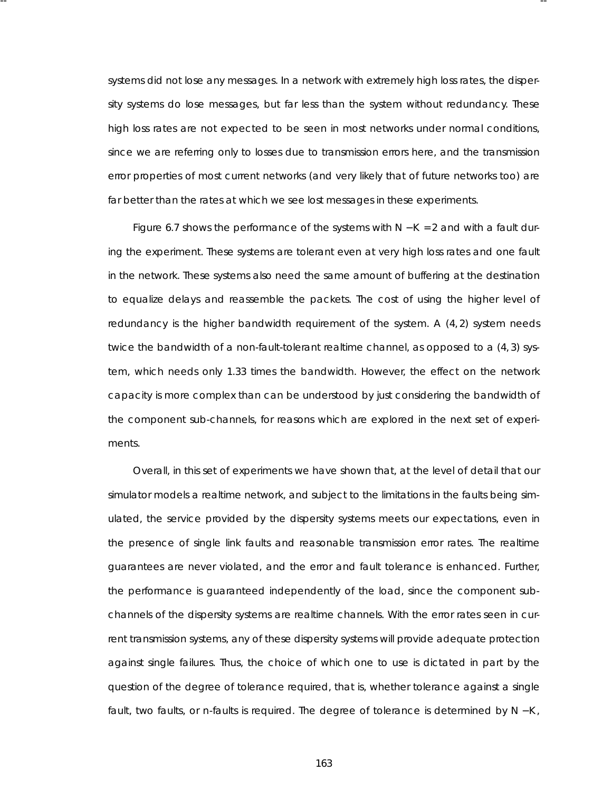systems did not lose any messages. In a network with extremely high loss rates, the dispersity systems do lose messages, but far less than the system without redundancy. These high loss rates are not expected to be seen in most networks under normal conditions, since we are referring only to losses due to transmission errors here, and the transmission error properties of most current networks (and very likely that of future networks too) are far better than the rates at which we see lost messages in these experiments .

-- --

Figure 6.7 shows the performance of the systems with *N* − *K* = 2 and with a fault during the experiment. These systems are tolerant even at very high loss rates and one fault in the network. These systems also need the same amount of buffering at the destination to equalize delays and reassemble the packets . The cost of using the higher level of redundancy is the higher bandwidth requirement of the system. A (4, 2) system needs twice the bandwidth of a non-fault-tolerant realtime channel, as opposed to a (4, 3) system, which needs only 1.33 times the bandwidth. However, the effect on the network ca pacity is more complex than can be understood by just considering the bandwidth of the component sub-channels, for reasons which are explored in the next set of experiments .

Overall, in this set of experiments we have shown that, at the level of detail that our simulator models a realtime network, and subject to the limitations in the faults being simulated, the service provided by the dispersity systems meets our expectations, even in the presence of single link faults and reasonable transmission error rates. The realtime guarantees are never violated, and the error and fault tolerance is enhanced. Further, the performance is guaranteed independently of the load, since the component subchannels of the dispersity systems are realtime channels. With the error rates seen in current transmission systems, any of these dispersity systems will provide adequate protection against single failures. Thus, the choice of which one to use is dictated in part by the question of the degree of tolerance required, that is, whether tolerance against a single fault, two faults , or *n*-faults is required. The degree of tolerance is determined by *N* − *K* ,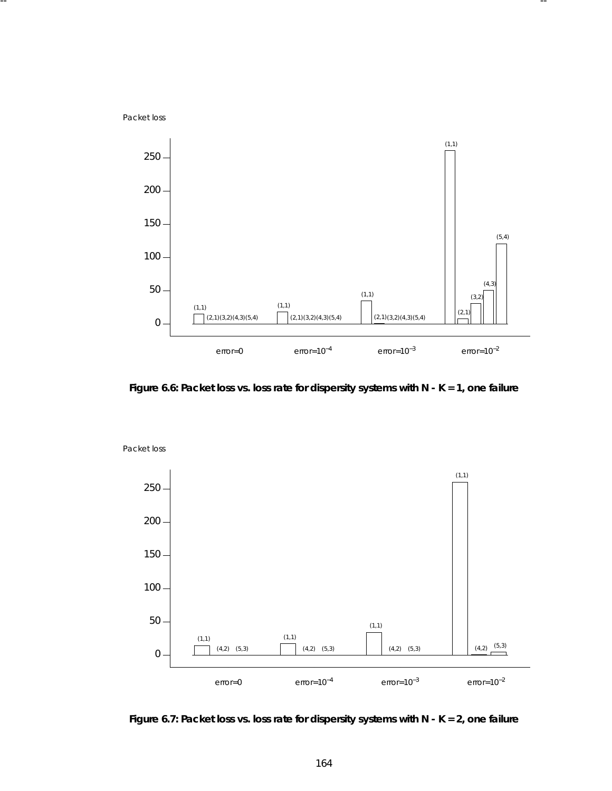Packet loss



-- --

**Figure 6.6: Packet loss vs. loss rate for dispersity systems with N - K = 1, one failure**



Packet loss

**Figure 6.7: Packet loss vs. loss rate for dispersity systems with N - K = 2, one failure**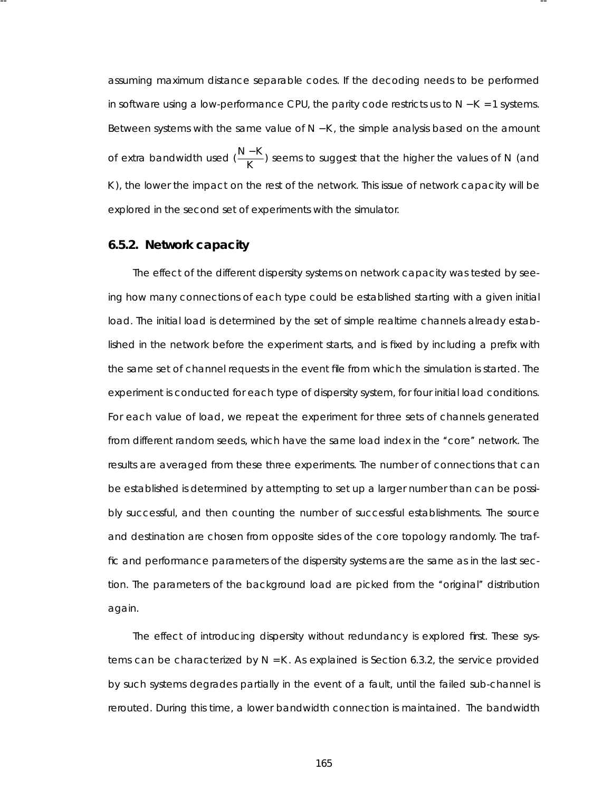assuming maximum distance separable codes. If the decoding needs to be performed in software using a low-performance CPU, the parity code restricts us to *N* − *K* = 1 systems. Between systems with the same value of *N* − *K* , the simple analysis based on the amount of extra bandwidth used ( $\frac{N-K}{K}$ ) seems to suggest that the higher the values of *N* (and K), the lower the impact on the rest of the network. This issue of network capacity will be explored in the second set of experiments with the simulator.

-- --

# **6.5.2. Network capacity**

The effect of the different dispersity systems on network capacity was tested by seeing how many connections of each type could be established starting with a given initial load. The initial load is determined by the set of simple realtime channels already established in the network before the experiment starts, and is fixed by including a prefix with the same set of channel requests in the event file from which the simulation is started. The experiment is conducted for each type of dispersity system, for four initial load conditions. For each value of load, we repeat the experiment for three sets of channels generated from different random seeds, which have the same load index in the "core" network. The results are averaged from these three experiments . The number of connections that can be established is determined by attempting to set up a larger number than can be possibly successful, and then counting the number of successful establishments. The source and destination are chosen from opposite sides of the core topology randomly. The traffic and performance parameters of the dispersity systems are the same as in the last section. The parameters of the background load are picked from the "original" distribution again.

The effect of introducing dispersity without redundancy is explored first. These systems can be characterized by  $N = K$ . As explained is Section 6.3.2, the service provided by such systems degrades partially in the event of a fault, until the failed sub-channel is rerouted. During this time, a lower bandwidth connection is maintained. The bandwidth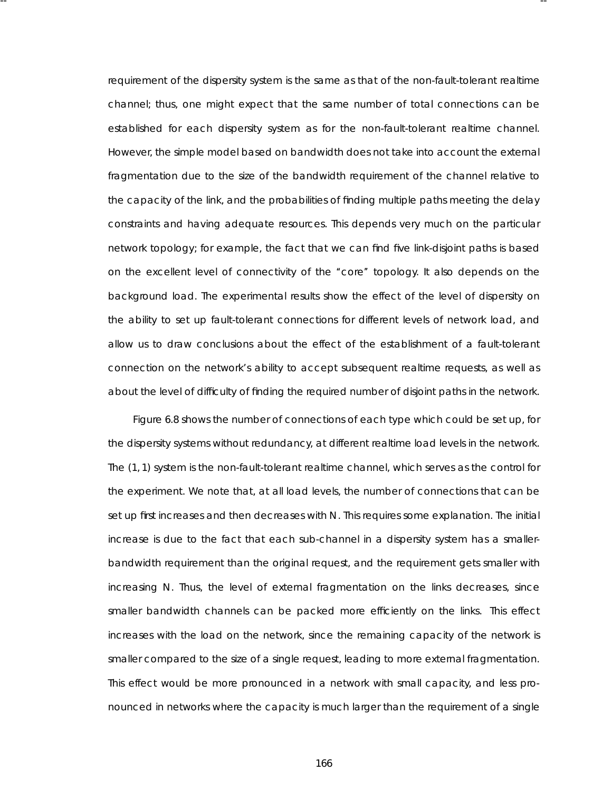requirement of the dispersity system is the same as that of the non-fault-tolerant realtime channel; thus, one might expect that the same number of total connections can be esta blished for each dispersity system as for the non-fault-tolerant realtime channel. However, the simple model based on bandwidth does not take into account the external fragmentation due to the size of the bandwidth requirement of the channel relative to the capacity of the link, and the probabilities of finding multiple paths meeting the delay constraints and having adequate resources. This depends very much on the particular network topology; for example, the fact that we can find five link-disjoint paths is based on the excellent level of connectivity of the ''core'' topology. It also depends on the background load. The experimental results show the effect of the level of dispersity on the ability to set up fault-tolerant connections for different levels of network load, and allow us to draw conclusions about the effect of the establishment of a fault-tolerant connection on the network's ability to accept subsequent realtime requests, as well as about the level of difficulty of finding the required number of disjoint paths in the network.

-- --

Figure 6.8 shows the number of connections of each type which could be set up, for the dispersity systems without redundancy, at different realtime load levels in the network. The (1, 1) system is the non-fault-tolerant realtime channel, which serves as the control for the experiment. We note that, at all load levels, the number of connections that can be set up first increases and then decreases with *N*. This requires some explanation. The initial increase is due to the fact that each sub-channel in a dispersity system has a smallerbandwidth requirement than the original request, and the requirement gets smaller with increasing *N*. Thus, the level of external fragmentation on the links decreases, since smaller bandwidth channels can be packed more efficiently on the links. This effect increases with the load on the network, since the remaining capacity of the network is smaller compared to the size of a single request, leading to more external fragmentation. This effect would be more pronounced in a network with small capacity, and less pronounced in networks where the capacity is much larger than the requirement of a single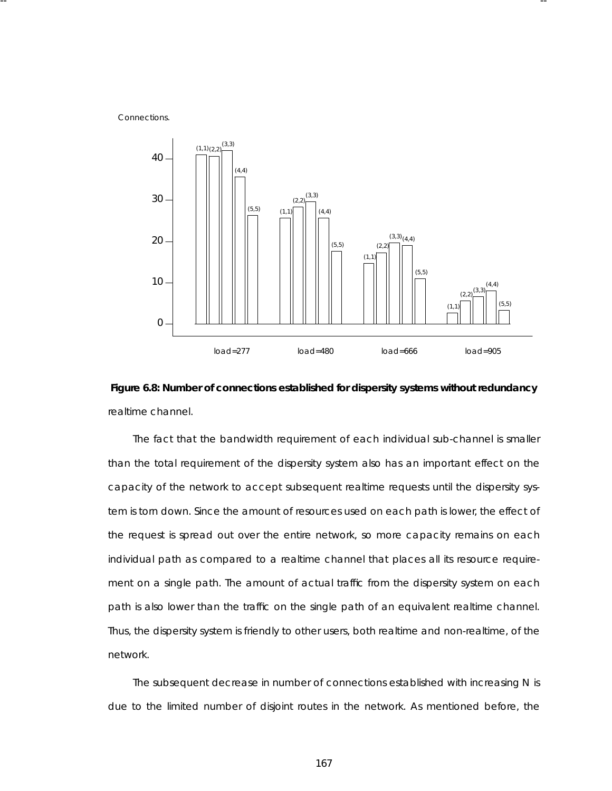Connections.



-- --



The fact that the bandwidth requirement of each individual sub-channel is smaller than the total requirement of the dispersity system also has an important effect on the capacity of the network to accept subsequent realtime requests until the dispersity system is torn down. Since the amount of resources used on each path is lower, the effect of the request is spread out over the entire network, so more capacity remains on each individual path as compared to a realtime channel that places all its resource requirement on a single path. The amount of actual traffic from the dispersity system on each path is also lower than the traffic on the single path of an equivalent realtime channel. Thus , the dispersity system is friendly to other users, both realtime and non-realtime, of the network.

The subsequent decrease in number of connections established with increasing *N* is due to the limited number of disjoint routes in the network. As mentioned before, the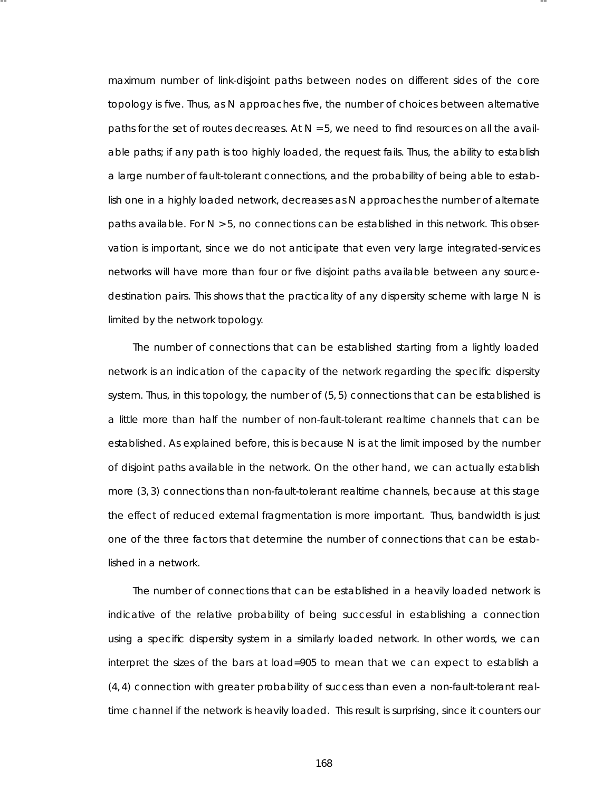maximum number of link-disjoint paths between nodes on different sides of the core topology is five. Thus, as *N* approaches five, the number of choices between alternative paths for the set of routes decreases . At *N* = 5, we need to find resources on all the available paths; if any path is too highly loaded, the request fails. Thus, the ability to establish a large number of fault-tolerant connections, and the probability of being able to establish one in a highly loaded network, decreases as N approaches the number of alternate paths available. For  $N > 5$ , no connections can be established in this network. This observation is important, since we do not anticipate that even very large integrated-services networks will have more than four or five disjoint paths available between any sourcedestination pairs. This shows that the practicality of any dispersity scheme with large N is limited by the network topology.

-- --

The number of connections that can be established starting from a lightly loaded network is an indication of the capacity of the network regarding the specific dispersity system. Thus, in this topology, the number of (5, 5) connections that can be established is a little more than half the number of non-fault-tolerant realtime channels that can be esta blished. As explained before, this is because *N* is at the limit imposed by the number of disjoint paths available in the network. On the other hand, we can actually establish more (3, 3) connections than non-fault-tolerant realtime channels, because at this stage the effect of reduced external fragmentation is more important. Thus, bandwidth is just one of the three factors that determine the number of connections that can be established in a network.

The number of connections that can be established in a heavily loaded network is indicative of the relative probability of being successful in establishing a connection using a specific dispersity system in a similarly loaded network. In other words, we can interpret the sizes of the bars at load=905 to mean that we can expect to establish a (4, 4) connection with greater proba bility of success than even a non-fault-tolerant realtime channel if the network is heavily loaded. This result is surprising, since it counters our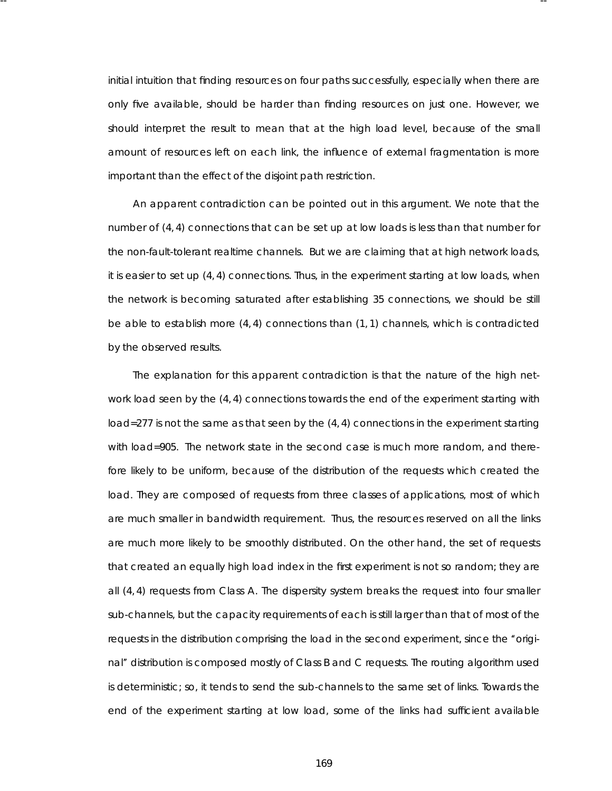initial intuition that finding resources on four paths successfully, especially when there are only five available, should be harder than finding resources on just one. However, we should interpret the result to mean that at the high load level, because of the small amount of resources left on each link, the influence of external fragmentation is more important than the effect of the disjoint path restriction.

-- --

An apparent contradiction can be pointed out in this argument. We note that the number of (4, 4) connections that can be set up at low loads is less than that number for the non-fault-tolerant realtime channels. But we are claiming that at high network loads, it is easier to set up (4, 4) connections. Thus, in the experiment starting at low loads, when the network is becoming saturated after establishing 35 connections, we should be still be able to establish more  $(4, 4)$  connections than  $(1, 1)$  channels, which is contradicted by the observed results.

The explanation for this apparent contradiction is that the nature of the high network load seen by the (4, 4) connections towards the end of the experiment starting with load=277 is not the same as that seen by the (4, 4) connections in the experiment starting with load=905. The network state in the second case is much more random, and therefore likely to be uniform, because of the distribution of the requests which created the load. They are composed of requests from three classes of applications, most of which are much smaller in bandwidth requirement. Thus, the resources reserved on all the links are much more likely to be smoothly distributed. On the other hand, the set of requests that created an equally high load index in the first experiment is not so random; they are all (4, 4) requests from Class A. The dispersity system breaks the request into four smaller sub-channels, but the capacity requirements of each is still larger than that of most of the requests in the distribution comprising the load in the second experiment, since the "original" distribution is composed mostly of Class B and C requests. The routing algorithm used is deterministic; so, it tends to send the sub-channels to the same set of links. Towards the end of the experiment starting at low load, some of the links had sufficient availa ble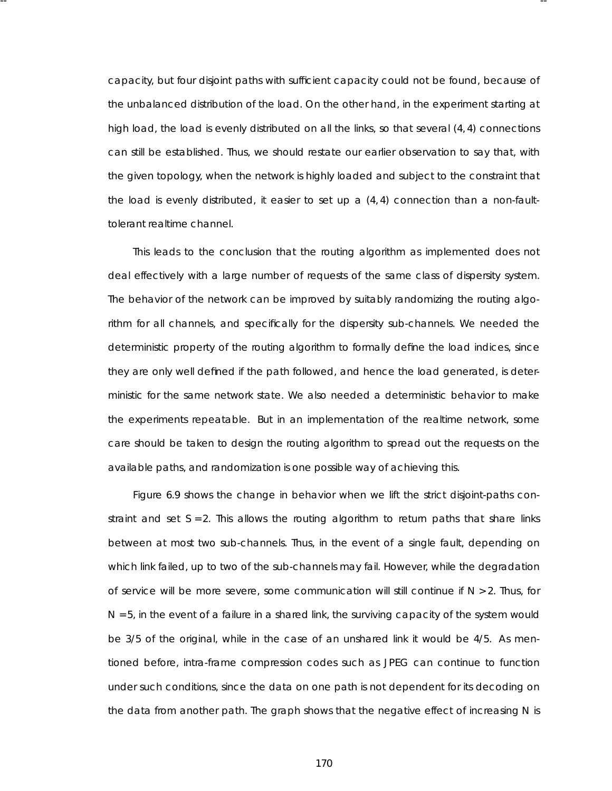ca pacity, but four disjoint paths with sufficient capacity could not be found, because of the unbalanced distribution of the load. On the other hand, in the experiment starting at high load, the load is evenly distributed on all the links, so that several (4, 4) connections can still be established. Thus, we should restate our earlier observation to say that, with the given topology, when the network is highly loaded and subject to the constraint that the load is evenly distributed, it easier to set up a (4, 4) connection than a non-faulttolerant realtime channel.

-- --

This leads to the conclusion that the routing algorithm as implemented does not deal effectively with a large number of requests of the same class of dispersity system. The behavior of the network can be improved by suitably randomizing the routing algorithm for all channels, and specifically for the dispersity sub-channels. We needed the deterministic property of the routing algorithm to formally define the load indices, since they are only well defined if the path followed, and hence the load generated, is deterministic for the same network state. We also needed a deterministic behavior to make the experiments repeatable. But in an implementation of the realtime network, some care should be taken to design the routing algorithm to spread out the requests on the availa ble paths , and randomization is one possible way of achieving this.

Figure 6.9 shows the change in behavior when we lift the strict disjoint-paths constraint and set  $S = 2$ . This allows the routing algorithm to return paths that share links between at most two sub-channels. Thus, in the event of a single fault, depending on which link failed, up to two of the sub-channels may fail. However, while the degradation of service will be more severe, some communication will still continue if *N* > 2. Thus , for *N* = 5, in the event of a failure in a shared link, the surviving capacity of the system would be 3/5 of the original, while in the case of an unshared link it would be 4/5. As mentioned before, intra-frame compression codes such as JPEG can continue to function under such conditions, since the data on one path is not dependent for its decoding on the data from another path. The graph shows that the negative effect of increasing N is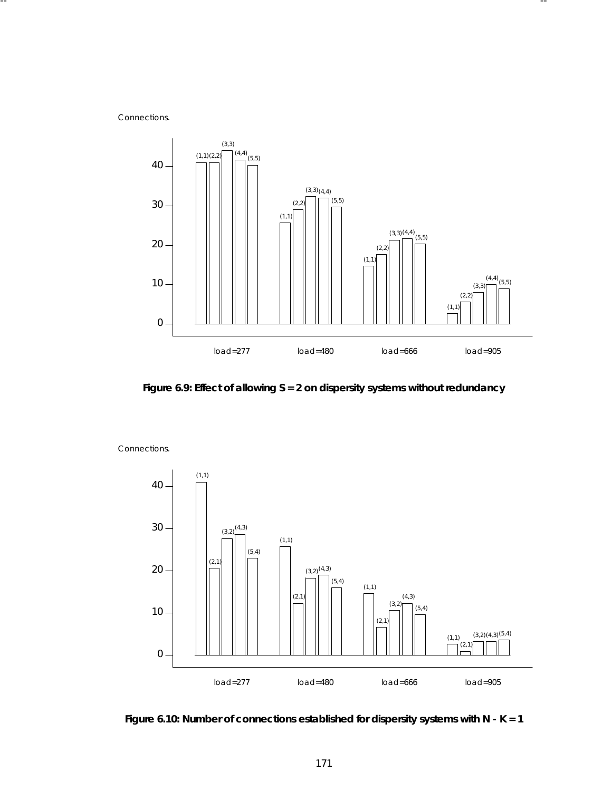Connections.



**Figure 6.9: Effect of allowing S = 2 on dispersity systems without redundancy**



Connections.

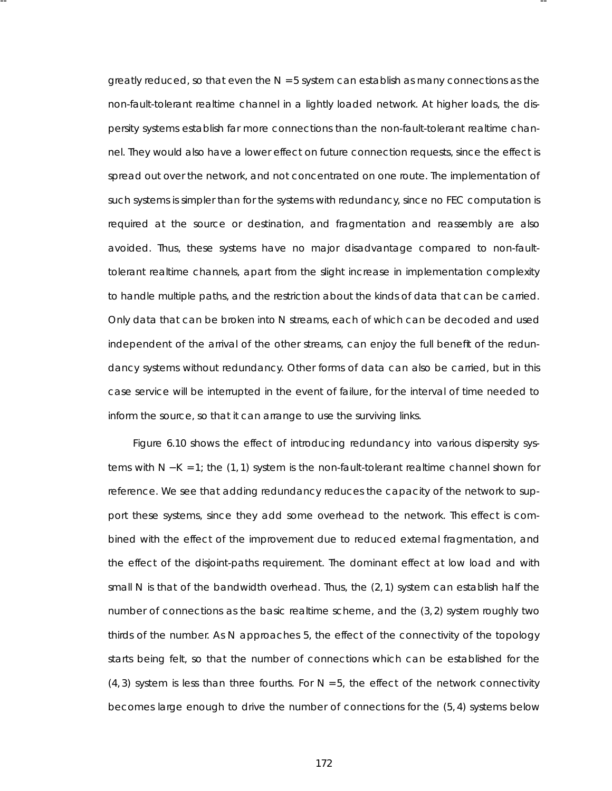greatly reduced, so that even the *N* = 5 system can establish as many connections as the non-fault-tolerant realtime channel in a lightly loaded network. At higher loads, the dispersity systems establish far more connections than the non-fault-tolerant realtime channel. They would also have a lower effect on future connection requests, since the effect is spread out over the network, and not concentrated on one route. The implementation of such systems is simpler than for the systems with redundancy, since no FEC computation is required at the source or destination, and fragmentation and reassembly are also avoided. Thus, these systems have no major disadvantage compared to non-faulttolerant realtime channels, apart from the slight increase in implementation complexity to handle multiple paths, and the restriction about the kinds of data that can be carried. Only data that can be broken into *N* streams , each of which can be decoded and used independent of the arrival of the other streams, can enjoy the full benefit of the redundancy systems without redundancy. Other forms of data can also be carried, but in this case service will be interrupted in the event of failure, for the interval of time needed to inform the source, so that it can arrange to use the surviving links.

-- --

Figure 6.10 shows the effect of introducing redundancy into various dispersity systems with *N* − *K* = 1; the (1, 1) system is the non-fault-tolerant realtime channel shown for reference. We see that adding redundancy reduces the capacity of the network to support these systems, since they add some overhead to the network. This effect is combined with the effect of the improvement due to reduced external fragmentation, and the effect of the disjoint-paths requirement. The dominant effect at low load and with small *N* is that of the bandwidth overhead. Thus, the (2, 1) system can establish half the number of connections as the basic realtime scheme, and the (3, 2) system roughly two thirds of the number. As *N* approaches 5, the effect of the connectivity of the topology starts being felt, so that the number of connections which can be established for the  $(4, 3)$  system is less than three fourths. For  $N = 5$ , the effect of the network connectivity becomes large enough to drive the number of connections for the (5, 4) systems below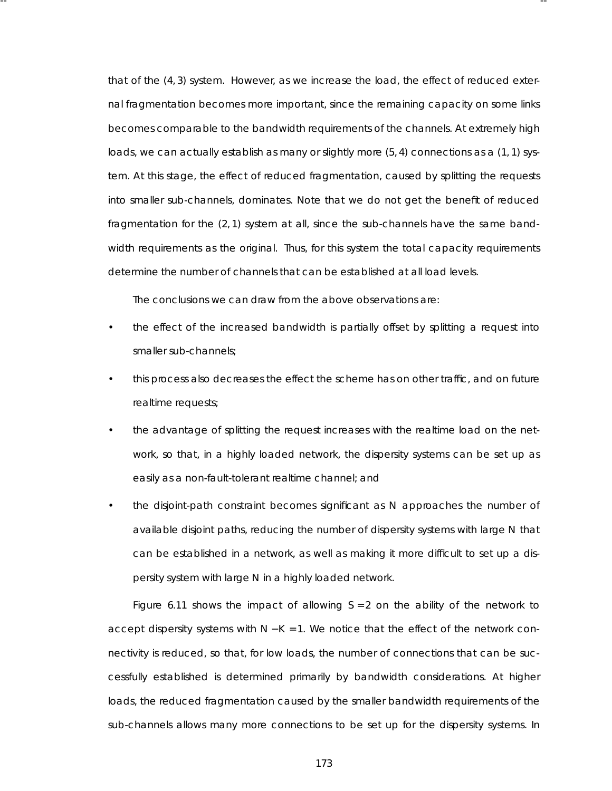that of the (4, 3) system. However, as we increase the load, the effect of reduced external fragmentation becomes more important, since the remaining capacity on some links becomes comparable to the bandwidth requirements of the channels. At extremely high loads, we can actually establish as many or slightly more  $(5, 4)$  connections as a  $(1, 1)$  system. At this stage, the effect of reduced fragmentation, caused by splitting the requests into smaller sub-channels, dominates . Note that we do not get the benefit of reduced fragmentation for the (2, 1) system at all, since the sub-channels have the same bandwidth requirements as the original. Thus, for this system the total capacity requirements determine the number of channels that can be established at all load levels.

The conclusions we can draw from the above observations are:

-- --

- the effect of the increased bandwidth is partially offset by splitting a request into smaller sub-channels;
- this process also decreases the effect the scheme has on other traffic, and on future realtime requests;
- the advantage of splitting the request increases with the realtime load on the network, so that, in a highly loaded network, the dispersity systems can be set up as easily as a non-fault-tolerant realtime channel; and
- the disjoint-path constraint becomes significant as *N* approaches the number of availa ble disjoint paths, reducing the number of dispersity systems with large *N* that can be established in a network, as well as making it more difficult to set up a dispersity system with large N in a highly loaded network.

Figure 6.11 shows the impact of allowing  $S = 2$  on the ability of the network to accept dispersity systems with *N* − *K* = 1. We notice that the effect of the network connectivity is reduced, so that, for low loads, the number of connections that can be successfully established is determined primarily by bandwidth considerations. At higher loads, the reduced fragmentation caused by the smaller bandwidth requirements of the sub-channels allows many more connections to be set up for the dispersity systems. In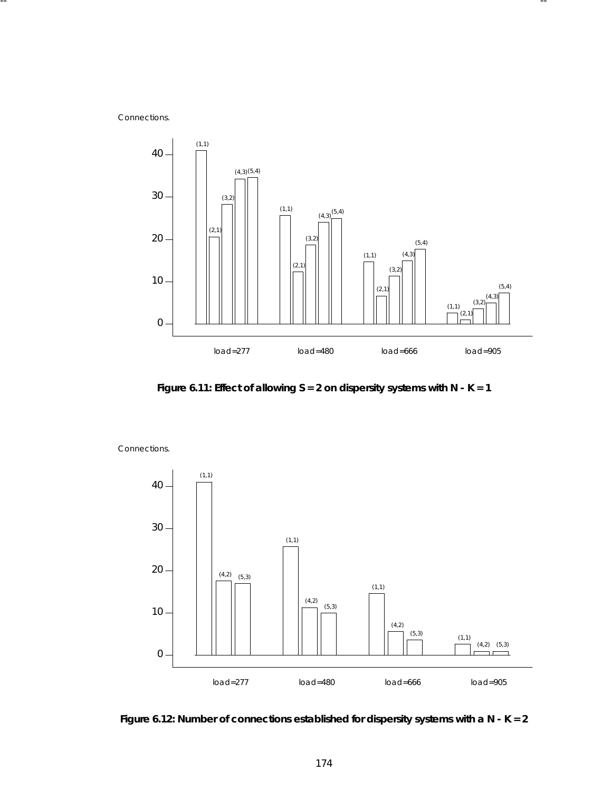Connections.



**Figure 6.11: Effect of allowing S = 2 on dispersity systems with N - K = 1**



Connections.

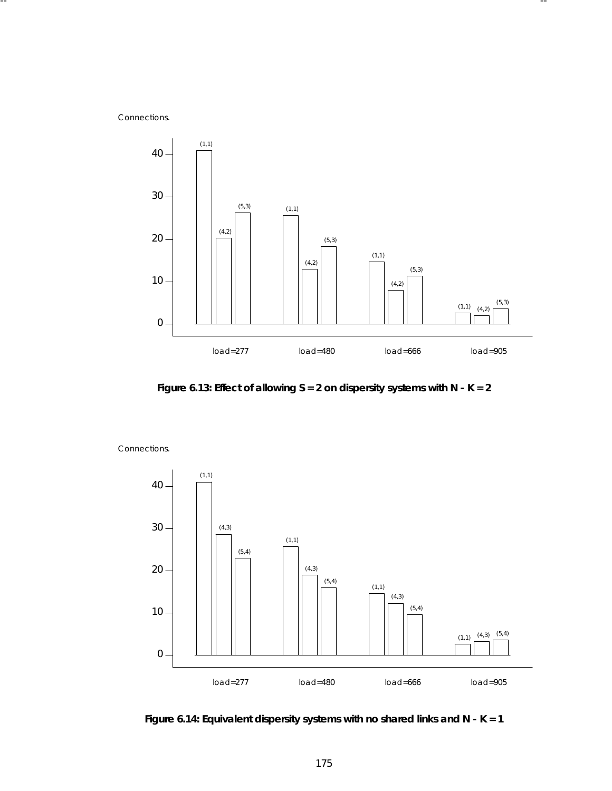Connections.



**Figure 6.13: Effect of allowing S = 2 on dispersity systems with N - K = 2**



Connections.

**Figure 6.14: Equivalent dispersity systems with no shared links and N - K = 1**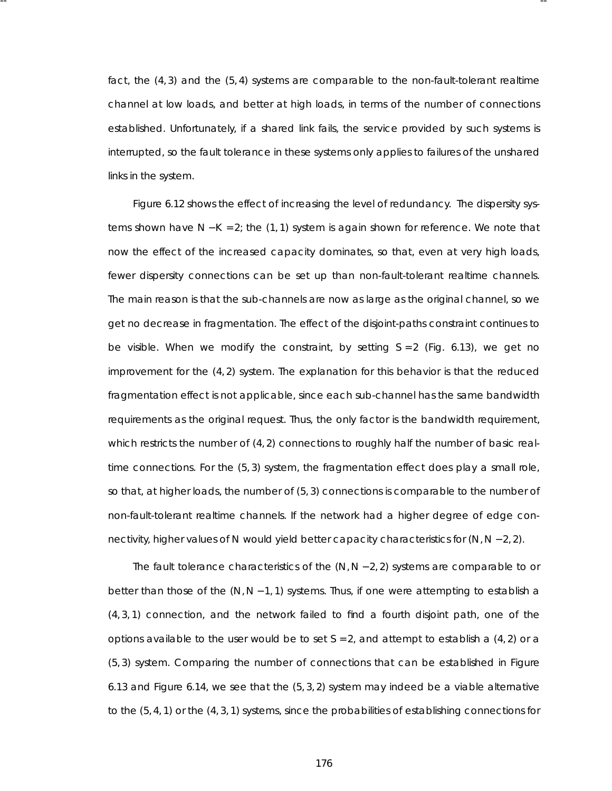fact, the (4, 3) and the (5, 4) systems are comparable to the non-fault-tolerant realtime channel at low loads, and better at high loads, in terms of the number of connections esta blished. Unfortunately, if a shared link fails, the service provided by such systems is interrupted, so the fault tolerance in these systems only applies to failures of the unshared links in the system.

-- --

Figure 6.12 shows the effect of increasing the level of redundancy. The dispersity systems shown have *N* − *K* = 2; the (1, 1) system is again shown for reference. We note that now the effect of the increased capacity dominates, so that, even at very high loads, fewer dispersity connections can be set up than non-fault-tolerant realtime channels. The main reason is that the sub-channels are now as large as the original channel, so we get no decrease in fragmentation. The effect of the disjoint-paths constraint continues to be visible. When we modify the constraint, by setting *S* = 2 (Fig. 6.13), we get no improvement for the (4, 2) system. The explanation for this behavior is that the reduced fragmentation effect is not applicable, since each sub-channel has the same bandwidth requirements as the original request. Thus, the only factor is the bandwidth requirement, which restricts the number of  $(4, 2)$  connections to roughly half the number of basic realtime connections. For the (5, 3) system, the fragmentation effect does play a small role, so that, at higher loads, the number of (5, 3) connections is comparable to the number of non-fault-tolerant realtime channels. If the network had a higher degree of edge connectivity, higher values of *N* would yield better capacity characteristics for (*N*, *N* − 2, 2).

The fault tolerance characteristics of the (*N*, *N* − 2, 2) systems are comparable to or better than those of the (*N*,*N* − 1, 1) systems . Thus , if one were attempting to establish a  $(4, 3, 1)$  connection, and the network failed to find a fourth disjoint path, one of the options availa ble to the user would be to set *S* = 2, and attempt to establish a (4, 2) or a (5, 3) system. Comparing the number of connections that can be established in Figure 6.13 and Figure 6.14, we see that the (5, 3, 2) system may indeed be a viable alternative to the (5, 4, 1) or the (4, 3, 1) systems , since the proba bilities of establishing connections for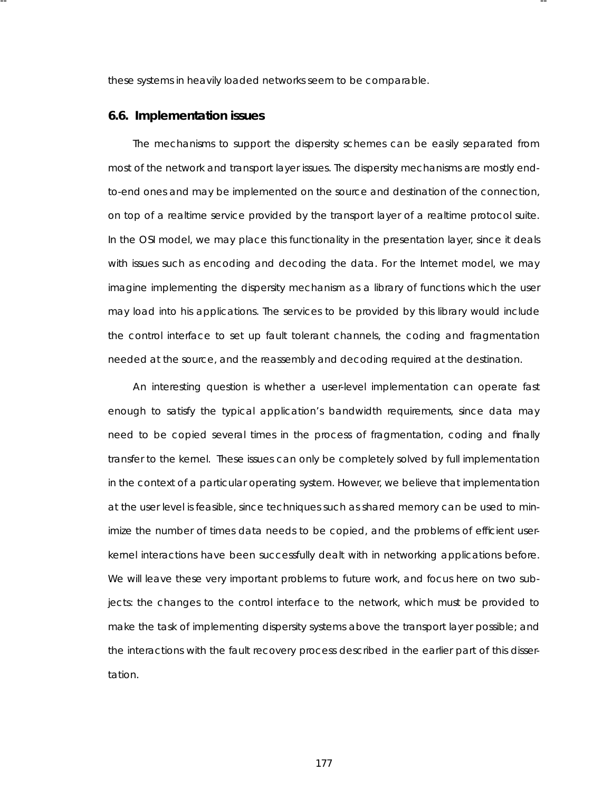these systems in heavily loaded networks seem to be comparable.

-- --

### **6.6. Implementation issues**

The mechanisms to support the dispersity schemes can be easily separated from most of the network and transport layer issues. The dispersity mechanisms are mostly endto-end ones and may be implemented on the source and destination of the connection, on top of a realtime service provided by the transport layer of a realtime protocol suite. In the OSI model, we may place this functionality in the presentation layer, since it deals with issues such as encoding and decoding the data. For the Internet model, we may imagine implementing the dispersity mechanism as a library of functions which the user may load into his applications. The services to be provided by this library would include the control interface to set up fault tolerant channels, the coding and fragmentation needed at the source, and the reassembly and decoding required at the destination.

An interesting question is whether a user-level implementation can operate fast enough to satisfy the typical application's bandwidth requirements, since data may need to be copied several times in the process of fragmentation, coding and finally transfer to the kernel. These issues can only be completely solved by full implementation in the context of a particular operating system. However, we believe that implementation at the user level is feasible, since techniques such as shared memory can be used to minimize the number of times data needs to be copied, and the problems of efficient userkernel interactions have been successfully dealt with in networking applications before. We will leave these very important problems to future work, and focus here on two subjects: the changes to the control interface to the network, which must be provided to make the task of implementing dispersity systems above the transport layer possible; and the interactions with the fault recovery process described in the earlier part of this dissertation.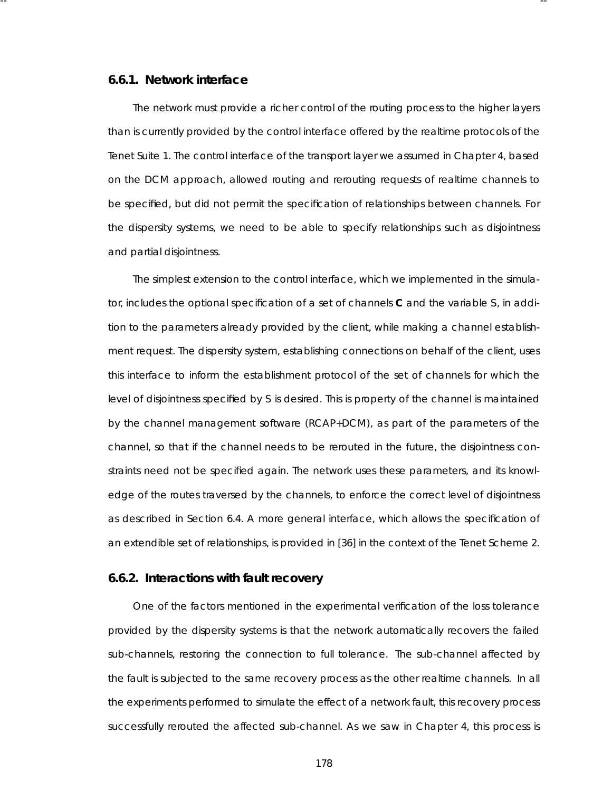# **6.6.1. Network interface**

The network must provide a richer control of the routing process to the higher layers than is currently provided by the control interface offered by the realtime protocols of the Tenet Suite 1. The control interface of the transport layer we assumed in Chapter 4, based on the DCM approach, allowed routing and rerouting requests of realtime channels to be specified, but did not permit the specification of relationships between channels. For the dispersity systems, we need to be able to specify relationships such as disjointness and partial disjointness.

-- --

The simplest extension to the control interface, which we implemented in the simulator, includes the optional specification of a set of channels **C** and the variable *S*, in addition to the parameters already provided by the client, while making a channel establishment request. The dispersity system, establishing connections on behalf of the client, uses this interface to inform the establishment protocol of the set of channels for which the level of disjointness specified by *S* is desired. This is property of the channel is maintained by the channel management software (RCAP+DCM), as part of the parameter s of the channel, so that if the channel needs to be rerouted in the future, the disjointness constraints need not be specified again. The network uses these parameters, and its knowledge of the routes traversed by the channels, to enforce the correct level of disjointness as described in Section 6.4. A more general interface, which allows the specification of an extendible set of relationships, is provided in [36] in the context of the Tenet Scheme 2.

# **6.6.2. Interactions with fault recovery**

One of the factors mentioned in the experimental verification of the loss tolerance provided by the dispersity systems is that the network automatically recovers the failed sub-channels, restoring the connection to full tolerance. The sub-channel affected by the fault is subjected to the same recovery process as the other realtime channels. In all the experiments performed to simulate the effect of a network fault, this recovery process successfully rerouted the affected sub-channel. As we saw in Chapter 4, this process is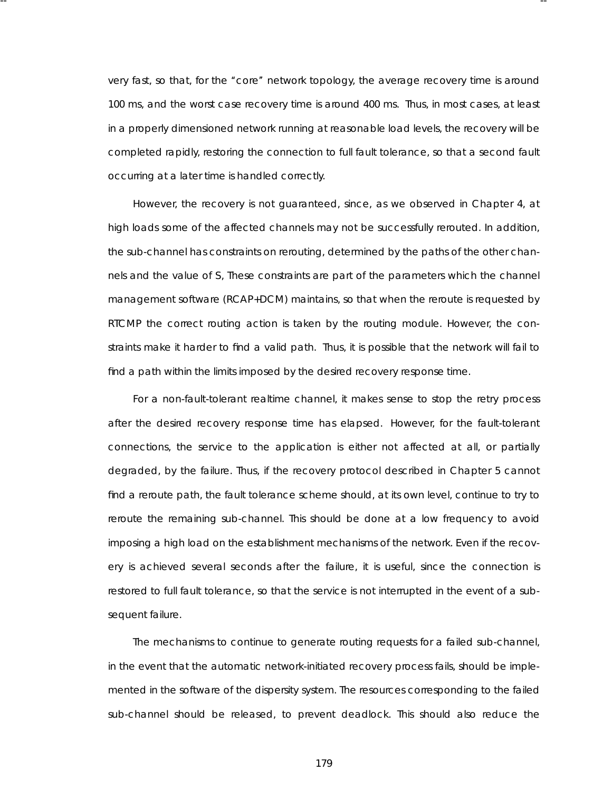very fast, so that, for the "core" network topology, the average recovery time is around 100 ms, and the worst case recovery time is around 400 ms. Thus, in most cases, at least in a properly dimensioned network running at reasonable load levels, the recovery will be completed rapidly, restoring the connection to full fault tolerance, so that a second fault occurring at a later time is handled correctly.

-- --

However, the recovery is not quaranteed, since, as we observed in Chapter 4, at high loads some of the affected channels may not be successfully rerouted. In addition, the sub-channel has constraints on rerouting, determined by the paths of the other channels and the value of S, These constraints are part of the parameters which the channel management software (RCAP+DCM) maintains, so that when the reroute is requested by RTCMP the correct routing action is taken by the routing module. However, the constraints make it harder to find a valid path. Thus, it is possible that the network will fail to find a path within the limits imposed by the desired recovery response time.

For a non-fault-tolerant realtime channel, it makes sense to stop the retry process after the desired recovery response time has elapsed. However, for the fault-tolerant connections, the service to the application is either not affected at all, or partially degraded, by the failure. Thus, if the recovery protocol described in Chapter 5 cannot find a reroute path, the fault tolerance scheme should, at its own level, continue to try to reroute the remaining sub-channel. This should be done at a low frequency to avoid imposing a high load on the establishment mechanisms of the network. Even if the recovery is achieved several seconds after the failure, it is useful, since the connection is restored to full fault tolerance, so that the service is not interrupted in the event of a subsequent failure.

The mechanisms to continue to generate routing requests for a failed sub-channel, in the event that the automatic network-initiated recovery process fails, should be implemented in the software of the dispersity system. The resources corresponding to the failed sub-channel should be released, to prevent deadlock. This should also reduce the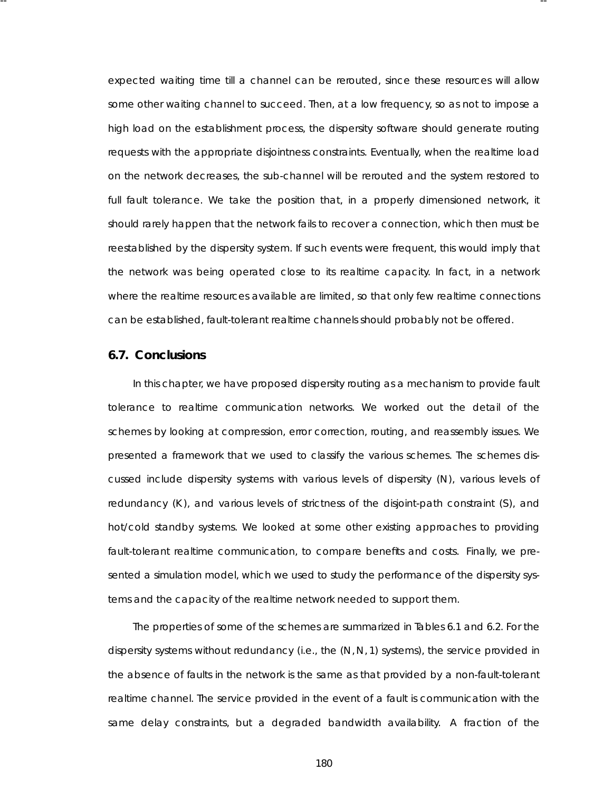expected waiting time till a channel can be rerouted, since these resources will allow some other waiting channel to succeed. Then, at a low frequency, so as not to impose a high load on the establishment process, the dispersity software should generate routing requests with the appropriate disjointness constraints. Eventually, when the realtime load on the network decreases, the sub-channel will be rerouted and the system restored to full fault tolerance. We take the position that, in a properly dimensioned network, it should rarely happen that the network fails to recover a connection, which then must be reesta blished by the dispersity system. If such events were frequent, this would imply that the network was being operated close to its realtime capacity. In fact, in a network where the realtime resources available are limited, so that only few realtime connections can be established, fault-tolerant realtime channels should probably not be offered.

-- --

#### **6.7. Conclusions**

In this chapter, we have proposed dispersity routing as a mechanism to provide fault tolerance to realtime communication networks. We worked out the detail of the schemes by looking at compression, error correction, routing, and reassembly issues. We presented a framework that we used to classify the various schemes. The schemes discussed include dispersity systems with various levels of dispersity (N), various levels of redundancy (K), and various levels of strictness of the disjoint-path constraint (S), and hot/cold standby systems . We looked at some other existing approaches to providing fault-tolerant realtime communication, to compare benefits and costs. Finally, we presented a simulation model, which we used to study the performance of the dispersity systems and the capacity of the realtime network needed to support them.

The properties of some of the schemes are summarized in Tables 6.1 and 6.2. For the dispersity systems without redundancy (i.e., the (*N*, *N*, 1) systems), the service provided in the absence of faults in the network is the same as that provided by a non-fault-tolerant realtime channel. The service provided in the event of a fault is communication with the same delay constraints, but a degraded bandwidth availability. A fraction of the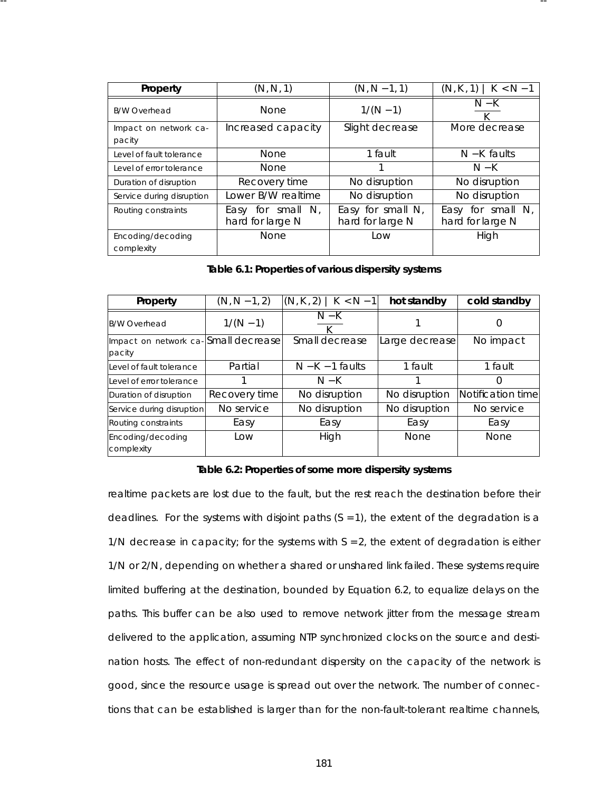| Property                        | (N, N, 1)                                | $(N, N - 1, 1)$                          | $(N, K, 1)$   $K < N - 1$                |  |
|---------------------------------|------------------------------------------|------------------------------------------|------------------------------------------|--|
| <b>B/W Overhead</b>             | <b>None</b>                              | $1/(N-1)$                                | $N-K$                                    |  |
| Impact on network ca-<br>pacity | Increased capacity                       | Slight decrease                          | More decrease                            |  |
| Level of fault tolerance        | <b>None</b>                              | 1 fault                                  | $N-K$ faults                             |  |
| Level of error tolerance        | <b>None</b>                              |                                          | $N-K$                                    |  |
| Duration of disruption          | Recovery time                            | No disruption                            | No disruption                            |  |
| Service during disruption       | Lower B/W realtime                       | No disruption                            | No disruption                            |  |
| Routing constraints             | Easy for small $N$ ,<br>hard for large N | Easy for small $N$ ,<br>hard for large N | Easy for small $N$ ,<br>hard for large N |  |
| Encoding/decoding<br>complexity | None                                     | Low                                      | High                                     |  |

-- --

Table 6.1: Properties of various dispersity systems

| Property                                      | $(N, N - 1, 2)$ | $(N, K, 2)$   $K < N-1$ ] | hot standby    | cold standby      |
|-----------------------------------------------|-----------------|---------------------------|----------------|-------------------|
| <b>B/W Overhead</b>                           | $1/(N-1)$       | $N-K$                     |                | $\left( \right)$  |
| Impact on network ca-Small decrease<br>pacity |                 | Small decrease            | Large decrease | No impact         |
| Level of fault tolerance                      | Partial         | $N-K-1$ faults            | 1 fault        | 1 fault           |
| lLevel of error tolerance                     |                 | $N-K$                     |                | Ω                 |
| Duration of disruption                        | Recovery time   | No disruption             | No disruption  | Notification time |
| Service during disruption                     | No service      | No disruption             | No disruption  | No service        |
| Routing constraints                           | Easy            | Easy                      | Easy           | Easy              |
| Encoding/decoding<br>complexity               | Low             | High                      | <b>None</b>    | <b>None</b>       |

#### Table 6.2: Properties of some more dispersity systems

realtime packets are lost due to the fault, but the rest reach the destination before their deadlines. For the systems with disjoint paths  $(S = 1)$ , the extent of the degradation is a 1/*N* decrease in capacity; for the systems with *S* = 2, the extent of degradation is either 1/*N* or 2/*N*, depending on whether a shared or unshared link failed. These systems require limited buffering at the destination, bounded by Equation 6.2, to equalize delays on the paths. This buffer can be also used to remove network jitter from the message stream delivered to the application, assuming NTP synchronized clocks on the source and destination hosts. The effect of non-redundant dispersity on the capacity of the network is good, since the resource usage is spread out over the network. The number of connections that can be established is larger than for the non-fault-tolerant realtime channels,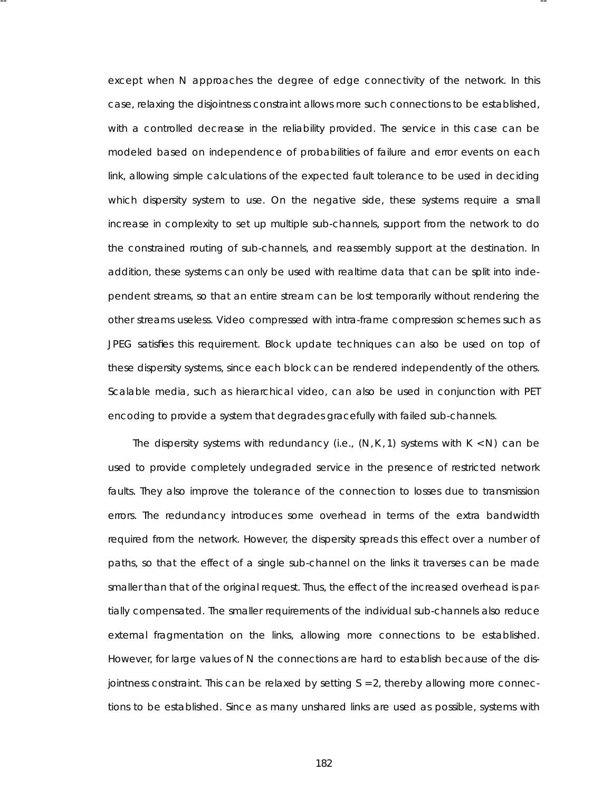except when *N* approaches the degree of edge connectivity of the network. In this case, relaxing the disjointness constraint allows more such connections to be established, with a controlled decrease in the reliability provided. The service in this case can be modeled based on independence of probabilities of failure and error events on each link, allowing simple calculations of the expected fault tolerance to be used in deciding which dispersity system to use. On the negative side, these systems require a small increase in complexity to set up multiple sub-channels, support from the network to do the constrained routing of sub-channels, and reassembly support at the destination. In addition, these systems can only be used with realtime data that can be split into independent streams, so that an entire stream can be lost temporarily without rendering the other streams useless. Video compressed with intra-frame compression schemes such as JPEG satisfies this requirement. Block update techniques can also be used on top of these dispersity systems, since each block can be rendered independently of the others. Scala ble media, such as hierarchical video, can also be used in conjunction with PET encoding to provide a system that degrades gracefully with failed sub-channels.

-- --

The dispersity systems with redundancy (i.e., (*N*,*K* , 1) systems with *K* < *N*) can be used to provide completely undegraded service in the presence of restricted network faults. They also improve the tolerance of the connection to losses due to transmission errors. The redundancy introduces some overhead in terms of the extra bandwidth required from the network. However, the dispersity spreads this effect over a number of paths, so that the effect of a single sub-channel on the links it traverses can be made smaller than that of the original request. Thus, the effect of the increased overhead is partially compensated. The smaller requirements of the individual sub-channels also reduce external fragmentation on the links, allowing more connections to be established. However, for large values of N the connections are hard to establish because of the disjointness constraint. This can be relaxed by setting *S* = 2, thereby allowing more connections to be established. Since as many unshared links are used as possible, systems with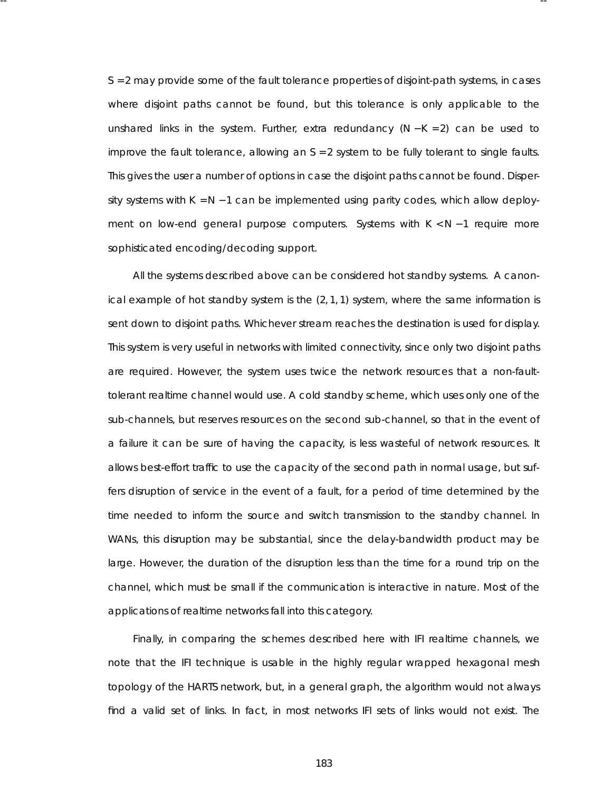*S* = 2 may provide some of the fault tolerance properties of disjoint-path systems, in cases where disjoint paths cannot be found, but this tolerance is only applicable to the unshared links in the system. Further, extra redundancy (*N* − *K* = 2) can be used to improve the fault tolerance, allowing an  $S = 2$  system to be fully tolerant to single faults. This gives the user a number of options in case the disjoint paths cannot be found. Dispersity systems with *K* = *N* − 1 can be implemented using parity codes, which allow deployment on low-end general purpose computers. Systems with *K* < *N* − 1 require more sophisticated encoding/decoding support.

-- --

All the systems described above can be considered hot standby systems . A canonical example of hot standby system is the  $(2, 1, 1)$  system, where the same information is sent down to disjoint paths. Whichever stream reaches the destination is used for display. This system is very useful in networks with limited connectivity, since only two disjoint paths are required. However, the system uses twice the network resources that a non-faulttolerant realtime channel would use. A cold standby scheme, which uses only one of the sub-channels, but reserves resources on the second sub-channel, so that in the event of a failure it can be sure of having the capacity, is less wasteful of network resources. It allows best-effort traffic to use the capacity of the second path in normal usage, but suffers disruption of service in the event of a fault, for a period of time determined by the time needed to inform the source and switch transmission to the standby channel. In WANs, this disruption may be substantial, since the delay-bandwidth product may be large. However, the duration of the disruption less than the time for a round trip on the channel, which must be small if the communication is interactive in nature. Most of the applications of realtime networks fall into this category.

Finally, in comparing the schemes described here with IFI realtime channels, we note that the IFI technique is usable in the highly regular wrapped hexagonal mesh topology of the HARTS network, but, in a general graph, the algorithm would not always find a valid set of links. In fact, in most networks IFI sets of links would not exist. The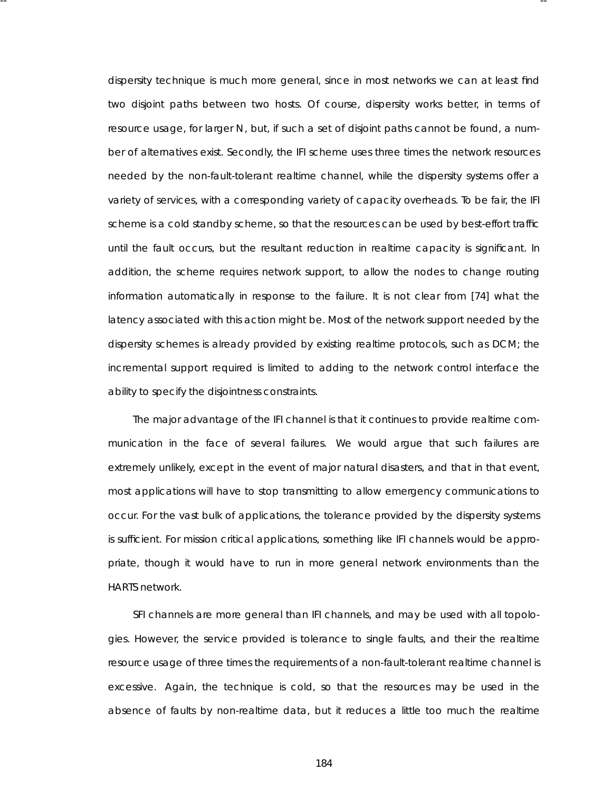dispersity technique is much more general, since in most networks we can at least find two disjoint paths between two hosts. Of course, dispersity works better, in terms of resource usage, for larger *N*, but, if such a set of disjoint paths cannot be found, a number of alternatives exist. Secondly, the IFI scheme uses three times the network resources needed by the non-fault-tolerant realtime channel, while the dispersity systems offer a variety of services, with a corresponding variety of capacity overheads. To be fair, the IFI scheme is a cold standby scheme, so that the resources can be used by best-effort traffic until the fault occurs, but the resultant reduction in realtime capacity is significant. In addition, the scheme requires network support, to allow the nodes to change routing information automatically in response to the failure. It is not clear from [74] what the latency associated with this action might be. Most of the network support needed by the dispersity schemes is already provided by existing realtime protocols, such as DCM; the incremental support required is limited to adding to the network control interface the ability to specify the disjointness constraints.

-- --

The major advantage of the IFI channel is that it continues to provide realtime communication in the face of several failures . We would argue that such failures are extremely unlikely, except in the event of major natural disasters, and that in that event, most applications will have to stop transmitting to allow emergency communications to occur. For the vast bulk of applications, the tolerance provided by the dispersity systems is sufficient. For mission critical applications, something like IFI channels would be appropriate, though it would have to run in more general network environments than the HARTS network.

SFI channels are more general than IFI channels, and may be used with all topologies. However, the service provided is tolerance to single faults, and their the realtime resource usage of three times the requirements of a non-fault-tolerant realtime channel is excessive. Again, the technique is cold, so that the resources may be used in the absence of faults by non-realtime data, but it reduces a little too much the realtime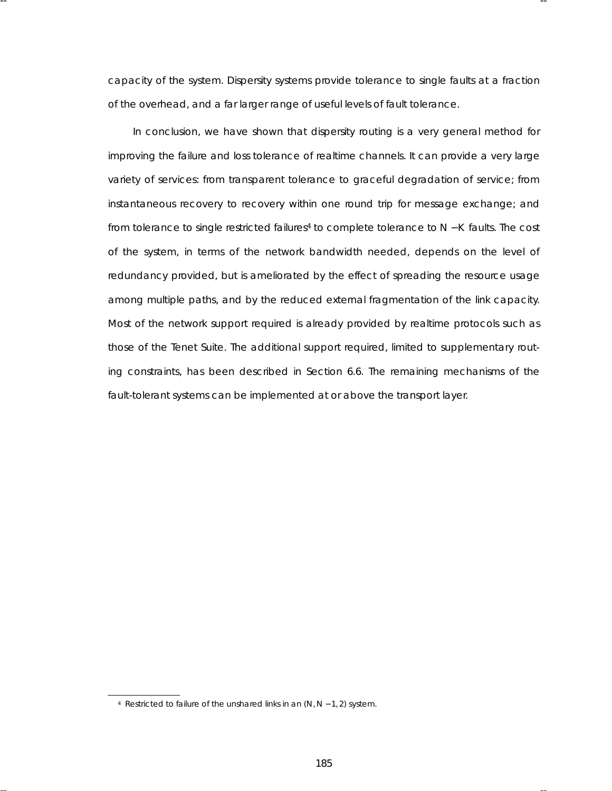ca pacity of the system. Dispersity systems provide tolerance to single faults at a fraction of the overhead, and a far larger range of useful levels of fault tolerance.

-- --

In conclusion, we have shown that dispersity routing is a very general method for improving the failure and loss tolerance of realtime channels. It can provide a very large variety of services: from transparent tolerance to graceful degradation of service; from instantaneous recovery to recovery within one round trip for message exchange; and from tolerance to single restricted failures<sup>4</sup> to complete tolerance to *N* − *K* faults. The cost of the system, in terms of the network bandwidth needed, depends on the level of redundancy provided, but is ameliorated by the effect of spreading the resource usage among multiple paths, and by the reduced external fragmentation of the link capacity. Most of the network support required is already provided by realtime protocols such as those of the Tenet Suite. The additional support required, limited to supplementary routing constraints, has been described in Section 6.6. The remaining mechanisms of the fault-tolerant systems can be implemented at or above the transport layer.

<sup>4</sup> Restricted to failure of the unshared links in an (*N*, *N* − 1, 2) system.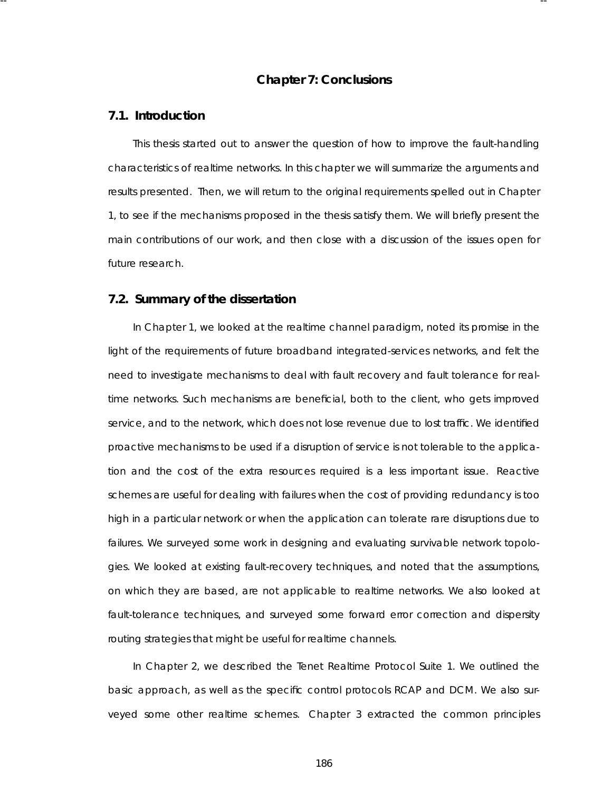# **Cha pter 7: Conclusions**

-- --

### **7.1. Introduction**

This thesis started out to answer the question of how to improve the fault-handling character istics of realtime networks. In this chapter we will summarize the arguments and results presented. Then, we will return to the original requirements spelled out in Chapter 1, to see if the mechanisms proposed in the thesis satisfy them. We will briefly present the main contributions of our work, and then close with a discussion of the issues open for future research.

#### **7.2. Summary of the disserta tion**

In Chapter 1, we looked at the realtime channel paradigm, noted its promise in the light of the requirements of future broadband integrated-services networks, and felt the need to investigate mechanisms to deal with fault recovery and fault tolerance for realtime networks. Such mechanisms are beneficial, both to the client, who gets improved service, and to the network, which does not lose revenue due to lost traffic. We identified *proactive* mechanisms to be used if a disruption of service is not tolerable to the application and the cost of the extra resources required is a less important issue. *Reactive* schemes are useful for dealing with failures when the cost of providing redundancy is too high in a particular network or when the application can tolerate rare disruptions due to failures. We surveyed some work in designing and evaluating survivable network topologies. We looked at existing fault-recovery techniques, and noted that the assumptions, on which they are based, are not applicable to realtime networks. We also looked at fault-tolerance techniques, and surveyed some forward error correction and dispersity routing strategies that might be useful for realtime channels.

In Chapter 2, we described the Tenet Realtime Protocol Suite 1. We outlined the basic approach, as well as the specific control protocols RCAP and DCM. We also surveyed some other realtime schemes. Chapter 3 extracted the common principles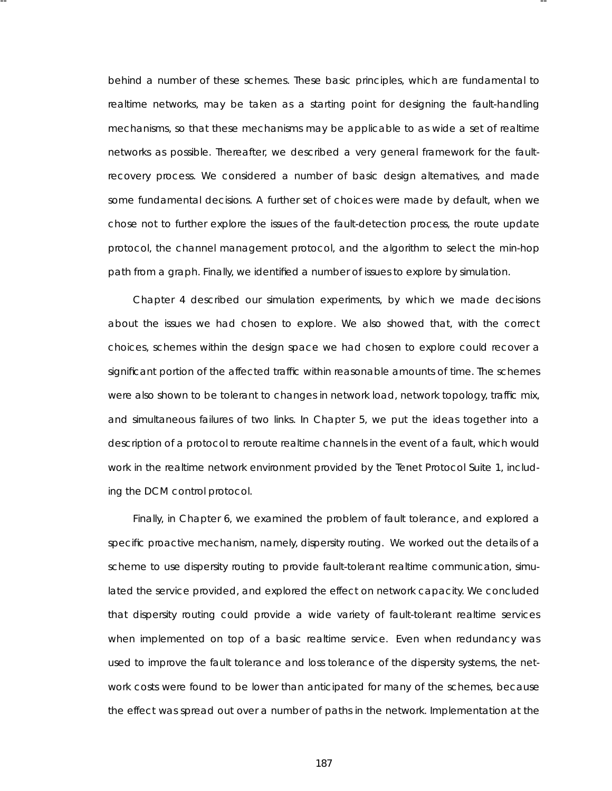behind a number of these schemes. These basic principles, which are fundamental to realtime networks, may be taken as a starting point for designing the fault-handling mechanisms, so that these mechanisms may be applicable to as wide a set of realtime networks as possible. Thereafter, we described a very general framework for the faultrecovery process. We considered a number of basic design alternatives, and made some fundamental decisions. A further set of choices were made by default, when we chose not to further explore the issues of the fault-detection process , the route update protocol, the channel management protocol, and the algorithm to select the min-hop path from a graph. Finally, we identified a number of issues to explore by simulation.

-- --

Chapter 4 described our simulation experiments, by which we made decisions about the issues we had chosen to explore. We also showed that, with the correct choices, schemes within the design space we had chosen to explore could recover a significant portion of the affected traffic within reasonable amounts of time. The schemes were also shown to be tolerant to changes in network load, network topology, traffic mix, and simultaneous failures of two links. In Chapter 5, we put the ideas together into a description of a protocol to reroute realtime channels in the event of a fault, which would work in the realtime network environment provided by the Tenet Protocol Suite 1, including the DCM control protocol.

Finally, in Chapter 6, we examined the problem of fault tolerance, and explored a specific proactive mechanism, namely, dispersity routing. We worked out the details of a scheme to use dispersity routing to provide fault-tolerant realtime communication, simulated the service provided, and explored the effect on network capacity. We concluded that dispersity routing could provide a wide variety of fault-tolerant realtime services when implemented on top of a basic realtime service. Even when redundancy was used to improve the fault tolerance and loss tolerance of the dispersity systems, the network costs were found to be lower than anticipated for many of the schemes, because the effect was spread out over a number of paths in the network. Implementation at the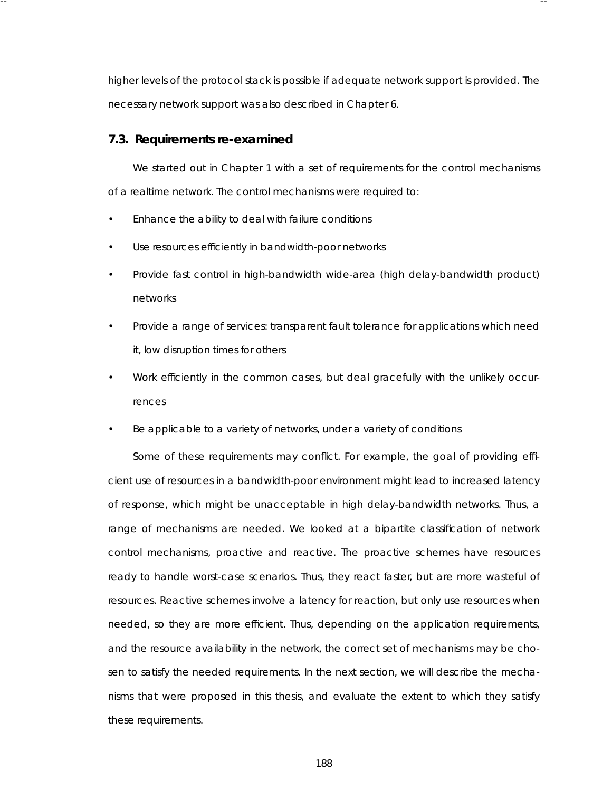higher levels of the protocol stack is possible if adequate network support is provided. The necessary network support was also described in Chapter 6.

-- --

#### **7.3. Requirements re-examined**

We started out in Chapter 1 with a set of requirements for the control mechanisms of a realtime network. The control mechanisms were required to:

- Enhance the ability to deal with failure conditions
- Use resources efficiently in bandwidth-poor networks
- Provide fast control in high-bandwidth wide-area (high delay-bandwidth product) networks
- Provide a range of services: transparent fault tolerance for applications which need it, low disruption times for others
- Work efficiently in the common cases, but deal gracefully with the unlikely occurrences
- Be applicable to a variety of networks, under a variety of conditions

Some of these requirements may conflict. For example, the goal of providing efficient use of resources in a bandwidth-poor environment might lead to increased latency of response, which might be unacceptable in high delay-bandwidth networks. Thus, a range of mechanisms are needed. We looked at a bipartite classification of network control mechanisms, proactive and reactive. The proactive schemes have resources ready to handle worst-case scenarios. Thus, they react faster, but are more wasteful of resources . Reactive schemes involve a latency for reaction, but only use resources when needed, so they are more efficient. Thus, depending on the application requirements, and the resource availability in the network, the correct set of mechanisms may be chosen to satisfy the needed requirements . In the next section, we will describe the mechanisms that were proposed in this thesis, and evaluate the extent to which they satisfy these requirements.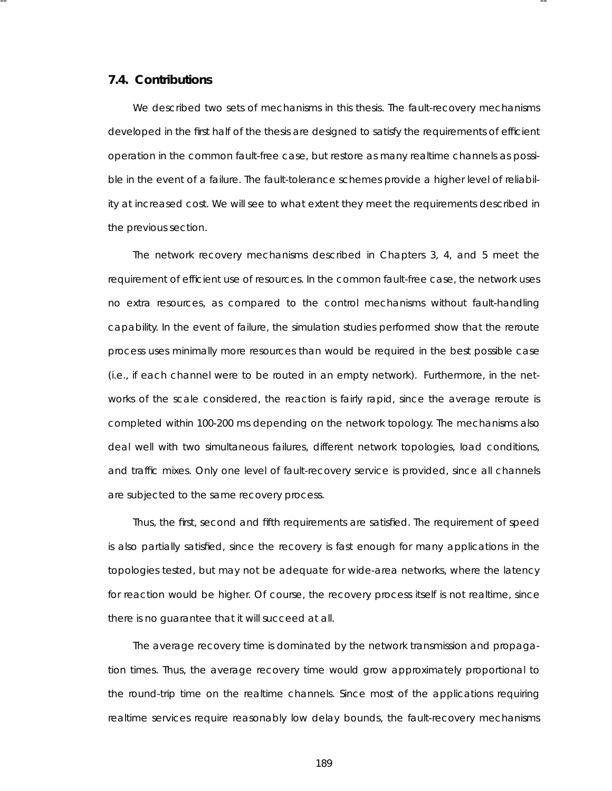### **7.4. Contributions**

We described two sets of mechanisms in this thesis. The fault-recovery mechanisms developed in the first half of the thesis are designed to satisfy the requirements of efficient operation in the common fault-free case, but restore as many realtime channels as possible in the event of a failure. The fault-tolerance schemes provide a higher level of reliability at increased cost. We will see to what extent they meet the requirements described in the previous section.

-- --

The network recovery mechanisms described in Chapters 3, 4, and 5 meet the requirement of efficient use of resources. In the common fault-free case, the network uses no extra resources, as compared to the control mechanisms without fault-handling ca pability. In the event of failure, the simulation studies performed show that the reroute process uses minimally more resources than would be required in the best possible case (i.e., if each channel were to be routed in an empty network). Furthermore, in the networks of the scale considered, the reaction is fairly rapid, since the average reroute is completed within 100-200 ms depending on the network topology. The mechanisms also deal well with two simultaneous failures, different network topologies, load conditions, and traffic mixes. Only one level of fault-recovery service is provided, since all channels are subjected to the same recovery process .

Thus, the first, second and fifth requirements are satisfied. The requirement of speed is also partially satisfied, since the recovery is fast enough for many applications in the topologies tested, but may not be adequate for wide-area networks, where the latency for reaction would be higher. Of course, the recovery process itself is not realtime, since there is no guarantee that it will succeed at all.

The average recovery time is dominated by the network transmission and propagation times. Thus, the average recovery time would grow approximately proportional to the round-trip time on the realtime channels. Since most of the applications requiring realtime services require reasonably low delay bounds, the fault-recovery mechanisms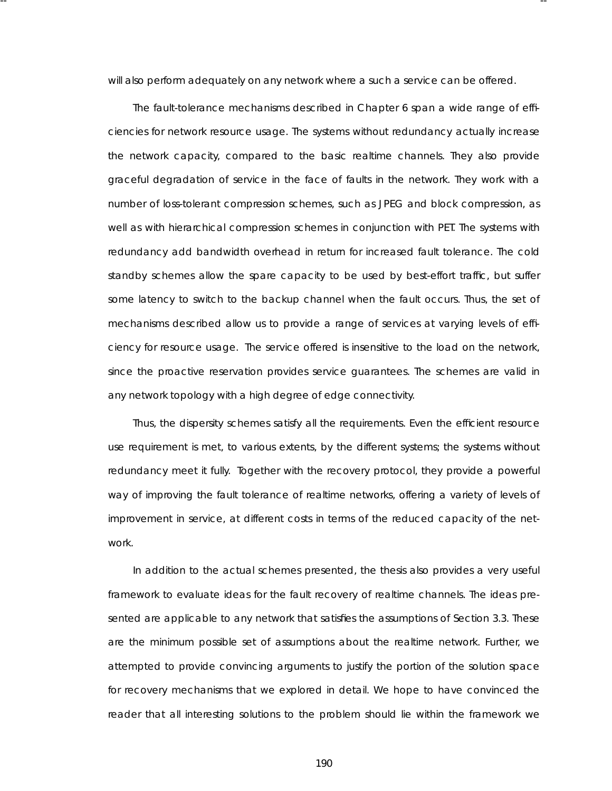will also perform adequately on any network where a such a service can be offered.

-- --

The fault-tolerance mechanisms described in Chapter 6 span a wide range of efficiencies for network resource usage. The systems without redundancy actually increase the network capacity, compared to the basic realtime channels. They also provide graceful degradation of service in the face of faults in the network. They work with a number of loss-tolerant compression schemes, such as JPEG and block compression, as well as with hierarchical compression schemes in conjunction with PET. The systems with redundancy add bandwidth overhead in return for increased fault tolerance. The cold standby schemes allow the spare capacity to be used by best-effort traffic, but suffer some latency to switch to the backup channel when the fault occurs. Thus, the set of mechanisms described allow us to provide a range of services at varying levels of efficiency for resource usage. The service offered is insensitive to the load on the network, since the proactive reservation provides service guarantees. The schemes are valid in any network topology with a high degree of edge connectivity.

Thus, the dispersity schemes satisfy all the requirements. Even the efficient resource use requirement is met, to various extents, by the different systems; the systems without redundancy meet it fully. Together with the recovery protocol, they provide a powerful way of improving the fault tolerance of realtime networks, offering a variety of levels of improvement in service, at different costs in terms of the reduced capacity of the network.

In addition to the actual schemes presented, the thesis also provides a very useful framework to evaluate ideas for the fault recovery of realtime channels. The ideas presented are applicable to any network that satisfies the assumptions of Section 3.3. These are the minimum possible set of assumptions about the realtime network. Further, we attempted to provide convincing arguments to justify the portion of the solution space for recovery mechanisms that we explored in detail. We hope to have convinced the reader that all interesting solutions to the problem should lie within the framework we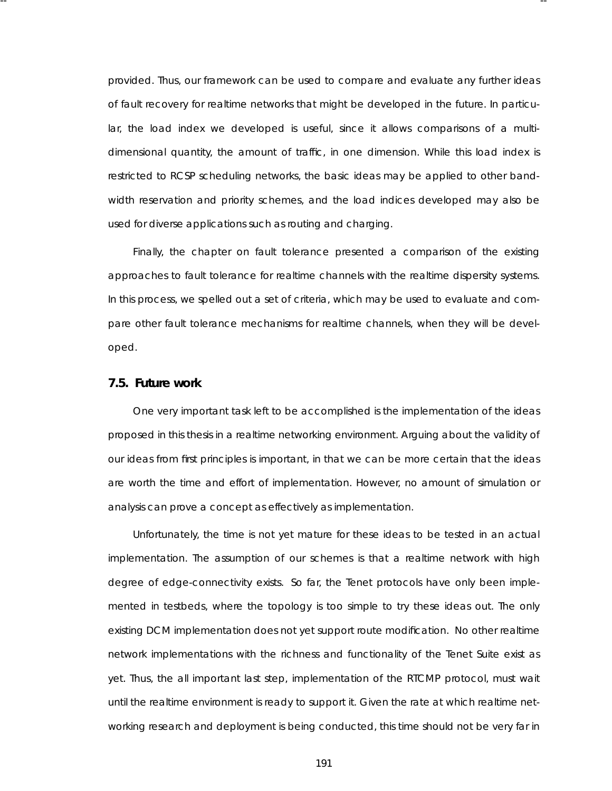provided. Thus, our framework can be used to compare and evaluate any further ideas of fault recovery for realtime networks that might be developed in the future. In particular, the load index we developed is useful, since it allows comparisons of a multidimensional quantity, the amount of traffic, in one dimension. While this load index is restricted to RCSP scheduling networks, the basic ideas may be applied to other bandwidth reservation and priority schemes, and the load indices developed may also be used for diverse applications such as routing and charging.

-- --

Finally, the chapter on fault tolerance presented a comparison of the existing approaches to fault tolerance for realtime channels with the realtime dispersity systems. In this process, we spelled out a set of criteria, which may be used to evaluate and compare other fault tolerance mechanisms for realtime channels, when they will be developed.

### **7.5. Future work**

One very important task left to be accomplished is the implementation of the ideas proposed in this thesis in a realtime networking environment. Arguing about the validity of our ideas from first principles is important, in that we can be more certain that the ideas are worth the time and effort of implementation. However, no amount of simulation or analysis can prove a concept as effectively as implementation.

Unfortunately, the time is not yet mature for these ideas to be tested in an actual implementation. The assumption of our schemes is that a realtime network with high degree of edge-connectivity exists. So far, the Tenet protocols have only been implemented in testbeds, where the topology is too simple to try these ideas out. The only existing DCM implementation does not yet support route modification. No other realtime network implementations with the richness and functionality of the Tenet Suite exist as yet. Thus, the all important last step, implementation of the RTCMP protocol, must wait until the realtime environment is ready to support it. Given the rate at which realtime networking research and deployment is being conducted, this time should not be very far in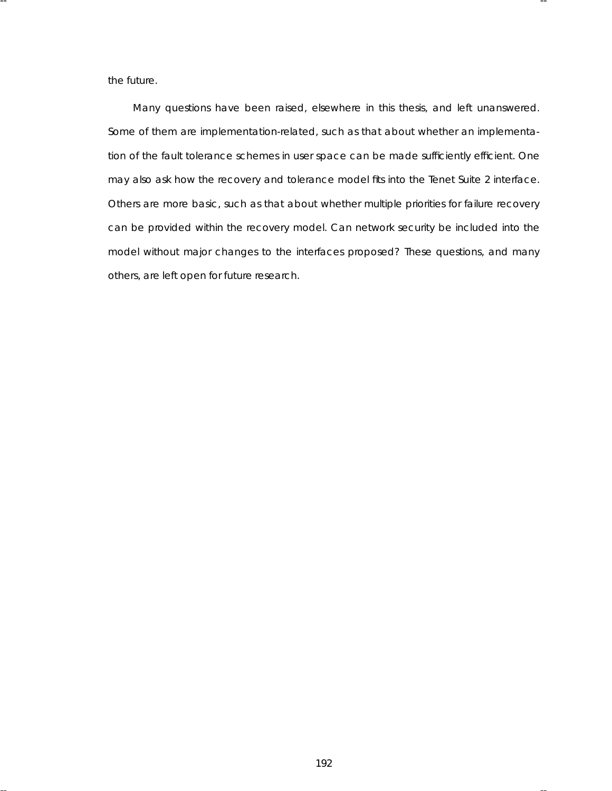the future.

Many questions have been raised, elsewhere in this thesis, and left unanswered. Some of them are implementation-related, such as that about whether an implementation of the fault tolerance schemes in user space can be made sufficiently efficient. One may also ask how the recovery and tolerance model fits into the Tenet Suite 2 interface. Others are more basic, such as that about whether multiple priorities for failure recovery can be provided within the recovery model. Can network security be included into the model without major changes to the interfaces proposed? These questions, and many others, are left open for future research.

-- --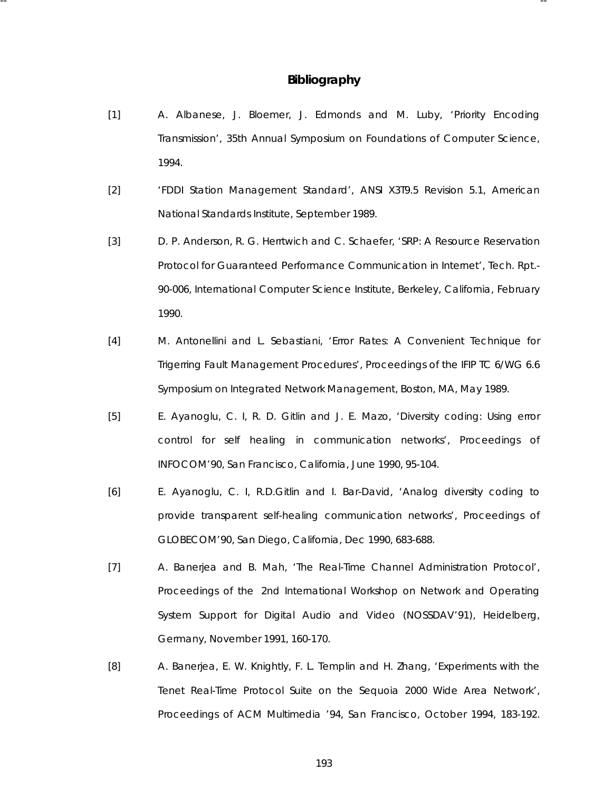# **Bibliography**

-- --

- [1] A. Albanese, J. Bloemer, J. Edmonds and M. Luby, 'Priority Encoding Transmission', *35th Annual Symposium on Foundations of Computer Science*, 1994.
- [2] 'FDDI Station Management Standard', ANSI X3T9.5 Revision 5.1, American National Standards Institute, September 1989.
- [3] D. P. Anderson, R. G. Herrtwich and C. Schaefer, 'SRP: A Resource Reservation Protocol for Guaranteed Performance Communication in Internet', Tech. Rpt.- 90-006, International Computer Science Institute, Berkeley, California, February 1990.
- [4] M. Antonellini and L. Sebastiani, 'Error Rates: A Convenient Technique for Trigerring Fault Management Procedures', *Proceedings of the IFIP TC 6/WG 6.6 Symposium on Integrated Network Management*, Boston, MA, May 1989.
- [5] E. Ayanoglu, C. I, R. D. Gitlin and J. E. Mazo, 'Diversity coding: Using error control for self healing in communication networks', *Proceedings of INFOCOM'90*, San Francisco, California, June 1990, 95-104.
- [6] E. Ayanoglu, C. I, R.D.Gitlin and I. Bar-David, 'Analog diversity coding to provide transparent self-healing communication networks', *Proceedings of GLOBECOM'90*, San Diego, California, Dec 1990, 683-688.
- [7] A. Banerjea and B. Mah, 'The Real-Time Channel Administration Protocol', *Proceedings of the 2nd International Workshop on Network and Operating System Support for Digital Audio and Video (NOSSDAV'91)*, Heidelberg, Germany, November 1991, 160-170.
- [8] A. Banerjea, E. W. Knightly, F. L. Templin and H. Zhang, 'Experiments with the Tenet Real-Time Protocol Suite on the Sequoia 2000 Wide Area Network', *Proceedings of ACM Multimedia '94*, San Francisco, October 1994, 183-192.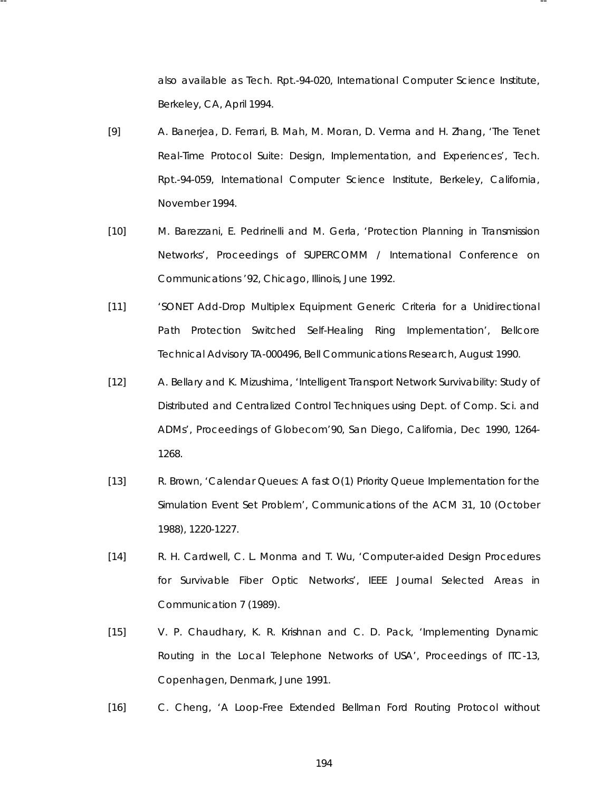also available as Tech. Rpt.-94-020, International Computer Science Institute, Berkeley, CA, April 1994.

[9] A. Banerjea, D. Ferrari, B. Mah, M. Moran, D. Verma and H. Zhang, 'The Tenet Real-Time Protocol Suite: Design, Implementation, and Experiences', Tech. Rpt.-94-059, International Computer Science Institute, Berkeley, California, November 1994.

-- --

- [10] M. Barezzani, E. Pedrinelli and M. Gerla, 'Protection Planning in Transmission Networks', *Proceedings of SUPERCOMM / International Conference on Communications '92*, Chicago, Illinois, June 1992.
- [11] 'SONET Add-Drop Multiplex Equipment Generic Criteria for a Unidirectional Path Protection Switched Self-Healing Ring Implementation', Bellcore Technical Advisory TA-000496, Bell Communications Research, August 1990.
- [12] A. Bellary and K. Mizushima, 'Intelligent Transport Network Survivability: Study of Distributed and Centralized Control Techniques using Dept. of Comp. Sci. and ADMs', *Proceedings of Globecom'90*, San Diego, California, Dec 1990, 1264- 1268.
- [13] R. Brown, 'Calendar Queues: A fast O(1) Priority Queue Implementation for the Simulation Event Set Problem', *Communications of the ACM 31*, 10 (October 1988), 1220-1227.
- [14] R. H. Cardwell, C. L. Monma and T. Wu, 'Computer-aided Design Procedures for Survivable Fiber Optic Networks', *IEEE Journal Selected Areas in Communication 7* (1989).
- [15] V. P. Chaudhary, K. R. Krishnan and C. D. Pack, 'Implementing Dynamic Routing in the Local Telephone Networks of USA', *Proceedings of ITC-13*, Copenhagen, Denmark, June 1991.
- [16] C. Cheng, 'A Loop-Free Extended Bellman Ford Routing Protocol without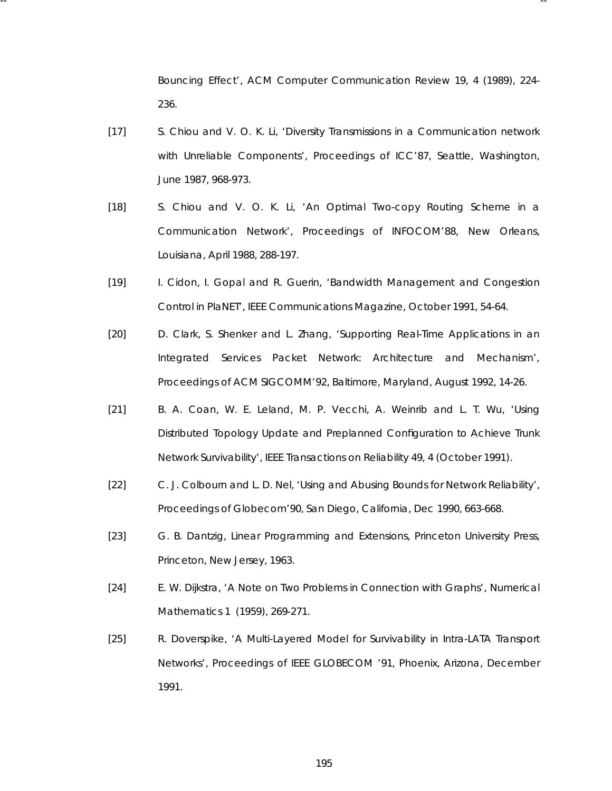Bouncing Effect', *ACM Computer Communication Review 19*, 4 (1989), 224- 236.

[17] S. Chiou and V. O. K. Li, 'Diversity Transmissions in a Communication network with Unreliable Components', *Proceedings of ICC'87*, Seattle, Washington, June 1987, 968-973.

-- --

- [18] S. Chiou and V. O. K. Li, 'An Optimal Two-copy Routing Scheme in a Communication Network', *Proceedings of INFOCOM'88*, New Orleans, Louisiana, April 1988, 288-197.
- [19] I. Cidon, I. Gopal and R. Guerin, 'Bandwidth Management and Congestion Control in PlaNET', *IEEE Communications Magazine*, October 1991, 54-64.
- [20] D. Clark, S. Shenker and L. Zhang, 'Supporting Real-Time Applications in an Integrated Services Packet Network: Architecture and Mechanism', *Proceedings of ACM SIGCOMM'92*, Baltimore, Maryland, August 1992, 14-26.
- [21] B. A. Coan, W. E. Leland, M. P. Vecchi, A. Weinrib and L. T. Wu, 'Using Distributed Topology Update and Preplanned Configuration to Achieve Trunk Network Survivability', *IEEE Transactions on Reliability 49*, 4 (October 1991).
- [22] C. J. Colbourn and L. D. Nel, 'Using and Abusing Bounds for Network Reliability', *Proceedings of Globecom'90*, San Diego, California, Dec 1990, 663-668.
- [23] G. B. Dantzig, *Linear Programming and Extensions*, Princeton University Press, Princeton, New Jersey, 1963.
- [24] E. W. Dijkstra, 'A Note on Two Problems in Connection with Graphs', *Numerical Mathematics 1* (1959), 269-271.
- [25] R. Doverspike, 'A Multi-Layered Model for Survivability in Intra-LATA Transport Networks', *Proceedings of IEEE GLOBECOM '91*, Phoenix, Arizona, December 1991.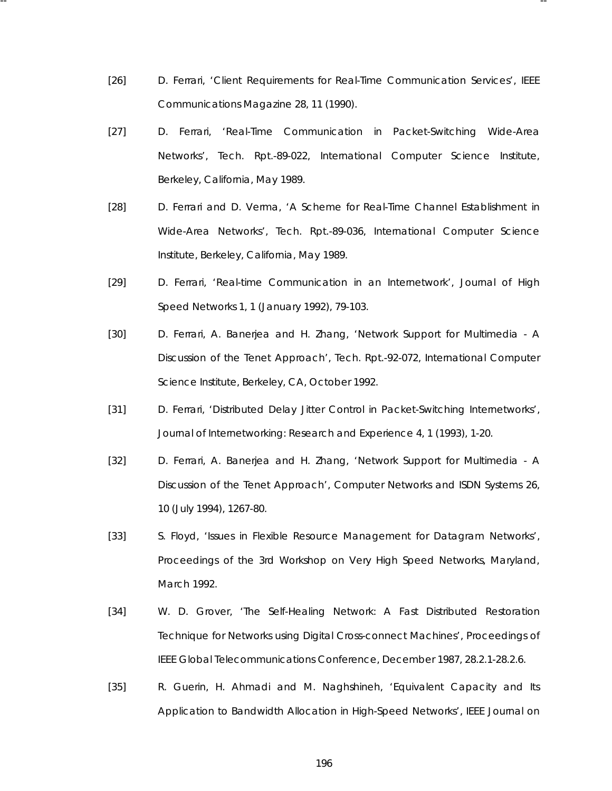[26] D. Ferrari, 'Client Requirements for Real-Time Communication Services', *IEEE Communications Magazine 28*, 11 (1990).

-- --

- [27] D. Ferrari, 'Real-Time Communication in Packet-Switching Wide-Area Networks', Tech. Rpt.-89-022, International Computer Science Institute, Berkeley, California, May 1989.
- [28] D. Ferrari and D. Verma, 'A Scheme for Real-Time Channel Establishment in Wide-Area Networks', Tech. Rpt.-89-036, International Computer Science Institute, Berkeley, California, May 1989.
- [29] D. Ferrari, 'Real-time Communication in an Internetwork', *Journal of High Speed Networks 1*, 1 (January 1992), 79-103.
- [30] D. Ferrari, A. Banerjea and H. Zhang, 'Network Support for Multimedia A Discussion of the Tenet Approach', Tech. Rpt.-92-072, International Computer Science Institute, Berkeley, CA, October 1992.
- [31] D. Ferrari, 'Distributed Delay Jitter Control in Packet-Switching Internetworks', *Journal of Internetworking: Research and Experience 4*, 1 (1993), 1-20.
- [32] D. Ferrari, A. Banerjea and H. Zhang, 'Network Support for Multimedia A Discussion of the Tenet Approach', *Computer Networks and ISDN Systems 26*, 10 (July 1994), 1267-80.
- [33] S. Floyd, 'Issues in Flexible Resource Management for Datagram Networks', *Proceedings of the 3rd Workshop on Very High Speed Networks*, Maryland, March 1992.
- [34] W. D. Grover, 'The Self-Healing Network: A Fast Distributed Restoration Technique for Networks using Digital Cross-connect Machines', *Proceedings of IEEE Global Telecommunications Conference*, December 1987, 28.2.1-28.2.6.
- [35] R. Guerin, H. Ahmadi and M. Naghshineh, 'Equivalent Capacity and Its Application to Bandwidth Allocation in High-Speed Networks', *IEEE Journal on*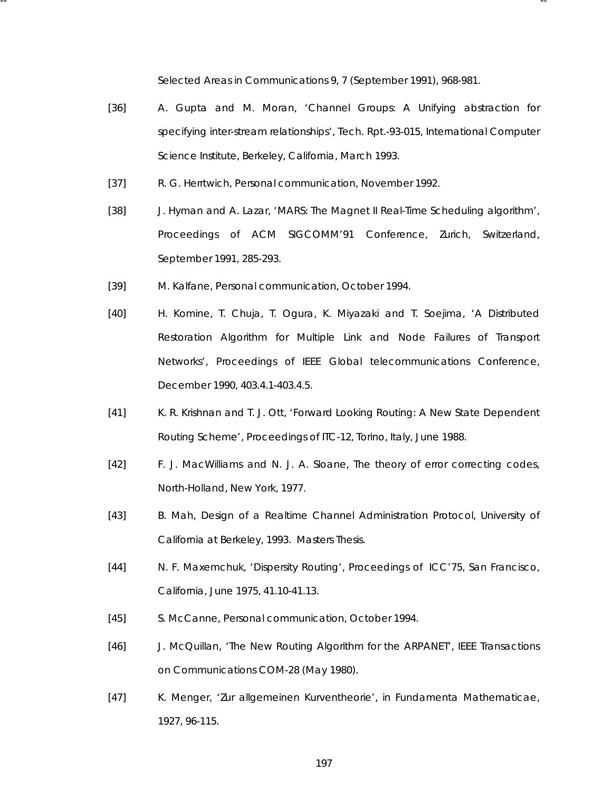*Selected Areas in Communications 9*, 7 (September 1991), 968-981.

- [36] A. Gupta and M. Moran, 'Channel Groups: A Unifying abstraction for specifying inter-stream relationships', Tech. Rpt.-93-015, International Computer Science Institute, Berkeley, California, March 1993.
- [37] R. G. Herrtwich, Personal communication, November 1992.

-- --

- [38] J. Hyman and A. Lazar, 'MARS: The Magnet II Real-Time Scheduling algorithm', *Proceedings of ACM SIGCOMM'91 Conference*, Zurich, Switzerland, September 1991, 285-293.
- [39] M. Kalfane, Personal communication, October 1994.
- [40] H. Komine, T. Chuja, T. Ogura, K. Miyazaki and T. Soejima, 'A Distributed Restoration Algorithm for Multiple Link and Node Failures of Transport Networks', *Proceedings of IEEE Global telecommunications Conference*, December 1990, 403.4.1-403.4.5.
- [41] K. R. Krishnan and T. J. Ott, 'Forward Looking Routing: A New State Dependent Routing Scheme', *Proceedings of ITC-12*, Torino, Italy, June 1988.
- [42] F. J. MacWilliams and N. J. A. Sloane, *The theory of error correcting codes*, North-Holland, New York, 1977.
- [43] B. Mah, *Design of a Realtime Channel Administration Protocol*, University of California at Berkeley, 1993. Masters Thesis.
- [44] N. F. Maxemchuk, 'Dispersity Routing', *Proceedings of ICC'75*, San Francisco, California, June 1975, 41.10-41.13.
- [45] S. McCanne, Personal communication, October 1994.
- [46] J. McQuillan, 'The New Routing Algorithm for the ARPANET', *IEEE Transactions on Communications COM-28* (May 1980).
- [47] K. Menger, 'Zur allgemeinen Kurventheorie', in *Fundamenta Mathematicae*, 1927, 96-115.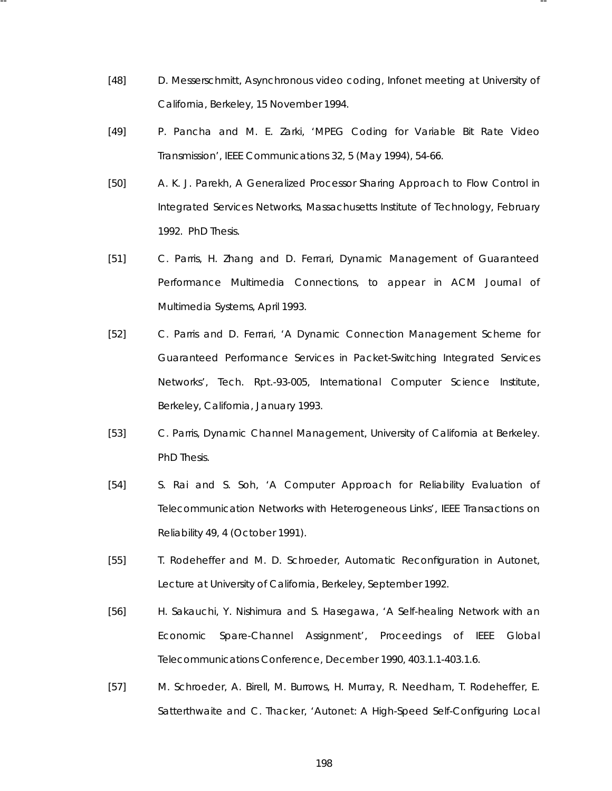[48] D. Messerschmitt, Asynchronous video coding, Infonet meeting at University of California, Berkeley, 15 November 1994.

-- --

- [49] P. Pancha and M. E. Zarki, 'MPEG Coding for Variable Bit Rate Video Transmission', *IEEE Communications 32*, 5 (May 1994), 54-66.
- [50] A. K. J. Parekh, *A Generalized Processor Sharing Approach to Flow Control in Integrated Services Networks*, Massachusetts Institute of Technology, February 1992. PhD Thesis.
- [51] C. Parris, H. Zhang and D. Ferrari, Dynamic Management of Guaranteed Performance Multimedia Connections, to appear in ACM Journal of Multimedia Systems, April 1993.
- [52] C. Parris and D. Ferrari, 'A Dynamic Connection Management Scheme for Guaranteed Performance Services in Packet-Switching Integrated Services Networks', Tech. Rpt.-93-005, International Computer Science Institute, Berkeley, California, January 1993.
- [53] C. Parris, *Dynamic Channel Management*, University of California at Berkeley. PhD Thesis.
- [54] S. Rai and S. Soh, 'A Computer Approach for Reliability Evaluation of Telecommunication Networks with Heterogeneous Links', *IEEE Transactions on Reliability 49*, 4 (October 1991).
- [55] T. Rodeheffer and M. D. Schroeder, Automatic Reconfiguration in Autonet, Lecture at University of California, Berkeley, September 1992.
- [56] H. Sakauchi, Y. Nishimura and S. Hasegawa, 'A Self-healing Network with an Economic Spare-Channel Assignment', *Proceedings of IEEE Global Telecommunications Conference*, December 1990, 403.1.1-403.1.6.
- [57] M. Schroeder, A. Birell, M. Burrows, H. Murray, R. Needham, T. Rodeheffer, E. Satterthwaite and C. Thacker, 'Autonet: A High-Speed Self-Configuring Local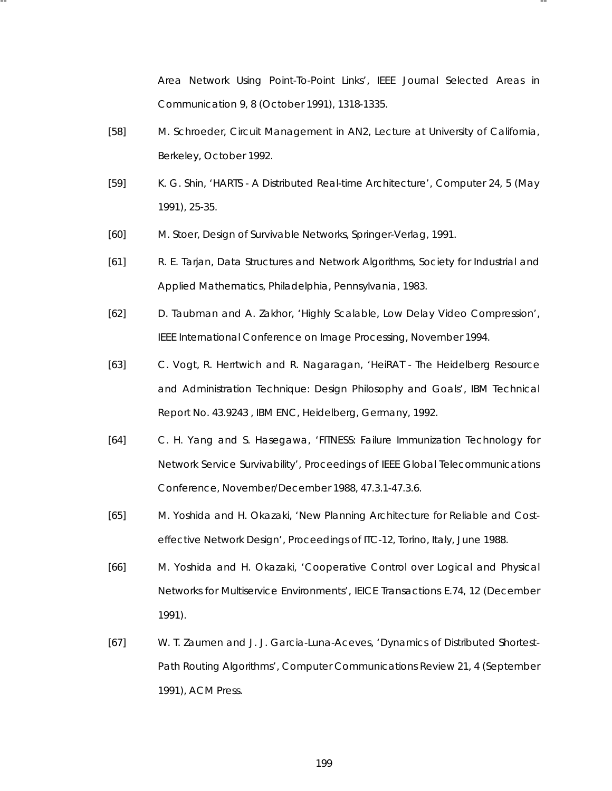Area Network Using Point-To-Point Links', *IEEE Journal Selected Areas in Communication 9*, 8 (October 1991), 1318-1335.

- [58] M. Schroeder, Circuit Management in AN2, Lecture at University of California, Berkeley, October 1992.
- [59] K. G. Shin, 'HARTS A Distributed Real-time Architecture', *Computer 24*, 5 (May 1991), 25-35.
- [60] M. Stoer, *Design of Survivable Networks*, Springer-Verlag, 1991.

-- --

- [61] R. E. Tarjan, *Data Structures and Network Algorithms*, Society for Industrial and Applied Mathematics, Philadelphia, Pennsylvania, 1983.
- [62] D. Taubman and A. Zakhor, 'Highly Scalable, Low Delay Video Compression', *IEEE International Conference on Image Processing*, November 1994.
- [63] C. Vogt, R. Herrtwich and R. Nagaragan, 'HeiRAT The Heidelberg Resource and Administration Technique: Design Philosophy and Goals', IBM Technical Report No. 43.9243 , IBM ENC, Heidelberg, Germany, 1992.
- [64] C. H. Yang and S. Hasegawa, 'FITNESS: Failure Immunization Technology for Network Service Survivability', *Proceedings of IEEE Global Telecommunications Conference*, November/December 1988, 47.3.1-47.3.6.
- [65] M. Yoshida and H. Okazaki, 'New Planning Architecture for Reliable and Costeffective Network Design', *Proceedings of ITC-12*, Torino, Italy, June 1988.
- [66] M. Yoshida and H. Okazaki, 'Cooperative Control over Logical and Physical Networks for Multiservice Environments', *IEICE Transactions E.74*, 12 (December 1991).
- [67] W. T. Zaumen and J. J. Garcia-Luna-Aceves, 'Dynamics of Distributed Shortest-Path Routing Algorithms', *Computer Communications Review 21*, 4 (September 1991), ACM Press.